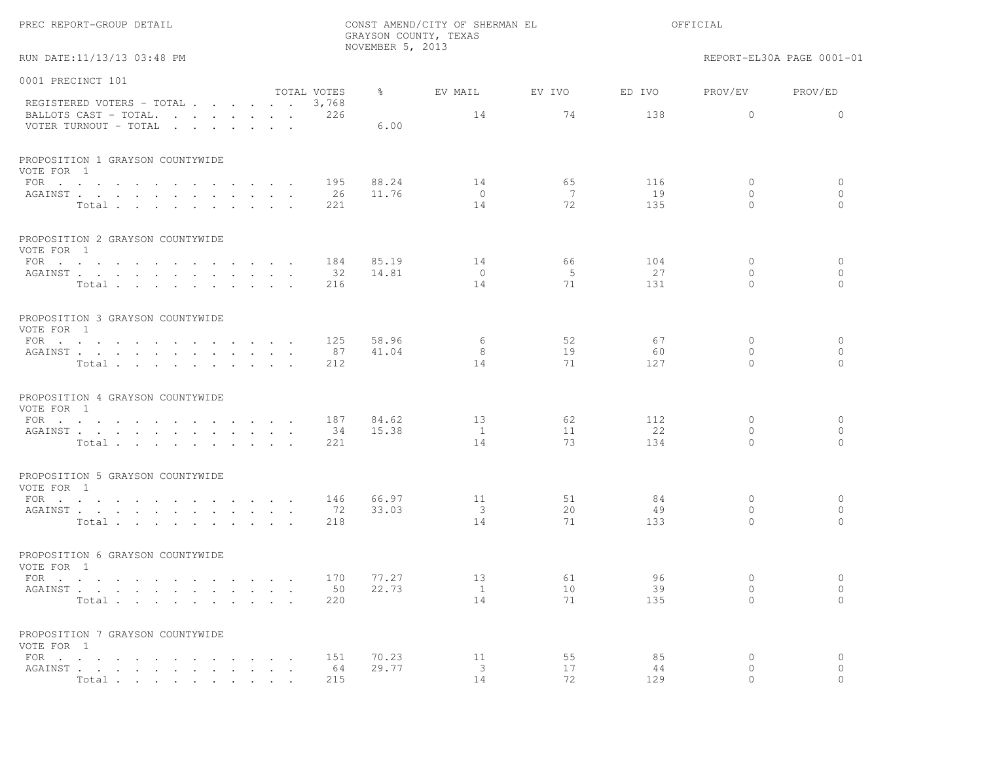|                                                           |                      |                      | NOVEMBER 5, 2013 | GRAYSON COUNTY, TEXAS |                 |                  |                                    |                                |
|-----------------------------------------------------------|----------------------|----------------------|------------------|-----------------------|-----------------|------------------|------------------------------------|--------------------------------|
| RUN DATE:11/13/13 03:48 PM                                |                      |                      |                  |                       |                 |                  |                                    | REPORT-EL30A PAGE 0001-01      |
| 0001 PRECINCT 101                                         |                      |                      |                  |                       |                 |                  |                                    |                                |
| REGISTERED VOTERS - TOTAL                                 |                      | TOTAL VOTES<br>3,768 | $\frac{6}{6}$    | EV MAIL               | EV IVO          | ED IVO           | PROV/EV                            | PROV/ED                        |
| BALLOTS CAST - TOTAL.<br>VOTER TURNOUT - TOTAL            |                      | 226                  | 6.00             | 14                    | 74              | 138              | $\circ$                            | $\circ$                        |
| PROPOSITION 1 GRAYSON COUNTYWIDE<br>VOTE FOR 1            |                      |                      |                  |                       |                 |                  |                                    |                                |
| $\text{FOR}$<br>AGAINST<br>Total                          |                      | 195<br>-26<br>221    | 88.24<br>11.76   | 14<br>$\circ$<br>14   | 65<br>- 7<br>72 | 116<br>19<br>135 | $\mathbf 0$<br>$\circ$<br>$\Omega$ | $\circ$<br>$\circ$<br>$\Omega$ |
| PROPOSITION 2 GRAYSON COUNTYWIDE<br>VOTE FOR 1            |                      |                      |                  |                       |                 |                  |                                    |                                |
| FOR $\cdots$                                              |                      | 184                  | 85.19            | 14                    | 66              | 104              | 0                                  | $\circ$                        |
| AGAINST<br>Total                                          | $\cdot$ $\cdot$      | 32<br>216            | 14.81            | $\circ$<br>14         | 5<br>71         | 27<br>131        | $\mathbf{0}$<br>$\Omega$           | $\circ$<br>$\Omega$            |
| PROPOSITION 3 GRAYSON COUNTYWIDE<br>VOTE FOR 1            |                      |                      |                  |                       |                 |                  |                                    |                                |
| FOR                                                       |                      | 125                  | 58.96            | 6                     | 52              | 67               | $\mathbf{0}$                       | $\circ$                        |
| AGAINST<br>Total                                          |                      | 87<br>212            | 41.04            | 8<br>14               | 19<br>71        | 60<br>127        | 0<br>$\Omega$                      | $\circ$<br>$\Omega$            |
| PROPOSITION 4 GRAYSON COUNTYWIDE<br>VOTE FOR 1            |                      |                      |                  |                       |                 |                  |                                    |                                |
| $\text{FOR}$                                              |                      | 187                  | 84.62            | 13                    | 62              | 112              | $\mathbf 0$                        | $\circ$                        |
| AGAINST<br>Total                                          |                      | 34<br>221            | 15.38            | $\mathbf{1}$<br>14    | 11<br>73        | 22<br>134        | $\mathbf{0}$<br>$\Omega$           | $\circ$<br>$\Omega$            |
| PROPOSITION 5 GRAYSON COUNTYWIDE<br>VOTE FOR 1            |                      |                      |                  |                       |                 |                  |                                    |                                |
| FOR $\cdots$ $\cdots$ $\cdots$<br>$\sim$ $\sim$           |                      | 146                  | 66.97            | 11                    | 51              | 84               | $\mathbf 0$<br>$\circ$             | $\circ$<br>$\circ$             |
| AGAINST<br>Total                                          | $\sim$ $\sim$        | 72<br>218            | 33.03            | 3<br>14               | 20<br>71        | 49<br>133        | $\circ$                            | $\circ$                        |
| PROPOSITION 6 GRAYSON COUNTYWIDE<br>VOTE FOR 1            |                      |                      |                  |                       |                 |                  |                                    |                                |
| FOR $\cdots$ $\cdots$ $\cdots$ $\cdots$ $\cdots$ $\cdots$ |                      | 170                  | 77.27            | 13                    | 61              | 96               | $\circ$                            | $\circ$                        |
| AGAINST<br>Total                                          |                      | 220                  | 50 22.73         | $\frac{1}{2}$<br>14   | 10<br>71        | 39<br>135        | $\circ$<br>$\Omega$                | $\circ$<br>$\circ$             |
| PROPOSITION 7 GRAYSON COUNTYWIDE<br>VOTE FOR 1            |                      |                      |                  |                       |                 |                  |                                    |                                |
| FOR $\cdots$                                              |                      | 151                  | 70.23            | 11                    | 55              | 85               | 0                                  | $\circ$                        |
| AGAINST<br>Total                                          | $\ddot{\phantom{1}}$ | 64<br>215            | 29.77            | 3<br>14               | 17<br>72        | 44<br>129        | 0<br>$\circ$                       | $\circ$<br>$\circ$             |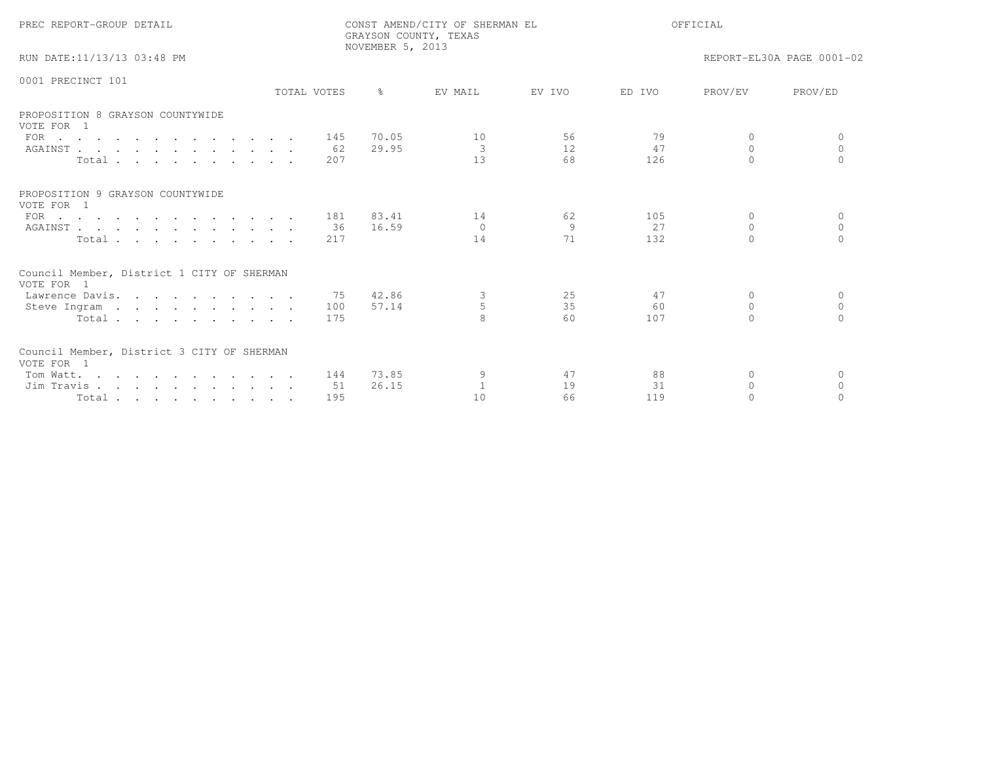| PREC REPORT-GROUP DETAIL                                 |             | NOVEMBER 5, 2013 | CONST AMEND/CITY OF SHERMAN EL<br>GRAYSON COUNTY, TEXAS | OFFICIAL |        |          |                           |
|----------------------------------------------------------|-------------|------------------|---------------------------------------------------------|----------|--------|----------|---------------------------|
| RUN DATE:11/13/13 03:48 PM                               |             |                  |                                                         |          |        |          | REPORT-EL30A PAGE 0001-02 |
| 0001 PRECINCT 101                                        | TOTAL VOTES | $\approx$        | EV MAIL                                                 | EV IVO   | ED IVO | PROV/EV  | PROV/ED                   |
|                                                          |             |                  |                                                         |          |        |          |                           |
| PROPOSITION 8 GRAYSON COUNTYWIDE<br>VOTE FOR 1           |             |                  |                                                         |          |        |          |                           |
| $\text{FOR}$                                             | 145         | 70.05            | 10                                                      | 56       | 79     | $\Omega$ | $\bigcap$                 |
| AGAINST                                                  | 62          | 29.95            | 3                                                       | 12.      | 47     | $\Omega$ | $\Omega$                  |
| Total                                                    | 207         |                  | 13                                                      | 68       | 126    | $\cap$   | $\cap$                    |
| PROPOSITION 9 GRAYSON COUNTYWIDE<br>VOTE FOR 1           |             |                  |                                                         |          |        |          |                           |
| FOR $\cdots$                                             | 181         | 83.41            | 14                                                      | 62       | 105    | $\Omega$ | $\Omega$                  |
| AGAINST                                                  | 36          | 16.59            | $\Omega$                                                | 9        | 27     | $\Omega$ | $\Omega$                  |
| Total                                                    | 217         |                  | 14                                                      | 71       | 132    | $\cap$   |                           |
| Council Member, District 1 CITY OF SHERMAN<br>VOTE FOR 1 |             |                  |                                                         |          |        |          |                           |
| Lawrence Davis.                                          | 75          | 42.86            | 3                                                       | 25       | 47     | $\Omega$ | $\Omega$                  |
| Steve Ingram                                             | 100         | 57.14            | 5                                                       | 35       | 60     | $\Omega$ | $\circ$                   |
| Total                                                    | 175         |                  | 8                                                       | 60       | 107    | $\Omega$ | $\Omega$                  |
| Council Member, District 3 CITY OF SHERMAN<br>VOTE FOR 1 |             |                  |                                                         |          |        |          |                           |
| Tom Watt.                                                | 144         | 73.85            |                                                         | 47       | 88     | $\Omega$ | $\Omega$                  |
| Jim Travis                                               | 51          | 26.15            | $\overline{1}$                                          | 19       | 31     | $\Omega$ | $\Omega$                  |
| Total                                                    | 195         |                  | 10                                                      | 66       | 119    | $\Omega$ | $\Omega$                  |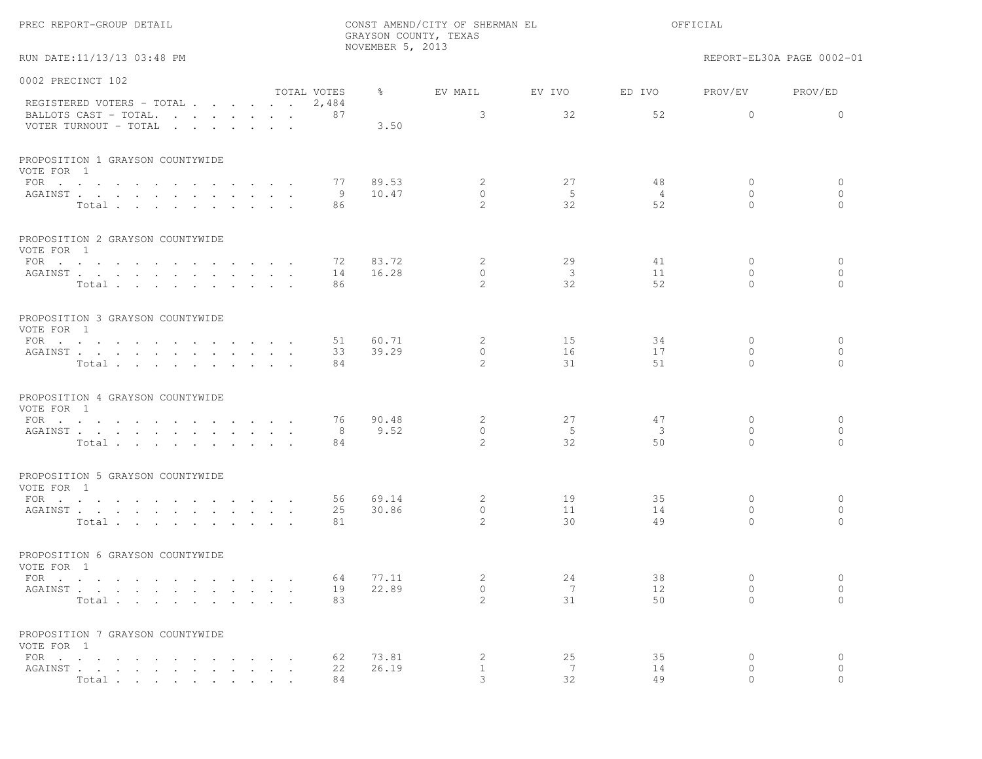|  | PREC REPORT-GROUP DETAIL |  |
|--|--------------------------|--|
|--|--------------------------|--|

RUN DATE:11/13/13 03:48 PM REPORT-EL30A PAGE 0002-01

| 0002 PRECINCT 102                                  |             |                |                           |                         |                         |                         |                     |
|----------------------------------------------------|-------------|----------------|---------------------------|-------------------------|-------------------------|-------------------------|---------------------|
|                                                    | TOTAL VOTES | $\approx$      | EV MAIL                   | EV IVO                  | ED IVO                  | PROV/EV                 | PROV/ED             |
| REGISTERED VOTERS - TOTAL<br>BALLOTS CAST - TOTAL. | 2,484<br>87 |                | 3                         | 32                      | 52                      | $\Omega$                | $\Omega$            |
| VOTER TURNOUT - TOTAL                              |             | 3.50           |                           |                         |                         |                         |                     |
| PROPOSITION 1 GRAYSON COUNTYWIDE                   |             |                |                           |                         |                         |                         |                     |
| VOTE FOR 1                                         |             |                |                           |                         |                         |                         |                     |
| FOR $\cdots$                                       | 77          | 89.53          | 2                         | 27                      | 48                      | $\circ$                 | 0                   |
| AGAINST                                            | 9           | 10.47          | $\Omega$<br>$\mathcal{L}$ | $-5$<br>32              | $\overline{4}$<br>52    | $\Omega$<br>$\Omega$    | $\circ$<br>$\Omega$ |
| Total                                              | 86          |                |                           |                         |                         |                         |                     |
| PROPOSITION 2 GRAYSON COUNTYWIDE<br>VOTE FOR 1     |             |                |                           |                         |                         |                         |                     |
| FOR                                                | 72          | 83.72          | 2                         | 29                      | 41                      | $\circ$                 | $\circ$             |
| AGAINST                                            | 14          | 16.28          | $\circ$                   | $\overline{\mathbf{3}}$ | 11                      | $\mathbf{0}$            | $\circ$             |
| Total                                              | 86          |                | $\mathcal{L}$             | 32                      | 52                      | $\Omega$                | $\circ$             |
| PROPOSITION 3 GRAYSON COUNTYWIDE<br>VOTE FOR 1     |             |                |                           |                         |                         |                         |                     |
|                                                    | 51          | 60.71          | 2                         | 15                      | 34                      | $\mathbf{0}$            | 0                   |
| AGAINST                                            | 33          | 39.29          | $\circ$                   | 16                      | 17                      | $\circ$                 | $\circ$             |
| Total                                              | 84          |                | $\mathfrak{D}$            | 31                      | 51                      | $\Omega$                | $\Omega$            |
| PROPOSITION 4 GRAYSON COUNTYWIDE<br>VOTE FOR 1     |             |                |                           |                         |                         |                         |                     |
| FOR $\cdots$                                       | 76          | 90.48          | 2                         | 27                      | 47                      | $\mathbf{0}$            | $\circ$             |
| AGAINST                                            | 8           | 9.52           | $\Omega$                  | $-5$                    | $\overline{\mathbf{3}}$ | $\Omega$                | $\circ$             |
| Total                                              | 84          |                | $\mathfrak{D}$            | 32                      | 50                      | $\Omega$                | $\Omega$            |
| PROPOSITION 5 GRAYSON COUNTYWIDE                   |             |                |                           |                         |                         |                         |                     |
| VOTE FOR 1                                         |             |                |                           |                         |                         |                         |                     |
| FOR                                                | 56<br>25    | 69.14<br>30.86 | 2<br>$\circ$              | 19<br>11                | 35<br>14                | $\circ$<br>$\Omega$     | $\circ$<br>$\circ$  |
| AGAINST<br>Total                                   | 81          |                | $\mathfrak{D}$            | 30                      | 49                      | $\Omega$                | $\Omega$            |
| PROPOSITION 6 GRAYSON COUNTYWIDE<br>VOTE FOR 1     |             |                |                           |                         |                         |                         |                     |
| FOR $\cdots$                                       | 64          | 77.11          | 2                         | 24                      | 38                      | $\mathbf{0}$            | $\circ$             |
| AGAINST                                            | 19          | 22.89          | $\circ$                   | 7                       | 12                      | $\circ$                 | $\circ$             |
| Total                                              | 83          |                | $\mathfrak{D}$            | 31                      | 50                      | $\Omega$                | $\Omega$            |
| PROPOSITION 7 GRAYSON COUNTYWIDE                   |             |                |                           |                         |                         |                         |                     |
| VOTE FOR 1                                         |             |                |                           |                         |                         |                         |                     |
| FOR $\cdots$<br>AGAINST                            | 62<br>22    | 73.81<br>26.19 | 2<br>$\mathbf{1}$         | 25<br>7                 | 35<br>14                | $\mathbf{0}$<br>$\circ$ | $\circ$<br>$\circ$  |
| Total                                              | 84          |                | 3                         | 32                      | 49                      | $\Omega$                | $\bigcap$           |
|                                                    |             |                |                           |                         |                         |                         |                     |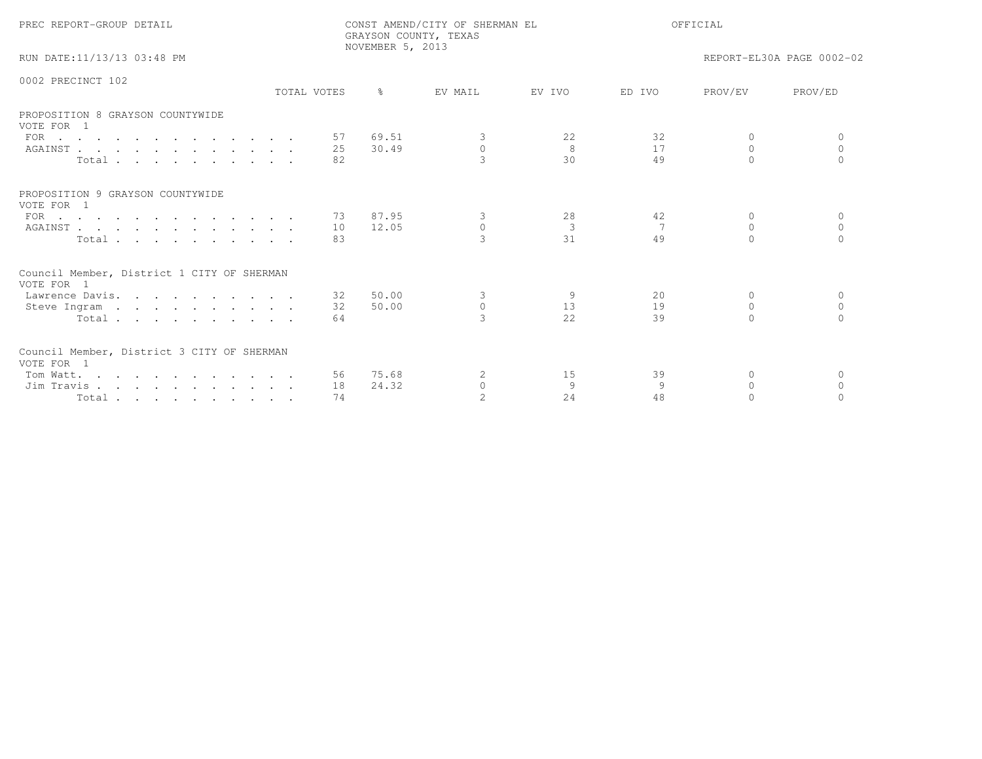| PREC REPORT-GROUP DETAIL                                 |             |    | NOVEMBER 5, 2013 | CONST AMEND/CITY OF SHERMAN EL<br>GRAYSON COUNTY, TEXAS | OFFICIAL |        |           |                           |
|----------------------------------------------------------|-------------|----|------------------|---------------------------------------------------------|----------|--------|-----------|---------------------------|
| RUN DATE:11/13/13 03:48 PM                               |             |    |                  |                                                         |          |        |           | REPORT-EL30A PAGE 0002-02 |
| 0002 PRECINCT 102                                        |             |    |                  |                                                         |          |        |           |                           |
|                                                          | TOTAL VOTES |    | $\frac{6}{10}$   | EV MAIL                                                 | EV IVO   | ED TVO | PROV/EV   | PROV/ED                   |
| PROPOSITION 8 GRAYSON COUNTYWIDE<br>VOTE FOR 1           |             |    |                  |                                                         |          |        |           |                           |
| FOR                                                      |             |    | 57 69.51         | 3                                                       | 22       | 32     | $\Omega$  | $\Omega$                  |
| AGAINST                                                  |             | 25 | 30.49            | $\Omega$                                                | 8        | 17     | $\Omega$  | $\Omega$                  |
| Total                                                    |             | 82 |                  | 3                                                       | 30       | 49     | $\cap$    |                           |
| PROPOSITION 9 GRAYSON COUNTYWIDE<br>VOTE FOR 1           |             |    |                  |                                                         |          |        |           |                           |
| FOR $\cdots$                                             |             |    | 73 87.95         | 3                                                       | 28       | 42     | $\Omega$  | $\Omega$                  |
| AGAINST                                                  |             | 10 | 12.05            | $\mathbf{0}$                                            | 3        | 7      | $\Omega$  | $\Omega$                  |
| Total                                                    |             | 83 |                  |                                                         | 31       | 49     | $\Omega$  | $\Omega$                  |
| Council Member, District 1 CITY OF SHERMAN<br>VOTE FOR 1 |             |    |                  |                                                         |          |        |           |                           |
| Lawrence Davis.                                          |             | 32 | 50.00            | 3                                                       | 9        | 20     | $\Omega$  | $\Omega$                  |
| Steve Ingram                                             |             | 32 | 50.00            | $\Omega$                                                | 13       | 19     | $\Omega$  | $\cap$                    |
| Total                                                    |             | 64 |                  | $\mathcal{R}$                                           | 2.2.     | 39     | $\bigcap$ |                           |
| Council Member, District 3 CITY OF SHERMAN<br>VOTE FOR 1 |             |    |                  |                                                         |          |        |           |                           |
| Tom Watt.                                                |             |    | 56 75.68         | 2                                                       | 15       | 39     | $\Omega$  | $\Omega$                  |
| Jim Travis                                               |             | 18 | 24.32            | $\Omega$                                                | 9        | 9      | $\Omega$  | $\Omega$                  |
| Total                                                    |             | 74 |                  |                                                         | 2.4      | 48     |           |                           |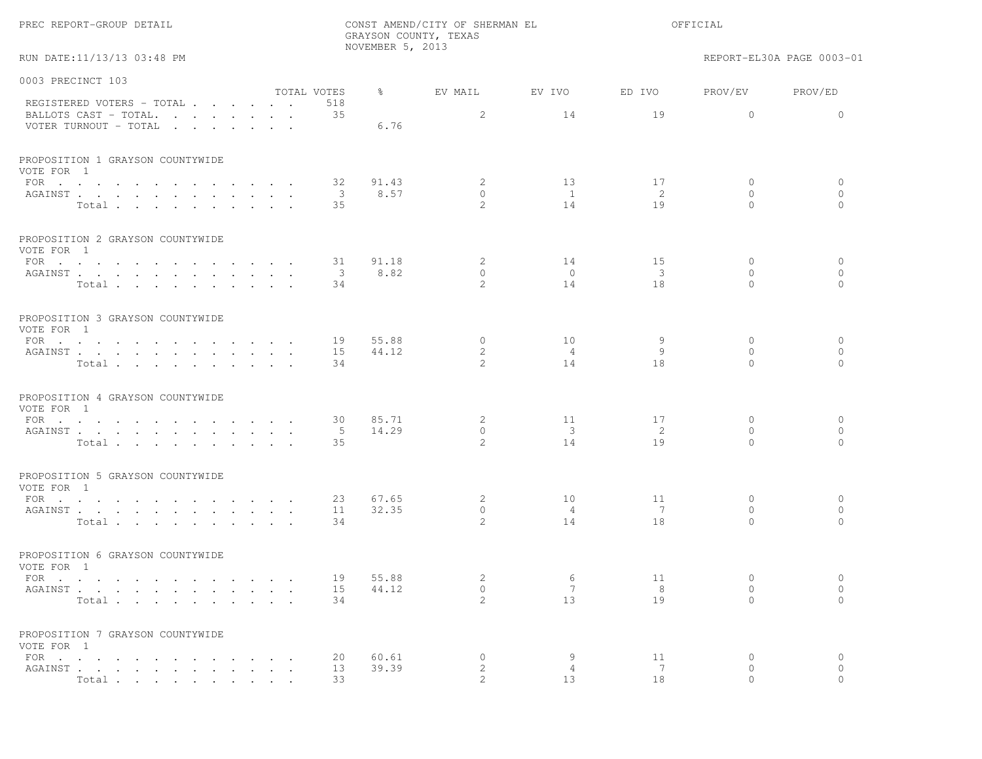|                                                                             |                           | NOVEMBER 5, 2013      | GRAYSON COUNTY, TEXAS                     |                                     |                                     |                                          |                                      |
|-----------------------------------------------------------------------------|---------------------------|-----------------------|-------------------------------------------|-------------------------------------|-------------------------------------|------------------------------------------|--------------------------------------|
| RUN DATE:11/13/13 03:48 PM                                                  |                           |                       |                                           |                                     |                                     |                                          | REPORT-EL30A PAGE 0003-01            |
| 0003 PRECINCT 103                                                           |                           |                       |                                           |                                     |                                     |                                          |                                      |
| REGISTERED VOTERS - TOTAL<br>BALLOTS CAST - TOTAL.<br>VOTER TURNOUT - TOTAL | TOTAL VOTES<br>518<br>35  | $\frac{8}{6}$<br>6.76 | EV MAIL<br>2                              | EV IVO<br>14                        | ED IVO<br>19                        | PROV/EV<br>$\circ$                       | PROV/ED<br>$\mathbf{0}$              |
| PROPOSITION 1 GRAYSON COUNTYWIDE<br>VOTE FOR 1<br>FOR $\cdots$              | 32                        | 91.43                 | $\overline{2}$                            | 13                                  | 17                                  | $\mathbf{0}$                             | $\circ$                              |
| AGAINST<br>$\sim$ $\sim$<br>Total                                           | - 3<br>35                 | 8.57                  | $\circ$<br>$\overline{2}$                 | $\overline{1}$<br>14                | 2<br>19                             | $\mathbf{0}$<br>$\Omega$                 | $\circ$<br>$\Omega$                  |
| PROPOSITION 2 GRAYSON COUNTYWIDE<br>VOTE FOR 1                              |                           |                       |                                           |                                     |                                     |                                          |                                      |
| FOR<br>AGAINST<br>Total                                                     | 31<br>$\mathcal{S}$<br>34 | 91.18<br>8.82         | $\mathbf{2}$<br>$\circ$<br>$\mathcal{L}$  | 14<br>$\circ$<br>14                 | 15<br>$\overline{\mathbf{3}}$<br>18 | $\mathbf{0}$<br>$\mathbf{0}$<br>$\Omega$ | $\circ$<br>$\mathbf{0}$<br>$\bigcap$ |
| PROPOSITION 3 GRAYSON COUNTYWIDE<br>VOTE FOR 1<br>FOR $\cdots$<br>AGAINST   | 19<br>15                  | 55.88<br>44.12        | $\circ$<br>$\mathbf{2}$                   | 10<br>$\overline{4}$                | 9<br>9                              | $\mathbf{0}$<br>$\Omega$<br>$\Omega$     | $\circ$<br>$\circ$<br>$\Omega$       |
| Total<br>PROPOSITION 4 GRAYSON COUNTYWIDE                                   | 34                        |                       | 2                                         | 14                                  | 18                                  |                                          |                                      |
| VOTE FOR 1<br>FOR $\cdots$<br>AGAINST<br>Total                              | 30<br>5<br>35             | 85.71<br>14.29        | $\mathbf{2}$<br>$\circ$<br>$\overline{2}$ | 11<br>$\overline{\mathbf{3}}$<br>14 | 17<br>-2<br>19                      | $\mathbf{0}$<br>$\mathbf{0}$<br>$\Omega$ | $\circ$<br>$\circ$<br>$\Omega$       |
| PROPOSITION 5 GRAYSON COUNTYWIDE<br>VOTE FOR 1                              |                           |                       |                                           |                                     |                                     |                                          |                                      |
| FOR $\cdots$<br>AGAINST<br>Total                                            | 23<br>11<br>34            | 67.65<br>32.35        | 2<br>$\circ$<br>$2^{1}$                   | 10<br>$\overline{4}$<br>14          | 11<br>7<br>18                       | $\mathbf{0}$<br>$\mathbf{0}$<br>$\Omega$ | $\circ$<br>$\circ$<br>$\bigcap$      |
| PROPOSITION 6 GRAYSON COUNTYWIDE<br>VOTE FOR 1                              |                           |                       |                                           |                                     |                                     |                                          |                                      |
| FOR $\cdots$<br>AGAINST<br>Total                                            | 19<br>15<br>34            | 55.88<br>44.12        | 2<br>$\circ$<br>$\mathbf{2}^{\prime}$     | 6<br>$7\phantom{.0}$<br>13          | 11<br>8<br>19                       | $\mathbf{0}$<br>0<br>$\Omega$            | $\circ$<br>$\circ$<br>$\Omega$       |
| PROPOSITION 7 GRAYSON COUNTYWIDE<br>VOTE FOR 1<br>FOR                       | 20                        | 60.61                 | 0                                         | 9                                   | 11                                  | $\mathbf{0}$                             | $\circ$                              |
| AGAINST<br>Total                                                            | 13<br>33                  | 39.39                 | $\mathbf{2}$<br>$\overline{2}$            | $\overline{4}$<br>13                | 7<br>18                             | 0<br>$\Omega$                            | $\circ$<br>$\Omega$                  |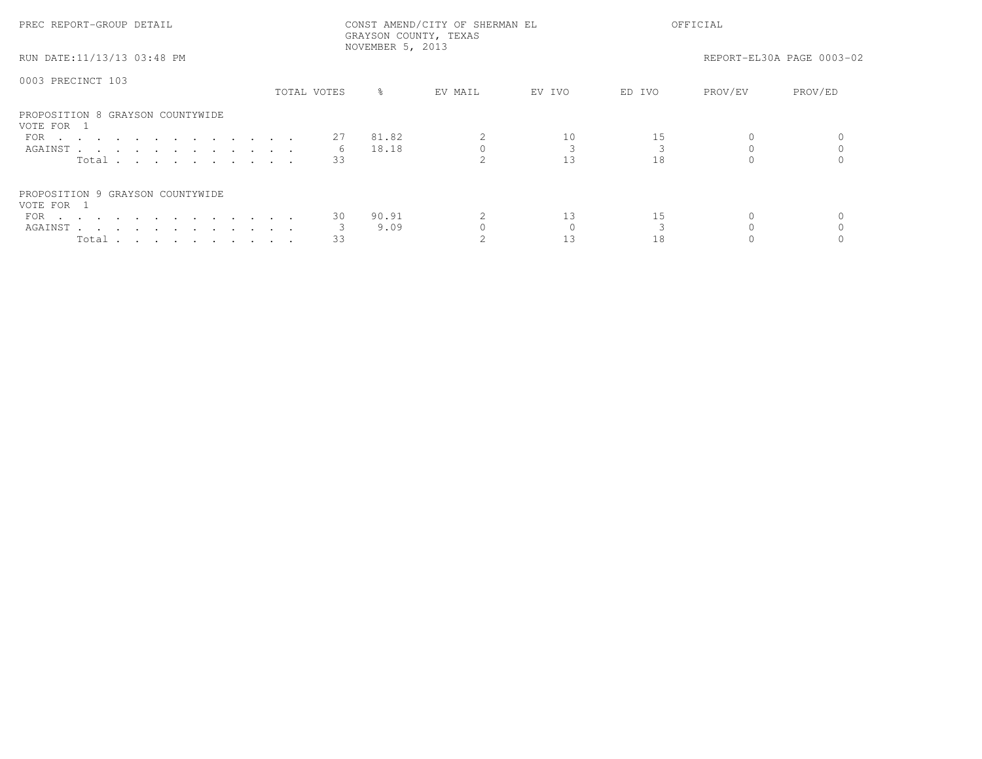| PREC REPORT-GROUP DETAIL                       | CONST AMEND/CITY OF SHERMAN EL<br>GRAYSON COUNTY, TEXAS<br>NOVEMBER 5, 2013 |             |         |        | OFFICIAL |         |                           |  |
|------------------------------------------------|-----------------------------------------------------------------------------|-------------|---------|--------|----------|---------|---------------------------|--|
| RUN DATE:11/13/13 03:48 PM                     |                                                                             |             |         |        |          |         | REPORT-EL30A PAGE 0003-02 |  |
| 0003 PRECINCT 103                              |                                                                             |             |         |        |          |         |                           |  |
|                                                | TOTAL VOTES                                                                 | ိင          | EV MAIL | EV IVO | ED IVO   | PROV/EV | PROV/ED                   |  |
| PROPOSITION 8 GRAYSON COUNTYWIDE<br>VOTE FOR 1 |                                                                             |             |         |        |          |         |                           |  |
| FOR                                            |                                                                             | 27<br>81.82 |         | 10     |          |         |                           |  |
| AGAINST                                        |                                                                             | 18.18<br>6  |         |        |          |         |                           |  |
| Total                                          |                                                                             | 33          |         | 13     | 18       |         |                           |  |
| PROPOSITION 9 GRAYSON COUNTYWIDE               |                                                                             |             |         |        |          |         |                           |  |
| VOTE FOR 1                                     |                                                                             |             |         |        |          |         |                           |  |
| FOR $\cdots$                                   |                                                                             | 90.91<br>30 |         | 13     | 15       |         |                           |  |
| AGAINST                                        |                                                                             | 9.09        |         |        |          |         |                           |  |
| Total $\cdots$ $\cdots$ $\cdots$ $\cdots$      |                                                                             | 33          |         |        | 18       |         |                           |  |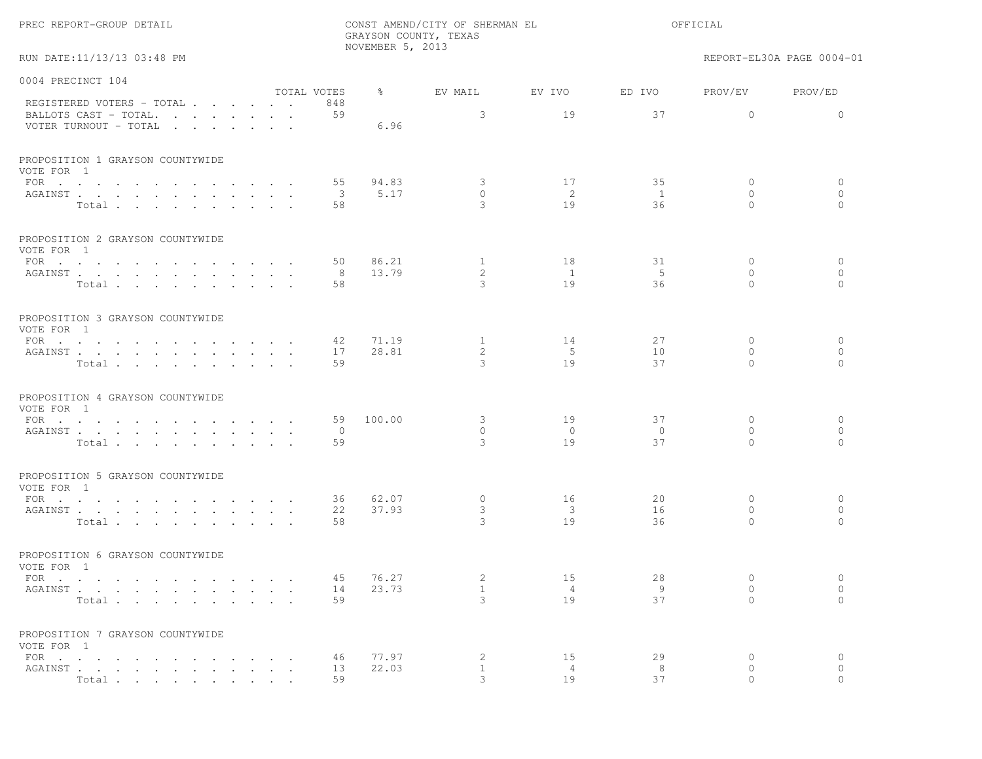|  | PREC REPORT-GROUP DETAIL |  |
|--|--------------------------|--|
|--|--------------------------|--|

RUN DATE:11/13/13 03:48 PM REPORT-EL30A PAGE 0004-01

| 0004 PRECINCT 104                                                                                  |             |                |               |                   |                         |                    |                      |                     |
|----------------------------------------------------------------------------------------------------|-------------|----------------|---------------|-------------------|-------------------------|--------------------|----------------------|---------------------|
| REGISTERED VOTERS - TOTAL                                                                          | TOTAL VOTES | 848            | $\frac{8}{6}$ | EV MAIL           | EV IVO                  | ED IVO             | PROV/EV              | PROV/ED             |
| BALLOTS CAST - TOTAL.<br>VOTER TURNOUT - TOTAL                                                     |             | 59             | 6.96          | 3                 | 19                      | 37                 | $\mathbf{0}$         | $\Omega$            |
| PROPOSITION 1 GRAYSON COUNTYWIDE<br>VOTE FOR 1                                                     |             |                |               |                   |                         |                    |                      |                     |
| FOR $\cdot$ $\cdot$ $\cdot$ $\cdot$ $\cdot$ $\cdot$ $\cdot$<br>the contract of the contract of the |             | 55             | 94.83         | 3                 | 17                      | 35                 | $\Omega$             | $\mathbf{0}$        |
| AGAINST                                                                                            |             | 3              | 5.17          | $\mathbf{0}$<br>3 | 2<br>19                 | $\mathbf{1}$<br>36 | $\Omega$<br>$\Omega$ | $\circ$<br>$\Omega$ |
| Total                                                                                              |             | 58             |               |                   |                         |                    |                      |                     |
| PROPOSITION 2 GRAYSON COUNTYWIDE<br>VOTE FOR 1                                                     |             |                |               |                   |                         |                    |                      |                     |
| FOR $\cdots$                                                                                       |             | 50             | 86.21         | $\mathbf{1}$      | 18                      | 31                 | $\mathbf{0}$         | $\circ$             |
| AGAINST                                                                                            |             | 8              | 13.79         | 2                 | $\mathbf{1}$            | 5                  | $\circ$              | $\circ$             |
| Total                                                                                              |             | 58             |               | 3                 | 19                      | 36                 | $\Omega$             | $\Omega$            |
| PROPOSITION 3 GRAYSON COUNTYWIDE<br>VOTE FOR 1                                                     |             |                |               |                   |                         |                    |                      |                     |
| FOR $\cdots$                                                                                       |             | 42             | 71.19         | $\mathbf{1}$      | 14                      | 27                 | $\mathbf{0}$         | $\mathbf{0}$        |
| AGAINST                                                                                            |             | 17             | 28.81         | 2                 | $-5$                    | 10                 | $\Omega$             | $\circ$             |
| Total                                                                                              |             | 59             |               | 3                 | 19                      | 37                 | $\Omega$             | $\Omega$            |
| PROPOSITION 4 GRAYSON COUNTYWIDE<br>VOTE FOR 1                                                     |             |                |               |                   |                         |                    |                      |                     |
| FOR                                                                                                |             | 59             | 100.00        | 3                 | 19                      | 37                 | $\Omega$             | $\circ$             |
| AGAINST                                                                                            |             | $\overline{0}$ |               | $\Omega$          | $\overline{0}$          | $\bigcirc$         | $\Omega$             | $\mathbf{0}$        |
| Total                                                                                              |             | 59             |               | 3                 | 19                      | 37                 | $\Omega$             | $\Omega$            |
| PROPOSITION 5 GRAYSON COUNTYWIDE<br>VOTE FOR 1                                                     |             |                |               |                   |                         |                    |                      |                     |
| FOR $\cdots$ $\cdots$ $\cdots$ $\cdots$ $\cdots$                                                   |             | 36             | 62.07         | $\circ$           | 16                      | 20                 | $\mathbf{0}$         | $\mathbf{0}$        |
| AGAINST                                                                                            |             | 22             | 37.93         | 3                 | $\overline{\mathbf{3}}$ | 16                 | $\circ$              | $\circ$             |
| Total.                                                                                             |             | 58             |               | 3                 | 19                      | 36                 | $\Omega$             | $\Omega$            |
| PROPOSITION 6 GRAYSON COUNTYWIDE<br>VOTE FOR 1                                                     |             |                |               |                   |                         |                    |                      |                     |
| FOR $\cdots$                                                                                       |             | 45             | 76.27         | 2                 | 15                      | 28                 | $\Omega$             | $\mathbf{0}$        |
| AGAINST                                                                                            |             | 14             | 23.73         | $\mathbf{1}$      | $\overline{4}$          | -9                 | $\circ$              | $\circ$             |
| Total                                                                                              |             | 59             |               | $\mathcal{L}$     | 19                      | 37                 | $\Omega$             | $\bigcap$           |
| PROPOSITION 7 GRAYSON COUNTYWIDE<br>VOTE FOR 1                                                     |             |                |               |                   |                         |                    |                      |                     |
| FOR $\cdots$                                                                                       |             | 46             | 77.97         | 2                 | 15                      | 29                 | $\circ$              | $\circ$             |
| AGAINST                                                                                            |             | 13             | 22.03         | $\mathbf{1}$      | 4                       | 8                  | $\mathbf{0}$         | $\circ$             |
| Total                                                                                              |             | 59             |               | 3                 | 19                      | 37                 | $\Omega$             | $\circ$             |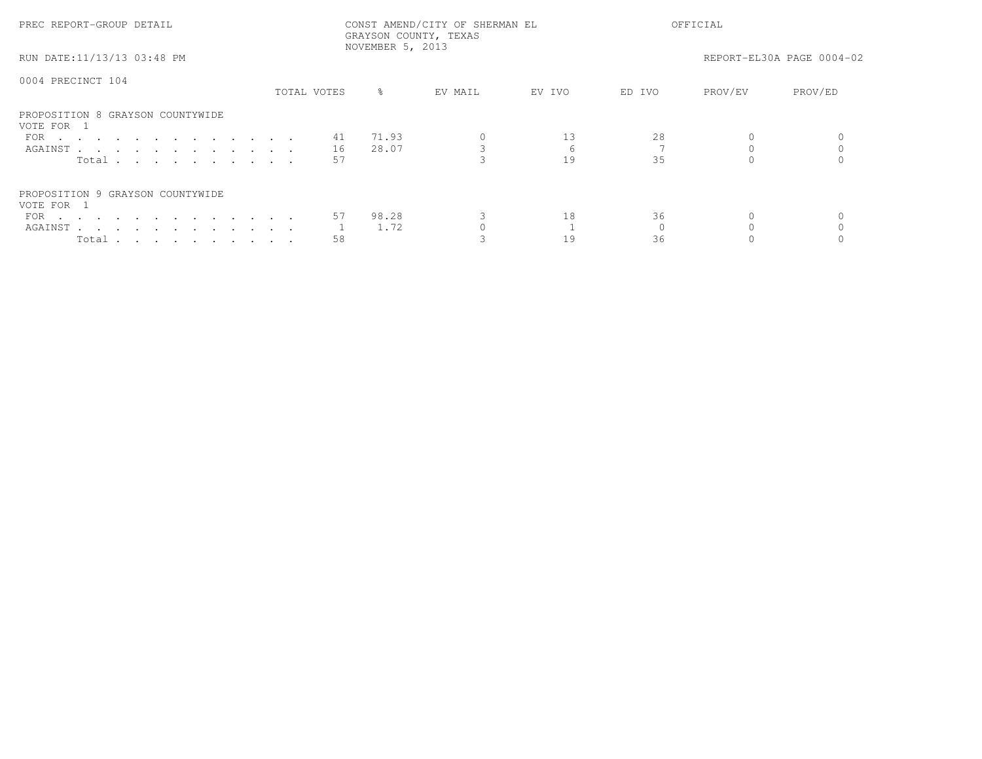| PREC REPORT-GROUP DETAIL                       |             | GRAYSON COUNTY, TEXAS<br>NOVEMBER 5, 2013 | CONST AMEND/CITY OF SHERMAN EL | OFFICIAL |        |         |                           |  |
|------------------------------------------------|-------------|-------------------------------------------|--------------------------------|----------|--------|---------|---------------------------|--|
| RUN DATE:11/13/13 03:48 PM                     |             |                                           |                                |          |        |         | REPORT-EL30A PAGE 0004-02 |  |
| 0004 PRECINCT 104                              |             |                                           |                                |          |        |         |                           |  |
|                                                | TOTAL VOTES | ိင                                        | EV MAIL                        | EV IVO   | ED IVO | PROV/EV | PROV/ED                   |  |
| PROPOSITION 8 GRAYSON COUNTYWIDE<br>VOTE FOR 1 |             |                                           |                                |          |        |         |                           |  |
| FOR $\cdots$                                   | 41          | 71.93                                     |                                | 13       | 28     |         |                           |  |
| AGAINST                                        | 16          | 28.07                                     |                                |          |        |         |                           |  |
| Total $\cdots$                                 | 57          |                                           |                                | 19       | 35     |         |                           |  |
| PROPOSITION 9 GRAYSON COUNTYWIDE               |             |                                           |                                |          |        |         |                           |  |
| VOTE FOR 1                                     |             |                                           |                                |          |        |         |                           |  |
| FOR $\cdots$                                   |             | 98.28<br>57                               |                                | 18       | 36     |         |                           |  |
| AGAINST                                        |             | 1.72                                      |                                |          |        |         |                           |  |
| Total $\cdots$ $\cdots$ $\cdots$ $\cdots$      | 58          |                                           |                                |          | 36     |         |                           |  |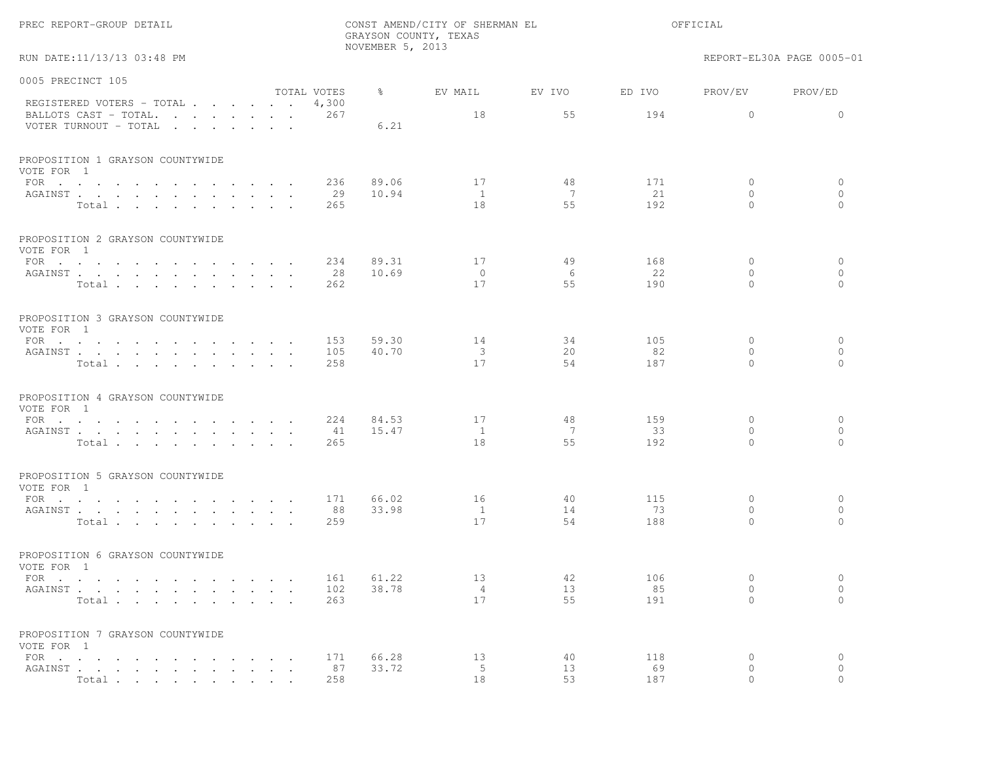| PREC REPORT-GROUP DETAIL                                  |                             |               |                      | CONST AMEND/CITY OF SHERMAN EL<br>GRAYSON COUNTY, TEXAS<br>NOVEMBER 5, 2013 |               |                     |                           |
|-----------------------------------------------------------|-----------------------------|---------------|----------------------|-----------------------------------------------------------------------------|---------------|---------------------|---------------------------|
| RUN DATE:11/13/13 03:48 PM                                |                             |               |                      |                                                                             |               |                     | REPORT-EL30A PAGE 0005-01 |
| 0005 PRECINCT 105                                         |                             |               |                      |                                                                             |               |                     |                           |
| REGISTERED VOTERS - TOTAL                                 | TOTAL VOTES<br>4,300<br>267 | $\frac{6}{6}$ | EV MAIL<br>18        | EV IVO<br>55                                                                | ED IVO<br>194 | PROV/EV<br>$\circ$  | PROV/ED<br>$\circ$        |
| BALLOTS CAST - TOTAL.<br>VOTER TURNOUT - TOTAL            |                             | 6.21          |                      |                                                                             |               |                     |                           |
| PROPOSITION 1 GRAYSON COUNTYWIDE<br>VOTE FOR 1            |                             |               |                      |                                                                             |               |                     |                           |
|                                                           | 236                         | 89.06         | 17                   | 48                                                                          | 171           | $\mathbf{0}$        | 0                         |
| AGAINST                                                   | 29                          | 10.94         | $\overline{1}$       | 7                                                                           | 21            | $\mathbf{0}$        | $\mathbf{0}$              |
| Total                                                     | 265                         |               | 18                   | 55                                                                          | 192           | $\Omega$            | $\Omega$                  |
| PROPOSITION 2 GRAYSON COUNTYWIDE<br>VOTE FOR 1            |                             |               |                      |                                                                             |               |                     |                           |
| FOR $\cdots$                                              | 234                         | 89.31         | 17                   | 49                                                                          | 168           | 0                   | $\circ$                   |
| AGAINST                                                   | 28<br>$\sim$ $\sim$         | 10.69         | $\circ$              | 6                                                                           | 22            | $\mathbf{0}$        | $\mathbf{0}$              |
| Total                                                     | 262                         |               | 17                   | 55                                                                          | 190           | $\Omega$            | $\Omega$                  |
| PROPOSITION 3 GRAYSON COUNTYWIDE<br>VOTE FOR 1            |                             |               |                      |                                                                             |               |                     |                           |
| FOR                                                       | 153                         | 59.30         | 14                   | 34                                                                          | 105           | $\mathbf{0}$        | $\circ$                   |
| AGAINST                                                   | 105                         | 40.70         | 3                    | 20                                                                          | 82            | $\mathbf{0}$        | $\circ$                   |
| Total                                                     | 258                         |               | 17                   | 54                                                                          | 187           | $\Omega$            | $\bigcap$                 |
| PROPOSITION 4 GRAYSON COUNTYWIDE<br>VOTE FOR 1            |                             |               |                      |                                                                             |               |                     |                           |
| FOR                                                       | 224                         | 84.53         | 17                   | 48                                                                          | 159           | $\circ$             | $\circ$                   |
| AGAINST                                                   | 41                          | 15.47         | $\mathbf{1}$         | 7                                                                           | 33            | 0                   | $\mathbf{0}$              |
| Total                                                     | 265                         |               | 18                   | 55                                                                          | 192           | $\Omega$            | $\Omega$                  |
| PROPOSITION 5 GRAYSON COUNTYWIDE<br>VOTE FOR 1            |                             |               |                      |                                                                             |               |                     |                           |
| FOR $\cdots$ $\cdots$ $\cdots$ $\cdots$                   | 171<br>$\sim$ $\sim$ $\sim$ | 66.02         | 16                   | 40                                                                          | 115           | $\mathbf{0}$        | $\circ$                   |
| AGAINST                                                   | 88                          | 33.98         | 1                    | 14                                                                          | 73            | $\mathbf{0}$        | $\circ$                   |
| Total                                                     | 259                         |               | 17                   | 54                                                                          | 188           | $\Omega$            | $\Omega$                  |
| PROPOSITION 6 GRAYSON COUNTYWIDE<br>VOTE FOR 1            |                             |               |                      |                                                                             |               |                     |                           |
| FOR $\cdots$ $\cdots$ $\cdots$<br>$\sim$ $\sim$<br>$\sim$ | 161                         | 61.22         | 13                   | 42                                                                          | 106           | 0                   | $\circ$                   |
| AGAINST                                                   | 102                         | 38.78         | $\overline{4}$<br>17 | 13                                                                          | 85            | $\circ$<br>$\Omega$ | $\circ$<br>$\Omega$       |
| Total                                                     | 263                         |               |                      | 55                                                                          | 191           |                     |                           |
| PROPOSITION 7 GRAYSON COUNTYWIDE<br>VOTE FOR 1            |                             |               |                      |                                                                             |               |                     |                           |
| $FOR \cdot \cdot \cdot \cdot \cdot$                       | 171                         | 66.28         | 13                   | 40                                                                          | 118           | $\circ$             | $\circ$                   |
| AGAINST<br>Total                                          | 87<br>258                   | 33.72         | 5<br>18              | 13<br>53                                                                    | 69<br>187     | $\circ$<br>$\cap$   | $\Omega$                  |
|                                                           |                             |               |                      |                                                                             |               |                     |                           |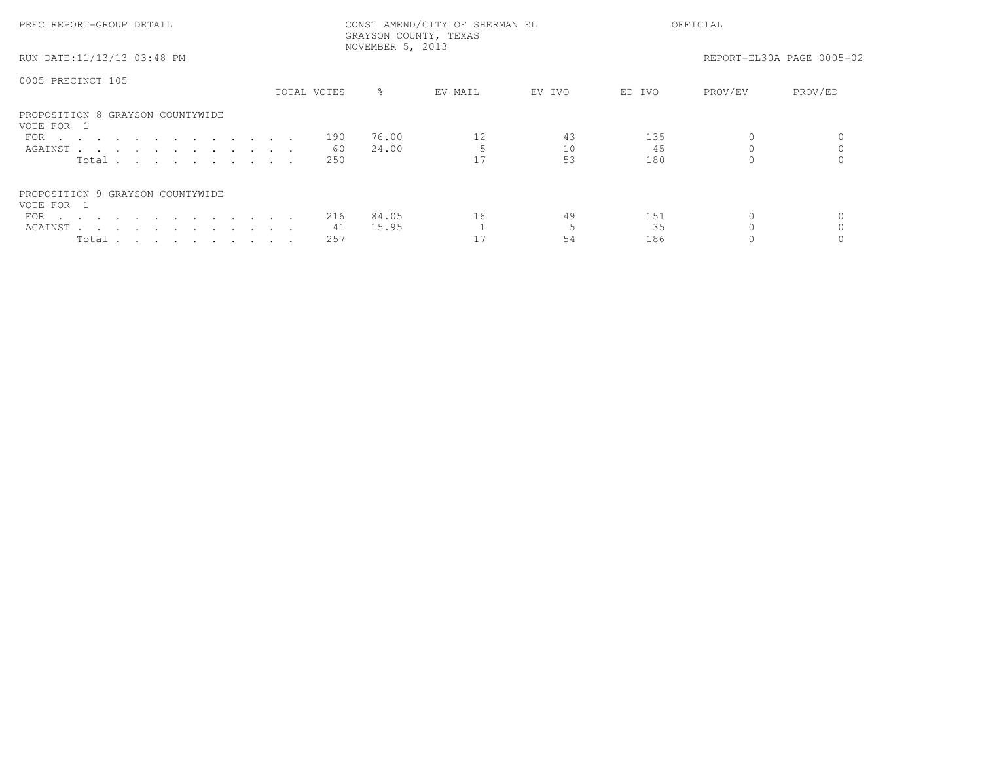| PREC REPORT-GROUP DETAIL                       |  |             |           | CONST AMEND/CITY OF SHERMAN EL<br>GRAYSON COUNTY, TEXAS<br>NOVEMBER 5, 2013 |        | OFFICIAL |         |                           |
|------------------------------------------------|--|-------------|-----------|-----------------------------------------------------------------------------|--------|----------|---------|---------------------------|
| RUN DATE:11/13/13 03:48 PM                     |  |             |           |                                                                             |        |          |         | REPORT-EL30A PAGE 0005-02 |
| 0005 PRECINCT 105                              |  |             |           |                                                                             |        |          |         |                           |
|                                                |  | TOTAL VOTES | $\approx$ | EV MAIL                                                                     | EV IVO | ED IVO   | PROV/EV | PROV/ED                   |
| PROPOSITION 8 GRAYSON COUNTYWIDE<br>VOTE FOR 1 |  |             |           |                                                                             |        |          |         |                           |
| FOR                                            |  | 190         | 76.00     | 12                                                                          | 43     | 135      |         |                           |
| AGAINST                                        |  | 60          | 24.00     |                                                                             | 10     | 45       |         |                           |
| Total                                          |  | 250         |           |                                                                             | 53     | 180      |         |                           |
| PROPOSITION 9 GRAYSON COUNTYWIDE<br>VOTE FOR 1 |  |             |           |                                                                             |        |          |         |                           |
| FOR $\cdots$                                   |  | 216         | 84.05     | 16                                                                          | 49     | 151      |         |                           |
| AGAINST                                        |  | 41          | 15.95     |                                                                             |        | 35       |         |                           |
| Total                                          |  | 257         |           |                                                                             | 54     | 186      |         |                           |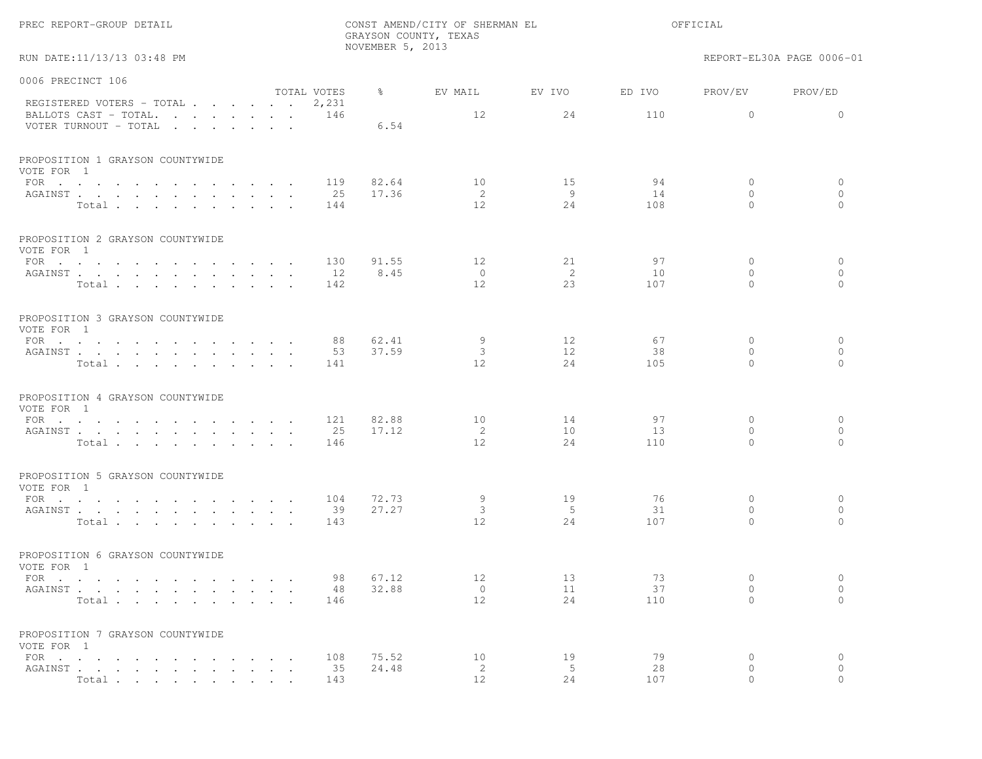|                                                           |                             |                      |                  | GRAYSON COUNTY, TEXAS  |           |           |                          |                           |
|-----------------------------------------------------------|-----------------------------|----------------------|------------------|------------------------|-----------|-----------|--------------------------|---------------------------|
| RUN DATE:11/13/13 03:48 PM                                |                             |                      | NOVEMBER 5, 2013 |                        |           |           |                          | REPORT-EL30A PAGE 0006-01 |
| 0006 PRECINCT 106                                         |                             |                      |                  |                        |           |           |                          |                           |
| REGISTERED VOTERS - TOTAL                                 |                             | TOTAL VOTES<br>2,231 | $\frac{6}{6}$    | EV MAIL                | EV IVO    | ED IVO    | PROV/EV                  | PROV/ED                   |
| BALLOTS CAST - TOTAL.<br>VOTER TURNOUT - TOTAL            |                             | 146                  | 6.54             | 12                     | 24        | 110       | $\circ$                  | $\circ$                   |
| PROPOSITION 1 GRAYSON COUNTYWIDE<br>VOTE FOR 1            |                             |                      |                  |                        |           |           |                          |                           |
| FOR $\cdots$                                              |                             | 119                  | 82.64            | 10                     | 15        | 94        | $\circ$                  | $\circ$                   |
| AGAINST<br>Total                                          |                             | 25<br>144            | 17.36            | 2<br>$12 \overline{ }$ | - 9<br>24 | 14<br>108 | $\circ$<br>$\Omega$      | $\circ$<br>$\Omega$       |
| PROPOSITION 2 GRAYSON COUNTYWIDE<br>VOTE FOR 1            |                             |                      |                  |                        |           |           |                          |                           |
| FOR $\cdots$                                              |                             | 130                  | 91.55            | 12                     | 21        | 97        | $\circ$                  | $\circ$                   |
| AGAINST                                                   | $\cdot$ $\cdot$             | 12                   | 8.45             | $\overline{0}$         | -2        | 10        | $\Omega$                 | $\circ$                   |
| Total                                                     |                             | 142                  |                  | 12                     | 23        | 107       | $\Omega$                 | $\circ$                   |
| PROPOSITION 3 GRAYSON COUNTYWIDE<br>VOTE FOR 1            |                             |                      |                  |                        |           |           |                          |                           |
| FOR $\cdots$                                              |                             | 88                   | 62.41            | 9                      | 12        | 67        | $\circ$                  | $\circ$                   |
| AGAINST                                                   |                             | 53                   | 37.59            | 3                      | 12        | 38        | $\mathbf{0}$             | $\circ$                   |
| Total                                                     |                             | 141                  |                  | 12                     | 24        | 105       | $\Omega$                 | $\Omega$                  |
| PROPOSITION 4 GRAYSON COUNTYWIDE<br>VOTE FOR 1            |                             |                      |                  |                        |           |           |                          |                           |
| FOR                                                       |                             | 121                  | 82.88            | 10                     | 14        | 97        | $\circ$                  | $\circ$                   |
| AGAINST                                                   |                             | 25                   | 17.12            | 2                      | 10        | 13        | $\mathbf{0}$             | $\circ$                   |
| Total                                                     |                             | 146                  |                  | 12                     | 24        | 110       | $\Omega$                 | $\Omega$                  |
| PROPOSITION 5 GRAYSON COUNTYWIDE<br>VOTE FOR 1            |                             |                      |                  |                        |           |           |                          |                           |
| FOR                                                       |                             | 104                  | 72.73            | 9                      | 19        | 76        | 0                        | $\circ$                   |
| AGAINST                                                   |                             | 39                   | 27.27            | 3<br>12                | - 5<br>24 | 31        | $\mathbf{0}$<br>$\Omega$ | $\circ$<br>$\Omega$       |
| Total                                                     |                             | 143                  |                  |                        |           | 107       |                          |                           |
| PROPOSITION 6 GRAYSON COUNTYWIDE<br>VOTE FOR 1            |                             |                      |                  |                        |           |           |                          |                           |
| FOR $\cdots$ $\cdots$ $\cdots$ $\cdots$ $\cdots$ $\cdots$ |                             | 98                   | 67.12            | 12                     | 13        | 73        | $\circ$                  | $\circ$                   |
| AGAINST                                                   |                             |                      | 48 32.88         | $\overline{0}$         | 11        | 37        | $\overline{0}$           | $\circ$                   |
| Total                                                     |                             | 146                  |                  | 12 <sup>°</sup>        | 24        | 110       | $\Omega$                 | $\Omega$                  |
| PROPOSITION 7 GRAYSON COUNTYWIDE<br>VOTE FOR 1            |                             |                      |                  |                        |           |           |                          |                           |
| FOR $\cdots$                                              |                             | 108                  | 75.52            | 10                     | 19        | 79        | $\circ$                  | $\circ$                   |
| AGAINST.                                                  | $\mathbf{L}^{\text{max}}$ . | 35                   | 24.48            | 2                      | 5         | 28        | $\mathbf{0}$             | $\circ$                   |
| Total                                                     |                             | 143                  |                  | 12                     | 24        | 107       | $\Omega$                 | $\Omega$                  |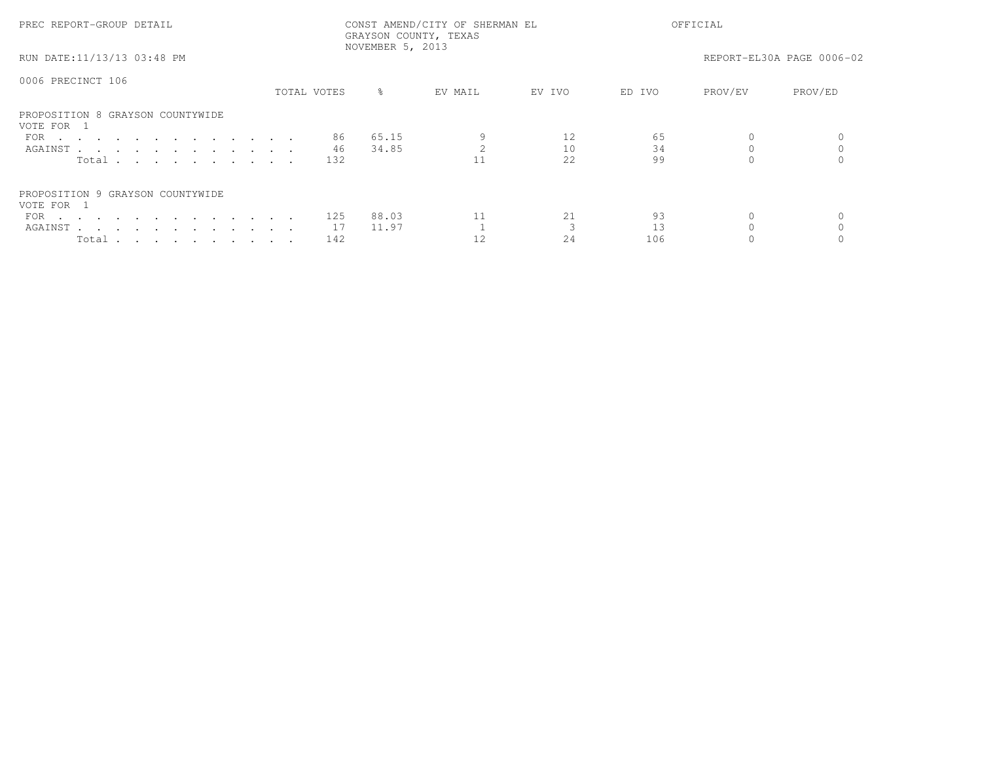| PREC REPORT-GROUP DETAIL                       |             | NOVEMBER 5, 2013 | CONST AMEND/CITY OF SHERMAN EL<br>GRAYSON COUNTY, TEXAS |        |        | OFFICIAL |                           |
|------------------------------------------------|-------------|------------------|---------------------------------------------------------|--------|--------|----------|---------------------------|
| RUN DATE:11/13/13 03:48 PM                     |             |                  |                                                         |        |        |          | REPORT-EL30A PAGE 0006-02 |
| 0006 PRECINCT 106                              | TOTAL VOTES | $\approx$        | EV MAIL                                                 | EV IVO | ED IVO | PROV/EV  | PROV/ED                   |
|                                                |             |                  |                                                         |        |        |          |                           |
| PROPOSITION 8 GRAYSON COUNTYWIDE<br>VOTE FOR 1 |             |                  |                                                         |        |        |          |                           |
| FOR $\cdots$                                   | 86          | 65.15            |                                                         |        | 65     |          |                           |
| AGAINST                                        | 46          | 34.85            |                                                         | 10     | 34     |          |                           |
| Total                                          | 132         |                  |                                                         | 2.2.   | 99     |          |                           |
| PROPOSITION 9 GRAYSON COUNTYWIDE<br>VOTE FOR 1 |             |                  |                                                         |        |        |          |                           |
| FOR $\cdots$                                   | 125         | 88.03            |                                                         | 21     | 93     |          |                           |
| AGAINST                                        | 17          | 11.97            |                                                         |        |        |          |                           |
| Total                                          | 142         |                  |                                                         | 24     | 106    |          |                           |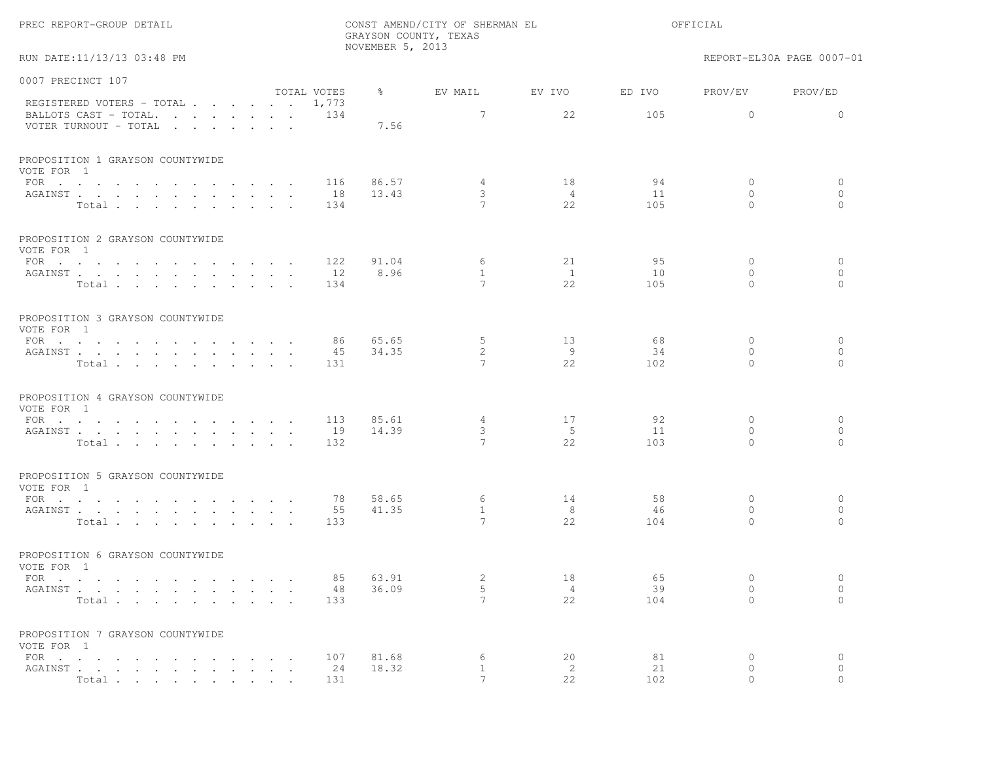|                                                                                   |                  | NOVEMBER 5, 2013 | GRAYSON COUNTY, TEXAS                  |                            |                 |                                          |                                      |
|-----------------------------------------------------------------------------------|------------------|------------------|----------------------------------------|----------------------------|-----------------|------------------------------------------|--------------------------------------|
| RUN DATE:11/13/13 03:48 PM                                                        |                  |                  |                                        |                            |                 |                                          | REPORT-EL30A PAGE 0007-01            |
| 0007 PRECINCT 107<br>TOTAL VOTES                                                  |                  | $\frac{8}{6}$    | EV MAIL                                | EV IVO                     | ED IVO          | PROV/EV                                  | PROV/ED                              |
| REGISTERED VOTERS - TOTAL 1,773<br>BALLOTS CAST - TOTAL.<br>VOTER TURNOUT - TOTAL | 134              | 7.56             | 7                                      | 22                         | 105             | $\circ$                                  | $\mathbf{0}$                         |
| PROPOSITION 1 GRAYSON COUNTYWIDE<br>VOTE FOR 1                                    |                  |                  |                                        |                            |                 |                                          |                                      |
| FOR<br>AGAINST<br>Total                                                           | 116<br>18<br>134 | 86.57<br>13.43   | 4<br>3<br>$\overline{7}$               | 18<br>$\overline{4}$<br>22 | 94<br>11<br>105 | $\circ$<br>$\circ$<br>$\Omega$           | $\circ$<br>$\mathbf{0}$<br>$\Omega$  |
| PROPOSITION 2 GRAYSON COUNTYWIDE<br>VOTE FOR 1                                    |                  |                  |                                        |                            |                 |                                          |                                      |
| FOR $\cdots$<br>AGAINST<br>Total                                                  | 122<br>12<br>134 | 91.04<br>8.96    | 6<br>$\mathbf{1}$<br>$7\phantom{.0}$   | 21<br><sup>1</sup><br>22   | 95<br>10<br>105 | $\mathbf{0}$<br>$\circ$<br>$\Omega$      | $\mathbf{0}$<br>$\circ$<br>$\bigcap$ |
| PROPOSITION 3 GRAYSON COUNTYWIDE<br>VOTE FOR 1<br>FOR $\cdots$                    | 86               | 65.65            | 5                                      | 13                         | 68              | $\circ$                                  | $\circ$                              |
| AGAINST<br>Total                                                                  | 45<br>131        | 34.35            | 2<br>7                                 | 9<br>22                    | 34<br>102       | $\Omega$<br>$\Omega$                     | $\Omega$<br>$\Omega$                 |
| PROPOSITION 4 GRAYSON COUNTYWIDE<br>VOTE FOR 1                                    |                  |                  |                                        |                            |                 |                                          |                                      |
| FOR $\cdots$<br>AGAINST<br>Total                                                  | 113<br>19<br>132 | 85.61<br>14.39   | $4\overline{ }$<br>3<br>$\overline{7}$ | 17<br>- 5<br>22            | 92<br>11<br>103 | $\mathbf{0}$<br>$\mathbf{0}$<br>$\Omega$ | $\circ$<br>$\circ$<br>$\Omega$       |
| PROPOSITION 5 GRAYSON COUNTYWIDE<br>VOTE FOR 1                                    |                  |                  |                                        |                            |                 |                                          |                                      |
| FOR<br>AGAINST<br>Total                                                           | 78<br>55<br>133  | 58.65<br>41.35   | 6<br>$\mathbf{1}$<br>$\overline{7}$    | 14<br>8<br>22              | 58<br>46<br>104 | $\circ$<br>$\circ$<br>$\Omega$           | $\circ$<br>$\circ$<br>$\bigcap$      |
| PROPOSITION 6 GRAYSON COUNTYWIDE<br>VOTE FOR 1                                    |                  |                  |                                        |                            |                 |                                          |                                      |
| FOR $\cdots$<br>AGAINST<br>$\sim$ $\sim$ $\sim$<br>Total                          | 85<br>48<br>133  | 63.91<br>36.09   | 2<br>5<br>7                            | 18<br>4<br>22              | 65<br>39<br>104 | $\mathbf{0}$<br>$\circ$<br>$\mathbf{0}$  | $\circ$<br>$\circ$<br>$\circ$        |
| PROPOSITION 7 GRAYSON COUNTYWIDE<br>VOTE FOR 1                                    |                  |                  |                                        |                            |                 |                                          |                                      |
| FOR $\cdots$<br>AGAINST<br>Total.                                                 | 107<br>24<br>131 | 81.68<br>18.32   | 6<br>$\mathbf{1}$<br>$7\phantom{.0}$   | 20<br>2<br>22              | 81<br>21<br>102 | 0<br>0<br>$\Omega$                       | $\circ$<br>$\circ$<br>$\Omega$       |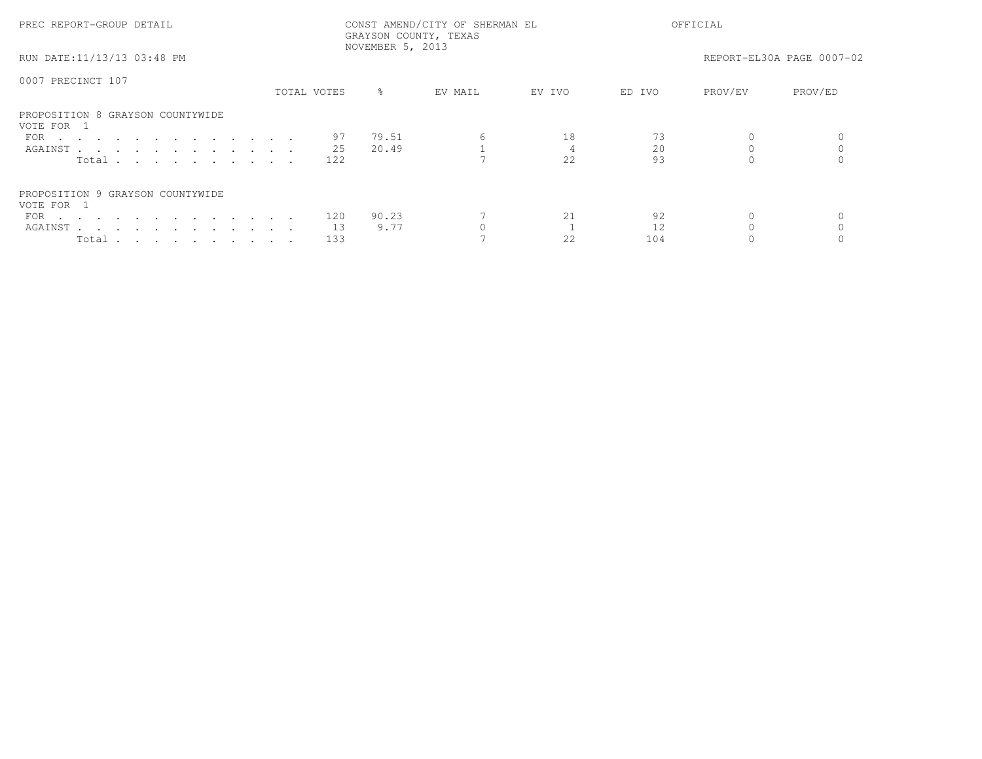| PREC REPORT-GROUP DETAIL                       |             |     | NOVEMBER 5, 2013 | CONST AMEND/CITY OF SHERMAN EL<br>GRAYSON COUNTY, TEXAS |        |        | OFFICIAL |                           |  |
|------------------------------------------------|-------------|-----|------------------|---------------------------------------------------------|--------|--------|----------|---------------------------|--|
| RUN DATE:11/13/13 03:48 PM                     |             |     |                  |                                                         |        |        |          | REPORT-EL30A PAGE 0007-02 |  |
| 0007 PRECINCT 107                              |             |     |                  |                                                         |        |        |          |                           |  |
|                                                | TOTAL VOTES |     | $\approx$        | EV MAIL                                                 | EV IVO | ED IVO | PROV/EV  | PROV/ED                   |  |
| PROPOSITION 8 GRAYSON COUNTYWIDE<br>VOTE FOR 1 |             |     |                  |                                                         |        |        |          |                           |  |
| FOR $\cdots$                                   |             | 97  | 79.51            | 6                                                       | 18     |        |          |                           |  |
| AGAINST                                        |             | 25  | 20.49            |                                                         |        | 20     |          |                           |  |
| Total                                          |             | 122 |                  |                                                         | 2.2.   | 93     |          |                           |  |
| PROPOSITION 9 GRAYSON COUNTYWIDE<br>VOTE FOR 1 |             |     |                  |                                                         |        |        |          |                           |  |
| FOR $\cdots$                                   |             | 120 | 90.23            |                                                         | 21     | 92     |          |                           |  |
| AGAINST                                        |             | 13  | 9.77             |                                                         |        |        |          |                           |  |
| Total                                          |             | 133 |                  |                                                         | 22     | 104    |          |                           |  |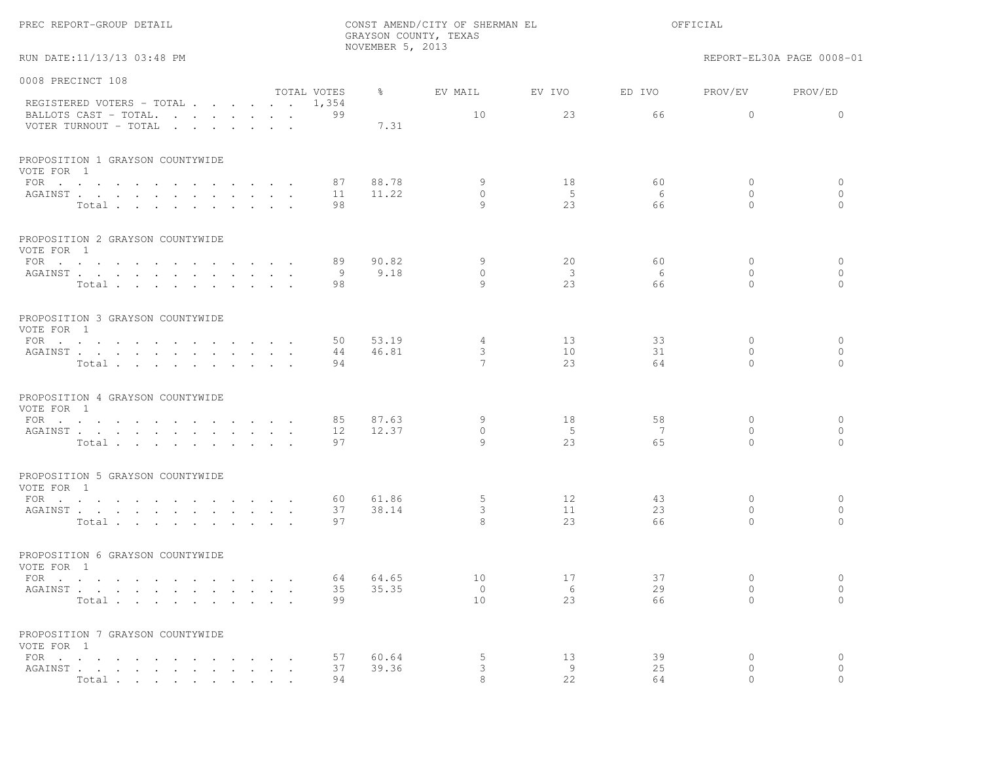|                                                |                                   |             | NOVEMBER 5, 2013 | GRAYSON COUNTY, TEXAS    |                    |          |                          |                           |
|------------------------------------------------|-----------------------------------|-------------|------------------|--------------------------|--------------------|----------|--------------------------|---------------------------|
| RUN DATE:11/13/13 03:48 PM                     |                                   |             |                  |                          |                    |          |                          | REPORT-EL30A PAGE 0008-01 |
| 0008 PRECINCT 108                              |                                   |             |                  |                          |                    |          |                          |                           |
| REGISTERED VOTERS - TOTAL 1,354                |                                   | TOTAL VOTES | $\frac{6}{6}$    | EV MAIL                  | EV IVO             | ED IVO   | PROV/EV                  | PROV/ED                   |
| BALLOTS CAST - TOTAL.<br>VOTER TURNOUT - TOTAL |                                   | 99          | 7.31             | 10                       | 23                 | 66       | $\circ$                  | $\circ$                   |
| PROPOSITION 1 GRAYSON COUNTYWIDE<br>VOTE FOR 1 |                                   |             |                  |                          |                    |          |                          |                           |
| FOR $\cdots$                                   |                                   | 87          | 88.78            | 9<br>$\circ$             | 18<br>5            | 60<br>6  | $\circ$<br>$\mathbf{0}$  | $\circ$<br>$\circ$        |
| AGAINST<br>Total                               |                                   | 11<br>98    | 11.22            | 9                        | 23                 | 66       | $\Omega$                 | $\Omega$                  |
| PROPOSITION 2 GRAYSON COUNTYWIDE<br>VOTE FOR 1 |                                   |             |                  |                          |                    |          |                          |                           |
| FOR                                            |                                   | 89          | 90.82            | 9                        | 20                 | 60       | $\mathbf{0}$             | $\circ$                   |
| AGAINST<br>Total                               |                                   | 9<br>98     | 9.18             | $\circ$<br>$\mathcal{Q}$ | $\mathbf{3}$<br>23 | 6<br>66  | $\mathbf{0}$<br>$\Omega$ | $\circ$<br>$\Omega$       |
|                                                |                                   |             |                  |                          |                    |          |                          |                           |
| PROPOSITION 3 GRAYSON COUNTYWIDE<br>VOTE FOR 1 |                                   |             |                  |                          |                    |          |                          |                           |
| FOR $\cdots$                                   |                                   | 50          | 53.19            | 4                        | 13                 | 33       | $\mathbf{0}$             | $\circ$                   |
| AGAINST<br>Total                               |                                   | 44<br>94    | 46.81            | 3<br>7                   | 10<br>23           | 31<br>64 | $\Omega$<br>$\Omega$     | $\mathbf{0}$<br>$\Omega$  |
|                                                |                                   |             |                  |                          |                    |          |                          |                           |
| PROPOSITION 4 GRAYSON COUNTYWIDE<br>VOTE FOR 1 |                                   |             |                  |                          |                    |          |                          |                           |
| FOR                                            |                                   | 85          | 87.63            | 9                        | 18                 | 58       | $\mathbf{0}$             | 0                         |
| AGAINST<br>Total                               |                                   | 12<br>97    | 12.37            | $\circ$<br>9             | - 5<br>23          | 7<br>6.5 | $\circ$<br>$\Omega$      | $\circ$<br>$\Omega$       |
|                                                |                                   |             |                  |                          |                    |          |                          |                           |
| PROPOSITION 5 GRAYSON COUNTYWIDE<br>VOTE FOR 1 |                                   |             |                  |                          |                    |          |                          |                           |
| FOR                                            |                                   | 60          | 61.86            | 5                        | 12                 | 43       | $\mathbf{0}$             | $\circ$                   |
| AGAINST<br>Total                               |                                   | 37<br>97    | 38.14            | 3<br>8                   | 11<br>23           | 23<br>66 | $\mathbf{0}$<br>$\Omega$ | $\circ$<br>$\bigcap$      |
|                                                |                                   |             |                  |                          |                    |          |                          |                           |
| PROPOSITION 6 GRAYSON COUNTYWIDE<br>VOTE FOR 1 |                                   |             |                  |                          |                    |          |                          |                           |
| FOR $\cdots$                                   |                                   | 64          | 64.65            | 10                       | 17                 | 37<br>29 | $\mathbf{0}$<br>0        | $\circ$                   |
| AGAINST<br>Total<br>$\sim$                     | $\sim 10^{-1}$ and $\sim 10^{-1}$ | 35<br>99    | 35.35            | $\circ$<br>10            | 6<br>23            | 66       | $\mathbf{0}$             | $\circ$<br>$\circ$        |
|                                                |                                   |             |                  |                          |                    |          |                          |                           |
| PROPOSITION 7 GRAYSON COUNTYWIDE<br>VOTE FOR 1 |                                   |             |                  |                          |                    |          |                          |                           |
| $FOR$                                          |                                   | 57          | 60.64            | 5                        | 13                 | 39       | 0                        | $\circ$                   |
| AGAINST<br>Total                               |                                   | 37<br>94    | 39.36            | 3                        | 9<br>2.2.          | 25<br>64 | 0                        | $\circ$                   |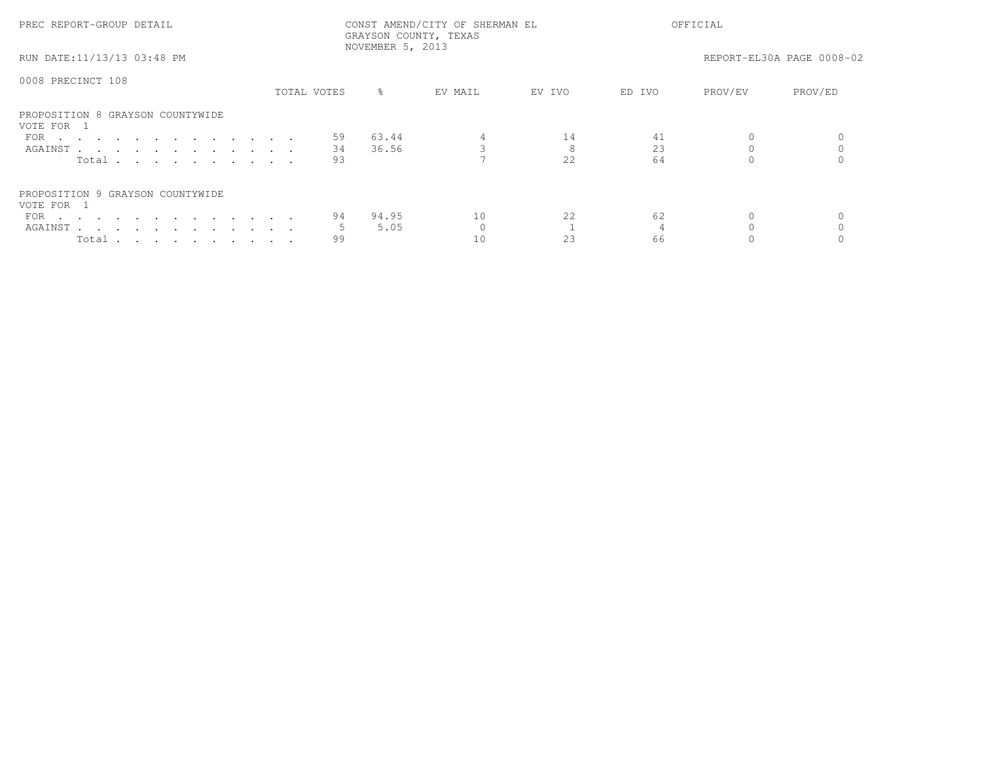| PREC REPORT-GROUP DETAIL                       |             | NOVEMBER 5, 2013 | CONST AMEND/CITY OF SHERMAN EL<br>GRAYSON COUNTY, TEXAS |        |        | OFFICIAL |                           |
|------------------------------------------------|-------------|------------------|---------------------------------------------------------|--------|--------|----------|---------------------------|
| RUN DATE:11/13/13 03:48 PM                     |             |                  |                                                         |        |        |          | REPORT-EL30A PAGE 0008-02 |
| 0008 PRECINCT 108                              | TOTAL VOTES | $\approx$        | EV MAIL                                                 | EV IVO | ED IVO | PROV/EV  | PROV/ED                   |
|                                                |             |                  |                                                         |        |        |          |                           |
| PROPOSITION 8 GRAYSON COUNTYWIDE<br>VOTE FOR 1 |             |                  |                                                         |        |        |          |                           |
| FOR $\cdots$                                   | 59          | 63.44            |                                                         | 14     | 41     |          |                           |
| AGAINST                                        | 34          | 36.56            |                                                         |        | 23     |          |                           |
| Total                                          | 93          |                  |                                                         | 2.2.   | 64     |          |                           |
| PROPOSITION 9 GRAYSON COUNTYWIDE<br>VOTE FOR 1 |             |                  |                                                         |        |        |          |                           |
| FOR $\cdots$                                   | 94          | 94.95            | 10                                                      | 22     | 62     |          |                           |
| AGAINST                                        |             | 5.05             |                                                         |        |        |          |                           |
| Total                                          | 99          |                  | 10                                                      | 23     | 66     |          |                           |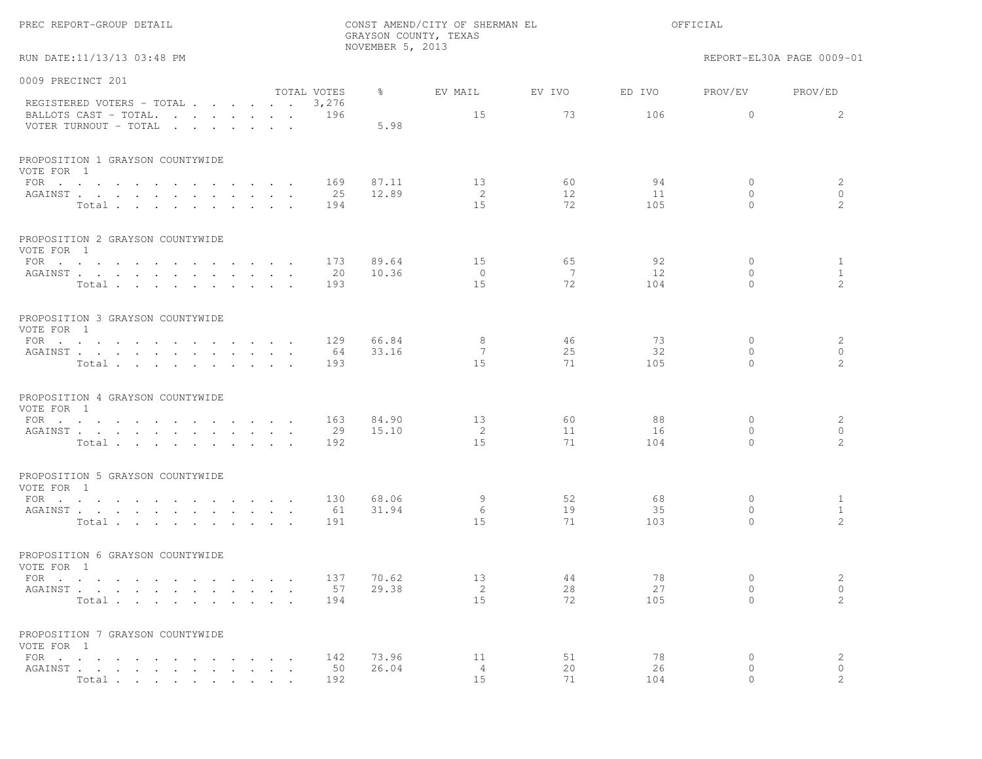|                                                                                                                                                                   |                      | NOVEMBER 5, 2013 | GRAYSON COUNTY, TEXAS      |                |                 |                                       |                                   |
|-------------------------------------------------------------------------------------------------------------------------------------------------------------------|----------------------|------------------|----------------------------|----------------|-----------------|---------------------------------------|-----------------------------------|
| RUN DATE:11/13/13 03:48 PM                                                                                                                                        |                      |                  |                            |                |                 |                                       | REPORT-EL30A PAGE 0009-01         |
| 0009 PRECINCT 201                                                                                                                                                 |                      |                  |                            |                |                 |                                       |                                   |
| REGISTERED VOTERS - TOTAL                                                                                                                                         | TOTAL VOTES<br>3,276 | $\frac{8}{6}$    | EV MAIL                    | EV IVO         | ED IVO          | PROV/EV                               | PROV/ED                           |
| BALLOTS CAST - TOTAL.<br>the contract of the contract of the contract of the contract of the contract of the contract of the contract of<br>VOTER TURNOUT - TOTAL | 196                  | 5.98             | 15                         | 73             | 106             | $\overline{0}$                        | 2                                 |
| PROPOSITION 1 GRAYSON COUNTYWIDE<br>VOTE FOR 1                                                                                                                    |                      |                  |                            |                |                 |                                       |                                   |
| FOR $\cdots$<br>AGAINST<br>Total                                                                                                                                  | 169<br>25<br>194     | 87.11<br>12.89   | 13<br>2<br>15              | 60<br>12<br>72 | 94<br>11<br>105 | $\circ$<br>$\circ$<br>$\Omega$        | 2<br>$\circ$<br>2                 |
| PROPOSITION 2 GRAYSON COUNTYWIDE<br>VOTE FOR 1                                                                                                                    |                      |                  |                            |                |                 |                                       |                                   |
| FOR<br>AGAINST<br>Total $\cdots$ $\cdots$ $\cdots$ $\cdots$                                                                                                       | 173<br>20<br>193     | 89.64<br>10.36   | 15<br>$\circ$<br>15        | 65<br>7<br>72  | 92<br>12<br>104 | 0<br>$\circ$<br>$\Omega$              | $\mathbf{1}$<br>$\mathbf{1}$<br>2 |
| PROPOSITION 3 GRAYSON COUNTYWIDE<br>VOTE FOR 1                                                                                                                    |                      |                  |                            |                |                 |                                       |                                   |
| FOR $\cdots$<br>AGAINST<br>$\sim$ $\sim$<br>Total                                                                                                                 | 129<br>64<br>193     | 66.84<br>33.16   | 8<br>7<br>15               | 46<br>25<br>71 | 73<br>32<br>105 | $\circ$<br>$\circ$<br>$\Omega$        | 2<br>$\circ$<br>2                 |
| PROPOSITION 4 GRAYSON COUNTYWIDE<br>VOTE FOR 1                                                                                                                    |                      |                  |                            |                |                 |                                       |                                   |
| FOR<br>AGAINST<br>Total                                                                                                                                           | 163<br>29<br>192     | 84.90<br>15.10   | 13<br>2<br>1.5             | 60<br>11<br>71 | 88<br>16<br>104 | $\overline{0}$<br>$\circ$<br>$\Omega$ | 2<br>$\circ$<br>2                 |
| PROPOSITION 5 GRAYSON COUNTYWIDE<br>VOTE FOR 1                                                                                                                    |                      |                  |                            |                |                 |                                       |                                   |
| FOR<br>AGAINST<br>$\mathbf{L}$<br>Total.                                                                                                                          | 130<br>61<br>191     | 68.06<br>31.94   | 9<br>6<br>15               | 52<br>19<br>71 | 68<br>35<br>103 | 0<br>$\circ$<br>$\Omega$              | $\mathbf{1}$<br>$\mathbf{1}$<br>2 |
| PROPOSITION 6 GRAYSON COUNTYWIDE<br>VOTE FOR 1                                                                                                                    |                      |                  |                            |                |                 |                                       |                                   |
| FOR<br>AGAINST<br>Total                                                                                                                                           | 137<br>57<br>194     | 70.62<br>29.38   | 13<br>2<br>15              | 44<br>28<br>72 | 78<br>27<br>105 | $\mathbf{0}$<br>$\circ$<br>$\circ$    | 2<br>$\circ$<br>2                 |
| PROPOSITION 7 GRAYSON COUNTYWIDE<br>VOTE FOR 1                                                                                                                    |                      |                  |                            |                |                 |                                       |                                   |
| FOR $\cdots$<br>AGAINST.<br>Total<br>$\sim$                                                                                                                       | 142<br>50<br>192     | 73.96<br>26.04   | 11<br>$\overline{4}$<br>15 | 51<br>20<br>71 | 78<br>26<br>104 | 0<br>0<br>$\circ$                     | 2<br>$\circ$<br>2                 |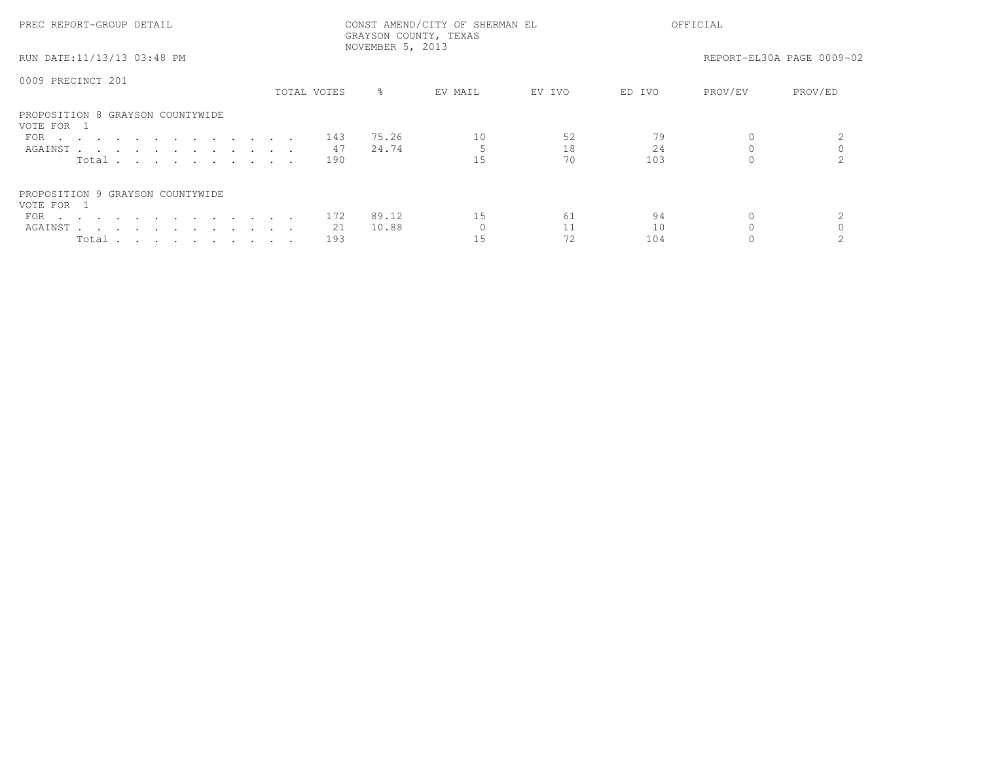| PREC REPORT-GROUP DETAIL                       |             | NOVEMBER 5, 2013 | CONST AMEND/CITY OF SHERMAN EL<br>GRAYSON COUNTY, TEXAS |        |        | OFFICIAL |                           |
|------------------------------------------------|-------------|------------------|---------------------------------------------------------|--------|--------|----------|---------------------------|
| RUN DATE:11/13/13 03:48 PM                     |             |                  |                                                         |        |        |          | REPORT-EL30A PAGE 0009-02 |
| 0009 PRECINCT 201                              |             |                  |                                                         |        |        |          |                           |
|                                                | TOTAL VOTES | $\approx$        | EV MAIL                                                 | EV IVO | ED IVO | PROV/EV  | PROV/ED                   |
| PROPOSITION 8 GRAYSON COUNTYWIDE<br>VOTE FOR 1 |             |                  |                                                         |        |        |          |                           |
| FOR $\cdots$                                   | 143         | 75.26            | 10                                                      | 52     |        |          |                           |
| AGAINST                                        | 47          | 24.74            |                                                         | 18     | 24     |          |                           |
| Total                                          | 190         |                  | 1.5                                                     | 70     | 103    |          |                           |
| PROPOSITION 9 GRAYSON COUNTYWIDE<br>VOTE FOR 1 |             |                  |                                                         |        |        |          |                           |
| FOR                                            | 172         | 89.12            | 15                                                      | 61     | 94     |          |                           |
| AGAINST                                        | 21          | 10.88            |                                                         |        | 10     |          |                           |
| Total                                          | 193         |                  | 15                                                      | 72     | 104    |          |                           |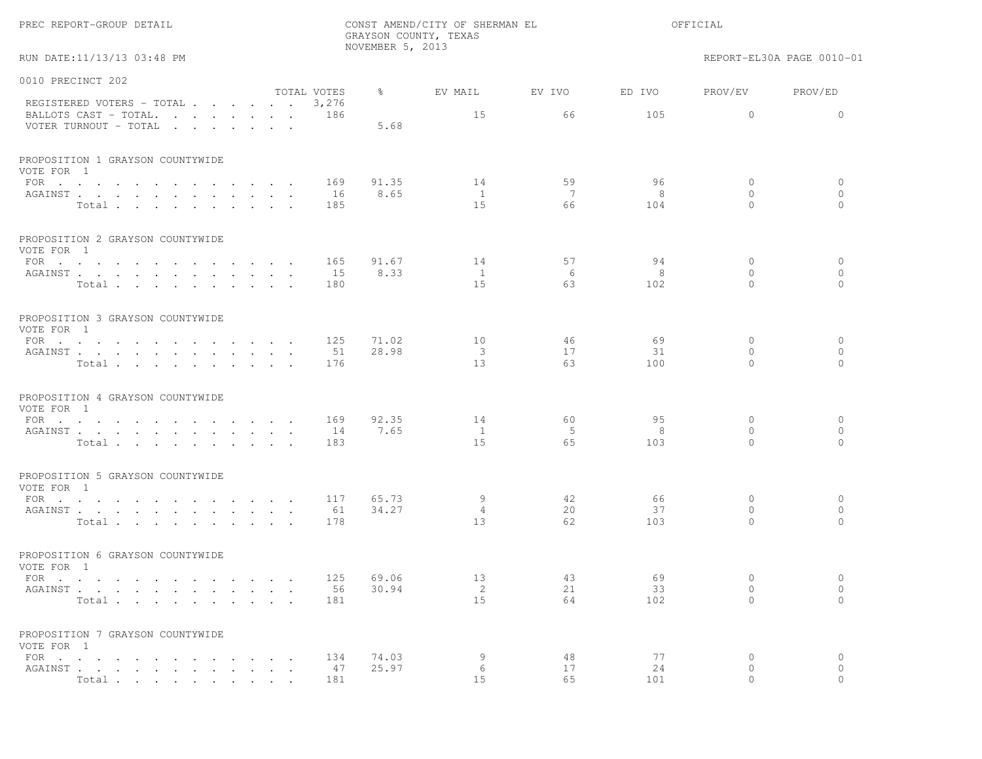|                                                                                                                                                                                                |                      |                             | NOVEMBER 5, 2013 | GRAYSON COUNTY, TEXAS |              |               |                           |                           |
|------------------------------------------------------------------------------------------------------------------------------------------------------------------------------------------------|----------------------|-----------------------------|------------------|-----------------------|--------------|---------------|---------------------------|---------------------------|
| RUN DATE:11/13/13 03:48 PM                                                                                                                                                                     |                      |                             |                  |                       |              |               |                           | REPORT-EL30A PAGE 0010-01 |
| 0010 PRECINCT 202                                                                                                                                                                              |                      |                             |                  |                       |              |               |                           |                           |
| REGISTERED VOTERS - TOTAL<br>BALLOTS CAST - TOTAL.<br>the contract of the contract of the contract of the contract of the contract of the contract of the contract of<br>VOTER TURNOUT - TOTAL |                      | TOTAL VOTES<br>3,276<br>186 | ႜ<br>5.68        | EV MAIL<br>15         | EV IVO<br>66 | ED IVO<br>105 | PROV/EV<br>$\mathbf{0}$   | PROV/ED<br>$\Omega$       |
|                                                                                                                                                                                                |                      |                             |                  |                       |              |               |                           |                           |
| PROPOSITION 1 GRAYSON COUNTYWIDE<br>VOTE FOR 1                                                                                                                                                 |                      |                             |                  |                       |              |               |                           |                           |
| FOR $\cdots$ $\cdots$ $\cdots$<br>$\sim$ $\sim$ $\sim$ $\sim$ $\sim$ $\sim$ $\sim$<br>AGAINST                                                                                                  |                      | 169<br>16                   | 91.35<br>8.65    | 14<br>$\mathbf{1}$    | 59<br>7      | 96<br>8       | $\circ$<br>$\circ$        | $\circ$<br>$\circ$        |
| Total.                                                                                                                                                                                         |                      | 185                         |                  | 15                    | 66           | 104           | $\Omega$                  | $\Omega$                  |
| PROPOSITION 2 GRAYSON COUNTYWIDE<br>VOTE FOR 1                                                                                                                                                 |                      |                             |                  |                       |              |               |                           |                           |
| FOR                                                                                                                                                                                            |                      | 165                         | 91.67            | 14                    | 57           | 94            | $\circ$                   | $\circ$                   |
| AGAINST<br>Total                                                                                                                                                                               |                      | 15<br>180                   | 8.33             | $\mathbf{1}$<br>15    | 6<br>63      | 8<br>102      | $\circ$<br>$\Omega$       | $\circ$<br>$\Omega$       |
|                                                                                                                                                                                                |                      |                             |                  |                       |              |               |                           |                           |
| PROPOSITION 3 GRAYSON COUNTYWIDE<br>VOTE FOR 1                                                                                                                                                 |                      |                             |                  |                       |              |               |                           |                           |
| FOR $\cdots$ $\cdots$ $\cdots$ $\cdots$<br>AGAINST                                                                                                                                             |                      | 125<br>51                   | 71.02<br>28.98   | 10<br>3               | 46<br>17     | 69<br>31      | $\overline{0}$<br>$\circ$ | $\circ$<br>$\circ$        |
| Total                                                                                                                                                                                          | $\cdot$ $\cdot$      | 176                         |                  | 13                    | 63           | 100           | $\Omega$                  | $\Omega$                  |
| PROPOSITION 4 GRAYSON COUNTYWIDE<br>VOTE FOR 1                                                                                                                                                 |                      |                             |                  |                       |              |               |                           |                           |
| FOR                                                                                                                                                                                            |                      | 169                         | 92.35            | 14                    | 60           | 95            | $\circ$                   | $\mathbf{0}$              |
| AGAINST<br>Total                                                                                                                                                                               |                      | 14<br>183                   | 7.65             | <sup>1</sup><br>15    | - 5<br>65    | 8<br>103      | $\circ$<br>$\Omega$       | $\circ$<br>$\Omega$       |
|                                                                                                                                                                                                |                      |                             |                  |                       |              |               |                           |                           |
| PROPOSITION 5 GRAYSON COUNTYWIDE<br>VOTE FOR 1                                                                                                                                                 |                      |                             |                  |                       |              |               |                           |                           |
| FOR $\cdots$<br>AGAINST                                                                                                                                                                        |                      | 117<br>61                   | 65.73<br>34.27   | 9<br>4                | 42<br>20     | 66<br>37      | 0<br>$\circ$              | $\circ$<br>$\circ$        |
| Total                                                                                                                                                                                          |                      | 178                         |                  | 13                    | 62           | 103           | $\Omega$                  | $\Omega$                  |
| PROPOSITION 6 GRAYSON COUNTYWIDE<br>VOTE FOR 1                                                                                                                                                 |                      |                             |                  |                       |              |               |                           |                           |
| $\text{FOR}$                                                                                                                                                                                   |                      | 125                         | 69.06            | 13                    | 43           | 69            | $\mathbf{0}$              | $\circ$                   |
| AGAINST<br>Total                                                                                                                                                                               | $\sim$ $\sim$ $\sim$ | 56<br>181                   | 30.94            | 2<br>15               | 21<br>64     | 33<br>102     | $\circ$<br>$\circ$        | $\circ$<br>$\circ$        |
| PROPOSITION 7 GRAYSON COUNTYWIDE                                                                                                                                                               |                      |                             |                  |                       |              |               |                           |                           |
| VOTE FOR 1                                                                                                                                                                                     |                      | 134                         |                  |                       |              | 77            |                           |                           |
| FOR $\cdots$ $\cdots$ $\cdots$ $\cdots$<br>AGAINST                                                                                                                                             |                      | 47                          | 74.03<br>25.97   | 9<br>6                | 48<br>17     | 24            | 0<br>$\circ$              | $\circ$<br>$\circ$        |
| Total.                                                                                                                                                                                         |                      | 181                         |                  | 15                    | 65           | 101           | $\circ$                   | $\Omega$                  |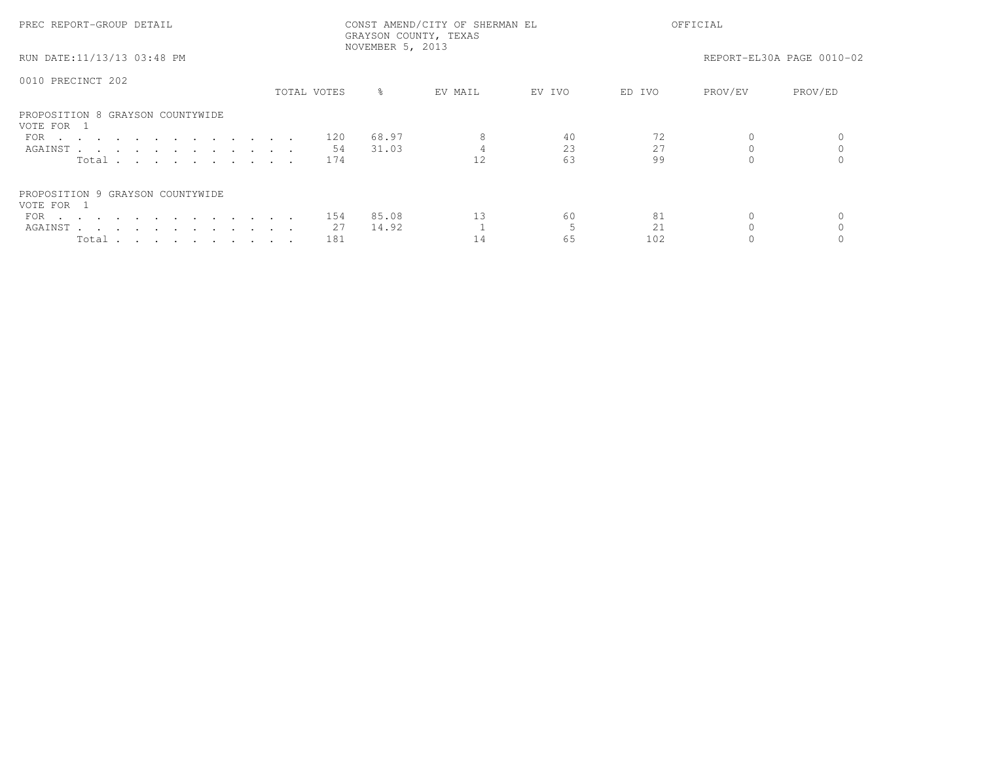| PREC REPORT-GROUP DETAIL                       |             | NOVEMBER 5, 2013 | CONST AMEND/CITY OF SHERMAN EL<br>GRAYSON COUNTY, TEXAS |        |        | OFFICIAL |                           |
|------------------------------------------------|-------------|------------------|---------------------------------------------------------|--------|--------|----------|---------------------------|
| RUN DATE:11/13/13 03:48 PM                     |             |                  |                                                         |        |        |          | REPORT-EL30A PAGE 0010-02 |
| 0010 PRECINCT 202                              |             |                  |                                                         |        |        |          |                           |
|                                                | TOTAL VOTES | $\approx$        | EV MAIL                                                 | EV IVO | ED IVO | PROV/EV  | PROV/ED                   |
| PROPOSITION 8 GRAYSON COUNTYWIDE<br>VOTE FOR 1 |             |                  |                                                         |        |        |          |                           |
| FOR 120                                        |             | 68.97            |                                                         | 40     | 72     |          |                           |
| AGAINST                                        | 54          | 31.03            |                                                         | 23     | 27     |          |                           |
| Total $\cdots$                                 | 174         |                  |                                                         | 63     | 99     |          |                           |
| PROPOSITION 9 GRAYSON COUNTYWIDE<br>VOTE FOR 1 |             |                  |                                                         |        |        |          |                           |
| FOR 154                                        |             | 85.08            | 13                                                      | 60     | 81     |          |                           |
| AGAINST                                        | 27          | 14.92            |                                                         |        | 2.1    |          |                           |
| Total                                          | 181         |                  | 14                                                      | 65     | 102    |          |                           |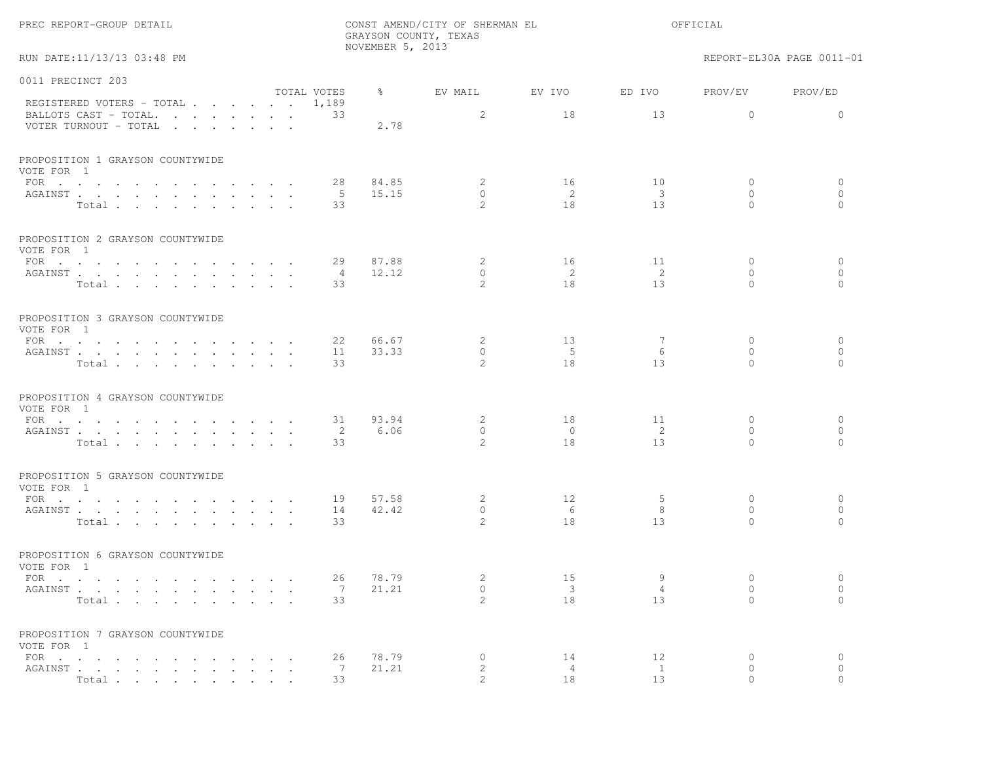|  | REC REPORT-GROUP DETAIL' |  |  |
|--|--------------------------|--|--|
|--|--------------------------|--|--|

PREC REPORT-GROUP DETAIL CONST AMEND/CITY OF SHERMAN EL OFFICIALGRAYSON COUNTY, TEXASNOVEMBER 5, 2013

RUN DATE:11/13/13 03:48 PM REPORT-EL30A PAGE 0011-01

| 0011 PRECINCT 203                              |                |               |                |                            |                            |              |            |
|------------------------------------------------|----------------|---------------|----------------|----------------------------|----------------------------|--------------|------------|
|                                                | TOTAL VOTES    | $\frac{8}{6}$ | EV MAIL        | EV IVO                     | ED IVO                     | PROV/EV      | PROV/ED    |
| REGISTERED VOTERS - TOTAL                      | 1,189          |               |                |                            |                            |              |            |
| BALLOTS CAST - TOTAL.                          | 33             |               | 2              | 18                         | 13                         | $\circ$      | $\Omega$   |
| VOTER TURNOUT - TOTAL                          |                | 2.78          |                |                            |                            |              |            |
| PROPOSITION 1 GRAYSON COUNTYWIDE<br>VOTE FOR 1 |                |               |                |                            |                            |              |            |
| FOR $\cdots$                                   | 28             | 84.85         | 2              | 16                         | 10                         | $\mathbf{0}$ | $\circ$    |
| AGAINST                                        | - 5            | 15.15         | $\Omega$       | -2                         | $\overline{\mathbf{3}}$    | $\Omega$     | $\circ$    |
| Total                                          | 33             |               | $\mathcal{L}$  | 18                         | 13                         | $\Omega$     | $\Omega$   |
|                                                |                |               |                |                            |                            |              |            |
| PROPOSITION 2 GRAYSON COUNTYWIDE<br>VOTE FOR 1 |                |               |                |                            |                            |              |            |
| FOR                                            | 29             | 87.88         | 2              | 16                         | 11                         | $\Omega$     | $\circ$    |
| AGAINST                                        | 4              | 12.12         | $\circ$        | $\overline{\phantom{0}}^2$ | $\overline{2}$             | $\Omega$     | $\circ$    |
| Total                                          | 33             |               | $\mathcal{L}$  | 18                         | 13                         | $\Omega$     | $\bigcirc$ |
|                                                |                |               |                |                            |                            |              |            |
| PROPOSITION 3 GRAYSON COUNTYWIDE<br>VOTE FOR 1 |                |               |                |                            |                            |              |            |
| FOR $\cdots$                                   | 22             | 66.67         | 2              | 13                         | -7                         | $\Omega$     | $\circ$    |
| AGAINST                                        | 11             | 33.33         | $\circ$        | $-5$                       | 6                          | $\Omega$     | $\circ$    |
| Total                                          | 33             |               | $\mathcal{L}$  | 18                         | 13                         | $\cap$       | $\bigcap$  |
| PROPOSITION 4 GRAYSON COUNTYWIDE<br>VOTE FOR 1 |                |               |                |                            |                            |              |            |
| FOR $\cdots$                                   | 31             | 93.94         | 2              | 18                         | 11                         | $\mathbf{0}$ | $\circ$    |
| AGAINST                                        | $\overline{2}$ | 6.06          | $\circ$        | $\overline{0}$             | $\overline{\phantom{0}}^2$ | $\mathbf{0}$ | $\circ$    |
| Total                                          | 33             |               | 2              | 18                         | 13                         | $\Omega$     | $\Omega$   |
| PROPOSITION 5 GRAYSON COUNTYWIDE<br>VOTE FOR 1 |                |               |                |                            |                            |              |            |
| FOR $\cdots$                                   | 19             | 57.58         | 2              | 12                         | -5                         | $\mathbf{0}$ | $\circ$    |
| AGAINST                                        | 14             | 42.42         | $\mathbf{0}$   | 6                          | 8                          | $\Omega$     | $\circ$    |
| Total                                          | 33             |               | $\overline{c}$ | 18                         | 13                         | $\Omega$     | $\Omega$   |
| PROPOSITION 6 GRAYSON COUNTYWIDE               |                |               |                |                            |                            |              |            |
| VOTE FOR 1                                     |                |               |                |                            |                            |              |            |
| FOR $\cdots$                                   | 26             | 78.79         | 2              | 15                         | 9                          | $\Omega$     | $\circ$    |
| AGAINST                                        | $\overline{7}$ | 21.21         | $\circ$        | $\overline{\mathbf{3}}$    | $\overline{4}$             | $\mathbf{0}$ | $\circ$    |
| Total                                          | 33             |               | $\mathcal{L}$  | 18                         | 13                         | $\Omega$     | $\Omega$   |
| PROPOSITION 7 GRAYSON COUNTYWIDE<br>VOTE FOR 1 |                |               |                |                            |                            |              |            |
| FOR                                            | 26             | 78.79         | $\circ$        | 14                         | 12                         | $\mathbf{0}$ | $\circ$    |
| AGAINST                                        | 7              | 21.21         | 2              | $\overline{4}$             | $\mathbf{1}$               | $\mathbf{0}$ | $\circ$    |
| Total                                          | 33             |               | $\mathcal{L}$  | 18                         | 13                         | $\cap$       | $\Omega$   |
|                                                |                |               |                |                            |                            |              |            |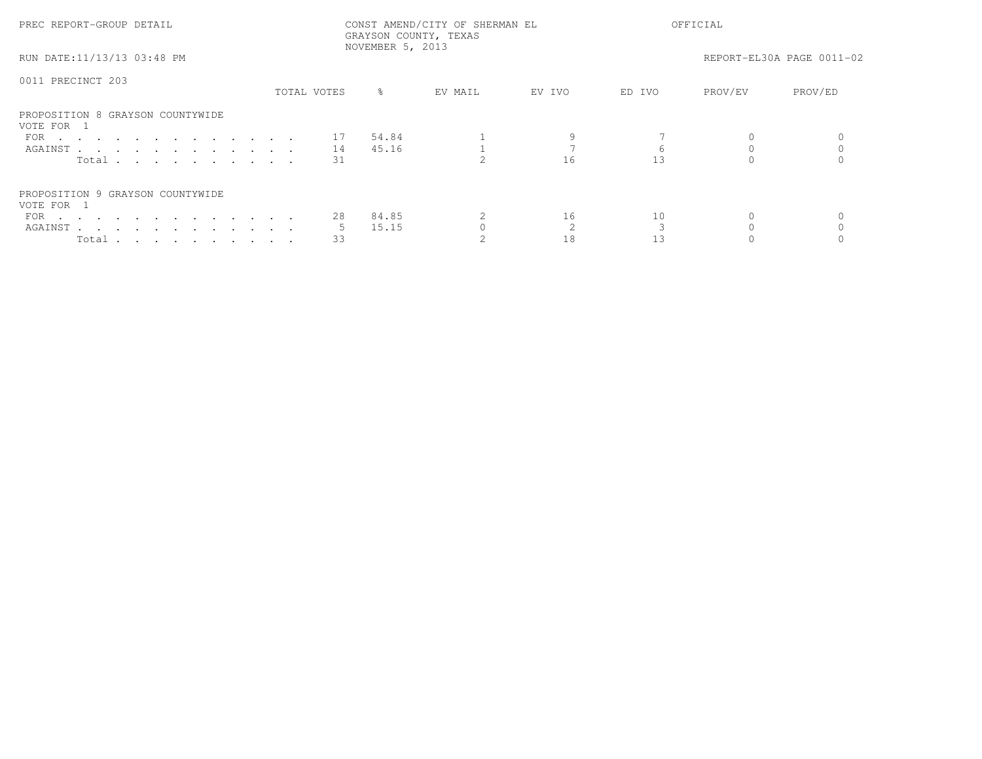| PREC REPORT-GROUP DETAIL                       | CONST AMEND/CITY OF SHERMAN EL<br>GRAYSON COUNTY, TEXAS<br>NOVEMBER 5, 2013 |             |           |         |        | OFFICIAL |         |                           |  |
|------------------------------------------------|-----------------------------------------------------------------------------|-------------|-----------|---------|--------|----------|---------|---------------------------|--|
| RUN DATE:11/13/13 03:48 PM                     |                                                                             |             |           |         |        |          |         | REPORT-EL30A PAGE 0011-02 |  |
| 0011 PRECINCT 203                              |                                                                             |             |           |         |        |          |         |                           |  |
|                                                |                                                                             | TOTAL VOTES | $\approx$ | EV MAIL | EV IVO | ED IVO   | PROV/EV | PROV/ED                   |  |
| PROPOSITION 8 GRAYSON COUNTYWIDE<br>VOTE FOR 1 |                                                                             |             |           |         |        |          |         |                           |  |
| FOR $\cdots$                                   |                                                                             | 17          | 54.84     |         |        |          |         |                           |  |
| AGAINST 14                                     |                                                                             |             | 45.16     |         |        |          |         |                           |  |
| Total                                          |                                                                             | 31          |           |         | 16     |          |         |                           |  |
| PROPOSITION 9 GRAYSON COUNTYWIDE               |                                                                             |             |           |         |        |          |         |                           |  |
| VOTE FOR 1                                     |                                                                             |             |           |         |        |          |         |                           |  |
| FOR $\cdots$                                   |                                                                             | 28          | 84.85     |         | 16     | 10       |         |                           |  |
| AGAINST                                        |                                                                             |             | 15.15     |         |        |          |         |                           |  |
| Total $\cdots$ $\cdots$ $\cdots$ $\cdots$      |                                                                             | 33          |           |         |        |          |         |                           |  |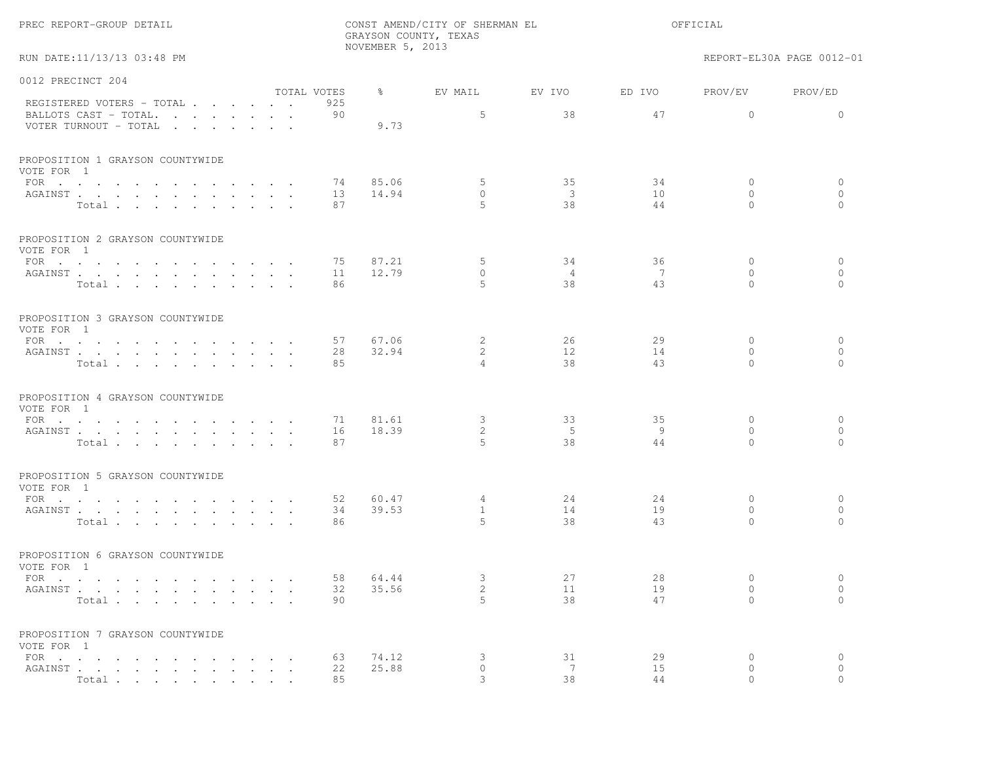|  |  | PREC REPORT-GROUP DETAIL |  |  |
|--|--|--------------------------|--|--|
|--|--|--------------------------|--|--|

RUN DATE:11/13/13 03:48 PM REPORT-EL30A PAGE 0012-01

| 0012 PRECINCT 204                              |             |     |               |                |                         |        |              |              |
|------------------------------------------------|-------------|-----|---------------|----------------|-------------------------|--------|--------------|--------------|
|                                                | TOTAL VOTES |     | $\frac{8}{6}$ | EV MAIL        | EV IVO                  | ED IVO | PROV/EV      | PROV/ED      |
| REGISTERED VOTERS - TOTAL                      |             | 925 |               |                |                         |        |              |              |
| BALLOTS CAST - TOTAL.                          |             | 90  |               | 5              | 38                      | 47     | $\Omega$     | $\Omega$     |
| VOTER TURNOUT - TOTAL                          |             |     | 9.73          |                |                         |        |              |              |
| PROPOSITION 1 GRAYSON COUNTYWIDE               |             |     |               |                |                         |        |              |              |
| VOTE FOR 1                                     |             |     |               |                |                         |        |              |              |
| FOR $\cdots$                                   |             | 74  | 85.06         | 5              | 35                      | 34     | $\mathbf{0}$ | $\circ$      |
| AGAINST                                        |             | 13  | 14.94         | $\mathbf{0}$   | $\overline{\mathbf{3}}$ | 10     | $\Omega$     | $\circ$      |
| Total.                                         |             | 87  |               | 5              | 38                      | 44     | $\Omega$     | $\mathbf{0}$ |
| PROPOSITION 2 GRAYSON COUNTYWIDE<br>VOTE FOR 1 |             |     |               |                |                         |        |              |              |
| FOR                                            |             | 75  | 87.21         | 5              | 34                      | 36     | $\mathbf{0}$ | $\circ$      |
| AGAINST                                        |             | 11  | 12.79         | $\circ$        | $\overline{4}$          | -7     | $\mathbf{0}$ | $\circ$      |
| Total                                          |             | 86  |               | 5              | 38                      | 43     | $\Omega$     | $\Omega$     |
| PROPOSITION 3 GRAYSON COUNTYWIDE<br>VOTE FOR 1 |             |     |               |                |                         |        |              |              |
| FOR $\cdots$                                   |             | 57  | 67.06         | 2              | 26                      | 29     | $\mathbf{0}$ | $\mathbf{0}$ |
| AGAINST                                        |             | 28  | 32.94         | $\overline{2}$ | 12                      | 14     | $\Omega$     | $\circ$      |
| Total                                          |             | 85  |               | $\overline{4}$ | 38                      | 43     | $\Omega$     | $\Omega$     |
| PROPOSITION 4 GRAYSON COUNTYWIDE<br>VOTE FOR 1 |             |     |               |                |                         |        |              |              |
| FOR $\cdots$                                   |             | 71  | 81.61         | 3              | 33                      | 35     | $\mathbf{0}$ | 0            |
| AGAINST                                        |             | 16  | 18.39         | $\overline{2}$ | 5                       | - 9    | $\Omega$     | $\circ$      |
| Total                                          |             | 87  |               | 5              | 38                      | 44     | $\Omega$     | $\Omega$     |
| PROPOSITION 5 GRAYSON COUNTYWIDE<br>VOTE FOR 1 |             |     |               |                |                         |        |              |              |
| FOR $\cdots$                                   |             | 52  | 60.47         | $\overline{4}$ | 24                      | 24     | $\Omega$     | $\circ$      |
| AGAINST                                        |             | 34  | 39.53         | $\mathbf{1}$   | 14                      | 19     | $\Omega$     | $\circ$      |
| Total                                          |             | 86  |               | 5              | 38                      | 43     | $\Omega$     | $\Omega$     |
| PROPOSITION 6 GRAYSON COUNTYWIDE<br>VOTE FOR 1 |             |     |               |                |                         |        |              |              |
| FOR $\cdots$                                   |             | 58  | 64.44         | 3              | 27                      | 28     | $\Omega$     | $\circ$      |
| AGAINST                                        |             | 32  | 35.56         | $\mathbf{2}$   | 11                      | 19     | $\mathbf{0}$ | $\circ$      |
| Total.                                         |             | 90  |               | 5              | 38                      | 47     | $\Omega$     | $\Omega$     |
| PROPOSITION 7 GRAYSON COUNTYWIDE<br>VOTE FOR 1 |             |     |               |                |                         |        |              |              |
| FOR $\cdots$                                   |             | 63  | 74.12         | 3              | 31                      | 29     | $\circ$      | $\circ$      |
| AGAINST                                        |             | 22  | 25.88         | $\circ$        | 7                       | 15     | $\circ$      | $\circ$      |
| Total                                          |             | 85  |               | $\mathcal{L}$  | 38                      | 44     | $\Omega$     | $\Omega$     |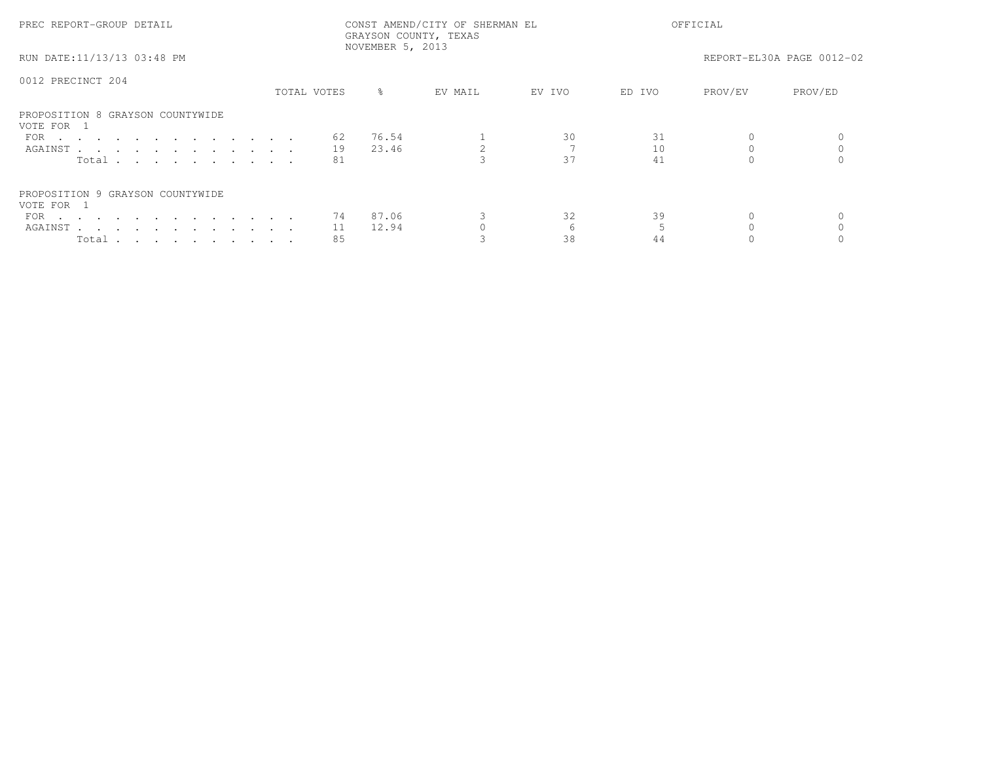| PREC REPORT-GROUP DETAIL                       | CONST AMEND/CITY OF SHERMAN EL<br>GRAYSON COUNTY, TEXAS<br>NOVEMBER 5, 2013 |             |           |         | OFFICIAL |        |         |                           |
|------------------------------------------------|-----------------------------------------------------------------------------|-------------|-----------|---------|----------|--------|---------|---------------------------|
| RUN DATE:11/13/13 03:48 PM                     |                                                                             |             |           |         |          |        |         | REPORT-EL30A PAGE 0012-02 |
| 0012 PRECINCT 204                              |                                                                             |             |           |         |          |        |         |                           |
|                                                |                                                                             | TOTAL VOTES | $\approx$ | EV MAIL | EV IVO   | ED IVO | PROV/EV | PROV/ED                   |
| PROPOSITION 8 GRAYSON COUNTYWIDE<br>VOTE FOR 1 |                                                                             |             |           |         |          |        |         |                           |
| FOR $\cdots$                                   |                                                                             | 62          | 76.54     |         | 30       | 31     |         |                           |
| AGAINST                                        |                                                                             | 19          | 23.46     |         |          | 10     |         |                           |
| Total $\cdots$                                 |                                                                             | 81          |           |         | 37       | 41     |         |                           |
| PROPOSITION 9 GRAYSON COUNTYWIDE               |                                                                             |             |           |         |          |        |         |                           |
| VOTE FOR 1                                     |                                                                             |             |           |         |          |        |         |                           |
| FOR $\cdots$                                   |                                                                             | 74          | 87.06     |         | 32       | 39     |         |                           |
| AGAINST                                        |                                                                             | 11          | 12.94     |         |          |        |         |                           |
| Total $\cdots$ $\cdots$ $\cdots$ $\cdots$      |                                                                             | 85          |           |         | 38       | 44     |         |                           |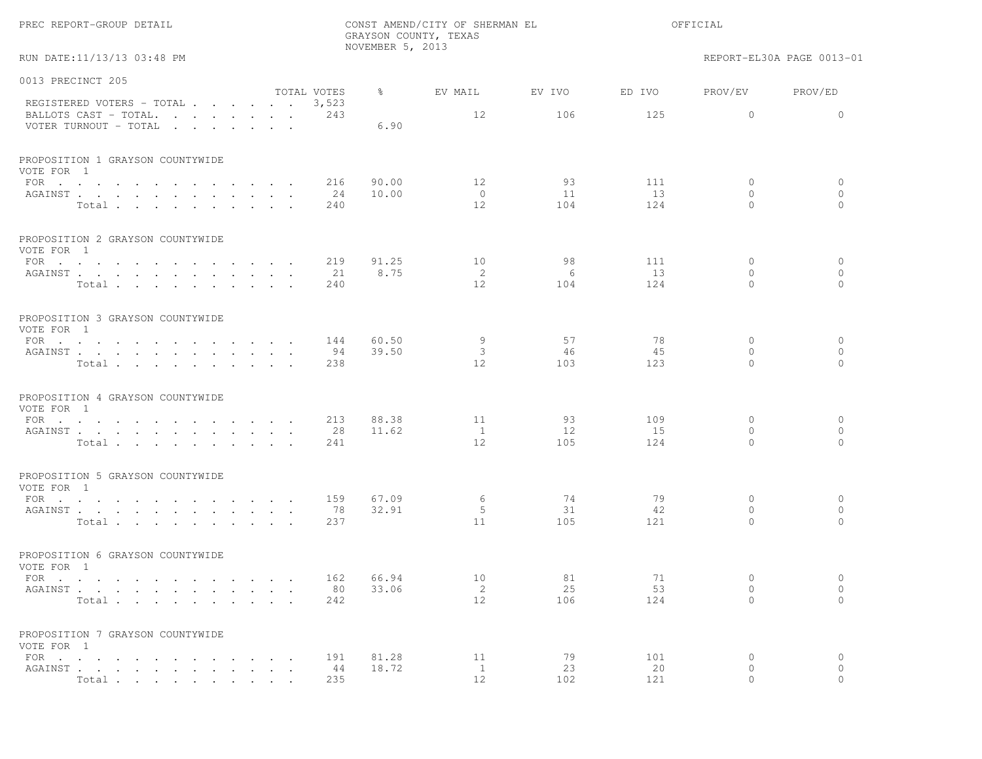|                                                                                   |                  | NOVEMBER 5, 2013 | GRAYSON COUNTY, TEXAS      |                 |                  |                                          |                                      |
|-----------------------------------------------------------------------------------|------------------|------------------|----------------------------|-----------------|------------------|------------------------------------------|--------------------------------------|
| RUN DATE:11/13/13 03:48 PM                                                        |                  |                  |                            |                 |                  |                                          | REPORT-EL30A PAGE 0013-01            |
| 0013 PRECINCT 205                                                                 | TOTAL VOTES      | ိင               | EV MAIL                    | EV IVO          | ED IVO           | PROV/EV                                  | PROV/ED                              |
| REGISTERED VOTERS - TOTAL 3,523<br>BALLOTS CAST - TOTAL.<br>VOTER TURNOUT - TOTAL | 243              | 6.90             | 12                         | 106             | 125              | $\circ$                                  | $\circ$                              |
| PROPOSITION 1 GRAYSON COUNTYWIDE<br>VOTE FOR 1                                    |                  |                  |                            |                 |                  |                                          |                                      |
| FOR $\cdots$ $\cdots$ $\cdots$<br>$\sim$<br>AGAINST<br>Total                      | 216<br>24<br>240 | 90.00<br>10.00   | 12<br>$\overline{0}$<br>12 | 93<br>11<br>104 | 111<br>13<br>124 | 0<br>$\circ$<br>$\Omega$                 | $\circ$<br>$\mathbf{0}$<br>$\Omega$  |
| PROPOSITION 2 GRAYSON COUNTYWIDE<br>VOTE FOR 1                                    |                  |                  |                            |                 |                  |                                          |                                      |
| FOR $\cdots$<br>AGAINST<br>Total                                                  | 219<br>21<br>240 | 91.25<br>8.75    | 10<br>2<br>12              | 98<br>6<br>104  | 111<br>13<br>124 | $\mathbf{0}$<br>$\mathbf{0}$<br>$\Omega$ | $\mathbf{0}$<br>$\circ$<br>$\bigcap$ |
| PROPOSITION 3 GRAYSON COUNTYWIDE<br>VOTE FOR 1<br>FOR                             | 144              | 60.50            | 9                          | 57              | 78               | $\circ$<br>$\circ$                       | $\circ$                              |
| AGAINST<br>Total                                                                  | 94<br>238        | 39.50            | 3<br>12                    | 46<br>103       | 45<br>123        | $\Omega$                                 | $\circ$<br>$\Omega$                  |
| PROPOSITION 4 GRAYSON COUNTYWIDE<br>VOTE FOR 1                                    |                  |                  |                            |                 |                  |                                          |                                      |
| FOR $\cdots$<br>AGAINST<br>Total                                                  | 213<br>28<br>241 | 88.38<br>11.62   | 11<br>$\overline{1}$<br>12 | 93<br>12<br>105 | 109<br>15<br>124 | $\mathbf{0}$<br>$\circ$<br>$\Omega$      | $\mathbf{0}$<br>$\circ$<br>$\Omega$  |
| PROPOSITION 5 GRAYSON COUNTYWIDE<br>VOTE FOR 1                                    |                  |                  |                            |                 |                  |                                          |                                      |
| FOR<br>AGAINST<br>Total                                                           | 159<br>78<br>237 | 67.09<br>32.91   | 6<br>5<br>11               | 74<br>31<br>105 | 79<br>42<br>121  | $\circ$<br>$\mathbf{0}$<br>$\Omega$      | $\circ$<br>$\mathbf{0}$<br>$\bigcap$ |
| PROPOSITION 6 GRAYSON COUNTYWIDE<br>VOTE FOR 1                                    |                  |                  |                            |                 |                  |                                          |                                      |
| FOR $\cdots$<br>AGAINST<br>Total                                                  | 162<br>80<br>242 | 66.94<br>33.06   | 10<br>2<br>12              | 81<br>25<br>106 | 71<br>53<br>124  | $\mathbf{0}$<br>0<br>$\mathbf{0}$        | $\circ$<br>$\circ$<br>$\circ$        |
| PROPOSITION 7 GRAYSON COUNTYWIDE<br>VOTE FOR 1                                    |                  |                  |                            |                 |                  |                                          |                                      |
| FOR $\cdots$ $\cdots$ $\cdots$<br>AGAINST<br>Total                                | 191<br>44<br>235 | 81.28<br>18.72   | 11<br>$\mathbf{1}$<br>12   | 79<br>23<br>102 | 101<br>20<br>121 | 0<br>$\circ$<br>$\Omega$                 | $\circ$<br>$\circ$<br>$\Omega$       |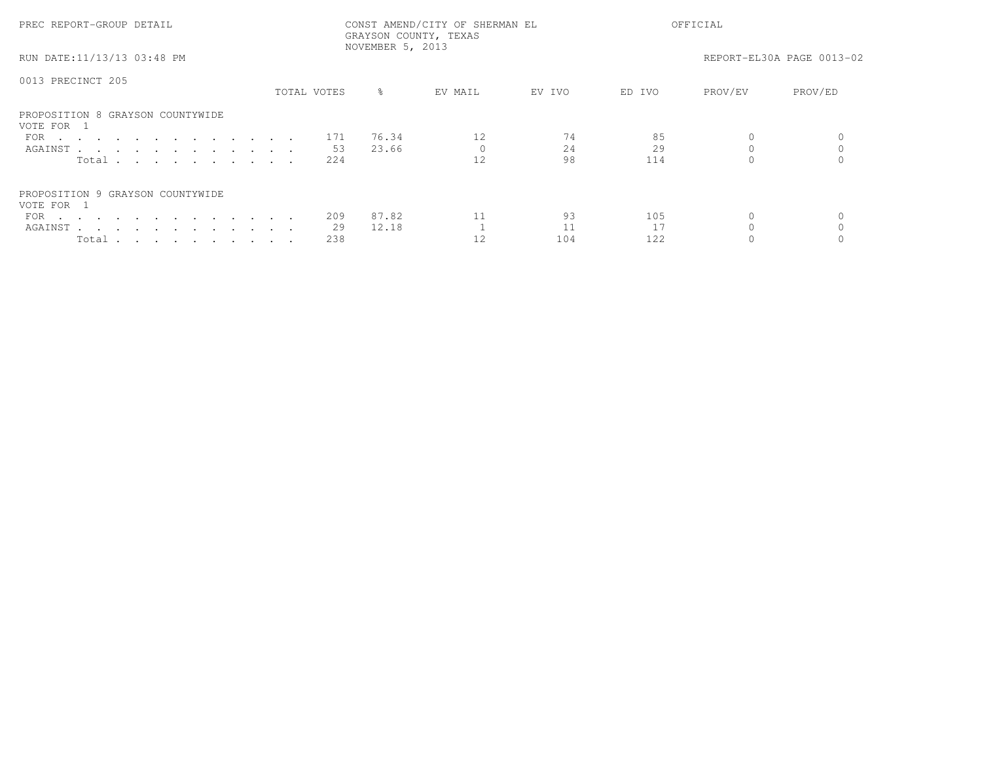| PREC REPORT-GROUP DETAIL                       |             | CONST AMEND/CITY OF SHERMAN EL<br>GRAYSON COUNTY, TEXAS<br>NOVEMBER 5, 2013 |           |         |        | OFFICIAL |         |                           |  |
|------------------------------------------------|-------------|-----------------------------------------------------------------------------|-----------|---------|--------|----------|---------|---------------------------|--|
| RUN DATE:11/13/13 03:48 PM                     |             |                                                                             |           |         |        |          |         | REPORT-EL30A PAGE 0013-02 |  |
| 0013 PRECINCT 205                              |             |                                                                             |           |         |        |          |         |                           |  |
|                                                | TOTAL VOTES |                                                                             | $\approx$ | EV MAIL | EV IVO | ED IVO   | PROV/EV | PROV/ED                   |  |
| PROPOSITION 8 GRAYSON COUNTYWIDE<br>VOTE FOR 1 |             |                                                                             |           |         |        |          |         |                           |  |
| FOR 171                                        |             |                                                                             | 76.34     | 12      | 74     | 85       |         |                           |  |
| AGAINST                                        |             | -53                                                                         | 23.66     |         | 24     | 29       |         |                           |  |
| Total $\cdots$                                 |             | 224                                                                         |           | 12      | 98     | 114      |         |                           |  |
| PROPOSITION 9 GRAYSON COUNTYWIDE<br>VOTE FOR 1 |             |                                                                             |           |         |        |          |         |                           |  |
| FOR $\cdots$                                   |             | 209                                                                         | 87.82     | 11      | 93     | 105      |         |                           |  |
| AGAINST                                        |             | -29                                                                         | 12.18     |         |        |          |         |                           |  |
| Total                                          |             | 238                                                                         |           |         | 104    | 122      |         |                           |  |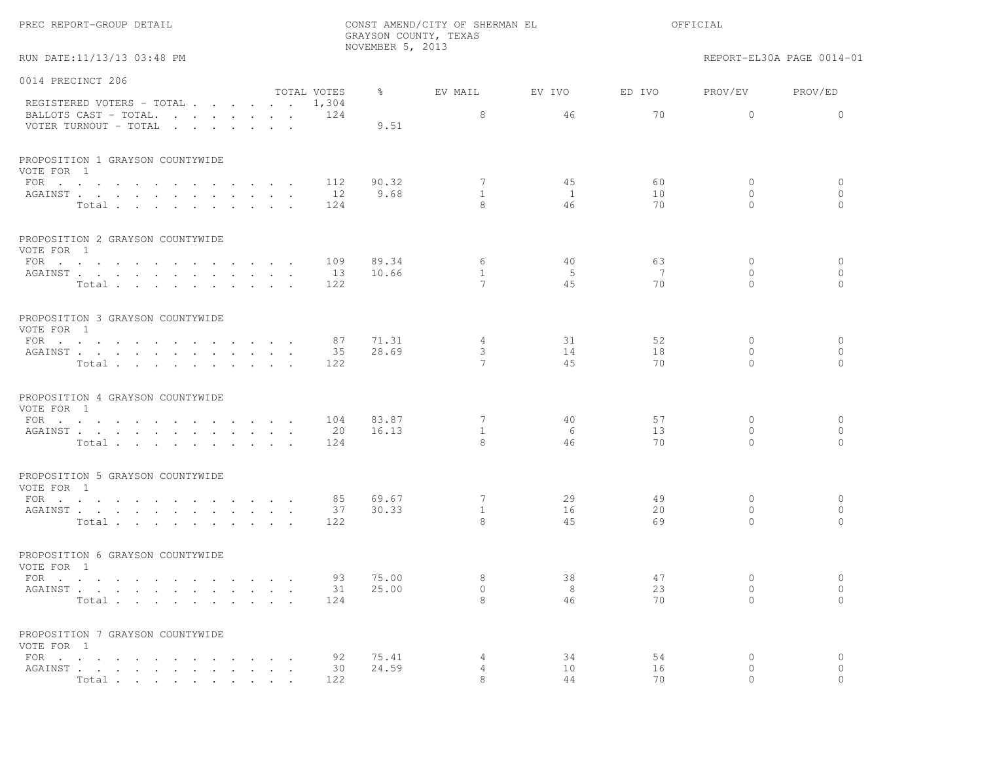|  | PREC REPORT-GROUP DETAIL |  |  |
|--|--------------------------|--|--|
|--|--------------------------|--|--|

RUN DATE:11/13/13 03:48 PM REPORT-EL30A PAGE 0014-01

| 0014 PRECINCT 206                                 |             |               |                   |              |        |                      |                      |
|---------------------------------------------------|-------------|---------------|-------------------|--------------|--------|----------------------|----------------------|
| REGISTERED VOTERS - TOTAL 1,304                   | TOTAL VOTES | $\frac{8}{6}$ | EV MAIL           | EV IVO       | ED IVO | PROV/EV              | PROV/ED              |
| BALLOTS CAST - TOTAL 124<br>VOTER TURNOUT - TOTAL |             | 9.51          | 8                 | 46           | 70     | $\Omega$             | $\Omega$             |
| PROPOSITION 1 GRAYSON COUNTYWIDE<br>VOTE FOR 1    |             |               |                   |              |        |                      |                      |
| FOR $\cdots$                                      | 112         | 90.32         | 7                 | 45           | 60     | $\circ$              | $\circ$              |
| AGAINST                                           | 12          | 9.68          | $\mathbf{1}$      | $\mathbf{1}$ | 10     | $\circ$              | $\circ$              |
| Total                                             | 124         |               | 8                 | 46           | 70     | $\Omega$             | $\mathbf{0}$         |
| PROPOSITION 2 GRAYSON COUNTYWIDE                  |             |               |                   |              |        |                      |                      |
| VOTE FOR 1<br>FOR $\cdots$                        | 109         | 89.34         | 6                 | 40           | 63     | $\Omega$             | $\circ$              |
| AGAINST                                           | 13          | 10.66         | $\mathbf{1}$      | -5           | 7      | $\Omega$             | $\circ$              |
| Total                                             | 122         |               | $\overline{7}$    | 45           | 70     | $\Omega$             | $\bigcap$            |
| PROPOSITION 3 GRAYSON COUNTYWIDE<br>VOTE FOR 1    |             |               |                   |              |        |                      |                      |
| FOR $\cdots$                                      | 87          | 71.31         | $\overline{4}$    | 31           | 52     | $\Omega$             | $\mathbf{0}$         |
| AGAINST                                           | 35          | 28.69         | 3                 | 14           | 18     | $\Omega$             | $\circ$              |
| Total                                             | 122         |               | $\overline{7}$    | 4.5          | 70     | $\Omega$             | $\bigcap$            |
| PROPOSITION 4 GRAYSON COUNTYWIDE<br>VOTE FOR 1    |             |               |                   |              |        |                      |                      |
| FOR $\cdot$                                       | 104         | 83.87         | 7                 | 40           | 57     | $\Omega$             | $\circ$              |
| AGAINST                                           | 20          | 16.13         | $\overline{1}$    | - 6          | 13     | $\Omega$             | $\circ$              |
| Total                                             | 124         |               | 8                 | 46           | 70     | $\Omega$             | $\bigcap$            |
| PROPOSITION 5 GRAYSON COUNTYWIDE<br>VOTE FOR 1    |             |               |                   |              |        |                      |                      |
| FOR                                               | 85          | 69.67         | 7                 | 29           | 49     | $\Omega$             | $\circ$              |
| AGAINST                                           | 37          | 30.33         | $\mathbf{1}$<br>8 | 16           | 20     | $\Omega$<br>$\Omega$ | $\circ$<br>$\bigcap$ |
| Total                                             | 122         |               |                   | 45           | 69     |                      |                      |
| PROPOSITION 6 GRAYSON COUNTYWIDE<br>VOTE FOR 1    |             |               |                   |              |        |                      |                      |
| FOR $\cdots$                                      | 93          | 75.00         | 8                 | 38           | 47     | $\Omega$             | $\circ$              |
| AGAINST                                           | 31          | 25.00         | $\circ$           | 8            | 23     | $\mathbf{0}$         | $\circ$              |
| Total                                             | 124         |               | 8                 | 46           | 70     | $\cap$               | $\Omega$             |
| PROPOSITION 7 GRAYSON COUNTYWIDE<br>VOTE FOR 1    |             |               |                   |              |        |                      |                      |
| FOR $\cdots$                                      | 92          | 75.41         | 4                 | 34           | 54     | $\mathbf{0}$         | $\circ$              |
| AGAINST                                           | 30          | 24.59         | $\overline{4}$    | 10           | 16     | $\mathbf{0}$         | $\circ$              |
| Total                                             | 122         |               | 8                 | 44           | 70     | $\cap$               | $\bigcap$            |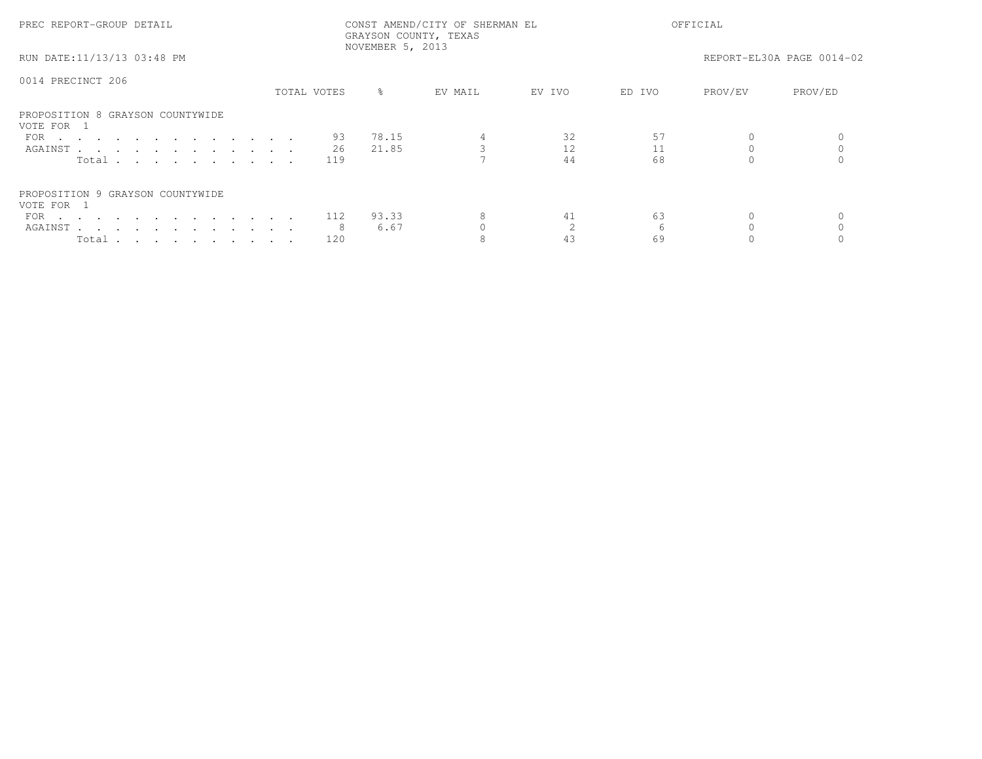| PREC REPORT-GROUP DETAIL                       | CONST AMEND/CITY OF SHERMAN EL<br>GRAYSON COUNTY, TEXAS<br>NOVEMBER 5, 2013 |             |           |         | OFFICIAL |        |         |                           |
|------------------------------------------------|-----------------------------------------------------------------------------|-------------|-----------|---------|----------|--------|---------|---------------------------|
| RUN DATE:11/13/13 03:48 PM                     |                                                                             |             |           |         |          |        |         | REPORT-EL30A PAGE 0014-02 |
| 0014 PRECINCT 206                              |                                                                             |             |           |         |          |        |         |                           |
|                                                |                                                                             | TOTAL VOTES | $\approx$ | EV MAIL | EV IVO   | ED IVO | PROV/EV | PROV/ED                   |
| PROPOSITION 8 GRAYSON COUNTYWIDE<br>VOTE FOR 1 |                                                                             |             |           |         |          |        |         |                           |
| FOR                                            |                                                                             | 93          | 78.15     |         | 32       | 57     |         |                           |
| AGAINST                                        |                                                                             | -26         | 21.85     |         |          | 11     |         |                           |
| Total                                          |                                                                             | 119         |           |         | 44       | 68     |         |                           |
| PROPOSITION 9 GRAYSON COUNTYWIDE<br>VOTE FOR 1 |                                                                             |             |           |         |          |        |         |                           |
| FOR 112                                        |                                                                             |             | 93.33     | 8       | 41       | 63     |         |                           |
| AGAINST                                        |                                                                             |             | 6.67      |         |          |        |         |                           |
| Total $\cdots$ $\cdots$ $\cdots$ $\cdots$      |                                                                             | 120         |           |         | 43       | 69     |         |                           |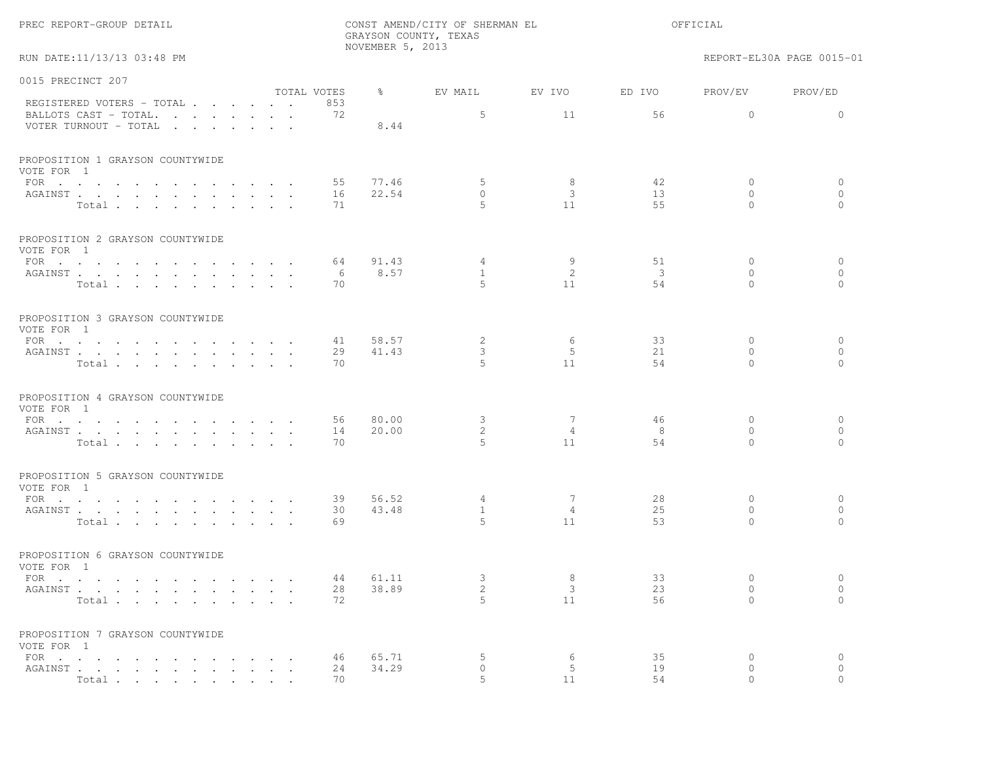|                                                        |                    |                  | GRAYSON COUNTY, TEXAS |                      |                         |                                 |                                |
|--------------------------------------------------------|--------------------|------------------|-----------------------|----------------------|-------------------------|---------------------------------|--------------------------------|
| RUN DATE:11/13/13 03:48 PM                             |                    | NOVEMBER 5, 2013 |                       |                      |                         |                                 | REPORT-EL30A PAGE 0015-01      |
| 0015 PRECINCT 207                                      |                    |                  |                       |                      |                         |                                 |                                |
| REGISTERED VOTERS - TOTAL                              | TOTAL VOTES<br>853 | $\frac{8}{6}$    | EV MAIL               | EV IVO               | ED IVO                  | PROV/EV                         | PROV/ED                        |
| BALLOTS CAST - TOTAL.<br>VOTER TURNOUT - TOTAL         | 72                 | 8.44             | 5                     | 11                   | 56                      | $\overline{0}$                  | $\circ$                        |
| PROPOSITION 1 GRAYSON COUNTYWIDE<br>VOTE FOR 1         |                    |                  |                       |                      |                         |                                 |                                |
| FOR $\cdots$<br>AGAINST<br>Total                       | 55<br>16<br>71     | 77.46<br>22.54   | 5<br>$\bigcap$<br>5   | 8<br>3<br>11         | 42<br>13<br>55          | $\circ$<br>$\Omega$<br>$\Omega$ | $\circ$<br>$\Omega$<br>$\circ$ |
| PROPOSITION 2 GRAYSON COUNTYWIDE<br>VOTE FOR 1         |                    |                  |                       |                      |                         |                                 |                                |
| FOR $\cdots$                                           | 64                 | 91.43            | $\overline{4}$        | 9                    | 51                      | $\mathbf{0}$                    | $\mathbf{0}$                   |
| AGAINST                                                | 6                  | 8.57             | $\overline{1}$        | 2                    | $\overline{\mathbf{3}}$ | $\Omega$                        | $\Omega$                       |
| Total                                                  | 70                 |                  | $5^{\circ}$           | 11                   | 54                      | $\Omega$                        | $\Omega$                       |
| PROPOSITION 3 GRAYSON COUNTYWIDE<br>VOTE FOR 1         |                    |                  |                       |                      |                         |                                 |                                |
| FOR                                                    | 41                 | 58.57            | 2                     | 6                    | 33                      | $\Omega$                        | $\mathbf{0}$                   |
| AGAINST                                                | 29                 | 41.43            | 3<br>5                | -5                   | 21                      | $\mathbf{0}$                    | $\mathbf{0}$                   |
| Total                                                  | 70                 |                  |                       | 11                   | 54                      | $\Omega$                        | $\Omega$                       |
| PROPOSITION 4 GRAYSON COUNTYWIDE<br>VOTE FOR 1         |                    |                  |                       |                      |                         |                                 |                                |
| FOR $\cdots$                                           | 56                 | 80.00            | 3                     | 7                    | 46                      | $\mathbf{0}$                    | $\mathbf{0}$                   |
| AGAINST<br>Total                                       | 14<br>70           | 20.00            | 2<br>$5^{\circ}$      | $\overline{4}$<br>11 | 8<br>54                 | $\mathbf{0}$<br>$\Omega$        | $\circ$<br>$\Omega$            |
|                                                        |                    |                  |                       |                      |                         |                                 |                                |
| PROPOSITION 5 GRAYSON COUNTYWIDE<br>VOTE FOR 1         |                    |                  |                       |                      |                         |                                 |                                |
| FOR $\cdots$                                           | 39                 | 56.52            | $\overline{4}$        | 7                    | 28                      | $\circ$                         | $\mathbf{0}$                   |
| AGAINST                                                | 30                 | 43.48            | $\mathbf{1}$<br>5.    | $\overline{4}$<br>11 | 2.5<br>53               | $\Omega$<br>$\Omega$            | $\bigcirc$<br>$\bigcap$        |
| Total                                                  | 69                 |                  |                       |                      |                         |                                 |                                |
| PROPOSITION 6 GRAYSON COUNTYWIDE<br>VOTE FOR 1         |                    |                  |                       |                      |                         |                                 |                                |
| FOR                                                    | 44                 | 61.11            | 3                     | 8                    | 33                      | $\mathbf{0}$                    | $\circ$                        |
| AGAINST                                                | 28                 | 38.89            | 2                     | $\mathbf{3}$         | 23                      | $\circ$                         | $\circ$                        |
| Total                                                  | 72                 |                  | $5^{\circ}$           | 11                   | 56                      | $\Omega$                        | $\bigcap$                      |
| PROPOSITION 7 GRAYSON COUNTYWIDE<br>VOTE FOR 1         |                    |                  |                       |                      |                         |                                 |                                |
| FOR                                                    | 46                 | 65.71            | 5                     | 6                    | 35                      | $\mathbf{0}$                    | $\circ$                        |
| AGAINST                                                | 24                 | 34.29            | $\Omega$              | 5                    | 19                      | $\mathbf{0}$                    | $\Omega$                       |
| <b>Total</b> contract the contract of the <b>Total</b> | 70                 |                  | 5                     | 11                   | 54                      | $\Omega$                        | $\Omega$                       |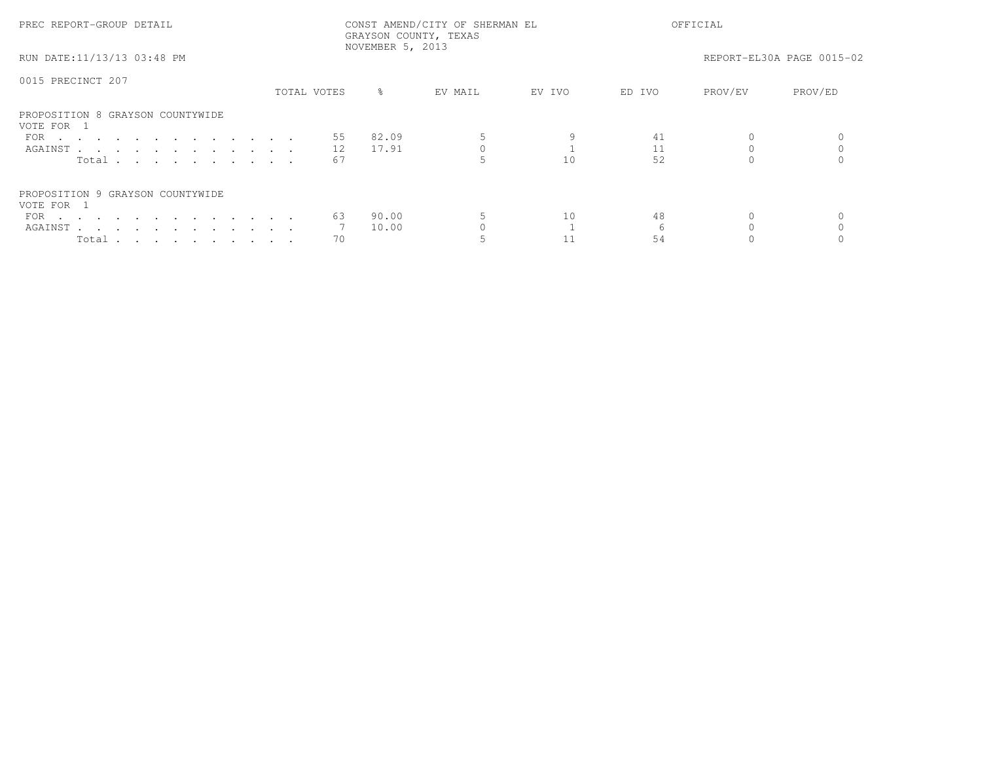| PREC REPORT-GROUP DETAIL                       | CONST AMEND/CITY OF SHERMAN EL<br>GRAYSON COUNTY, TEXAS<br>NOVEMBER 5, 2013 |    |           |         |        | OFFICIAL |         |                           |  |
|------------------------------------------------|-----------------------------------------------------------------------------|----|-----------|---------|--------|----------|---------|---------------------------|--|
| RUN DATE:11/13/13 03:48 PM                     |                                                                             |    |           |         |        |          |         | REPORT-EL30A PAGE 0015-02 |  |
| 0015 PRECINCT 207                              |                                                                             |    |           |         |        |          |         |                           |  |
|                                                | TOTAL VOTES                                                                 |    | $\approx$ | EV MAIL | EV IVO | ED IVO   | PROV/EV | PROV/ED                   |  |
| PROPOSITION 8 GRAYSON COUNTYWIDE<br>VOTE FOR 1 |                                                                             |    |           |         |        |          |         |                           |  |
| FOR $\cdots$                                   |                                                                             | 55 | 82.09     |         |        | 41       |         |                           |  |
| AGAINST                                        |                                                                             | 12 | 17.91     |         |        | 11       |         |                           |  |
| Total                                          |                                                                             | 67 |           |         | 10     | 52       |         |                           |  |
| PROPOSITION 9 GRAYSON COUNTYWIDE<br>VOTE FOR 1 |                                                                             |    |           |         |        |          |         |                           |  |
| FOR $\cdots$                                   |                                                                             | 63 | 90.00     |         | 10     | 48       |         |                           |  |
| AGAINST                                        |                                                                             |    | 10.00     |         |        |          |         |                           |  |
|                                                |                                                                             |    |           |         |        |          |         |                           |  |
| Total $\cdots$ $\cdots$ $\cdots$ $\cdots$      |                                                                             | 70 |           |         |        | 54       |         |                           |  |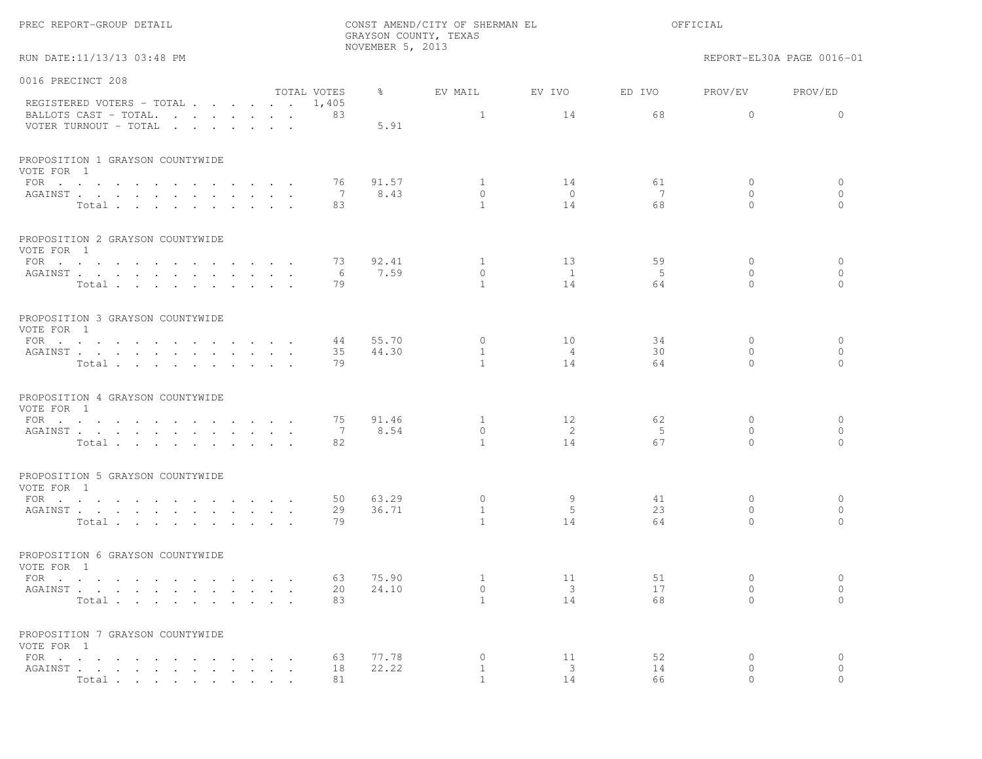RUN DATE:11/13/13 03:48 PM REPORT-EL30A PAGE 0016-01

| 0016 PRECINCT 208                              |                      |                |                          |                               |                                    |                          |                         |
|------------------------------------------------|----------------------|----------------|--------------------------|-------------------------------|------------------------------------|--------------------------|-------------------------|
| REGISTERED VOTERS - TOTAL                      | TOTAL VOTES<br>1,405 | ွေ             | EV MAIL                  | EV IVO                        | ED IVO                             | PROV/EV                  | PROV/ED                 |
| BALLOTS CAST - TOTAL.<br>VOTER TURNOUT - TOTAL | 83                   | 5.91           | $\mathbf{1}$             | 14                            | 68                                 | $\Omega$                 | $\Omega$                |
| PROPOSITION 1 GRAYSON COUNTYWIDE<br>VOTE FOR 1 |                      |                |                          |                               |                                    |                          |                         |
| FOR $\cdots$                                   | 76                   | 91.57          | $\mathbf{1}$             | 14                            | 61                                 | $\circ$                  | $\circ$                 |
| AGAINST<br>Total                               | 7<br>83              | 8.43           | $\circ$<br>$\mathbf{1}$  | $\overline{0}$<br>14          | $7\phantom{.0}\phantom{.0}7$<br>68 | $\Omega$<br>$\Omega$     | $\circ$<br>$\Omega$     |
| PROPOSITION 2 GRAYSON COUNTYWIDE<br>VOTE FOR 1 |                      |                |                          |                               |                                    |                          |                         |
| FOR $\cdots$                                   | 73                   | 92.41          | $\overline{1}$           | 13                            | 59                                 | $\Omega$                 | $\circ$                 |
| AGAINST<br>Total                               | - 6<br>79            | 7.59           | $\circ$<br>$\mathbf{1}$  | $\overline{1}$<br>14          | 5<br>64                            | $\Omega$<br>$\Omega$     | $\circ$<br>$\bigcap$    |
|                                                |                      |                |                          |                               |                                    |                          |                         |
| PROPOSITION 3 GRAYSON COUNTYWIDE<br>VOTE FOR 1 |                      |                |                          |                               |                                    |                          |                         |
| FOR $\cdots$<br>AGAINST                        | 44<br>35             | 55.70<br>44.30 | $\circ$<br>1             | 10<br>$\overline{4}$          | 34<br>30                           | $\mathbf{0}$<br>$\Omega$ | $\circ$<br>$\circ$      |
| Total                                          | 79                   |                | $\mathbf{1}$             | 14                            | 64                                 | $\Omega$                 | $\Omega$                |
| PROPOSITION 4 GRAYSON COUNTYWIDE<br>VOTE FOR 1 |                      |                |                          |                               |                                    |                          |                         |
| FOR $\cdots$<br>AGAINST                        | 75<br>7              | 91.46<br>8.54  | $\mathbf{1}$<br>$\Omega$ | 12<br>$\overline{2}$          | 62<br>5                            | $\mathbf{0}$<br>$\Omega$ | $\circ$<br>$\circ$      |
| Total                                          | 82                   |                | $\overline{1}$           | 14                            | 67                                 | $\Omega$                 | $\Omega$                |
| PROPOSITION 5 GRAYSON COUNTYWIDE<br>VOTE FOR 1 |                      |                |                          |                               |                                    |                          |                         |
| FOR                                            | 50<br>29             | 63.29<br>36.71 | $\circ$<br>$\mathbf{1}$  | 9<br>-5                       | 41<br>23                           | $\Omega$<br>$\Omega$     | $\circ$<br>$\mathbf{0}$ |
| AGAINST<br>Total                               | 79                   |                | $\mathbf{1}$             | 14                            | 64                                 | $\Omega$                 | $\Omega$                |
| PROPOSITION 6 GRAYSON COUNTYWIDE<br>VOTE FOR 1 |                      |                |                          |                               |                                    |                          |                         |
| $\text{FOR}$                                   | 63                   | 75.90          | $\mathbf{1}$             | 11                            | 51                                 | $\mathbf{0}$             | $\circ$                 |
| AGAINST<br>Total                               | 20<br>83             | 24.10          | $\circ$<br>$\mathbf{1}$  | $\overline{\mathbf{3}}$<br>14 | 17<br>68                           | $\circ$<br>$\Omega$      | $\circ$<br>$\Omega$     |
| PROPOSITION 7 GRAYSON COUNTYWIDE<br>VOTE FOR 1 |                      |                |                          |                               |                                    |                          |                         |
| FOR $\cdots$                                   | 63                   | 77.78          | $\mathbf{0}$             | 11                            | 52                                 | $\mathbf{0}$             | $\circ$                 |
| AGAINST<br>Total                               | 18<br>81             | 22.22          | 1<br>$\overline{1}$      | $\overline{\mathbf{3}}$<br>14 | 14<br>66                           | $\circ$<br>$\Omega$      | $\circ$<br>$\Omega$     |
|                                                |                      |                |                          |                               |                                    |                          |                         |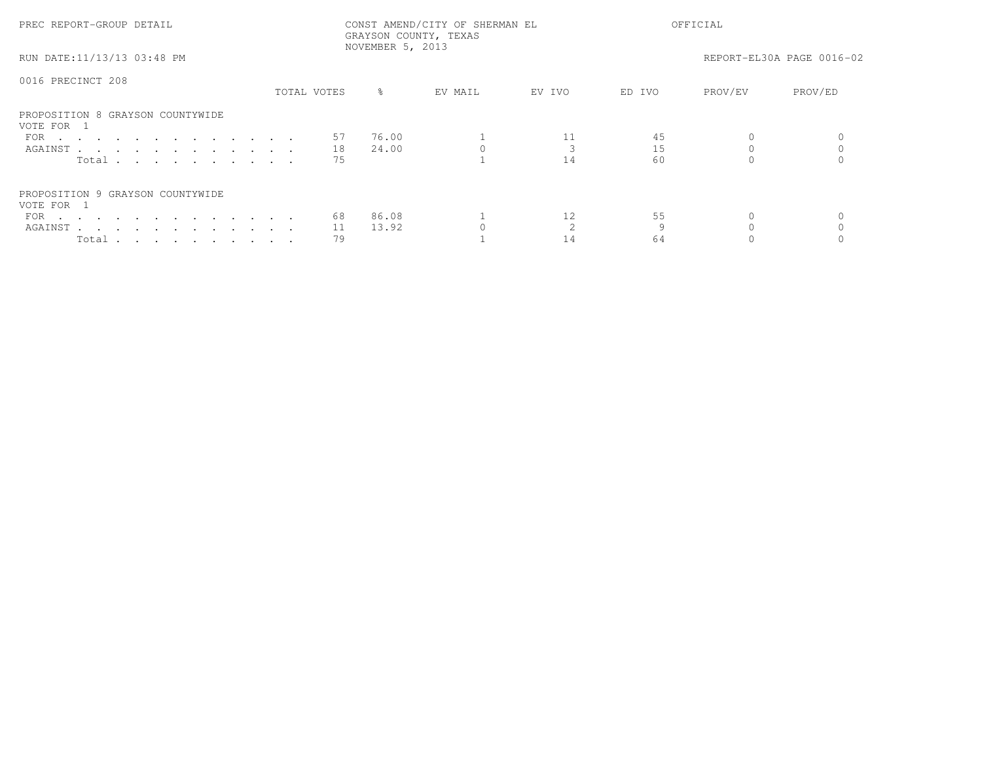| PREC REPORT-GROUP DETAIL                       |             | NOVEMBER 5, 2013 | CONST AMEND/CITY OF SHERMAN EL<br>GRAYSON COUNTY, TEXAS |        | OFFICIAL |         |                           |
|------------------------------------------------|-------------|------------------|---------------------------------------------------------|--------|----------|---------|---------------------------|
| RUN DATE:11/13/13 03:48 PM                     |             |                  |                                                         |        |          |         | REPORT-EL30A PAGE 0016-02 |
| 0016 PRECINCT 208                              |             |                  |                                                         |        |          |         |                           |
|                                                | TOTAL VOTES | $\frac{8}{6}$    | EV MAIL                                                 | EV IVO | ED IVO   | PROV/EV | PROV/ED                   |
| PROPOSITION 8 GRAYSON COUNTYWIDE<br>VOTE FOR 1 |             |                  |                                                         |        |          |         |                           |
| FOR $\cdots$                                   | 57          | 76.00            |                                                         |        | 45       |         |                           |
| AGAINST                                        | 18          | 24.00            |                                                         |        | 15       |         |                           |
| Total                                          | 75          |                  |                                                         | 14     | 60       |         |                           |
| PROPOSITION 9 GRAYSON COUNTYWIDE<br>VOTE FOR 1 |             |                  |                                                         |        |          |         |                           |
| FOR $\cdots$                                   | 68          | 86.08            |                                                         | 12     | 55       |         |                           |
| AGAINST                                        | 11          | 13.92            |                                                         |        |          |         |                           |
| Total                                          | 79          |                  |                                                         | 14     | 64       |         |                           |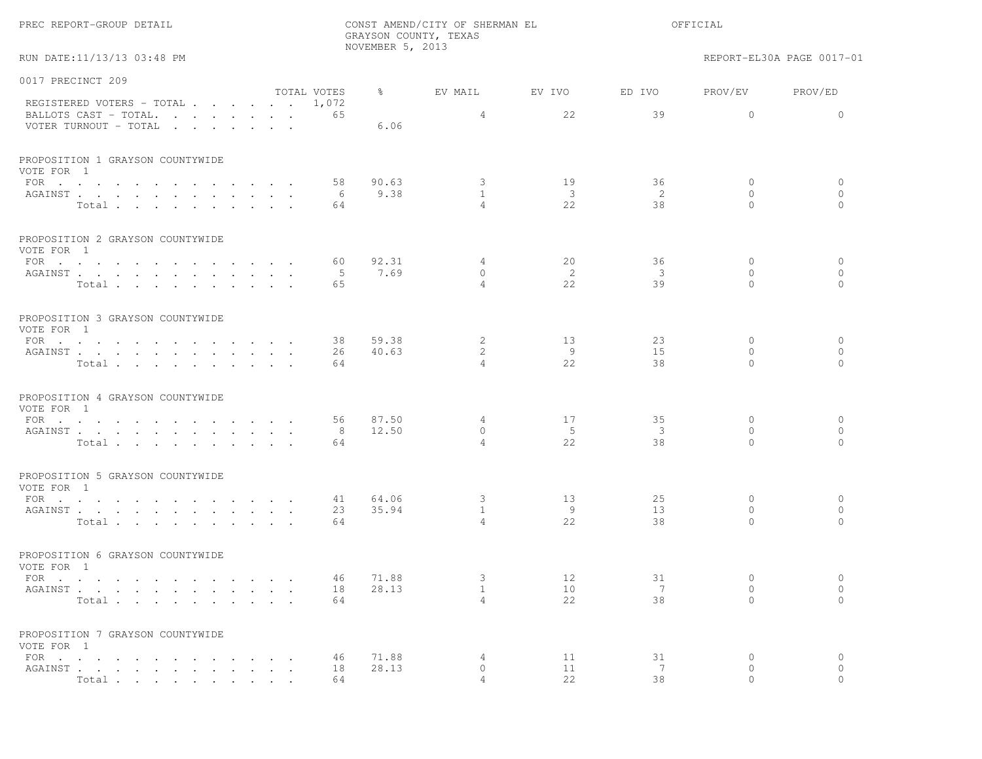|  | PREC REPORT-GROUP DETAIL |  |  |
|--|--------------------------|--|--|
|--|--------------------------|--|--|

RUN DATE:11/13/13 03:48 PM REPORT-EL30A PAGE 0017-01

| 0017 PRECINCT 209                                  |             |               |                                |                               |                         |                      |                     |
|----------------------------------------------------|-------------|---------------|--------------------------------|-------------------------------|-------------------------|----------------------|---------------------|
|                                                    | TOTAL VOTES | $\frac{6}{6}$ | EV MAIL                        | EV IVO                        | ED IVO                  | PROV/EV              | PROV/ED             |
| REGISTERED VOTERS - TOTAL<br>BALLOTS CAST - TOTAL. | 1,072<br>65 |               | 4                              | 22                            | 39                      | $\mathbf{0}$         | $\Omega$            |
| VOTER TURNOUT - TOTAL                              |             | 6.06          |                                |                               |                         |                      |                     |
| PROPOSITION 1 GRAYSON COUNTYWIDE                   |             |               |                                |                               |                         |                      |                     |
| VOTE FOR 1                                         |             |               |                                |                               |                         |                      |                     |
| FOR $\cdots$                                       | 58          | 90.63         | 3                              | 19                            | 36                      | $\mathbf{0}$         | $\circ$             |
| AGAINST                                            | 6           | 9.38          | $\mathbf{1}$<br>$\overline{4}$ | $\overline{\mathbf{3}}$<br>22 | 2<br>38                 | $\Omega$<br>$\Omega$ | $\circ$<br>$\Omega$ |
| Total                                              | 64          |               |                                |                               |                         |                      |                     |
| PROPOSITION 2 GRAYSON COUNTYWIDE<br>VOTE FOR 1     |             |               |                                |                               |                         |                      |                     |
| FOR $\cdots$                                       | 60          | 92.31         | 4                              | 20                            | 36                      | $\mathbf{0}$         | $\circ$             |
| AGAINST                                            | - 5         | 7.69          | $\circ$                        | -2                            | $\overline{\mathbf{3}}$ | $\mathbf{0}$         | $\circ$             |
| Total                                              | 65          |               | $\overline{4}$                 | 2.2.                          | 39                      | $\Omega$             | $\Omega$            |
| PROPOSITION 3 GRAYSON COUNTYWIDE<br>VOTE FOR 1     |             |               |                                |                               |                         |                      |                     |
| FOR $\cdots$                                       | 38          | 59.38         | 2                              | 13                            | 23                      | $\Omega$             | $\circ$             |
| AGAINST                                            | 26          | 40.63         | 2                              | - 9                           | 1.5                     | $\Omega$             | $\circ$             |
| Total                                              | 64          |               | $\overline{4}$                 | 22                            | 38                      | $\Omega$             | $\Omega$            |
| PROPOSITION 4 GRAYSON COUNTYWIDE<br>VOTE FOR 1     |             |               |                                |                               |                         |                      |                     |
| FOR $\cdots$                                       | 56          | 87.50         | 4                              | 17                            | 35                      | $\mathbf{0}$         | 0                   |
| AGAINST                                            | 8           | 12.50         | $\circ$                        | $-5$                          | $\overline{\mathbf{3}}$ | $\Omega$             | $\circ$             |
| Total                                              | 64          |               | $\overline{4}$                 | 2.2                           | 38                      | $\Omega$             | $\Omega$            |
| PROPOSITION 5 GRAYSON COUNTYWIDE<br>VOTE FOR 1     |             |               |                                |                               |                         |                      |                     |
| FOR $\cdot$                                        | 41          | 64.06         | $\mathbf{3}$                   | 13                            | 25                      | $\mathbf{0}$         | 0                   |
| AGAINST                                            | 23          | 35.94         | $\overline{1}$                 | - 9                           | 13                      | $\bigcap$            | $\mathbf{0}$        |
| Total                                              | 64          |               | $\overline{4}$                 | 2.2.                          | 38                      | $\Omega$             | $\bigcap$           |
| PROPOSITION 6 GRAYSON COUNTYWIDE<br>VOTE FOR 1     |             |               |                                |                               |                         |                      |                     |
| FOR $\cdots$                                       | 46          | 71.88         | 3                              | 12                            | 31                      | $\mathbf{0}$         | $\circ$             |
| AGAINST                                            | 18          | 28.13         | $\mathbf{1}$                   | 10                            | 7                       | $\mathbf{0}$         | $\circ$             |
| Total                                              | 64          |               | $\overline{4}$                 | 22                            | 38                      | $\Omega$             | $\Omega$            |
| PROPOSITION 7 GRAYSON COUNTYWIDE<br>VOTE FOR 1     |             |               |                                |                               |                         |                      |                     |
|                                                    | 46          | 71.88         | 4                              | 11                            | 31                      | $\mathbf{0}$         | 0                   |
| AGAINST                                            | 18          | 28.13         | $\circ$                        | 11                            | 7                       | $\circ$              | $\circ$             |
| Total                                              | 64          |               | $\overline{4}$                 | 22                            | 38                      | $\Omega$             | $\bigcap$           |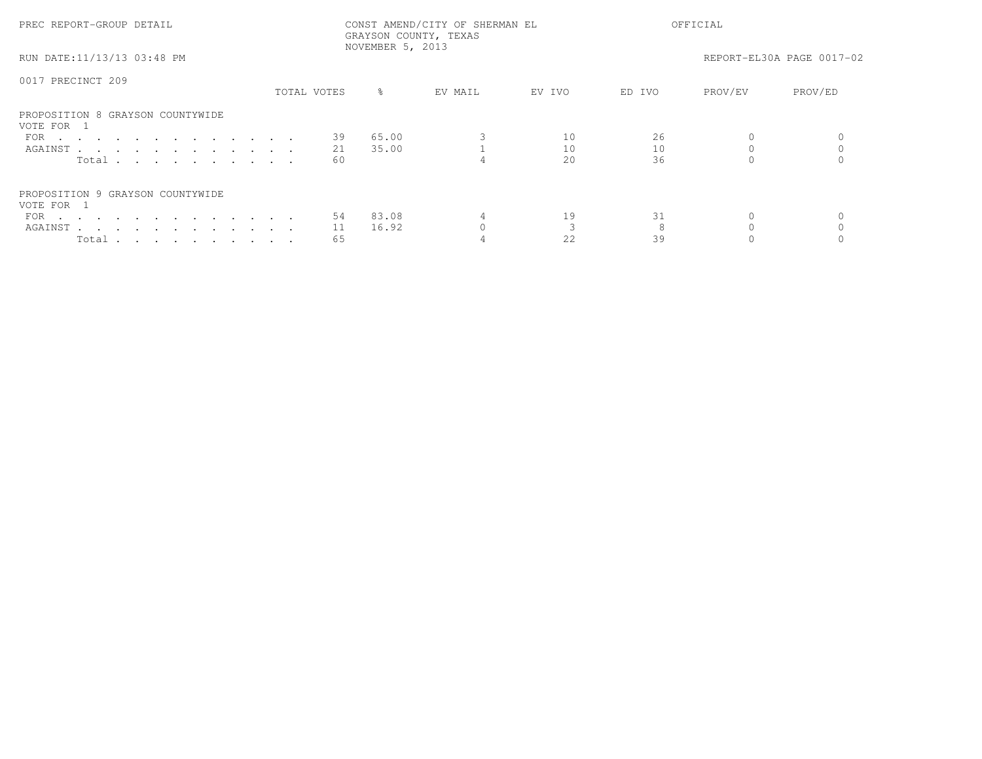| PREC REPORT-GROUP DETAIL                       |             |     |                  | CONST AMEND/CITY OF SHERMAN EL<br>GRAYSON COUNTY, TEXAS |        | OFFICIAL |         |                           |
|------------------------------------------------|-------------|-----|------------------|---------------------------------------------------------|--------|----------|---------|---------------------------|
| RUN DATE:11/13/13 03:48 PM                     |             |     | NOVEMBER 5, 2013 |                                                         |        |          |         | REPORT-EL30A PAGE 0017-02 |
| 0017 PRECINCT 209                              |             |     |                  |                                                         |        |          |         |                           |
|                                                | TOTAL VOTES |     | ွေ               | EV MAIL                                                 | EV IVO | ED IVO   | PROV/EV | PROV/ED                   |
| PROPOSITION 8 GRAYSON COUNTYWIDE<br>VOTE FOR 1 |             |     |                  |                                                         |        |          |         |                           |
| FOR $\cdots$                                   |             | 39  | 65.00            |                                                         | 10     | 26       |         |                           |
| AGAINST                                        |             | 21  | 35.00            |                                                         | 10     | 10       |         |                           |
| Total                                          |             | -60 |                  |                                                         | 2.0    | 36       |         |                           |
| PROPOSITION 9 GRAYSON COUNTYWIDE               |             |     |                  |                                                         |        |          |         |                           |
| VOTE FOR 1                                     |             |     |                  |                                                         |        |          |         |                           |
| FOR $\cdots$                                   |             | 54  | 83.08            |                                                         | 19     | 31       |         |                           |
| AGAINST                                        |             | 11  | 16.92            |                                                         |        |          |         |                           |
| Total $\cdots$ $\cdots$ $\cdots$ $\cdots$      |             | 65  |                  |                                                         | 22     | 39       |         |                           |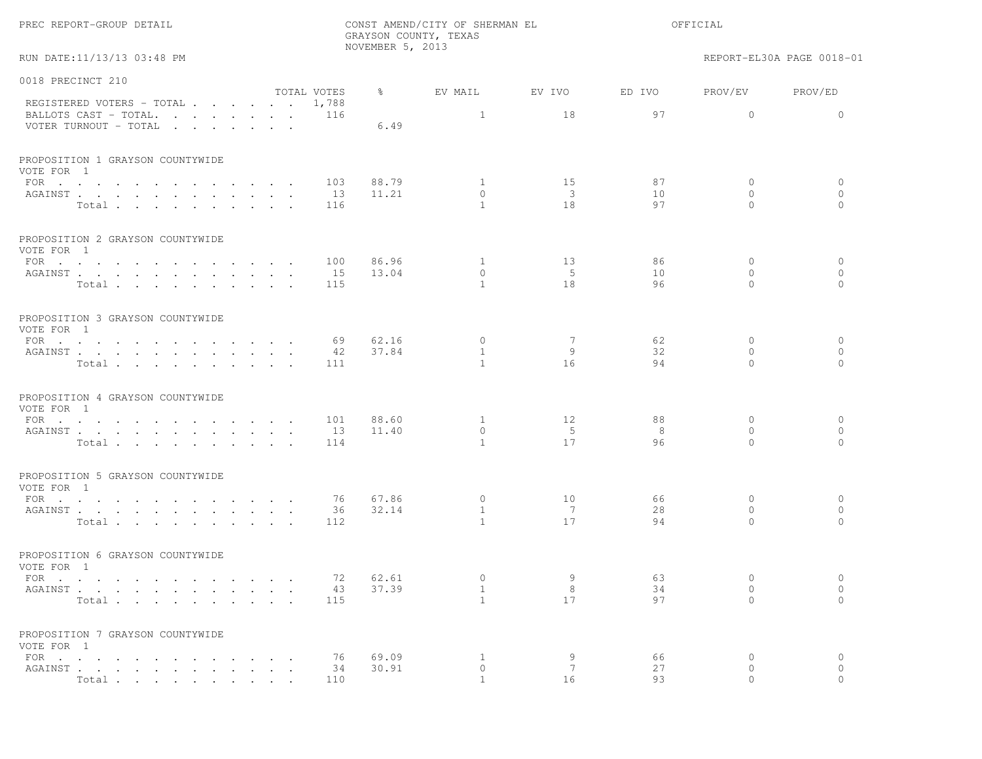|                                                |                      |             | NOVEMBER 5, 2013 | GRAYSON COUNTY, TEXAS     |                               |          |                          |                           |
|------------------------------------------------|----------------------|-------------|------------------|---------------------------|-------------------------------|----------|--------------------------|---------------------------|
| RUN DATE:11/13/13 03:48 PM                     |                      |             |                  |                           |                               |          |                          | REPORT-EL30A PAGE 0018-01 |
| 0018 PRECINCT 210                              |                      |             |                  |                           |                               |          |                          |                           |
| REGISTERED VOTERS - TOTAL 1,788                |                      | TOTAL VOTES | $\frac{6}{6}$    | EV MAIL                   | EV IVO                        | ED IVO   | PROV/EV                  | PROV/ED                   |
| BALLOTS CAST - TOTAL.<br>VOTER TURNOUT - TOTAL |                      | 116         | 6.49             | $\mathbf{1}$              | 18                            | 97       | $\circ$                  | $\mathbf{0}$              |
| PROPOSITION 1 GRAYSON COUNTYWIDE<br>VOTE FOR 1 |                      |             |                  |                           |                               |          |                          |                           |
| FOR $\cdots$                                   |                      | 103         | 88.79            | $\mathbf{1}$              | 15                            | 87       | $\mathbf{0}$             | $\circ$                   |
| AGAINST<br>Total                               |                      | 13<br>116   | 11.21            | $\circ$<br>$\overline{1}$ | $\overline{\mathbf{3}}$<br>18 | 10<br>97 | $\mathbf{0}$<br>$\Omega$ | $\mathbf{0}$<br>$\Omega$  |
|                                                |                      |             |                  |                           |                               |          |                          |                           |
| PROPOSITION 2 GRAYSON COUNTYWIDE<br>VOTE FOR 1 |                      |             |                  |                           |                               |          |                          |                           |
| FOR $\cdots$                                   |                      | 100         | 86.96            | $\mathbf{1}$              | 13                            | 86       | $\mathbf{0}$             | $\circ$                   |
| AGAINST                                        |                      | 15          | 13.04            | $\circ$                   | 5                             | 10       | $\mathbf{0}$             | $\mathbf{0}$              |
| Total                                          |                      | 115         |                  | $\overline{1}$            | 18                            | 96       | $\Omega$                 | $\Omega$                  |
| PROPOSITION 3 GRAYSON COUNTYWIDE<br>VOTE FOR 1 |                      |             |                  |                           |                               |          |                          |                           |
| FOR                                            |                      | 69          | 62.16            | $\circ$                   | 7                             | 62       | $\circ$                  | $\circ$                   |
| AGAINST                                        |                      | 42          | 37.84            | $\mathbf{1}$              | 9                             | 32       | 0                        | $\circ$                   |
| Total                                          |                      | 111         |                  | $\overline{1}$            | 16                            | 94       | $\Omega$                 | $\Omega$                  |
| PROPOSITION 4 GRAYSON COUNTYWIDE<br>VOTE FOR 1 |                      |             |                  |                           |                               |          |                          |                           |
| FOR $\cdots$                                   |                      | 101         | 88.60            | $\mathbf{1}$              | 12                            | 88       | $\mathbf{0}$             | $\circ$                   |
| AGAINST                                        |                      | 13          | 11.40            | $\circ$                   | 5                             | 8        | $\circ$                  | $\circ$                   |
| Total $\cdots$                                 |                      | 114         |                  | $\overline{1}$            | 17                            | 96       | $\Omega$                 | $\Omega$                  |
| PROPOSITION 5 GRAYSON COUNTYWIDE<br>VOTE FOR 1 |                      |             |                  |                           |                               |          |                          |                           |
| FOR $\cdots$                                   |                      | 76          | 67.86            | $\circ$                   | 10                            | 66       | $\mathbf{0}$             | $\circ$                   |
| AGAINST                                        |                      | 36          | 32.14            | $\mathbf{1}$              | 7                             | 28       | $\mathbf{0}$             | $\circ$                   |
| Total                                          |                      | 112         |                  | $\overline{1}$            | 17                            | 94       | $\Omega$                 | $\bigcap$                 |
| PROPOSITION 6 GRAYSON COUNTYWIDE<br>VOTE FOR 1 |                      |             |                  |                           |                               |          |                          |                           |
| FOR $\cdots$                                   |                      | 72          | 62.61            | $\circ$                   | 9                             | 63       | $\mathbf{0}$             | $\circ$                   |
| AGAINST                                        |                      | 43          | 37.39            | $\mathbf{1}$              | 8                             | 34       | 0                        | $\circ$                   |
| Total                                          | $\sim$ $\sim$ $\sim$ | 115         |                  | $\mathbf{1}$              | 17                            | 97       | $\Omega$                 | $\circ$                   |
| PROPOSITION 7 GRAYSON COUNTYWIDE<br>VOTE FOR 1 |                      |             |                  |                           |                               |          |                          |                           |
| FOR $\cdots$ $\cdots$ $\cdots$                 |                      | 76          | 69.09            | $\mathbf{1}$              | 9                             | 66       | 0                        | $\circ$                   |
| AGAINST                                        |                      | 34          | 30.91            | $\circ$                   | 7                             | 27       | $\circ$                  | $\circ$                   |
| Total                                          |                      | 110         |                  |                           | 16                            | 93       |                          |                           |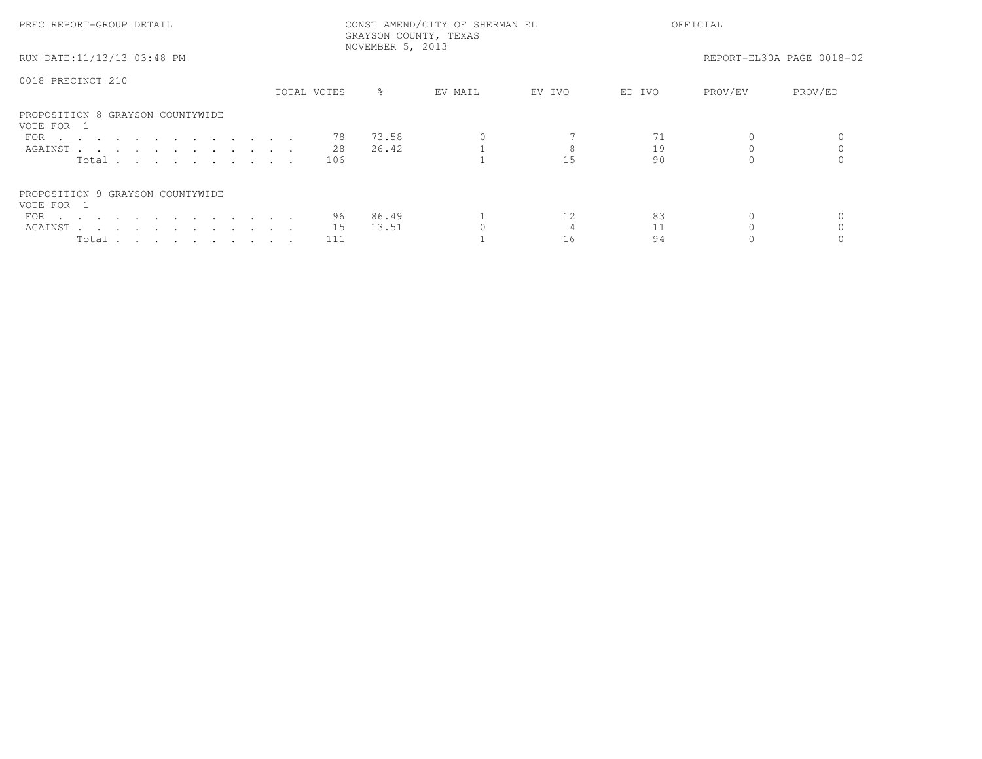| PREC REPORT-GROUP DETAIL                       |             | NOVEMBER 5, 2013 | CONST AMEND/CITY OF SHERMAN EL<br>GRAYSON COUNTY, TEXAS |        | OFFICIAL |         |                           |
|------------------------------------------------|-------------|------------------|---------------------------------------------------------|--------|----------|---------|---------------------------|
| RUN DATE:11/13/13 03:48 PM                     |             |                  |                                                         |        |          |         | REPORT-EL30A PAGE 0018-02 |
| 0018 PRECINCT 210                              |             |                  |                                                         |        |          |         |                           |
|                                                | TOTAL VOTES | $\frac{8}{6}$    | EV MAIL                                                 | EV IVO | ED IVO   | PROV/EV | PROV/ED                   |
| PROPOSITION 8 GRAYSON COUNTYWIDE<br>VOTE FOR 1 |             |                  |                                                         |        |          |         |                           |
| FOR                                            | 78          | 73.58            |                                                         |        |          |         |                           |
| AGAINST                                        | 28          | 26.42            |                                                         |        | 19       |         |                           |
| Total                                          | 106         |                  |                                                         |        | 90       |         |                           |
| PROPOSITION 9 GRAYSON COUNTYWIDE<br>VOTE FOR 1 |             |                  |                                                         |        |          |         |                           |
| FOR $\cdots$                                   | 96          | 86.49            |                                                         | 12     | 83       |         |                           |
| AGAINST                                        | 15          | 13.51            |                                                         |        |          |         |                           |
| Total                                          | 111         |                  |                                                         | 16     | 94       |         |                           |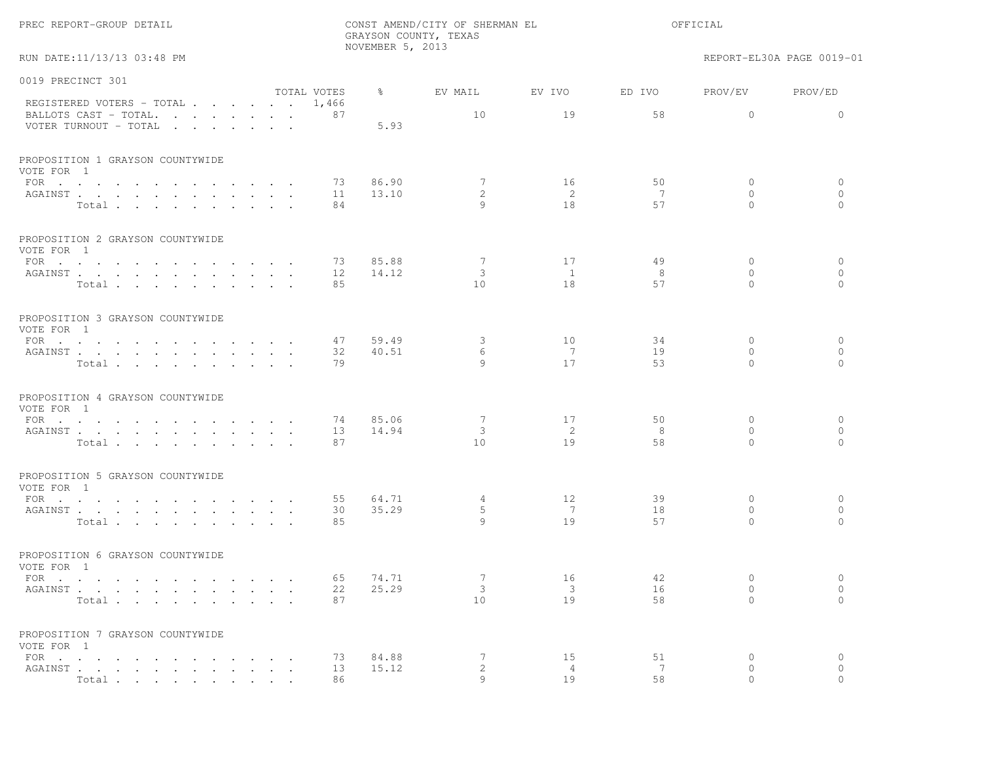|                                                                                   |                        |             | NOVEMBER 5, 2013 | GRAYSON COUNTY, TEXAS            |                      |         |                          |                           |
|-----------------------------------------------------------------------------------|------------------------|-------------|------------------|----------------------------------|----------------------|---------|--------------------------|---------------------------|
| RUN DATE:11/13/13 03:48 PM                                                        |                        |             |                  |                                  |                      |         |                          | REPORT-EL30A PAGE 0019-01 |
| 0019 PRECINCT 301                                                                 |                        |             |                  |                                  |                      |         |                          |                           |
|                                                                                   |                        | TOTAL VOTES | $\frac{6}{6}$    | EV MAIL                          | EV IVO               | ED IVO  | PROV/EV                  | PROV/ED                   |
| REGISTERED VOTERS - TOTAL 1,466<br>BALLOTS CAST - TOTAL.<br>VOTER TURNOUT - TOTAL |                        | 87          | 5.93             | 10                               | 19                   | 58      | $\circ$                  | $\mathbf{0}$              |
| PROPOSITION 1 GRAYSON COUNTYWIDE<br>VOTE FOR 1                                    |                        |             |                  |                                  |                      |         |                          |                           |
| FOR                                                                               |                        | 73          | 86.90            | 7                                | 16                   | 50      | $\circ$                  | $\circ$                   |
| AGAINST<br>Total                                                                  |                        | 11<br>84    | 13.10            | $\mathbf{2}^{\prime}$<br>$\circ$ | $\overline{2}$<br>18 | 7<br>57 | $\mathbf{0}$<br>$\Omega$ | $\mathbf{0}$<br>$\Omega$  |
|                                                                                   |                        |             |                  |                                  |                      |         |                          |                           |
| PROPOSITION 2 GRAYSON COUNTYWIDE<br>VOTE FOR 1                                    |                        |             |                  |                                  |                      |         |                          |                           |
| FOR                                                                               |                        | 73          | 85.88            | 7                                | 17                   | 49      | $\mathbf{0}$             | $\circ$                   |
| AGAINST                                                                           |                        | 12          | 14.12            | 3                                | <sup>1</sup>         | 8       | $\mathbf{0}$             | $\mathbf{0}$              |
| Total                                                                             |                        | 85          |                  | 10                               | 18                   | 57      | $\Omega$                 | $\bigcap$                 |
| PROPOSITION 3 GRAYSON COUNTYWIDE<br>VOTE FOR 1                                    |                        |             |                  |                                  |                      |         |                          |                           |
| FOR                                                                               |                        | 47          | 59.49            | $\mathbf{3}$                     | 10                   | 34      | $\mathbf{0}$             | $\circ$                   |
| AGAINST                                                                           |                        | 32          | 40.51            | 6                                | 7                    | 19      | $\Omega$                 | $\circ$                   |
| Total                                                                             |                        | 79          |                  | 9                                | 17                   | 53      | $\Omega$                 | $\Omega$                  |
| PROPOSITION 4 GRAYSON COUNTYWIDE<br>VOTE FOR 1                                    |                        |             |                  |                                  |                      |         |                          |                           |
| FOR                                                                               |                        | 74          | 85.06            | 7                                | 17                   | 50      | $\mathbf{0}$             | $\circ$                   |
| AGAINST                                                                           |                        | 13          | 14.94            | 3                                | 2                    | 8       | $\mathbf{0}$             | $\circ$                   |
| Total                                                                             |                        | 87          |                  | 10                               | 19                   | 58      | $\Omega$                 | $\Omega$                  |
| PROPOSITION 5 GRAYSON COUNTYWIDE<br>VOTE FOR 1                                    |                        |             |                  |                                  |                      |         |                          |                           |
| FOR                                                                               |                        | 55          | 64.71            | 4                                | 12                   | 39      | $\mathbf{0}$             | $\circ$                   |
| AGAINST                                                                           |                        | 30          | 35.29            | 5                                | 7                    | 18      | $\mathbf{0}$             | $\circ$                   |
| Total                                                                             |                        | 85          |                  | $\circ$                          | 19                   | 57      | $\Omega$                 | $\bigcap$                 |
| PROPOSITION 6 GRAYSON COUNTYWIDE<br>VOTE FOR 1                                    |                        |             |                  |                                  |                      |         |                          |                           |
| FOR $\cdots$                                                                      |                        | 65          | 74.71            | 7                                | 16                   | 42      | $\mathbf{0}$             | $\circ$                   |
| AGAINST                                                                           |                        | 22          | 25.29            | 3                                | 3                    | 16      | 0                        | $\circ$                   |
| Total                                                                             | $\sim 10^{-11}$ $\sim$ | 87          |                  | 10 <sub>o</sub>                  | 19                   | 58      | $\Omega$                 | $\circ$                   |
| PROPOSITION 7 GRAYSON COUNTYWIDE<br>VOTE FOR 1                                    |                        |             |                  |                                  |                      |         |                          |                           |
| FOR $\cdots$ $\cdots$ $\cdots$                                                    |                        | 73          | 84.88            | 7                                | 15                   | 51      | 0                        | $\circ$                   |
| AGAINST                                                                           |                        | 13          | 15.12            | $\mathbf{2}$                     | $\overline{4}$       | 7       | $\circ$                  | $\circ$                   |
| Total                                                                             |                        | 86          |                  | Q                                | 19                   | 58      |                          |                           |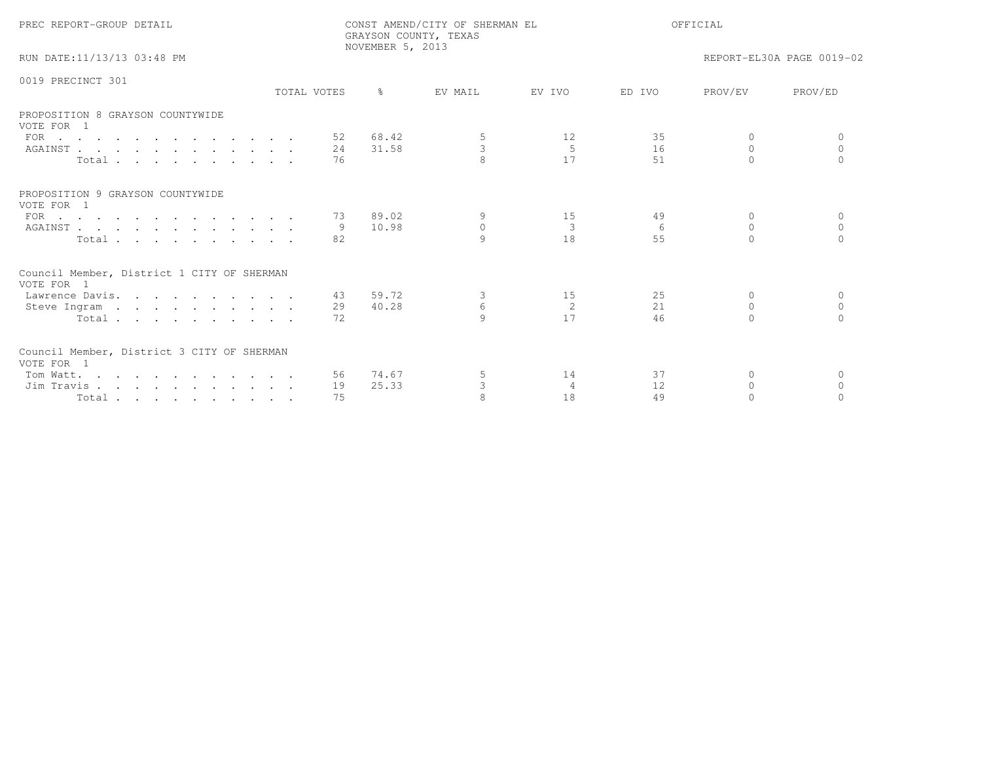| PREC REPORT-GROUP DETAIL                                            |             |     | NOVEMBER 5, 2013 | CONST AMEND/CITY OF SHERMAN EL<br>GRAYSON COUNTY, TEXAS | OFFICIAL       |        |          |                           |
|---------------------------------------------------------------------|-------------|-----|------------------|---------------------------------------------------------|----------------|--------|----------|---------------------------|
| RUN DATE:11/13/13 03:48 PM                                          |             |     |                  |                                                         |                |        |          | REPORT-EL30A PAGE 0019-02 |
| 0019 PRECINCT 301                                                   |             |     |                  |                                                         |                |        |          |                           |
|                                                                     | TOTAL VOTES |     | $\frac{6}{10}$   | EV MAIL                                                 | EV TVO         | ED TVO | PROV/EV  | PROV/ED                   |
| PROPOSITION 8 GRAYSON COUNTYWIDE<br>VOTE FOR 1                      |             |     |                  |                                                         |                |        |          |                           |
| FOR $\cdots$                                                        |             |     | 52 68.42         | 5                                                       | 12             | 35     | $\Omega$ | $\Omega$                  |
| AGAINST                                                             |             | 24  | 31.58            | 3                                                       | $\overline{5}$ | 16     | $\Omega$ | $\Omega$                  |
| Total                                                               |             | 76  |                  | $\mathsf{R}$                                            | 17             | 51     | $\cap$   |                           |
| PROPOSITION 9 GRAYSON COUNTYWIDE<br>VOTE FOR 1                      |             |     |                  |                                                         |                |        |          |                           |
| FOR $\cdots$                                                        |             | 73  | 89.02            | 9                                                       | 15             | 49     | $\Omega$ | $\Omega$                  |
| AGAINST                                                             |             | - 9 | 10.98            | $\circ$                                                 | 3              | 6      | $\Omega$ | $\Omega$                  |
| Total                                                               |             | 82  |                  | 9                                                       | 18             | 55     | $\Omega$ | $\Omega$                  |
| Council Member, District 1 CITY OF SHERMAN<br>VOTE FOR 1            |             |     |                  |                                                         |                |        |          |                           |
| Lawrence Davis.                                                     |             | 43  | 59.72            | 3                                                       | 15             | 25     | $\Omega$ | $\Omega$                  |
| Steve Ingram                                                        |             | 29  | 40.28            | 6                                                       | 2              | 21     | $\Omega$ | $\cap$                    |
| Total                                                               |             | 72  |                  | $\mathsf{Q}$                                            | 17             | 46     |          |                           |
| Council Member, District 3 CITY OF SHERMAN<br>VOTE FOR 1            |             |     |                  |                                                         |                |        |          |                           |
| Tom Watt.                                                           |             |     | 56 74.67         | 5                                                       | 14             | 37     | $\Omega$ | $\Omega$                  |
| Jim Travis                                                          |             | 19  | 25.33            | 3                                                       | $\overline{4}$ | 12     | $\Omega$ | $\Omega$                  |
| $Total \cdot \cdot \cdot \cdot \cdot \cdot \cdot \cdot \cdot \cdot$ |             | 75  |                  |                                                         | 18             | 49     |          |                           |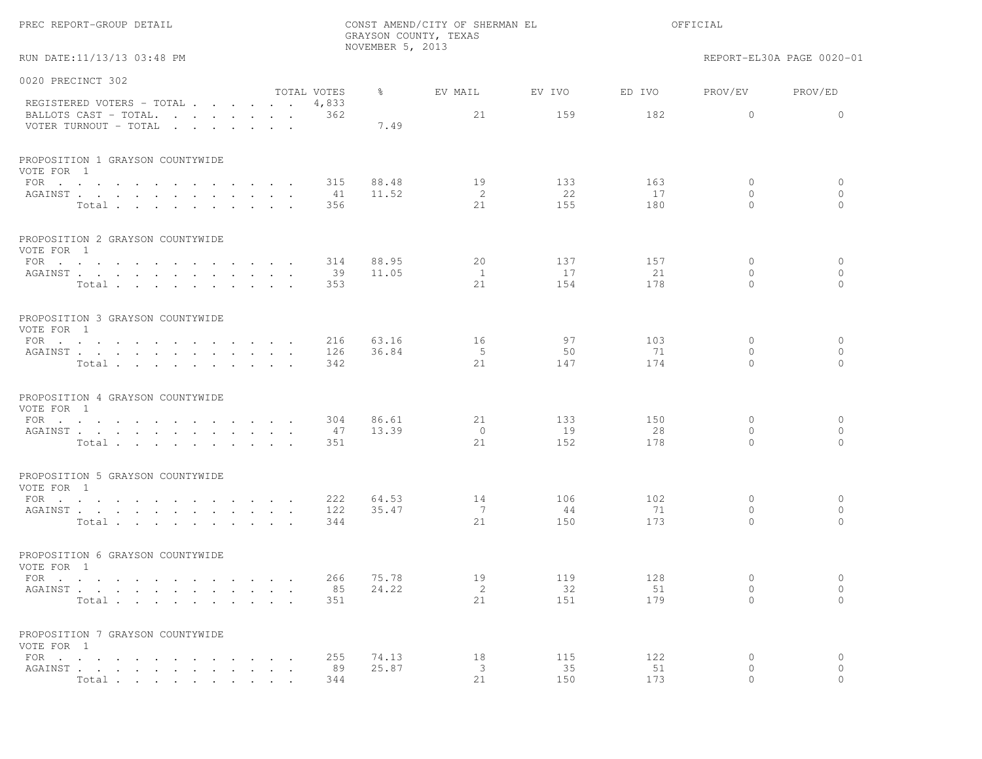| PREC REPORT-GROUP DETAIL                                                                                                                                                                                                                                                            | CONST AMEND/CITY OF SHERMAN EL<br>GRAYSON COUNTY, TEXAS<br>NOVEMBER 5, 2013 |                |                     |           |           | OFFICIAL                |                           |  |
|-------------------------------------------------------------------------------------------------------------------------------------------------------------------------------------------------------------------------------------------------------------------------------------|-----------------------------------------------------------------------------|----------------|---------------------|-----------|-----------|-------------------------|---------------------------|--|
| RUN DATE:11/13/13 03:48 PM                                                                                                                                                                                                                                                          |                                                                             |                |                     |           |           |                         | REPORT-EL30A PAGE 0020-01 |  |
| 0020 PRECINCT 302                                                                                                                                                                                                                                                                   |                                                                             |                |                     |           |           |                         |                           |  |
| REGISTERED VOTERS - TOTAL                                                                                                                                                                                                                                                           | TOTAL VOTES<br>4,833                                                        | $\frac{6}{6}$  | EV MAIL             | EV IVO    | ED IVO    | PROV/EV                 | PROV/ED                   |  |
| BALLOTS CAST - TOTAL.<br>VOTER TURNOUT - TOTAL<br>$\mathbf{r}$ . The set of the set of the set of the set of the set of the set of the set of the set of the set of the set of the set of the set of the set of the set of the set of the set of the set of the set of the set of t | 362                                                                         | 7.49           | 21                  | 159       | 182       | $\circ$                 | $\circ$                   |  |
| PROPOSITION 1 GRAYSON COUNTYWIDE<br>VOTE FOR 1                                                                                                                                                                                                                                      |                                                                             |                |                     |           |           |                         |                           |  |
| FOR                                                                                                                                                                                                                                                                                 | 315                                                                         | 88.48          | 19                  | 133       | 163       | 0                       | $\circ$                   |  |
| AGAINST<br>Total                                                                                                                                                                                                                                                                    | 41<br>356                                                                   | 11.52          | 2<br>21             | 22<br>155 | 17<br>180 | $\circ$<br>$\Omega$     | $\mathbf{0}$<br>$\Omega$  |  |
| PROPOSITION 2 GRAYSON COUNTYWIDE<br>VOTE FOR 1                                                                                                                                                                                                                                      |                                                                             |                |                     |           |           |                         |                           |  |
| FOR $\cdots$                                                                                                                                                                                                                                                                        | 314                                                                         | 88.95          | 20                  | 137       | 157       | $\mathbf{0}$            | $\mathbf{0}$              |  |
| AGAINST<br>Total                                                                                                                                                                                                                                                                    | 39<br>353                                                                   | 11.05          | <sup>1</sup><br>2.1 | 17<br>154 | 21<br>178 | $\circ$<br>$\Omega$     | $\mathbf{0}$<br>$\Omega$  |  |
| PROPOSITION 3 GRAYSON COUNTYWIDE<br>VOTE FOR 1                                                                                                                                                                                                                                      |                                                                             |                |                     |           |           |                         |                           |  |
| FOR $\cdots$<br>AGAINST                                                                                                                                                                                                                                                             | 216<br>126                                                                  | 63.16<br>36.84 | 16<br>5             | 97<br>50  | 103<br>71 | $\mathbf{0}$<br>$\circ$ | $\mathbf{0}$<br>$\circ$   |  |
| Total                                                                                                                                                                                                                                                                               | 342                                                                         |                | 21                  | 147       | 174       | $\Omega$                | $\Omega$                  |  |
| PROPOSITION 4 GRAYSON COUNTYWIDE<br>VOTE FOR 1                                                                                                                                                                                                                                      |                                                                             |                |                     |           |           |                         |                           |  |
| FOR $\cdots$                                                                                                                                                                                                                                                                        | 304                                                                         | 86.61          | 21                  | 133       | 150       | 0                       | $\circ$                   |  |
| AGAINST<br>Total $\cdots$                                                                                                                                                                                                                                                           | 47<br>351                                                                   | 13.39          | $\circ$<br>2.1      | 19<br>152 | 28<br>178 | $\circ$<br>$\Omega$     | $\mathbf{0}$<br>$\Omega$  |  |
| PROPOSITION 5 GRAYSON COUNTYWIDE<br>VOTE FOR 1                                                                                                                                                                                                                                      |                                                                             |                |                     |           |           |                         |                           |  |
| FOR $\cdots$ $\cdots$ $\cdots$ $\cdots$<br>and a strategic control of the strategic                                                                                                                                                                                                 | 222                                                                         | 64.53          | 14                  | 106       | 102       | $\circ$                 | $\circ$                   |  |
| AGAINST<br>Total                                                                                                                                                                                                                                                                    | 122<br>344                                                                  | 35.47          | 7<br>21             | 44<br>150 | 71<br>173 | $\circ$<br>$\Omega$     | $\mathbf{0}$<br>$\Omega$  |  |
| PROPOSITION 6 GRAYSON COUNTYWIDE<br>VOTE FOR 1                                                                                                                                                                                                                                      |                                                                             |                |                     |           |           |                         |                           |  |
| FOR $\cdots$                                                                                                                                                                                                                                                                        | 266                                                                         | 75.78<br>24.22 | 19                  | 119       | 128       | $\circ$<br>$\mathbf 0$  | $\circ$<br>$\circ$        |  |
| AGAINST<br>$\sim$<br>Total                                                                                                                                                                                                                                                          | 85<br>351                                                                   |                | 2<br>21             | 32<br>151 | 51<br>179 | $\Omega$                | $\Omega$                  |  |
| PROPOSITION 7 GRAYSON COUNTYWIDE<br>VOTE FOR 1                                                                                                                                                                                                                                      |                                                                             |                |                     |           |           |                         |                           |  |
| FOR $\cdots$ $\cdots$ $\cdots$<br>$\sim$ $\sim$ $\sim$                                                                                                                                                                                                                              | 255                                                                         | 74.13          | 18                  | 115       | 122       | 0                       | $\circ$                   |  |
| AGAINST<br>$\ddot{\phantom{a}}$<br>Total.                                                                                                                                                                                                                                           | 89<br>344                                                                   | 25.87          | 3<br>21             | 35<br>150 | 51<br>173 | $\circ$<br>$\cap$       | $\circ$                   |  |
|                                                                                                                                                                                                                                                                                     |                                                                             |                |                     |           |           |                         |                           |  |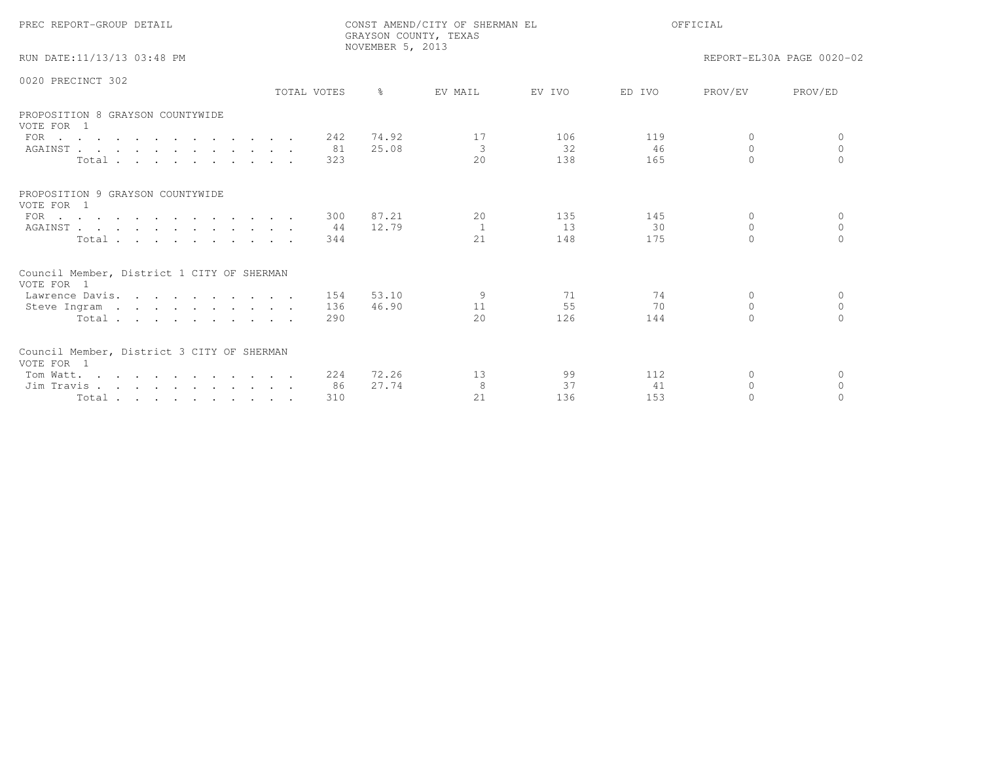| PREC REPORT-GROUP DETAIL                                 |             |      | NOVEMBER 5, 2013 | CONST AMEND/CITY OF SHERMAN EL<br>GRAYSON COUNTY, TEXAS |        | OFFICIAL |           |                           |  |
|----------------------------------------------------------|-------------|------|------------------|---------------------------------------------------------|--------|----------|-----------|---------------------------|--|
| RUN DATE:11/13/13 03:48 PM                               |             |      |                  |                                                         |        |          |           | REPORT-EL30A PAGE 0020-02 |  |
| 0020 PRECINCT 302                                        |             |      |                  |                                                         |        |          |           |                           |  |
|                                                          | TOTAL VOTES |      | $\frac{6}{10}$   | EV MAIL                                                 | EV IVO | ED IVO   | PROV/EV   | PROV/ED                   |  |
| PROPOSITION 8 GRAYSON COUNTYWIDE<br>VOTE FOR 1           |             |      |                  |                                                         |        |          |           |                           |  |
| FOR                                                      |             | 242  | 74.92            | 17                                                      | 106    | 119      | $\Omega$  | $\Omega$                  |  |
| AGAINST                                                  |             | - 81 | 25.08            | 3                                                       | 32     | 46       | $\Omega$  | $\Omega$                  |  |
| Total                                                    |             | 323  |                  | 20                                                      | 138    | 165      | $\cap$    | $\cap$                    |  |
| PROPOSITION 9 GRAYSON COUNTYWIDE<br>VOTE FOR 1           |             |      |                  |                                                         |        |          |           |                           |  |
| FOR $\cdots$                                             |             | 300  | 87.21            | 20                                                      | 135    | 145      | $\Omega$  | $\Omega$                  |  |
| AGAINST                                                  |             | 44   | 12.79            | $\overline{1}$                                          | 13     | 30       | $\Omega$  | $\Omega$                  |  |
| Total                                                    |             | 344  |                  | 21                                                      | 148    | 175      | $\Omega$  |                           |  |
| Council Member, District 1 CITY OF SHERMAN<br>VOTE FOR 1 |             |      |                  |                                                         |        |          |           |                           |  |
| Lawrence Davis.                                          |             | 154  | 53.10            | 9                                                       | 71     | 74       | $\Omega$  | $\Omega$                  |  |
| Steve Ingram                                             |             | 136  | 46.90            | 11                                                      | 55     | 70       | $\Omega$  | $\circ$                   |  |
| Total                                                    |             | 290  |                  | 2.0                                                     | 126    | 144      | $\bigcap$ | $\bigcap$                 |  |
| Council Member, District 3 CITY OF SHERMAN<br>VOTE FOR 1 |             |      |                  |                                                         |        |          |           |                           |  |
| Tom Watt.                                                |             | 224  | 72.26            | 13                                                      | 99     | 112      | $\Omega$  | $\Omega$                  |  |
| Jim Travis                                               |             | 86   | 27.74            | 8                                                       | 37     | 41       | $\Omega$  | $\Omega$                  |  |
| Total                                                    |             | 310  |                  | 2.1                                                     | 136    | 153      | $\Omega$  |                           |  |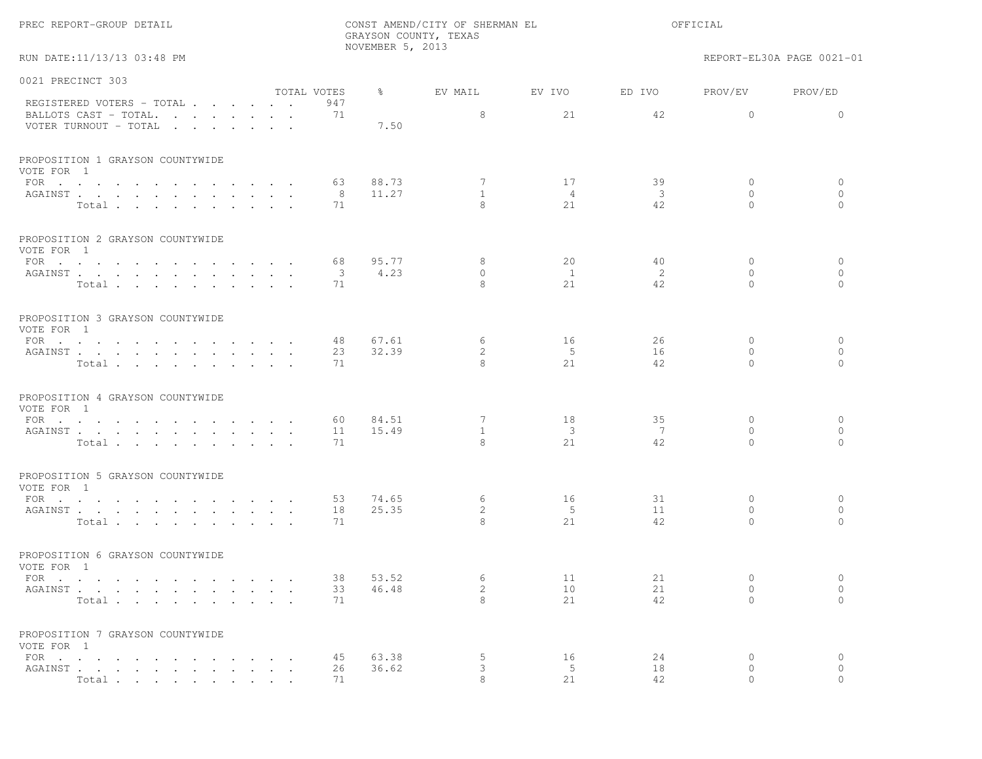|                                                                   |                         |                  | GRAYSON COUNTY, TEXAS             |                            |                                     |                                 |                                |
|-------------------------------------------------------------------|-------------------------|------------------|-----------------------------------|----------------------------|-------------------------------------|---------------------------------|--------------------------------|
| RUN DATE:11/13/13 03:48 PM                                        |                         | NOVEMBER 5, 2013 |                                   |                            |                                     |                                 | REPORT-EL30A PAGE 0021-01      |
| 0021 PRECINCT 303                                                 | TOTAL VOTES             | $\frac{8}{6}$    | EV MAIL                           | EV IVO                     | ED IVO                              | PROV/EV                         | PROV/ED                        |
| REGISTERED VOTERS - TOTAL                                         | 947                     |                  |                                   |                            |                                     |                                 |                                |
| BALLOTS CAST - TOTAL.<br>VOTER TURNOUT - TOTAL                    | 71                      | 7.50             | 8                                 | 21                         | 42                                  | $\overline{0}$                  | $\circ$                        |
| PROPOSITION 1 GRAYSON COUNTYWIDE<br>VOTE FOR 1                    |                         |                  |                                   |                            |                                     |                                 |                                |
| FOR<br>AGAINST<br>Total                                           | 63<br>8<br>71           | 88.73<br>11.27   | 7<br>$\mathbf{1}$<br>$\mathsf{R}$ | 17<br>$\overline{4}$<br>21 | 39<br>$\overline{\mathbf{3}}$<br>42 | $\circ$<br>$\Omega$<br>$\Omega$ | $\circ$<br>$\Omega$<br>$\circ$ |
| PROPOSITION 2 GRAYSON COUNTYWIDE<br>VOTE FOR 1                    |                         |                  |                                   |                            |                                     |                                 |                                |
| FOR $\cdots$                                                      | 68                      | 95.77            | 8                                 | 20                         | 40                                  | $\mathbf{0}$                    | $\mathbf{0}$                   |
| AGAINST                                                           | $\overline{\mathbf{3}}$ | 4.23             | $\Omega$                          | $\overline{1}$             | 2                                   | $\Omega$                        | $\Omega$                       |
| Total                                                             | 71                      |                  | 8                                 | 2.1                        | 42.                                 | $\Omega$                        | $\Omega$                       |
| PROPOSITION 3 GRAYSON COUNTYWIDE<br>VOTE FOR 1                    |                         |                  |                                   |                            |                                     |                                 |                                |
| FOR                                                               | 48                      | 67.61            | 6                                 | 16                         | 26                                  | $\Omega$                        | $\mathbf{0}$                   |
| AGAINST<br>Total                                                  | 23<br>71                | 32.39            | $\overline{2}$<br>8               | 5<br>21                    | 16<br>42.                           | $\mathbf{0}$<br>$\Omega$        | $\circ$<br>$\Omega$            |
| PROPOSITION 4 GRAYSON COUNTYWIDE<br>VOTE FOR 1                    |                         |                  |                                   |                            |                                     |                                 |                                |
| FOR $\cdots$                                                      | 60                      | 84.51            | 7                                 | 18                         | 35                                  | $\mathbf{0}$                    | $\circ$                        |
| AGAINST<br>Total                                                  | 11<br>71                | 15.49            | $\mathbf{1}$<br>$\mathsf{R}$      | $\mathbf{3}$<br>21         | 7<br>42                             | $\mathbf{0}$<br>$\Omega$        | $\circ$<br>$\Omega$            |
| PROPOSITION 5 GRAYSON COUNTYWIDE<br>VOTE FOR 1                    |                         |                  |                                   |                            |                                     |                                 |                                |
| FOR $\cdots$                                                      | 53                      | 74.65            | 6                                 | 16                         | 31                                  | $\mathbf{0}$                    | $\mathbf{0}$                   |
| AGAINST                                                           | 18                      | 25.35            | $\mathbf{2}$                      | 5                          | 11                                  | $\Omega$                        | $\Omega$                       |
| Total                                                             | 71                      |                  | 8                                 | 21                         | 42                                  | $\Omega$                        | $\Omega$                       |
| PROPOSITION 6 GRAYSON COUNTYWIDE<br>VOTE FOR 1                    |                         |                  |                                   |                            |                                     |                                 |                                |
| FOR                                                               | 38                      | 53.52            | 6                                 | 11                         | 21                                  | $\mathbf{0}$                    | $\circ$                        |
| AGAINST                                                           | 33                      | 46.48            | 2                                 | 10                         | 21                                  | $\circ$                         | $\circ$                        |
| Total                                                             | 71                      |                  | $\mathsf{R}$                      | 2.1                        | 42.                                 | $\Omega$                        | $\bigcap$                      |
| PROPOSITION 7 GRAYSON COUNTYWIDE<br>VOTE FOR 1                    |                         |                  |                                   |                            |                                     |                                 |                                |
| FOR                                                               | 45                      | 63.38            | 5                                 | 16                         | 24                                  | $\circ$                         | $\circ$                        |
| AGAINST<br><b>Total</b> contract the contract of the <b>Total</b> | 26<br>71                | 36.62            | 3<br>8                            | 5<br>21                    | 18<br>42                            | $\mathbf{0}$<br>$\Omega$        | $\Omega$<br>$\Omega$           |
|                                                                   |                         |                  |                                   |                            |                                     |                                 |                                |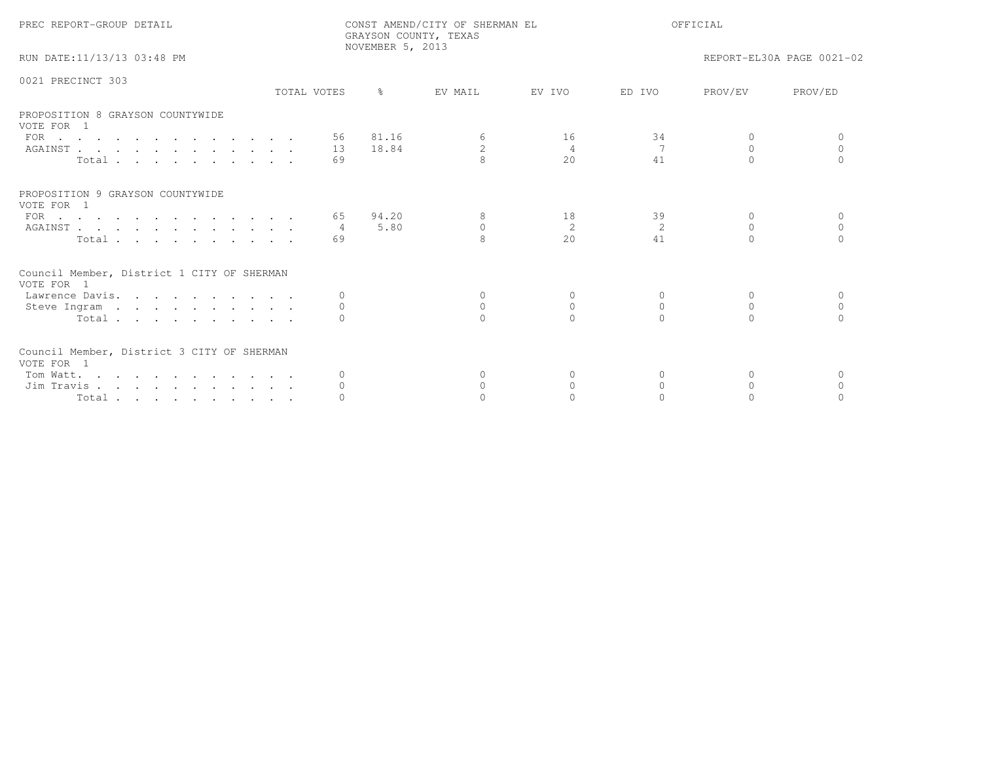| PREC REPORT-GROUP DETAIL                                 |             |          | NOVEMBER 5, 2013 | CONST AMEND/CITY OF SHERMAN EL<br>GRAYSON COUNTY, TEXAS |                | OFFICIAL |          |                           |  |
|----------------------------------------------------------|-------------|----------|------------------|---------------------------------------------------------|----------------|----------|----------|---------------------------|--|
| RUN DATE:11/13/13 03:48 PM                               |             |          |                  |                                                         |                |          |          | REPORT-EL30A PAGE 0021-02 |  |
| 0021 PRECINCT 303                                        | TOTAL VOTES |          | $\frac{6}{10}$   | EV MAIL                                                 | EV IVO         | ED IVO   | PROV/EV  | PROV/ED                   |  |
|                                                          |             |          |                  |                                                         |                |          |          |                           |  |
| PROPOSITION 8 GRAYSON COUNTYWIDE<br>VOTE FOR 1           |             |          |                  |                                                         |                |          |          |                           |  |
| FOR $\cdots$                                             |             |          | 56 81.16         | 6                                                       | 16             | 34       | $\Omega$ |                           |  |
| AGAINST                                                  |             | 13       | 18.84            | 2                                                       | $\overline{4}$ | 7        | $\Omega$ | $\Omega$                  |  |
| Total                                                    |             | 69       |                  | $\mathbf{R}$                                            | 2.0            | 41       | $\cap$   |                           |  |
| PROPOSITION 9 GRAYSON COUNTYWIDE<br>VOTE FOR 1           |             |          |                  |                                                         |                |          |          |                           |  |
| FOR $\cdots$                                             |             | 65       | 94.20            | 8                                                       | 18             | 39       | $\Omega$ | $\Omega$                  |  |
| AGAINST                                                  |             | 4        | 5.80             | $\circ$                                                 | 2              | 2        | $\Omega$ | $\Omega$                  |  |
| Total                                                    |             | 69       |                  | 8                                                       | 2.0            | 41       | $\Omega$ | $\Omega$                  |  |
| Council Member, District 1 CITY OF SHERMAN<br>VOTE FOR 1 |             |          |                  |                                                         |                |          |          |                           |  |
| Lawrence Davis.                                          |             | $\Omega$ |                  | $\Omega$                                                | 0              | $\Omega$ | $\Omega$ | $\Omega$                  |  |
| Steve Ingram                                             |             | $\circ$  |                  | $\Omega$                                                | $\Omega$       | $\Omega$ | $\Omega$ | $\cap$                    |  |
| Total                                                    |             | $\Omega$ |                  | $\cap$                                                  | $\cap$         | $\cap$   |          |                           |  |
| Council Member, District 3 CITY OF SHERMAN<br>VOTE FOR 1 |             |          |                  |                                                         |                |          |          |                           |  |
| Tom Watt.                                                |             |          |                  | $\Omega$                                                |                | $\Omega$ | 0        |                           |  |
| Jim Travis                                               |             |          |                  | $\Omega$                                                | $\Omega$       | $\Omega$ | $\Omega$ | $\Omega$                  |  |
| Total                                                    |             |          |                  |                                                         |                |          |          |                           |  |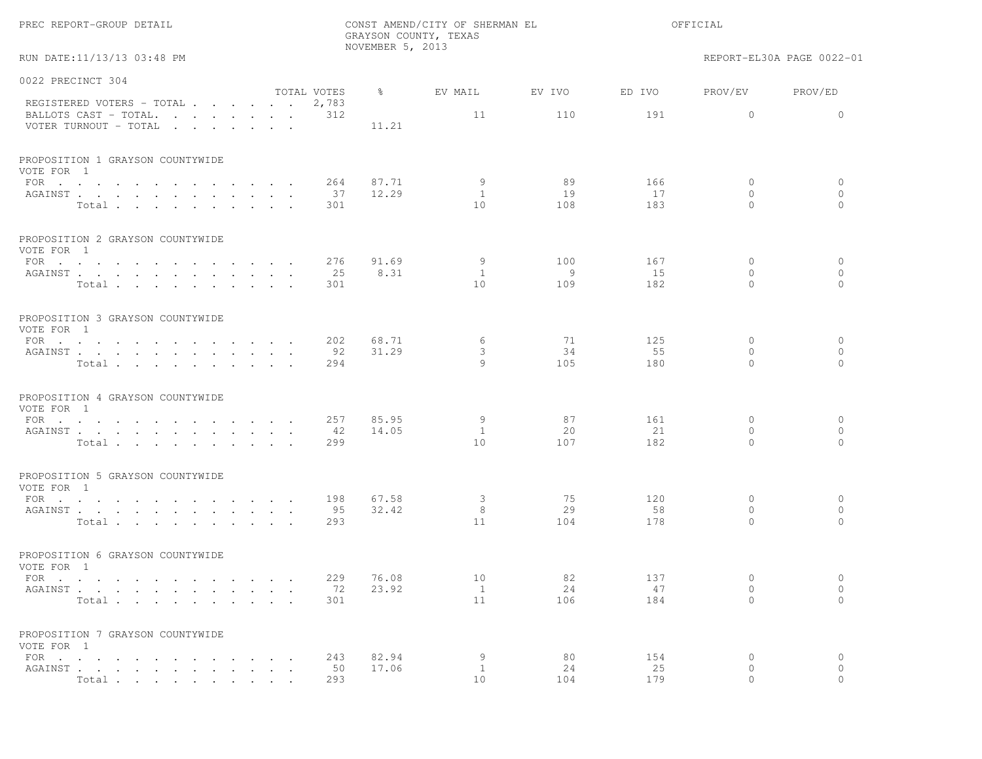|                                                                                                                                                                       |                           |                             | NOVEMBER 5, 2013 | GRAYSON COUNTY, TEXAS |               |               |                           |                           |
|-----------------------------------------------------------------------------------------------------------------------------------------------------------------------|---------------------------|-----------------------------|------------------|-----------------------|---------------|---------------|---------------------------|---------------------------|
| RUN DATE:11/13/13 03:48 PM                                                                                                                                            |                           |                             |                  |                       |               |               |                           | REPORT-EL30A PAGE 0022-01 |
| 0022 PRECINCT 304                                                                                                                                                     |                           |                             |                  |                       |               |               |                           |                           |
| REGISTERED VOTERS - TOTAL<br>BALLOTS CAST - TOTAL.<br>the contract of the contract of the contract of the contract of the contract of the contract of the contract of |                           | TOTAL VOTES<br>2,783<br>312 | ႜၟ               | EV MAIL<br>11         | EV IVO<br>110 | ED IVO<br>191 | PROV/EV<br>$\overline{0}$ | PROV/ED<br>$\circ$        |
| VOTER TURNOUT - TOTAL<br>and the state of the state of the state of                                                                                                   |                           |                             | 11.21            |                       |               |               |                           |                           |
| PROPOSITION 1 GRAYSON COUNTYWIDE<br>VOTE FOR 1                                                                                                                        |                           |                             |                  |                       |               |               |                           |                           |
| FOR<br>AGAINST                                                                                                                                                        |                           | 264<br>37                   | 87.71<br>12.29   | 9<br><sup>1</sup>     | 89<br>19      | 166<br>17     | $\circ$<br>$\circ$        | $\circ$<br>$\circ$        |
| Total                                                                                                                                                                 |                           | 301                         |                  | 10                    | 108           | 183           | $\Omega$                  | $\Omega$                  |
| PROPOSITION 2 GRAYSON COUNTYWIDE                                                                                                                                      |                           |                             |                  |                       |               |               |                           |                           |
| VOTE FOR 1<br>FOR                                                                                                                                                     |                           | 276                         | 91.69            | 9                     | 100           | 167           | 0                         | $\circ$                   |
| AGAINST.                                                                                                                                                              | $\mathbf{L} = \mathbf{L}$ | 25                          | 8.31             | 1                     | 9             | 15            | $\circ$                   | $\circ$                   |
| Total                                                                                                                                                                 |                           | 301                         |                  | 10                    | 109           | 182           | $\circ$                   | $\Omega$                  |
| PROPOSITION 3 GRAYSON COUNTYWIDE<br>VOTE FOR 1                                                                                                                        |                           |                             |                  |                       |               |               |                           |                           |
| FOR $\cdots$                                                                                                                                                          |                           | 202                         | 68.71            | 6                     | 71            | 125           | $\circ$                   | $\circ$                   |
| AGAINST                                                                                                                                                               | $\sim$ $\sim$             | 92                          | 31.29            | 3                     | 34            | 55            | $\mathbf{0}$              | $\circ$                   |
| Total.                                                                                                                                                                |                           | 294                         |                  | 9                     | 105           | 180           | $\Omega$                  | $\Omega$                  |
| PROPOSITION 4 GRAYSON COUNTYWIDE<br>VOTE FOR 1                                                                                                                        |                           |                             |                  |                       |               |               |                           |                           |
| FOR $\cdots$ $\cdots$ $\cdots$<br>the contract of the contract of the contract of the contract of the contract of the contract of the contract of                     |                           | 257                         | 85.95            | 9                     | 87            | 161           | $\circ$                   | $\circ$                   |
| AGAINST<br>Total                                                                                                                                                      | $\sim$ $\sim$             | 42<br>299                   | 14.05            | $\mathbf{1}$<br>10    | 20<br>107     | 21<br>182     | $\circ$<br>$\Omega$       | $\circ$<br>$\Omega$       |
|                                                                                                                                                                       |                           |                             |                  |                       |               |               |                           |                           |
| PROPOSITION 5 GRAYSON COUNTYWIDE<br>VOTE FOR 1                                                                                                                        |                           |                             |                  |                       |               |               |                           |                           |
| FOR $\cdots$ $\cdots$ $\cdots$ $\cdots$                                                                                                                               | $\sim$ $\sim$             | 198                         | 67.58            | 3                     | 75            | 120           | 0                         | $\circ$                   |
| AGAINST<br>Total $\cdots$ $\cdots$ $\cdots$                                                                                                                           | $\cdot$ $\cdot$           | 95<br>293                   | 32.42            | 8<br>11               | 29<br>104     | 58<br>178     | $\mathbf{0}$<br>$\Omega$  | $\circ$<br>$\Omega$       |
|                                                                                                                                                                       |                           |                             |                  |                       |               |               |                           |                           |
| PROPOSITION 6 GRAYSON COUNTYWIDE<br>VOTE FOR 1                                                                                                                        |                           |                             |                  |                       |               |               |                           |                           |
| FOR                                                                                                                                                                   |                           | 229                         | 76.08            | 10                    | 82            | 137           | $\circ$                   | $\circ$                   |
| AGAINST<br>Total                                                                                                                                                      |                           | 72<br>301                   | 23.92            | $\mathbf{1}$<br>11    | 24<br>106     | 47<br>184     | $\circ$<br>$\circ$        | $\circ$<br>$\circ$        |
|                                                                                                                                                                       |                           |                             |                  |                       |               |               |                           |                           |
| PROPOSITION 7 GRAYSON COUNTYWIDE<br>VOTE FOR 1                                                                                                                        |                           |                             |                  |                       |               |               |                           |                           |
| FOR $\cdots$ $\cdots$ $\cdots$ $\cdots$                                                                                                                               |                           | 243                         | 82.94            | 9                     | 80            | 154           | 0                         | $\circ$                   |
| AGAINST<br>Total                                                                                                                                                      |                           | 50<br>293                   | 17.06            | $\mathbf{1}$<br>10    | 24<br>104     | 25<br>179     | 0                         | $\circ$                   |
|                                                                                                                                                                       |                           |                             |                  |                       |               |               |                           |                           |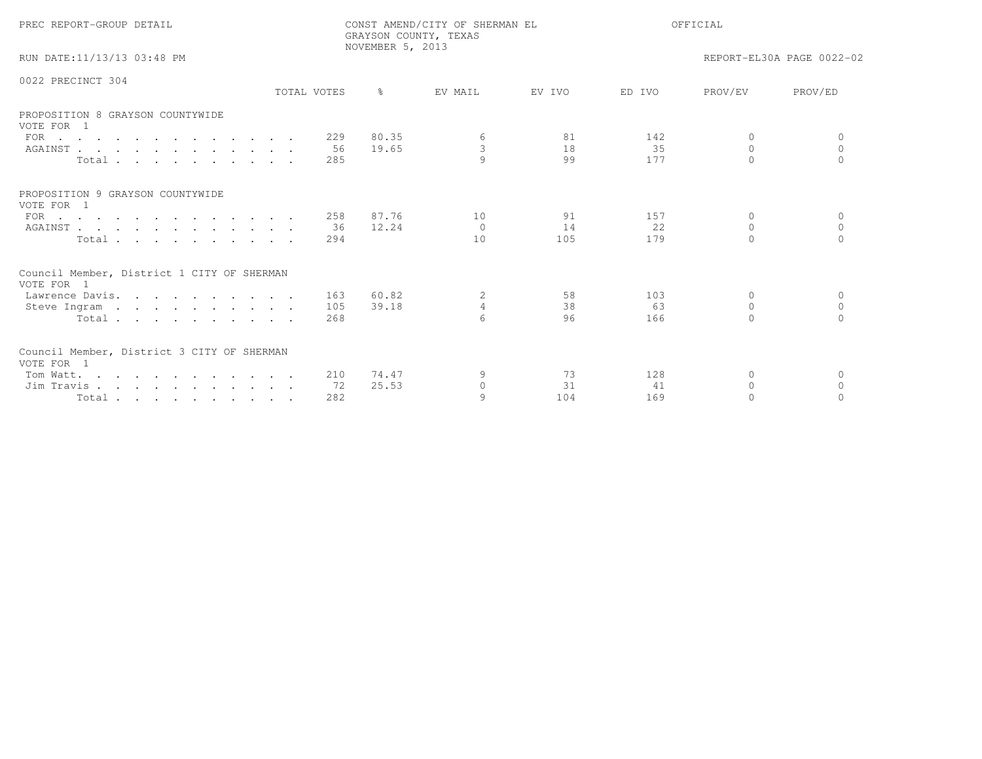| PREC REPORT-GROUP DETAIL                                 |             |     | NOVEMBER 5, 2013 | CONST AMEND/CITY OF SHERMAN EL<br>GRAYSON COUNTY, TEXAS | OFFICIAL |        |           |                           |
|----------------------------------------------------------|-------------|-----|------------------|---------------------------------------------------------|----------|--------|-----------|---------------------------|
| RUN DATE:11/13/13 03:48 PM                               |             |     |                  |                                                         |          |        |           | REPORT-EL30A PAGE 0022-02 |
| 0022 PRECINCT 304                                        | TOTAL VOTES |     | $\approx$        | EV MAIL                                                 | EV IVO   | ED IVO | PROV/EV   | PROV/ED                   |
|                                                          |             |     |                  |                                                         |          |        |           |                           |
| PROPOSITION 8 GRAYSON COUNTYWIDE<br>VOTE FOR 1           |             |     |                  |                                                         |          |        |           |                           |
| FOR $\cdots$                                             |             | 229 | 80.35            | 6                                                       | 81       | 142    | $\Omega$  | $\Omega$                  |
| AGAINST                                                  |             | 56  | 19.65            | $\mathbf{3}$                                            | 18       | 35     | $\Omega$  | $\Omega$                  |
| Total                                                    |             | 285 |                  | $\circ$                                                 | 99       | 177    | $\cap$    | $\cap$                    |
| PROPOSITION 9 GRAYSON COUNTYWIDE<br>VOTE FOR 1           |             |     |                  |                                                         |          |        |           |                           |
| FOR $\cdots$                                             |             | 258 | 87.76            | 10                                                      | 91       | 157    | $\Omega$  | $\Omega$                  |
| AGAINST                                                  |             | 36  | 12.24            | $\bigcap$                                               | 14       | 22     | $\Omega$  | $\bigcap$                 |
| Total                                                    |             | 294 |                  | 10                                                      | 105      | 179    | $\Omega$  |                           |
| Council Member, District 1 CITY OF SHERMAN<br>VOTE FOR 1 |             |     |                  |                                                         |          |        |           |                           |
| Lawrence Davis.                                          |             | 163 | 60.82            | 2                                                       | 58       | 103    | $\Omega$  | $\Omega$                  |
| Steve Ingram                                             |             | 105 | 39.18            | $\overline{4}$                                          | 38       | 63     | $\Omega$  | $\Omega$                  |
| Total                                                    |             | 268 |                  | $\epsilon$                                              | 96       | 166    | $\bigcap$ | $\cap$                    |
| Council Member, District 3 CITY OF SHERMAN<br>VOTE FOR 1 |             |     |                  |                                                         |          |        |           |                           |
| Tom Watt.                                                |             | 210 | 74.47            |                                                         | 73       | 128    | $\Omega$  | $\Omega$                  |
| Jim Travis                                               |             | 72  | 25.53            | $\Omega$                                                | 31       | 41     | $\Omega$  | $\Omega$                  |
| Total                                                    |             | 282 |                  | $\circ$                                                 | 104      | 169    | $\Omega$  |                           |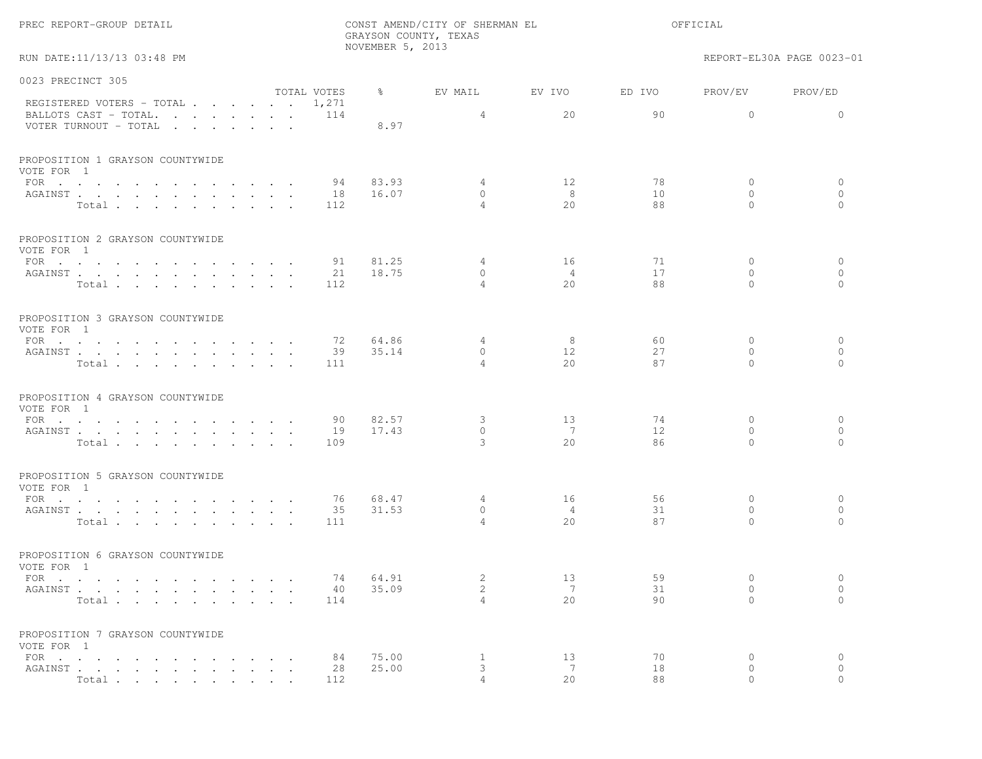RUN DATE:11/13/13 03:48 PM REPORT-EL30A PAGE 0023-01

| 0023 PRECINCT 305                                                       |             |               |                |                              |        |              |              |
|-------------------------------------------------------------------------|-------------|---------------|----------------|------------------------------|--------|--------------|--------------|
|                                                                         | TOTAL VOTES | $\frac{8}{6}$ | EV MAIL        | EV IVO                       | ED IVO | PROV/EV      | PROV/ED      |
| REGISTERED VOTERS - TOTAL<br>BALLOTS CAST - TOTAL. 114                  | 1,271       |               | 4              | 20                           | 90     | $\mathbf 0$  | $\Omega$     |
| VOTER TURNOUT - TOTAL                                                   |             | 8.97          |                |                              |        |              |              |
| PROPOSITION 1 GRAYSON COUNTYWIDE                                        |             |               |                |                              |        |              |              |
| VOTE FOR 1<br>FOR $\cdots$ $\cdots$ $\cdots$ $\cdots$ $\cdots$ $\cdots$ | 94          | 83.93         | 4              | 12                           | 78     | $\circ$      | 0            |
| AGAINST                                                                 | 18          | 16.07         | $\Omega$       | -8                           | 10     | $\Omega$     | $\circ$      |
| Total                                                                   | 112         |               | $\overline{4}$ | 2.0                          | 88     | $\Omega$     | $\Omega$     |
| PROPOSITION 2 GRAYSON COUNTYWIDE<br>VOTE FOR 1                          |             |               |                |                              |        |              |              |
| FOR $\cdots$                                                            | 91          | 81.25         | 4              | 16                           | 71     | $\circ$      | 0            |
| AGAINST                                                                 | 21          | 18.75         | $\circ$        | $\overline{4}$               | 17     | $\mathbf{0}$ | $\circ$      |
| Total                                                                   | 112         |               | $\overline{4}$ | 2.0                          | 88     | $\Omega$     | $\circ$      |
| PROPOSITION 3 GRAYSON COUNTYWIDE<br>VOTE FOR 1                          |             |               |                |                              |        |              |              |
|                                                                         | 72          | 64.86         | $\overline{4}$ | 8                            | 60     | $\Omega$     | $\mathbf{0}$ |
| AGAINST                                                                 | 39          | 35.14         | $\Omega$       | 12                           | 2.7    | $\Omega$     | $\circ$      |
| Total                                                                   | 111         |               | $\overline{4}$ | 2.0                          | 87     | $\Omega$     | $\bigcap$    |
| PROPOSITION 4 GRAYSON COUNTYWIDE<br>VOTE FOR 1                          |             |               |                |                              |        |              |              |
| FOR $\cdots$                                                            | 90          | 82.57         | 3              | 13                           | 74     | $\mathbf{0}$ | 0            |
| AGAINST                                                                 | 19          | 17.43         | $\Omega$       | $\overline{7}$               | 12.    | $\Omega$     | $\circ$      |
| Total                                                                   | 109         |               | 3              | 2.0                          | 86     | $\Omega$     | $\bigcap$    |
| PROPOSITION 5 GRAYSON COUNTYWIDE<br>VOTE FOR 1                          |             |               |                |                              |        |              |              |
| FOR                                                                     | 76          | 68.47         | $\overline{4}$ | 16                           | 56     | $\mathbf{0}$ | $\circ$      |
| AGAINST                                                                 | 35          | 31.53         | $\mathbf{0}$   | $\overline{4}$               | 31     | $\mathbf{0}$ | $\circ$      |
| Total                                                                   | 111         |               | $\overline{4}$ | 20                           | 87     | $\Omega$     | $\Omega$     |
| PROPOSITION 6 GRAYSON COUNTYWIDE<br>VOTE FOR 1                          |             |               |                |                              |        |              |              |
| FOR $\cdots$                                                            | 74          | 64.91         | 2              | 13                           | 59     | $\Omega$     | $\mathbf{0}$ |
| AGAINST                                                                 | 40          | 35.09         | 2              | $7\phantom{.0}\phantom{.0}7$ | 31     | $\mathbf{0}$ | $\circ$      |
| Total                                                                   | 114         |               | $\overline{4}$ | 2.0                          | 90     | $\Omega$     | $\bigcap$    |
| PROPOSITION 7 GRAYSON COUNTYWIDE<br>VOTE FOR 1                          |             |               |                |                              |        |              |              |
| FOR $\cdots$                                                            | 84          | 75.00         | $\mathbf{1}$   | 13                           | 70     | $\mathbf{0}$ | $\circ$      |
| AGAINST                                                                 | 28          | 25.00         | 3              | 7                            | 18     | $\circ$      | $\circ$      |
| Total                                                                   | 112         |               | $\overline{4}$ | 2.0                          | 88     | $\Omega$     | $\bigcap$    |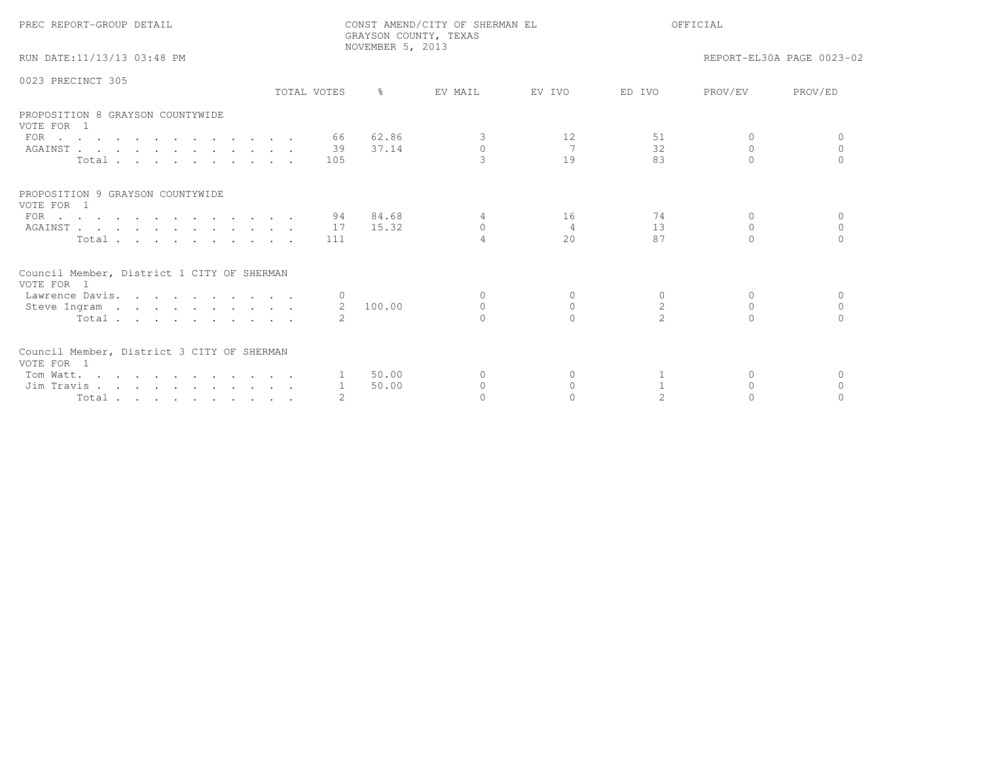| PREC REPORT-GROUP DETAIL                                      |              | GRAYSON COUNTY, TEXAS<br>NOVEMBER 5, 2013 | CONST AMEND/CITY OF SHERMAN EL |                |                | OFFICIAL  |                           |
|---------------------------------------------------------------|--------------|-------------------------------------------|--------------------------------|----------------|----------------|-----------|---------------------------|
| RUN DATE:11/13/13 03:48 PM                                    |              |                                           |                                |                |                |           | REPORT-EL30A PAGE 0023-02 |
| 0023 PRECINCT 305                                             | TOTAL VOTES  |                                           | EV MAIL                        | EV TVO         | ED TVO         | PROV/EV   | PROV/ED                   |
| PROPOSITION 8 GRAYSON COUNTYWIDE<br>VOTE FOR 1                |              |                                           |                                |                |                |           |                           |
| FOR                                                           |              | 66 62.86                                  | $\mathcal{S}$                  | 12             | 51             | $\Omega$  |                           |
| AGAINST                                                       | 39           | 37.14                                     | $\circ$                        | $\overline{7}$ | 32             | 0         | $\circ$                   |
| Total                                                         | 105          |                                           | $\mathcal{L}$                  | 19             | 83             | $\cap$    | $\cap$                    |
| PROPOSITION 9 GRAYSON COUNTYWIDE<br>VOTE FOR 1                |              |                                           |                                |                |                |           |                           |
| FOR $\cdots$                                                  |              | 94 84.68                                  | 4                              | 16             | 74             | $\Omega$  | $\Omega$                  |
| AGAINST                                                       |              | 17 15.32                                  | $\Omega$                       | $\overline{4}$ | 13             | $\Omega$  | $\Omega$                  |
| Total                                                         | 111          |                                           |                                | 2.0            | 87             |           |                           |
| Council Member, District 1 CITY OF SHERMAN<br>VOTE FOR 1      |              |                                           |                                |                |                |           |                           |
| Lawrence Davis.                                               |              |                                           | $\Omega$                       | $\circ$        | $\Omega$       | $\Omega$  | $\Omega$                  |
| Steve Ingram                                                  |              | 2 100.00                                  | $\Omega$                       | $\Omega$       | $\overline{c}$ | $\Omega$  | $\bigcap$                 |
| Total                                                         |              |                                           |                                | $\cap$         |                | $\bigcap$ |                           |
| Council Member, District 3 CITY OF SHERMAN<br>VOTE FOR 1      |              |                                           |                                |                |                |           |                           |
| Tom Watt.                                                     |              | 1 50.00                                   | $\Omega$                       | $\Omega$       |                | $\Omega$  | $\Omega$                  |
| Jim Travis                                                    | $\mathbf{1}$ | 50.00                                     | $\mathbf{0}$                   | $\circ$        |                | $\Omega$  | $\Omega$                  |
| $Total \cdot \cdot \cdot \cdot \cdot \cdot \cdot \cdot \cdot$ |              |                                           | $\cap$                         | $\cap$         |                |           |                           |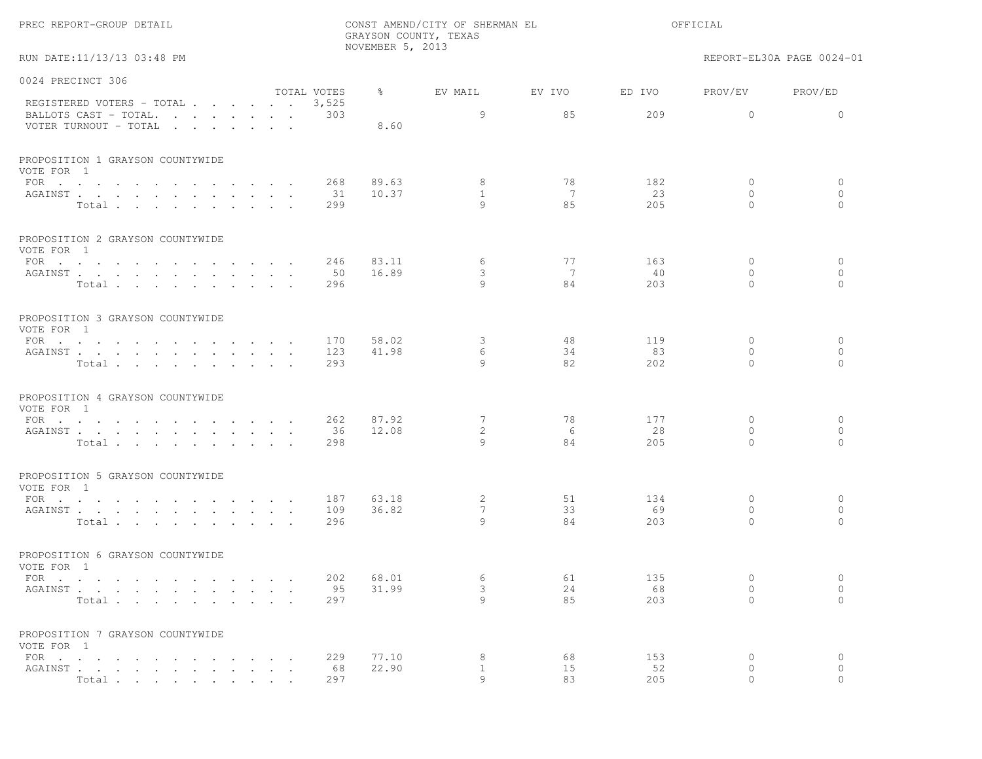| PREC REPORT-GROUP DETAIL    |  |
|-----------------------------|--|
|                             |  |
| RUN DATE: 11/13/13 03:48 PM |  |

REPORT-EL30A PAGE 0024-01

| 0024 PRECINCT 306                                           |                                |                            |              |       |                 |        |        |              |              |
|-------------------------------------------------------------|--------------------------------|----------------------------|--------------|-------|-----------------|--------|--------|--------------|--------------|
|                                                             |                                |                            | TOTAL VOTES  | ႜ     | EV MAIL         | EV IVO | ED IVO | PROV/EV      | PROV/ED      |
| REGISTERED VOTERS - TOTAL<br>BALLOTS CAST - TOTAL.          |                                |                            | 3,525<br>303 |       | 9               | 85     | 209    | $\Omega$     | $\Omega$     |
| VOTER TURNOUT - TOTAL $\cdot \cdot \cdot \cdot \cdot \cdot$ |                                |                            |              | 8.60  |                 |        |        |              |              |
|                                                             |                                |                            |              |       |                 |        |        |              |              |
| PROPOSITION 1 GRAYSON COUNTYWIDE<br>VOTE FOR 1              |                                |                            |              |       |                 |        |        |              |              |
| FOR $\cdots$                                                |                                |                            | 268          | 89.63 | 8               | 78     | 182    | $\circ$      | $\mathbf{0}$ |
| AGAINST                                                     |                                |                            | 31           | 10.37 | $\mathbf{1}$    | 7      | 23     | $\Omega$     | $\circ$      |
| Total                                                       |                                |                            | 299          |       | 9               | 8.5    | 205    | $\Omega$     | $\Omega$     |
| PROPOSITION 2 GRAYSON COUNTYWIDE<br>VOTE FOR 1              |                                |                            |              |       |                 |        |        |              |              |
| FOR $\cdots$                                                |                                |                            | 246          | 83.11 | 6               | 77     | 163    | $\circ$      | $\mathbf{0}$ |
| AGAINST                                                     | $\sim$<br>$\ddot{\phantom{a}}$ | $\sim$ 10<br>$\sim$ $\sim$ | 50           | 16.89 | 3               | 7      | 40     | $\Omega$     | $\mathbf{0}$ |
| Total                                                       |                                |                            | 296          |       | $\circ$         | 84     | 203    | $\mathbf{0}$ | $\circ$      |
| PROPOSITION 3 GRAYSON COUNTYWIDE<br>VOTE FOR 1              |                                |                            |              |       |                 |        |        |              |              |
| FOR                                                         |                                |                            | 170          | 58.02 | 3               | 48     | 119    | $\mathbf{0}$ | $\mathbf{0}$ |
| AGAINST                                                     |                                |                            | 123          | 41.98 | 6               | 34     | 83     | $\circ$      | $\circ$      |
| Total                                                       |                                |                            | 293          |       | $\circ$         | 82     | 202    | $\Omega$     | $\Omega$     |
| PROPOSITION 4 GRAYSON COUNTYWIDE<br>VOTE FOR 1              |                                |                            |              |       |                 |        |        |              |              |
| FOR $\cdots$                                                |                                |                            | 262          | 87.92 | 7               | 78     | 177    | $\mathbf{0}$ | $\mathbf{0}$ |
| AGAINST                                                     |                                |                            | 36           | 12.08 | $\overline{2}$  | 6      | 28     | $\Omega$     | $\mathbf{0}$ |
| Total                                                       |                                |                            | 298          |       | $\mathcal{Q}$   | 84     | 205    | $\Omega$     | $\Omega$     |
| PROPOSITION 5 GRAYSON COUNTYWIDE<br>VOTE FOR 1              |                                |                            |              |       |                 |        |        |              |              |
| FOR $\cdots$ $\cdots$ $\cdots$ $\cdots$ $\cdots$            |                                |                            | 187          | 63.18 | 2               | 51     | 134    | $\circ$      | $\circ$      |
| AGAINST                                                     |                                |                            | 109          | 36.82 | $7\phantom{.0}$ | 33     | 69     | $\Omega$     | $\circ$      |
| Total                                                       |                                |                            | 296          |       | $\circ$         | 84     | 203    | $\Omega$     | $\bigcap$    |
| PROPOSITION 6 GRAYSON COUNTYWIDE<br>VOTE FOR 1              |                                |                            |              |       |                 |        |        |              |              |
|                                                             | $\sim$                         |                            | 202          | 68.01 | 6               | 61     | 135    | $\Omega$     | $\mathbf{0}$ |
| AGAINST                                                     |                                |                            | 95           | 31.99 | 3               | 24     | 68     | $\circ$      | $\circ$      |
| Total                                                       |                                |                            | 297          |       | Q               | 85     | 203    | $\cap$       | $\bigcap$    |
| PROPOSITION 7 GRAYSON COUNTYWIDE<br>VOTE FOR 1              |                                |                            |              |       |                 |        |        |              |              |
| FOR $\cdots$                                                |                                | $\sim$ $\sim$ $\sim$       | 229          | 77.10 | 8               | 68     | 153    | $\mathbf{0}$ | $\circ$      |
| AGAINST                                                     | $\ddot{\phantom{a}}$           | $\sim$ $\sim$              | 68           | 22.90 | $\mathbf{1}$    | 15     | 52     | $\circ$      | $\circ$      |
| Total                                                       |                                |                            | 297          |       | $\circ$         | 83     | 205    | $\Omega$     | $\Omega$     |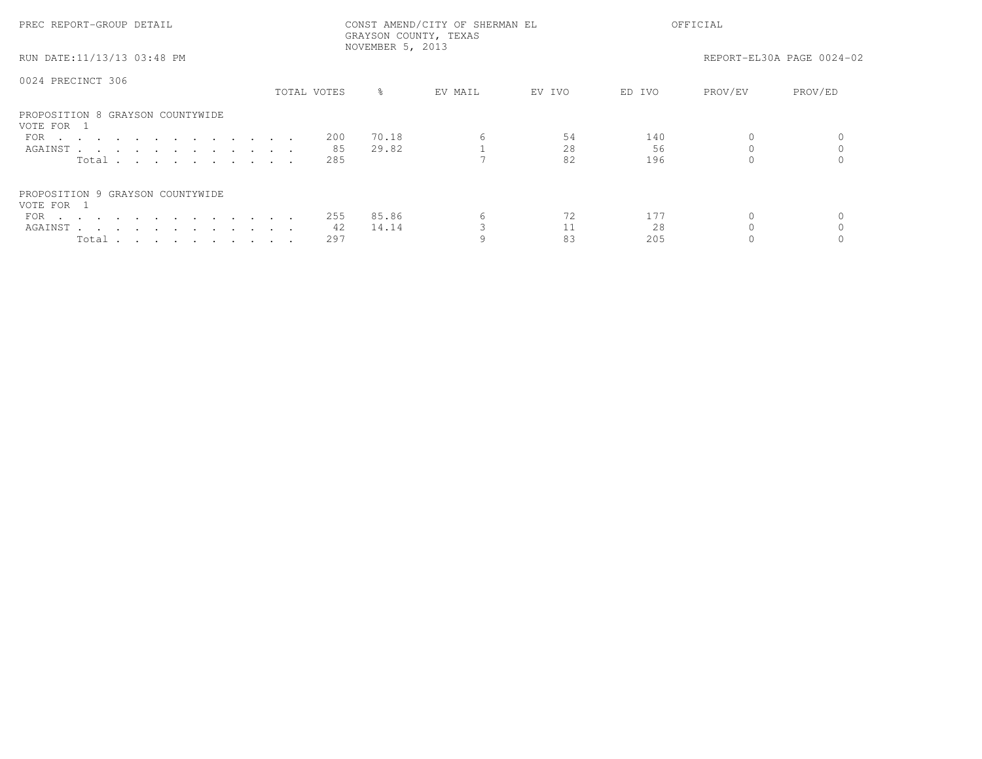| PREC REPORT-GROUP DETAIL                       |             | NOVEMBER 5, 2013 | CONST AMEND/CITY OF SHERMAN EL<br>GRAYSON COUNTY, TEXAS |        |        | OFFICIAL |                           |
|------------------------------------------------|-------------|------------------|---------------------------------------------------------|--------|--------|----------|---------------------------|
| RUN DATE:11/13/13 03:48 PM                     |             |                  |                                                         |        |        |          | REPORT-EL30A PAGE 0024-02 |
| 0024 PRECINCT 306                              |             |                  |                                                         |        |        |          |                           |
|                                                | TOTAL VOTES | $\approx$        | EV MAIL                                                 | EV IVO | ED IVO | PROV/EV  | PROV/ED                   |
| PROPOSITION 8 GRAYSON COUNTYWIDE<br>VOTE FOR 1 |             |                  |                                                         |        |        |          |                           |
| FOR $\cdots$                                   | -200        | 70.18            |                                                         | 54     | 140    |          |                           |
| AGAINST                                        | 85          | 29.82            |                                                         | 28     | 56     |          |                           |
| Total                                          | 285         |                  |                                                         | 82     | 196    |          |                           |
| PROPOSITION 9 GRAYSON COUNTYWIDE<br>VOTE FOR 1 |             |                  |                                                         |        |        |          |                           |
| FOR $\cdots$                                   | 255         | 85.86            |                                                         | 72     | 177    |          |                           |
| AGAINST                                        | 42          | 14.14            |                                                         |        | 2.8    |          |                           |
| Total                                          | 297         |                  |                                                         | 83     | 205    |          |                           |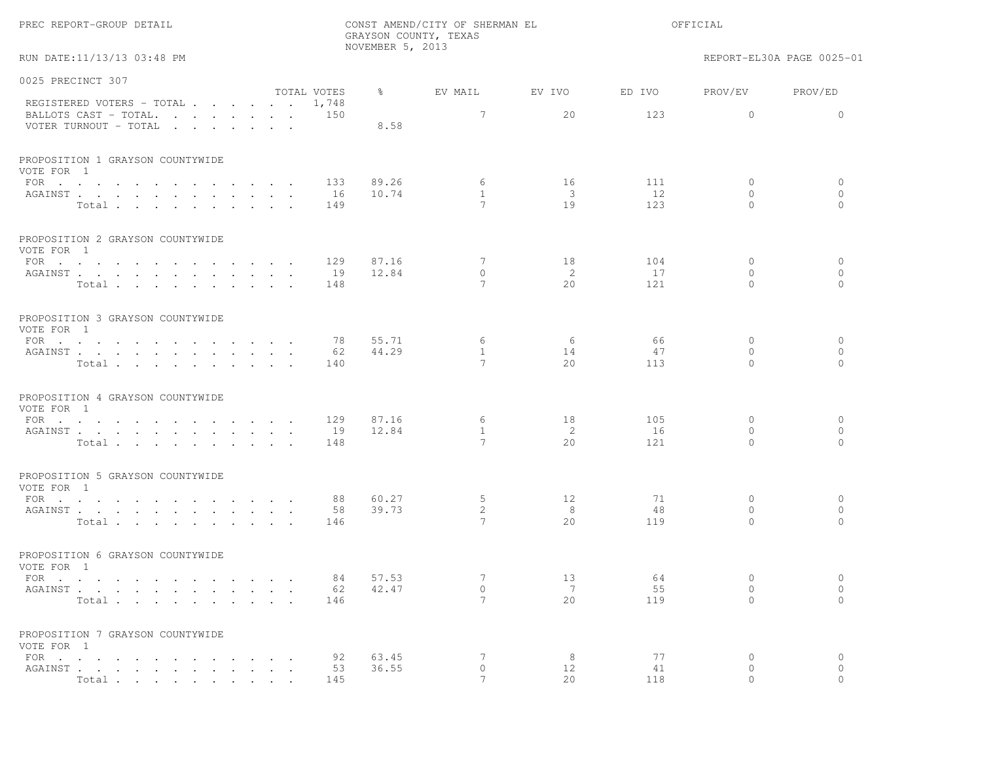| RUN DATE:11/13/13 03:48 PM                         |               | NOVEMBER 5, 2013           |                                 |                           |           |                          | REPORT-EL30A PAGE 0025-01 |
|----------------------------------------------------|---------------|----------------------------|---------------------------------|---------------------------|-----------|--------------------------|---------------------------|
| 0025 PRECINCT 307                                  |               |                            |                                 |                           |           |                          |                           |
| REGISTERED VOTERS - TOTAL 1,748                    | TOTAL VOTES   | 용 아이                       | EV MAIL                         | EV IVO                    | ED IVO    | PROV/EV                  | PROV/ED                   |
| BALLOTS CAST - TOTAL. 150<br>VOTER TURNOUT - TOTAL |               | 8.58                       | $7\overline{ }$                 | 20                        | 123       | $\circ$                  | $\bigcirc$                |
| PROPOSITION 1 GRAYSON COUNTYWIDE<br>VOTE FOR 1     |               |                            |                                 |                           |           |                          |                           |
| FOR $\cdots$                                       |               | 89.26<br>133               | 6                               | 16                        | 111       | $\mathbf{0}$             | $\circ$                   |
| AGAINST                                            | 16            | 10.74                      | $\overline{1}$                  | $\overline{\phantom{a}3}$ | 12        | $\Omega$                 | $\circ$                   |
| Total                                              | 149           |                            | $7\phantom{.0}$                 | 19                        | 123       | $\Omega$                 | $\Omega$                  |
| PROPOSITION 2 GRAYSON COUNTYWIDE<br>VOTE FOR 1     |               |                            |                                 |                           |           |                          |                           |
| FOR                                                |               | 129<br>87.16               | 7                               | 18                        | 104       | $\mathbf{0}$             | $\circ$                   |
| AGAINST                                            |               | 12.84<br>19                | $\circ$                         | 2                         | 17        | $\circ$                  | $\circ$                   |
| Total                                              |               | 148                        | $7\phantom{.0}$                 | 2.0                       | 121       | $\Omega$                 | $\Omega$                  |
| PROPOSITION 3 GRAYSON COUNTYWIDE<br>VOTE FOR 1     |               |                            |                                 |                           |           |                          |                           |
| FOR $\cdots$                                       |               | 78<br>55.71                | 6                               | 6                         | 66        | $\circ$                  | $\circ$                   |
| AGAINST                                            |               | 44.29<br>62<br>140         | $\mathbf{1}$<br>$7\phantom{.0}$ | 14<br>2.0                 | 47<br>113 | $\circ$<br>$\Omega$      | $\circ$<br>$\bigcap$      |
| Total                                              |               |                            |                                 |                           |           |                          |                           |
| PROPOSITION 4 GRAYSON COUNTYWIDE<br>VOTE FOR 1     |               |                            |                                 |                           |           |                          |                           |
| FOR                                                |               | 129<br>87.16               | 6                               | 18                        | 105       | $\circ$                  | $\circ$                   |
| AGAINST<br>Total                                   | 19            | 12.84<br>148               | $\mathbf{1}$<br>$7\phantom{.0}$ | $\overline{2}$<br>2.0     | 16<br>121 | $\mathbf{0}$<br>$\Omega$ | $\mathbf{0}$<br>$\Omega$  |
| PROPOSITION 5 GRAYSON COUNTYWIDE                   |               |                            |                                 |                           |           |                          |                           |
| VOTE FOR 1                                         |               |                            |                                 |                           | 71        |                          |                           |
| FOR<br>AGAINST                                     |               | 88<br>60.27<br>58<br>39.73 | 5<br>$\overline{2}$             | 12<br>8                   | 48        | $\Omega$<br>$\circ$      | $\circ$<br>$\circ$        |
| Total                                              | 146           |                            | 7                               | 20                        | 119       | $\Omega$                 | $\Omega$                  |
| PROPOSITION 6 GRAYSON COUNTYWIDE<br>VOTE FOR 1     |               |                            |                                 |                           |           |                          |                           |
| FOR $\cdots$                                       |               | 84<br>57.53                | 7                               | 13                        | 64        | $\Omega$                 | $\circ$                   |
| AGAINST                                            |               | 42.47<br>62                | $\Omega$                        | $7\phantom{.0}\,$         | 55        | $\Omega$                 | $\Omega$                  |
| Total                                              |               | 146                        | $\overline{7}$                  | 2.0                       | 119       | $\Omega$                 | $\Omega$                  |
| PROPOSITION 7 GRAYSON COUNTYWIDE<br>VOTE FOR 1     |               |                            |                                 |                           |           |                          |                           |
| FOR $\cdots$                                       | $\sim$ $\sim$ | 92<br>63.45                | 7                               | 8                         | 77        | $\circ$                  | $\circ$                   |
| AGAINST                                            |               | 36.55<br>53                | $\Omega$                        | 12                        | 41        | $\Omega$                 | $\Omega$                  |
| Total contracts and contracts and contracts        |               | 145                        | 7                               | 20                        | 118       | $\bigcap$                | $\bigcap$                 |

GRAYSON COUNTY, TEXAS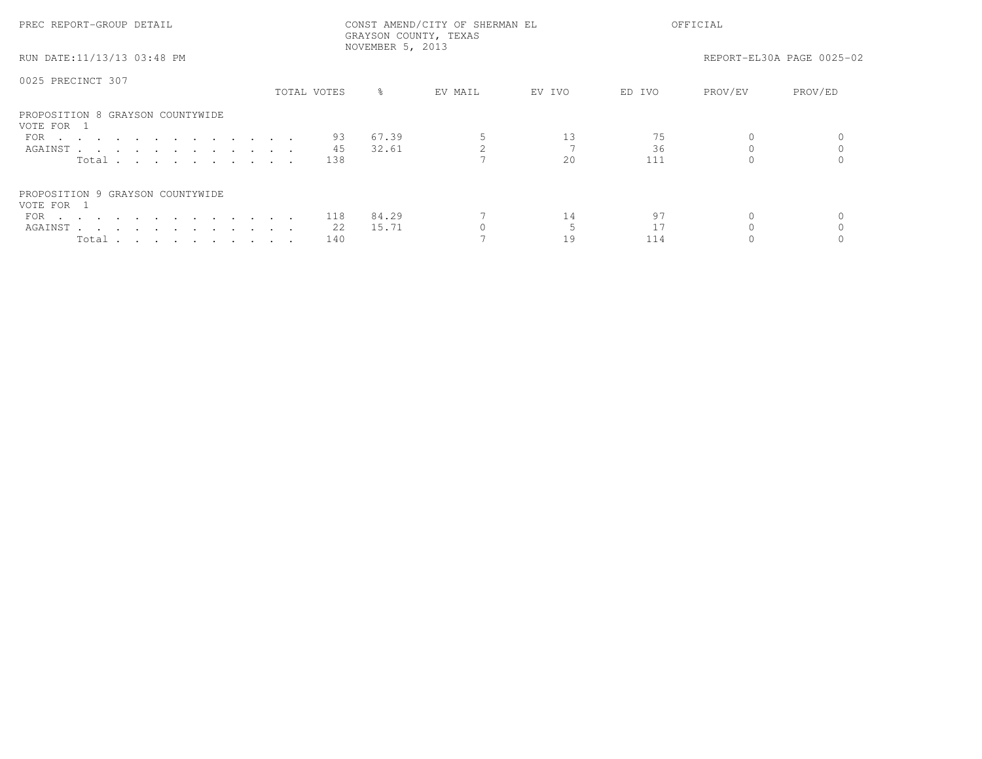| PREC REPORT-GROUP DETAIL                       |             | GRAYSON COUNTY, TEXAS<br>NOVEMBER 5, 2013 | CONST AMEND/CITY OF SHERMAN EL |        |        | OFFICIAL |                           |
|------------------------------------------------|-------------|-------------------------------------------|--------------------------------|--------|--------|----------|---------------------------|
| RUN DATE:11/13/13 03:48 PM                     |             |                                           |                                |        |        |          | REPORT-EL30A PAGE 0025-02 |
| 0025 PRECINCT 307                              |             |                                           |                                |        |        |          |                           |
|                                                | TOTAL VOTES | $\approx$                                 | EV MAIL                        | EV IVO | ED IVO | PROV/EV  | PROV/ED                   |
| PROPOSITION 8 GRAYSON COUNTYWIDE<br>VOTE FOR 1 |             |                                           |                                |        |        |          |                           |
| FOR                                            | 93          | 67.39                                     |                                | 13     |        |          |                           |
| AGAINST                                        | 45          | 32.61                                     |                                |        | 36     |          |                           |
| Total $\cdots$                                 | 138         |                                           |                                | 2.0    | 111    |          |                           |
| PROPOSITION 9 GRAYSON COUNTYWIDE<br>VOTE FOR 1 |             |                                           |                                |        |        |          |                           |
| FOR $\cdots$                                   | 118         | 84.29                                     |                                | 14     | 97     |          |                           |
| AGAINST                                        | 22          | 15.71                                     |                                |        |        |          |                           |
| Total                                          | 140         |                                           |                                | 19     | 114    |          |                           |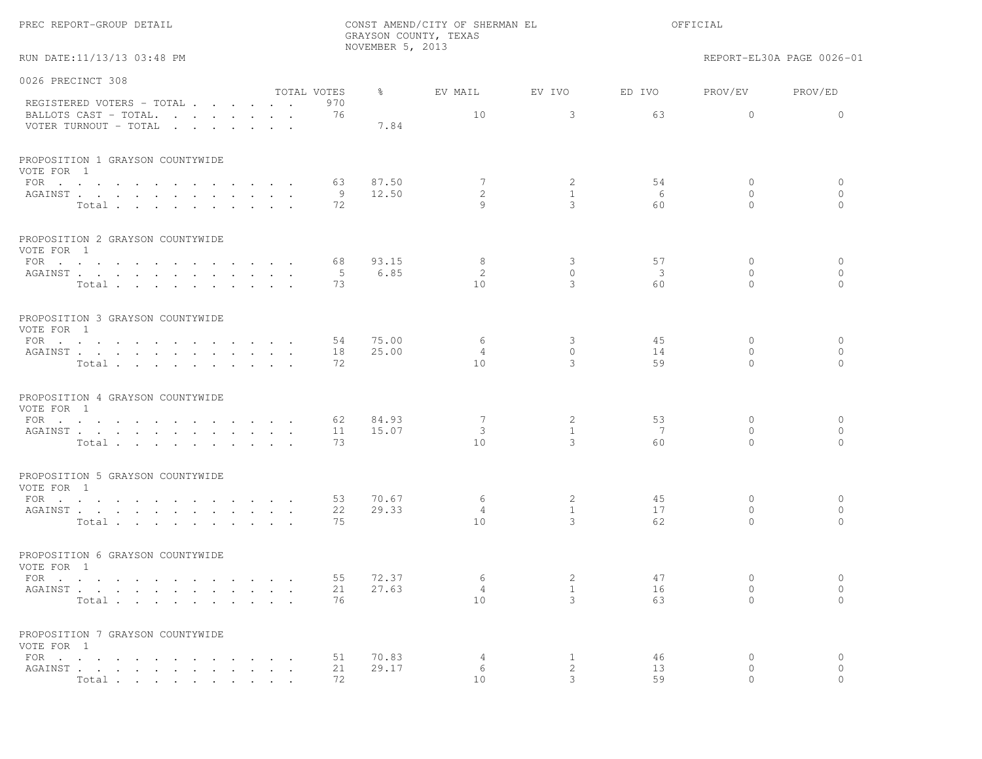|  | PREC REPORT-GROUP DETAIL |  |  |
|--|--------------------------|--|--|
|--|--------------------------|--|--|

RUN DATE:11/13/13 03:48 PM REPORT-EL30A PAGE 0026-01

| 0026 PRECINCT 308                              |             |               |                 |              |        |              |                     |
|------------------------------------------------|-------------|---------------|-----------------|--------------|--------|--------------|---------------------|
|                                                | TOTAL VOTES | $\frac{8}{6}$ | EV MAIL         | EV IVO       | ED IVO | PROV/EV      | PROV/ED             |
| REGISTERED VOTERS - TOTAL                      | 970<br>76   |               |                 | 3            |        | $\Omega$     | $\Omega$            |
| BALLOTS CAST - TOTAL.<br>VOTER TURNOUT - TOTAL |             | 7.84          | 10              |              | 63     |              |                     |
| PROPOSITION 1 GRAYSON COUNTYWIDE<br>VOTE FOR 1 |             |               |                 |              |        |              |                     |
| FOR                                            | 63          | 87.50         | 7               | 2            | 54     | 0            | 0                   |
| AGAINST                                        | -9          | 12.50         | 2               | $\mathbf{1}$ | 6      | $\circ$      | $\circ$             |
| Total                                          | 72          |               | 9               | 3            | 60     | $\Omega$     | $\Omega$            |
| PROPOSITION 2 GRAYSON COUNTYWIDE<br>VOTE FOR 1 |             |               |                 |              |        |              |                     |
| FOR $\cdots$                                   | 68          | 93.15         | 8               | 3            | 57     | $\Omega$     | $\circ$             |
| AGAINST                                        | - 5         | 6.85          | 2               | $\circ$      | 3      | $\circ$      | $\circ$             |
| Total                                          | 73          |               | 10              | 3            | 60     | $\Omega$     | $\circ$             |
| PROPOSITION 3 GRAYSON COUNTYWIDE<br>VOTE FOR 1 |             |               |                 |              |        |              |                     |
| $\text{FOR}$                                   | 54          | 75.00         | 6               | 3            | 45     | $\mathbf{0}$ | $\mathbf{0}$        |
| AGAINST                                        | 18          | 25.00         | 4               | $\circ$      | 14     | $\circ$      | $\circ$             |
| Total                                          | 72          |               | 10              | 3            | 59     | $\Omega$     | $\Omega$            |
| PROPOSITION 4 GRAYSON COUNTYWIDE<br>VOTE FOR 1 |             |               |                 |              |        |              |                     |
| FOR                                            | 62          | 84.93         | 7               | 2            | 53     | $\mathbf 0$  | $\circ$             |
| AGAINST                                        | 11          | 15.07         | 3               | $\mathbf{1}$ | 7      | $\circ$      | $\circ$<br>$\Omega$ |
| Total                                          | 73          |               | 10 <sup>°</sup> | 3            | 60     | $\Omega$     |                     |
| PROPOSITION 5 GRAYSON COUNTYWIDE<br>VOTE FOR 1 |             |               |                 |              |        |              |                     |
| FOR $\cdot$                                    | 53          | 70.67         | 6               | 2            | 45     | $\mathbf{0}$ | 0                   |
| AGAINST                                        | 22          | 29.33         | $\overline{4}$  | $\mathbf{1}$ | 17     | $\Omega$     | $\circ$             |
| Total                                          | 75          |               | 10              | 3            | 62     | $\Omega$     | $\Omega$            |
| PROPOSITION 6 GRAYSON COUNTYWIDE<br>VOTE FOR 1 |             |               |                 |              |        |              |                     |
| FOR                                            | 55          | 72.37         | 6               | 2            | 47     | $\circ$      | $\circ$             |
| AGAINST                                        | 21          | 27.63         | 4               | $\mathbf{1}$ | 16     | $\circ$      | $\circ$             |
| Total                                          | 76          |               | 10 <sup>°</sup> | 3            | 63     | $\Omega$     | $\Omega$            |
| PROPOSITION 7 GRAYSON COUNTYWIDE<br>VOTE FOR 1 |             |               |                 |              |        |              |                     |
| FOR                                            | 51          | 70.83         | 4               | 1            | 46     | $\circ$      | $\circ$             |
| AGAINST                                        | 21          | 29.17         | 6               | 2            | 13     | $\circ$      | $\circ$             |
| Total                                          | 72          |               | 10              | 3            | 59     | $\Omega$     | $\Omega$            |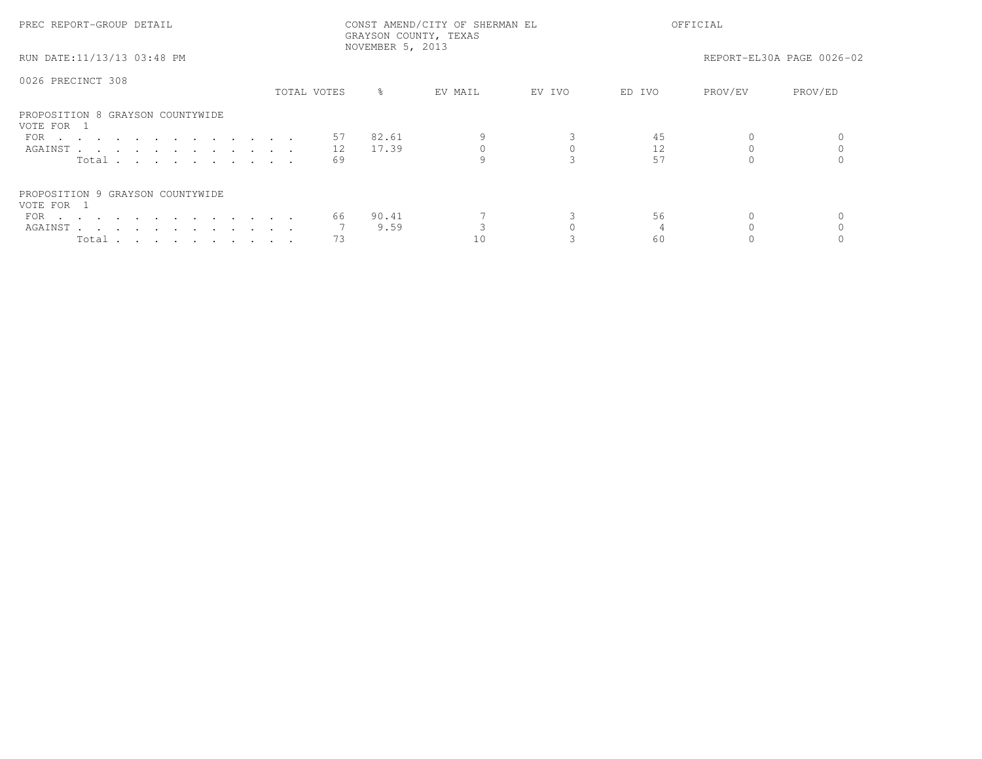| PREC REPORT-GROUP DETAIL                       |             | GRAYSON COUNTY, TEXAS<br>NOVEMBER 5, 2013 | CONST AMEND/CITY OF SHERMAN EL |        | OFFICIAL |         |                           |  |
|------------------------------------------------|-------------|-------------------------------------------|--------------------------------|--------|----------|---------|---------------------------|--|
| RUN DATE:11/13/13 03:48 PM                     |             |                                           |                                |        |          |         | REPORT-EL30A PAGE 0026-02 |  |
| 0026 PRECINCT 308                              |             |                                           |                                |        |          |         |                           |  |
|                                                | TOTAL VOTES | $\frac{8}{6}$                             | EV MAIL                        | EV IVO | ED IVO   | PROV/EV | PROV/ED                   |  |
| PROPOSITION 8 GRAYSON COUNTYWIDE<br>VOTE FOR 1 |             |                                           |                                |        |          |         |                           |  |
| FOR $\cdots$                                   |             | 82.61<br>57                               |                                |        | 45       |         |                           |  |
| AGAINST                                        |             | 17.39<br>12                               |                                |        |          |         |                           |  |
| Total                                          |             | 69                                        |                                |        | 57       |         |                           |  |
| PROPOSITION 9 GRAYSON COUNTYWIDE<br>VOTE FOR 1 |             |                                           |                                |        |          |         |                           |  |
| FOR $\cdots$                                   |             | 90.41<br>66                               |                                |        | 56       |         |                           |  |
| AGAINST                                        |             | 9.59                                      |                                |        |          |         |                           |  |
| Total                                          |             | 73                                        | 10                             |        | 60       |         |                           |  |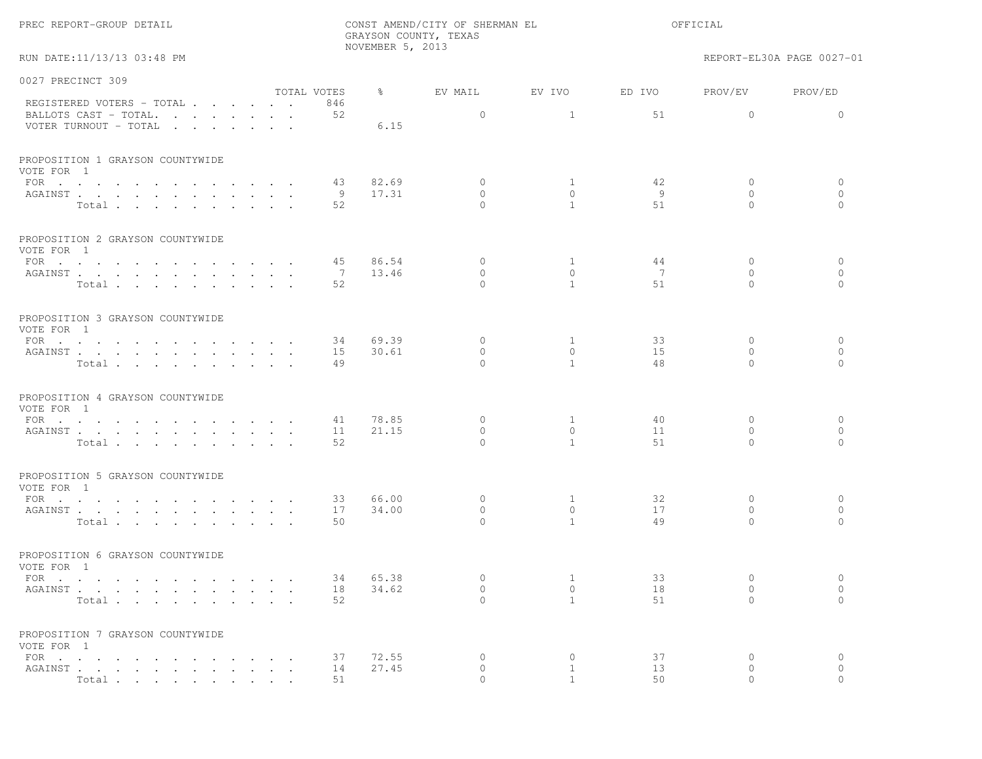|  |  | PREC REPORT-GROUP DETAIL |  |  |
|--|--|--------------------------|--|--|
|--|--|--------------------------|--|--|

RUN DATE:11/13/13 03:48 PM REPORT-EL30A PAGE 0027-01

| 0027 PRECINCT 309                              |                |               |              |                |                |                |              |
|------------------------------------------------|----------------|---------------|--------------|----------------|----------------|----------------|--------------|
|                                                | TOTAL VOTES    | $\frac{8}{6}$ | EV MAIL      | EV IVO         | ED IVO         | PROV/EV        | PROV/ED      |
| REGISTERED VOTERS - TOTAL                      | 846            |               |              |                |                |                |              |
| BALLOTS CAST - TOTAL.                          | 52             |               | $\mathbf{0}$ | $\mathbf{1}$   | 51             | $\Omega$       | $\Omega$     |
| VOTER TURNOUT - TOTAL                          |                | 6.15          |              |                |                |                |              |
| PROPOSITION 1 GRAYSON COUNTYWIDE               |                |               |              |                |                |                |              |
| VOTE FOR 1                                     |                |               |              |                |                |                |              |
| FOR                                            | 43             | 82.69         | $\circ$      | $\mathbf{1}$   | 42             | $\mathbf 0$    | $\circ$      |
| AGAINST                                        | 9              | 17.31         | $\bigcap$    | $\bigcap$      | - 9            | $\Omega$       | $\circ$      |
| Total                                          | 52             |               | $\bigcap$    | $\mathbf{1}$   | 51             | $\Omega$       | $\mathbf{0}$ |
| PROPOSITION 2 GRAYSON COUNTYWIDE<br>VOTE FOR 1 |                |               |              |                |                |                |              |
| FOR $\cdots$                                   | 45             | 86.54         | $\circ$      | $\mathbf{1}$   | 44             | $\mathbf{0}$   | $\circ$      |
| AGAINST                                        | $\overline{7}$ | 13.46         | $\mathbf{0}$ | $\circ$        | $\overline{7}$ | $\mathbf{0}$   | $\circ$      |
| Total                                          | 52             |               | $\Omega$     | $\mathbf{1}$   | 51             | $\Omega$       | $\Omega$     |
|                                                |                |               |              |                |                |                |              |
| PROPOSITION 3 GRAYSON COUNTYWIDE               |                |               |              |                |                |                |              |
| VOTE FOR 1                                     |                |               |              |                |                |                |              |
| FOR $\cdot$                                    | 34             | 69.39         | $\mathbf{0}$ | 1              | 33             | $\mathbf{0}$   | $\mathbf{0}$ |
| AGAINST                                        | 15             | 30.61         | $\circ$      | $\circ$        | 15             | $\circ$        | $\circ$      |
| Total                                          | 49             |               | $\bigcap$    | $\overline{1}$ | 48             | $\Omega$       | $\Omega$     |
| PROPOSITION 4 GRAYSON COUNTYWIDE               |                |               |              |                |                |                |              |
| VOTE FOR 1                                     |                |               |              |                |                |                |              |
| FOR $\cdots$                                   | 41             | 78.85         | $\Omega$     | <sup>1</sup>   | 40             | $\Omega$       | $\mathbf{0}$ |
| AGAINST                                        | 11             | 21.15         | $\Omega$     | $\Omega$       | 11             | $\Omega$       | $\mathbf{0}$ |
| Total                                          | 52             |               | $\bigcap$    | $\mathbf{1}$   | 51             | $\Omega$       | $\bigcap$    |
| PROPOSITION 5 GRAYSON COUNTYWIDE               |                |               |              |                |                |                |              |
| VOTE FOR 1                                     |                |               |              |                |                |                |              |
| FOR $\cdots$                                   | 33             | 66.00         | $\mathbf{0}$ | $\mathbf{1}$   | 32             | $\mathbf 0$    | $\circ$      |
| AGAINST                                        | 17             | 34.00         | $\Omega$     | $\Omega$       | 17             | $\Omega$       | $\mathbf{0}$ |
| Total                                          | 50             |               | $\Omega$     | $\mathbf{1}$   | 49             | $\Omega$       | $\Omega$     |
| PROPOSITION 6 GRAYSON COUNTYWIDE               |                |               |              |                |                |                |              |
| VOTE FOR 1                                     |                |               |              |                |                |                |              |
| FOR $\cdots$                                   | 34             | 65.38         | $\mathbf{0}$ | 1              | 33             | $\mathbf{0}$   | $\circ$      |
| AGAINST                                        | 18             | 34.62         | $\mathbf{0}$ | $\circ$        | 18             | $\overline{0}$ | $\circ$      |
| Total                                          | 52             |               | $\Omega$     | $\mathbf{1}$   | 51             | $\Omega$       | $\Omega$     |
|                                                |                |               |              |                |                |                |              |
| PROPOSITION 7 GRAYSON COUNTYWIDE<br>VOTE FOR 1 |                |               |              |                |                |                |              |
| FOR                                            | 37             | 72.55         | $\circ$      | $\mathbf{0}$   | 37             | $\mathbf{0}$   | $\circ$      |
| AGAINST                                        | 14             | 27.45         | $\circ$      | <sup>1</sup>   | 13             | $\circ$        | $\mathbf{0}$ |
| Total                                          | 51             |               | $\Omega$     | $\mathbf{1}$   | 50             | $\Omega$       | $\Omega$     |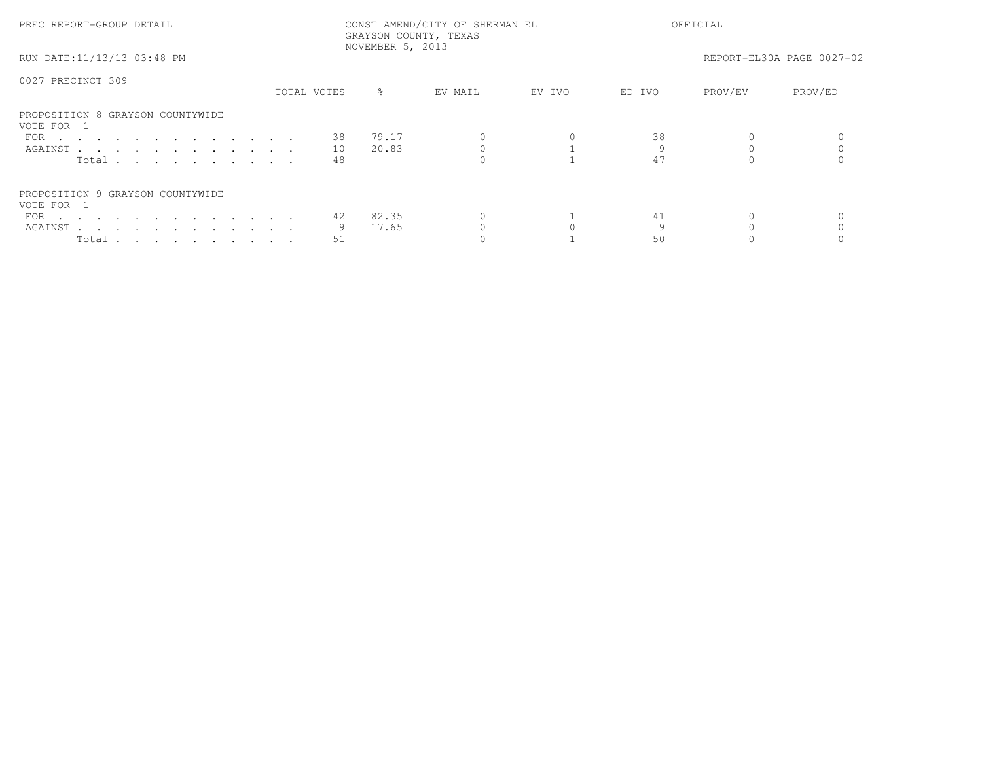| PREC REPORT-GROUP DETAIL                       |             |    | NOVEMBER 5, 2013 | CONST AMEND/CITY OF SHERMAN EL<br>GRAYSON COUNTY, TEXAS |        |        | OFFICIAL |                           |
|------------------------------------------------|-------------|----|------------------|---------------------------------------------------------|--------|--------|----------|---------------------------|
| RUN DATE:11/13/13 03:48 PM                     |             |    |                  |                                                         |        |        |          | REPORT-EL30A PAGE 0027-02 |
| 0027 PRECINCT 309                              |             |    |                  |                                                         |        |        |          |                           |
|                                                | TOTAL VOTES |    | $\approx$        | EV MAIL                                                 | EV IVO | ED IVO | PROV/EV  | PROV/ED                   |
| PROPOSITION 8 GRAYSON COUNTYWIDE<br>VOTE FOR 1 |             |    |                  |                                                         |        |        |          |                           |
| FOR $\cdots$                                   |             |    | 38 79.17         |                                                         |        | 38     |          |                           |
| AGAINST                                        |             | 10 | 20.83            |                                                         |        |        |          |                           |
| Total                                          |             | 48 |                  |                                                         |        | 47     |          |                           |
| PROPOSITION 9 GRAYSON COUNTYWIDE<br>VOTE FOR 1 |             |    |                  |                                                         |        |        |          |                           |
| FOR $\cdots$                                   |             | 42 | 82.35            |                                                         |        | 41     |          |                           |
| AGAINST                                        |             |    | 17.65            |                                                         |        |        |          |                           |
| Total $\cdots$ $\cdots$ $\cdots$ $\cdots$      |             | 51 |                  |                                                         |        | 50     |          |                           |
|                                                |             |    |                  |                                                         |        |        |          |                           |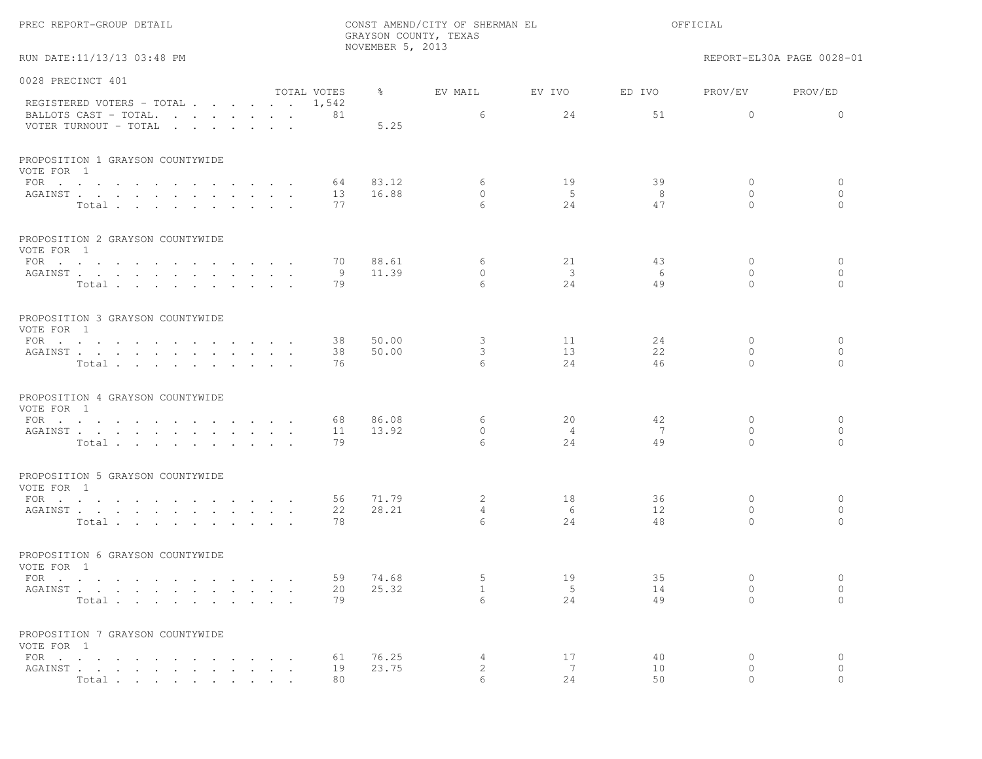|  |  | PREC REPORT-GROUP DETAIL |  |  |
|--|--|--------------------------|--|--|
|--|--|--------------------------|--|--|

RUN DATE:11/13/13 03:48 PM REPORT-EL30A PAGE 0028-01

| 0028 PRECINCT 401                                                                 |             |       |                              |                         |                |                       |          |
|-----------------------------------------------------------------------------------|-------------|-------|------------------------------|-------------------------|----------------|-----------------------|----------|
|                                                                                   | TOTAL VOTES | ိ     | EV MAIL                      | EV IVO                  | ED IVO         | PROV/EV               | PROV/ED  |
| REGISTERED VOTERS - TOTAL 1,542<br>BALLOTS CAST - TOTAL.<br>VOTER TURNOUT - TOTAL | 81          | 5.25  | 6                            | 24                      | 51             | $\Omega$              | $\Omega$ |
| PROPOSITION 1 GRAYSON COUNTYWIDE<br>VOTE FOR 1                                    |             |       |                              |                         |                |                       |          |
| FOR $\cdots$                                                                      | 64          | 83.12 | 6                            | 19                      | 39             | $\circ$               | 0        |
| AGAINST                                                                           | 13          | 16.88 | $\bigcap$                    | $-5$                    | -8             | $\Omega$              | $\circ$  |
| Total                                                                             | 77          |       | 6                            | 2.4                     | 47             | $\Omega$              | $\Omega$ |
| PROPOSITION 2 GRAYSON COUNTYWIDE<br>VOTE FOR 1                                    |             |       |                              |                         |                |                       |          |
| FOR $\cdots$                                                                      | 70          | 88.61 | 6                            | 21                      | 43             | $\mathbf{0}$          | $\circ$  |
| AGAINST                                                                           | - 9         | 11.39 | $\circ$                      | $\overline{\mathbf{3}}$ | -6             | $\mathbf{0}$          | $\circ$  |
| Total.                                                                            | 79          |       | 6                            | 24                      | 49             | $\Omega$              | $\circ$  |
| PROPOSITION 3 GRAYSON COUNTYWIDE<br>VOTE FOR 1                                    |             |       |                              |                         |                |                       |          |
| FOR $\cdots$                                                                      | 38          | 50.00 | 3                            | 11                      | 24             | $\mathbf{0}$          | 0        |
| AGAINST                                                                           | 38          | 50.00 | 3                            | 13                      | 22             | $\mathbf{0}$          | $\circ$  |
| Total                                                                             | 76          |       | 6                            | 2.4                     | 46             | $\Omega$              | $\Omega$ |
| PROPOSITION 4 GRAYSON COUNTYWIDE<br>VOTE FOR 1                                    |             |       |                              |                         |                |                       |          |
| FOR $\cdots$ $\cdots$ $\cdots$ $\cdots$ $\cdots$ $\cdots$                         | 68          | 86.08 | 6                            | 20                      | 42             | $\mathbf{0}$          | $\circ$  |
| AGAINST                                                                           | 11          | 13.92 | $\Omega$<br>$6 \overline{6}$ | $\overline{4}$          | $\overline{7}$ | $\Omega$<br>$\bigcap$ | $\circ$  |
| Total                                                                             | 79          |       |                              | 2.4                     | 49             |                       | $\Omega$ |
| PROPOSITION 5 GRAYSON COUNTYWIDE<br>VOTE FOR 1                                    |             |       |                              |                         |                |                       |          |
| FOR                                                                               | 56          | 71.79 | 2                            | 18                      | 36             | $\mathbf{0}$          | $\circ$  |
| AGAINST                                                                           | 22          | 28.21 | $\overline{4}$               | - 6                     | 12             | $\Omega$              | $\circ$  |
| Total                                                                             | 78          |       | 6                            | 24                      | 48             | $\Omega$              | $\Omega$ |
| PROPOSITION 6 GRAYSON COUNTYWIDE<br>VOTE FOR 1                                    |             |       |                              |                         |                |                       |          |
| FOR $\cdots$                                                                      | 59          | 74.68 | 5                            | 19                      | 35             | $\mathbf{0}$          | $\circ$  |
| AGAINST                                                                           | 20          | 25.32 | $\mathbf{1}$                 | - 5                     | 14             | $\mathbf{0}$          | $\circ$  |
| Total $\cdots$                                                                    | 79          |       | 6                            | 24                      | 49             | $\Omega$              | $\Omega$ |
| PROPOSITION 7 GRAYSON COUNTYWIDE<br>VOTE FOR 1                                    |             |       |                              |                         |                |                       |          |
|                                                                                   | 61          | 76.25 | 4                            | 17                      | 40             | $\mathbf{0}$          | 0        |
| AGAINST                                                                           | 19          | 23.75 | 2                            | 7                       | 10             | $\mathbf{0}$          | $\circ$  |
| Total                                                                             | 80          |       | 6                            | 24                      | 50             | $\Omega$              | $\Omega$ |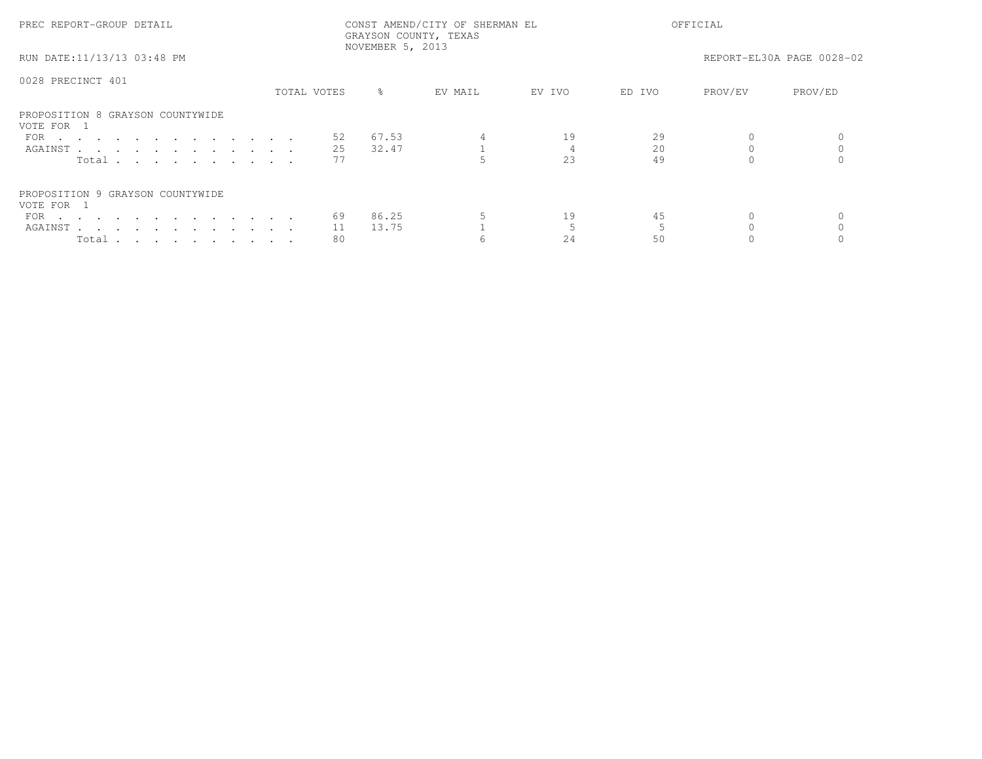| PREC REPORT-GROUP DETAIL                       | CONST AMEND/CITY OF SHERMAN EL<br>GRAYSON COUNTY, TEXAS<br>NOVEMBER 5, 2013 |             |           |         |        | OFFICIAL |         |                           |  |
|------------------------------------------------|-----------------------------------------------------------------------------|-------------|-----------|---------|--------|----------|---------|---------------------------|--|
| RUN DATE:11/13/13 03:48 PM                     |                                                                             |             |           |         |        |          |         | REPORT-EL30A PAGE 0028-02 |  |
| 0028 PRECINCT 401                              |                                                                             |             |           |         |        |          |         |                           |  |
|                                                |                                                                             | TOTAL VOTES | $\approx$ | EV MAIL | EV IVO | ED IVO   | PROV/EV | PROV/ED                   |  |
| PROPOSITION 8 GRAYSON COUNTYWIDE<br>VOTE FOR 1 |                                                                             |             |           |         |        |          |         |                           |  |
| FOR $\cdots$                                   |                                                                             | 52          | 67.53     |         | 19     | 29       |         |                           |  |
| AGAINST                                        |                                                                             | 25          | 32.47     |         |        | 20       |         |                           |  |
| Total                                          |                                                                             |             |           |         | 23     | 49       |         |                           |  |
| PROPOSITION 9 GRAYSON COUNTYWIDE               |                                                                             |             |           |         |        |          |         |                           |  |
| VOTE FOR 1                                     |                                                                             |             |           |         |        |          |         |                           |  |
| FOR $\cdots$                                   |                                                                             | 69          | 86.25     |         | 19     | 45       |         |                           |  |
| AGAINST                                        |                                                                             | 11          | 13.75     |         |        |          |         |                           |  |
| Total $\cdots$ $\cdots$ $\cdots$ $\cdots$      |                                                                             | 80          |           |         | 24     | 50       |         |                           |  |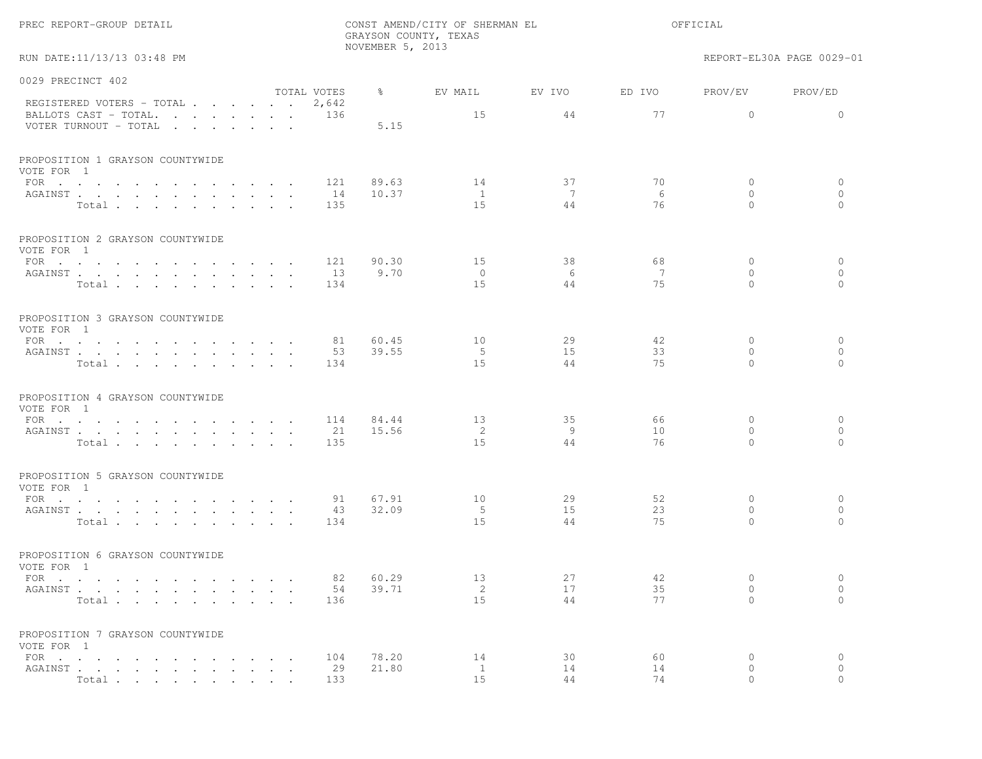|                                                |                      |             | NOVEMBER 5, 2013 | GRAYSON COUNTY, TEXAS |         |         |                          |                           |
|------------------------------------------------|----------------------|-------------|------------------|-----------------------|---------|---------|--------------------------|---------------------------|
| RUN DATE:11/13/13 03:48 PM                     |                      |             |                  |                       |         |         |                          | REPORT-EL30A PAGE 0029-01 |
| 0029 PRECINCT 402                              |                      |             |                  |                       |         |         |                          |                           |
| REGISTERED VOTERS - TOTAL 2,642                |                      | TOTAL VOTES | $\frac{6}{6}$    | EV MAIL               | EV IVO  | ED IVO  | PROV/EV                  | PROV/ED                   |
| BALLOTS CAST - TOTAL.<br>VOTER TURNOUT - TOTAL |                      | 136         | 5.15             | 15                    | 44      | 77      | $\circ$                  | $\mathbf{0}$              |
| PROPOSITION 1 GRAYSON COUNTYWIDE<br>VOTE FOR 1 |                      |             |                  |                       |         |         |                          |                           |
| FOR $\cdots$                                   |                      | 121         | 89.63            | 14                    | 37      | 70      | $\mathbf{0}$             | $\circ$                   |
| AGAINST<br>Total                               |                      | 14<br>135   | 10.37            | $\mathbf{1}$<br>15    | 7<br>44 | 6<br>76 | $\mathbf{0}$<br>$\Omega$ | $\mathbf{0}$<br>$\Omega$  |
|                                                |                      |             |                  |                       |         |         |                          |                           |
| PROPOSITION 2 GRAYSON COUNTYWIDE<br>VOTE FOR 1 |                      |             |                  |                       |         |         |                          |                           |
| FOR $\cdots$                                   |                      | 121         | 90.30            | 15                    | 38      | 68      | $\mathbf{0}$             | $\circ$                   |
| AGAINST                                        |                      | 13          | 9.70             | $\circ$               | 6       | 7       | $\circ$                  | $\mathbf{0}$              |
| Total                                          |                      | 134         |                  | 1.5                   | 44      | 75      | $\Omega$                 | $\bigcap$                 |
| PROPOSITION 3 GRAYSON COUNTYWIDE<br>VOTE FOR 1 |                      |             |                  |                       |         |         |                          |                           |
| FOR                                            |                      | 81          | 60.45            | 10                    | 29      | 42      | $\mathbf{0}$             | $\circ$                   |
| AGAINST                                        |                      | 53          | 39.55            | -5                    | 15      | 33      | $\circ$                  | $\circ$                   |
| Total                                          |                      | 134         |                  | 15                    | 44      | 75      | $\Omega$                 | $\Omega$                  |
| PROPOSITION 4 GRAYSON COUNTYWIDE<br>VOTE FOR 1 |                      |             |                  |                       |         |         |                          |                           |
| FOR $\cdots$                                   |                      | 114         | 84.44            | 13                    | 35      | 66      | $\mathbf{0}$             | $\circ$                   |
| AGAINST                                        |                      | 21          | 15.56            | 2                     | 9       | 10      | $\circ$                  | $\circ$                   |
| Total                                          |                      | 135         |                  | 15                    | 44      | 76      | $\Omega$                 | $\Omega$                  |
| PROPOSITION 5 GRAYSON COUNTYWIDE<br>VOTE FOR 1 |                      |             |                  |                       |         |         |                          |                           |
| FOR $\cdots$                                   |                      | 91          | 67.91            | 10                    | 29      | 52      | $\mathbf{0}$             | $\circ$                   |
| AGAINST                                        |                      | 43          | 32.09            | - 5                   | 15      | 23      | $\mathbf{0}$             | $\circ$                   |
| Total                                          |                      | 134         |                  | 15                    | 44      | 75      | $\Omega$                 | $\bigcap$                 |
| PROPOSITION 6 GRAYSON COUNTYWIDE<br>VOTE FOR 1 |                      |             |                  |                       |         |         |                          |                           |
| FOR $\cdots$                                   |                      | 82          | 60.29            | 13                    | 27      | 42      | $\mathbf{0}$             | $\circ$                   |
| AGAINST                                        |                      | 54          | 39.71            | 2                     | 17      | 35      | 0                        | $\circ$                   |
| Total                                          | $\sim$ $\sim$ $\sim$ | 136         |                  | 15                    | 44      | 77      | $\Omega$                 | $\circ$                   |
| PROPOSITION 7 GRAYSON COUNTYWIDE<br>VOTE FOR 1 |                      |             |                  |                       |         |         |                          |                           |
| FOR $\cdots$ $\cdots$ $\cdots$                 |                      | 104         | 78.20            | 14                    | 30      | 60      | 0                        | $\circ$                   |
| AGAINST                                        |                      | 29          | 21.80            | $\mathbf{1}$          | 14      | 14      | 0                        | $\circ$                   |
| Total                                          |                      | 133         |                  | 1.5                   | 44      | 74      |                          |                           |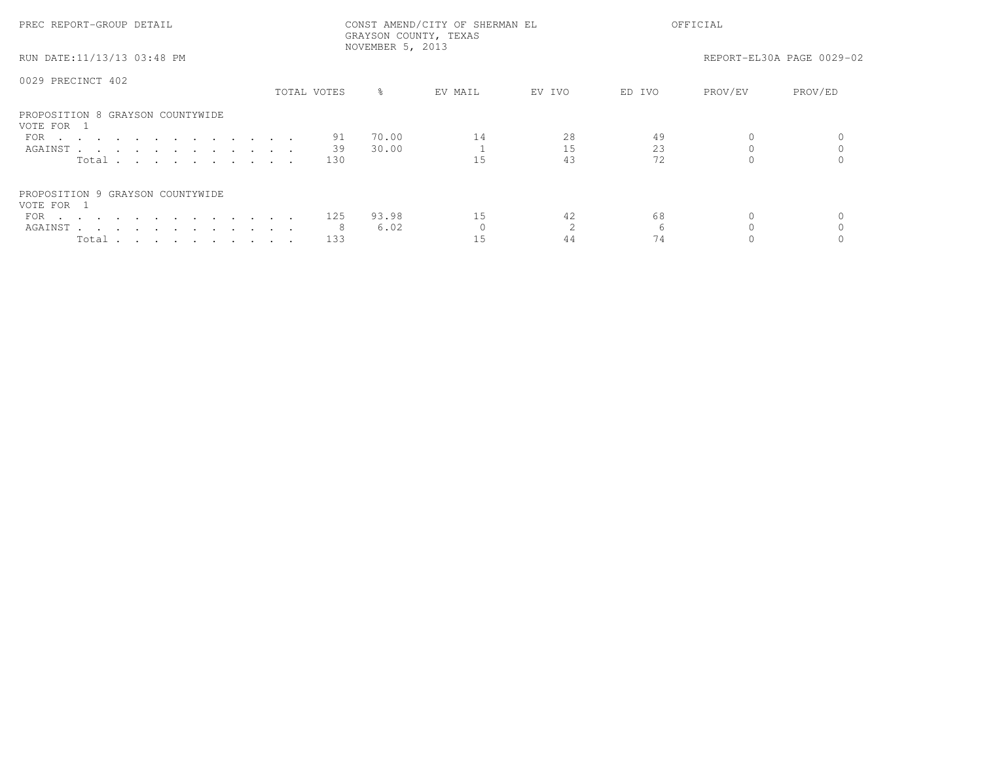| PREC REPORT-GROUP DETAIL                       | CONST AMEND/CITY OF SHERMAN EL<br>GRAYSON COUNTY, TEXAS<br>NOVEMBER 5, 2013 |               |         |        | OFFICIAL |         |                           |  |
|------------------------------------------------|-----------------------------------------------------------------------------|---------------|---------|--------|----------|---------|---------------------------|--|
| RUN DATE:11/13/13 03:48 PM                     |                                                                             |               |         |        |          |         | REPORT-EL30A PAGE 0029-02 |  |
| 0029 PRECINCT 402                              |                                                                             |               |         |        |          |         |                           |  |
|                                                | TOTAL VOTES                                                                 | $\frac{8}{6}$ | EV MAIL | EV IVO | ED IVO   | PROV/EV | PROV/ED                   |  |
| PROPOSITION 8 GRAYSON COUNTYWIDE<br>VOTE FOR 1 |                                                                             |               |         |        |          |         |                           |  |
| FOR                                            | 91                                                                          | 70.00         | 14      | 28     | 49       |         |                           |  |
| AGAINST                                        | 39                                                                          | 30.00         |         | 15     | 23       |         |                           |  |
| Total                                          | 130                                                                         |               | 1.5     | 43     | 72       |         |                           |  |
| PROPOSITION 9 GRAYSON COUNTYWIDE<br>VOTE FOR 1 |                                                                             |               |         |        |          |         |                           |  |
| FOR $\cdots$                                   | 125                                                                         | 93.98         | 15      | 42     | 68       |         |                           |  |
| AGAINST                                        |                                                                             | 6.02          |         |        |          |         |                           |  |
| Total                                          | 133                                                                         |               | 15      | 44     | 74       |         |                           |  |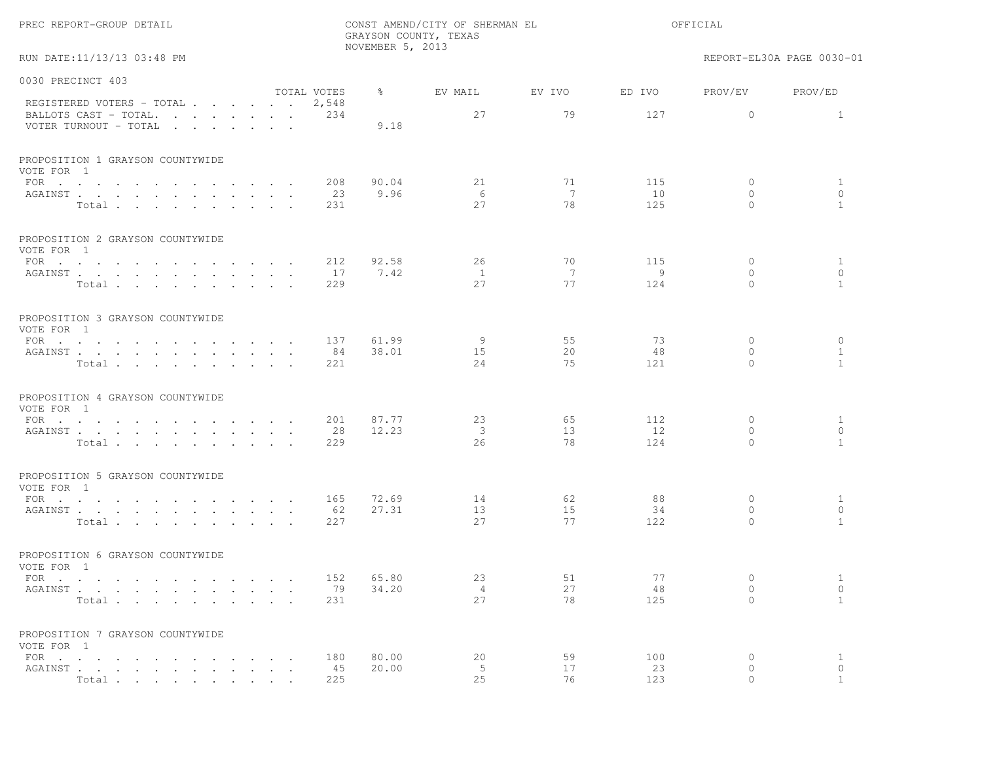| PREC REPORT-GROUP DETAIL                         |                             | GRAYSON COUNTY, TEXAS<br>NOVEMBER 5, 2013 | CONST AMEND/CITY OF SHERMAN EL | OFFICIAL |            |                          |                              |
|--------------------------------------------------|-----------------------------|-------------------------------------------|--------------------------------|----------|------------|--------------------------|------------------------------|
| RUN DATE:11/13/13 03:48 PM                       |                             |                                           |                                |          |            |                          | REPORT-EL30A PAGE 0030-01    |
| 0030 PRECINCT 403                                |                             |                                           |                                |          |            |                          |                              |
| REGISTERED VOTERS - TOTAL                        | TOTAL VOTES<br>2,548        | $\frac{6}{6}$                             | EV MAIL                        | EV IVO   | ED IVO     | PROV/EV                  | PROV/ED                      |
| BALLOTS CAST - TOTAL.<br>VOTER TURNOUT - TOTAL   | 234                         | 9.18                                      | 27                             | 79       | 127        | $\circ$                  | $\mathbf{1}$                 |
| PROPOSITION 1 GRAYSON COUNTYWIDE<br>VOTE FOR 1   |                             |                                           |                                |          |            |                          |                              |
| FOR $\cdots$                                     | 208                         | 90.04                                     | 21                             | 71       | 115        | $\circ$                  | $\mathbf{1}$                 |
| AGAINST<br>Total                                 | 23<br>231                   | 9.96                                      | - 6<br>27                      | 7<br>78  | 10<br>125  | $\Omega$<br>$\Omega$     | $\circ$<br>$\mathbf{1}$      |
| PROPOSITION 2 GRAYSON COUNTYWIDE<br>VOTE FOR 1   |                             |                                           |                                |          |            |                          |                              |
| FOR $\cdots$                                     | 212                         | 92.58                                     | 26                             | 70       | 115        | $\mathbf{0}$             | $\mathbf{1}$                 |
| AGAINST<br>Total                                 | 17<br>229                   | 7.42                                      | $\mathbf{1}$<br>27             | 7<br>77  | - 9<br>124 | $\mathbf{0}$<br>$\Omega$ | $\circ$<br>$\mathbf{1}$      |
| PROPOSITION 3 GRAYSON COUNTYWIDE<br>VOTE FOR 1   |                             |                                           |                                |          |            |                          |                              |
| FOR                                              | 137                         | 61.99                                     | -9                             | 55       | 73         | 0                        | $\circ$                      |
| AGAINST<br>Total                                 | 84<br>221                   | 38.01                                     | 15<br>24                       | 20<br>75 | 48<br>121  | $\mathbf{0}$<br>$\Omega$ | $\mathbf{1}$<br>$\mathbf{1}$ |
| PROPOSITION 4 GRAYSON COUNTYWIDE<br>VOTE FOR 1   |                             |                                           |                                |          |            |                          |                              |
| FOR                                              | 201                         | 87.77                                     | 23                             | 65       | 112        | $\mathbf{0}$             | $\mathbf{1}$                 |
| AGAINST<br>Total                                 | 28<br>229                   | 12.23                                     | $\mathcal{E}$<br>26            | 13<br>78 | 12<br>124  | $\Omega$<br>$\Omega$     | $\Omega$<br>$\mathbf{1}$     |
| PROPOSITION 5 GRAYSON COUNTYWIDE<br>VOTE FOR 1   |                             |                                           |                                |          |            |                          |                              |
| FOR $\cdots$ $\cdots$ $\cdots$ $\cdots$ $\cdots$ | 165<br>$\sim$ $\sim$ $\sim$ | 72.69                                     | 14                             | 62       | 88         | $\mathbf{0}$             | $\mathbf{1}$                 |
| AGAINST<br>Total                                 | 62<br>227                   | 27.31                                     | 13<br>27                       | 15<br>77 | 34<br>122  | $\mathbf{0}$<br>$\Omega$ | $\circ$<br>$\mathbf{1}$      |
| PROPOSITION 6 GRAYSON COUNTYWIDE<br>VOTE FOR 1   |                             |                                           |                                |          |            |                          |                              |
| FOR                                              |                             | 152 65.80                                 | 23                             | 51       | 77         | $\overline{0}$           | $\mathbf{1}$                 |
| AGAINST<br>Total                                 | 79<br>231                   | 34.20                                     | $\overline{4}$<br>27           | 27<br>78 | 48<br>125  | $\circ$<br>$\Omega$      | $\circ$<br>$\mathbf{1}$      |
| PROPOSITION 7 GRAYSON COUNTYWIDE<br>VOTE FOR 1   |                             |                                           |                                |          |            |                          |                              |
| $FOR \t . \t . \t . \t .$                        | 180                         | 80.00                                     | 20                             | 59       | 100        | $\circ$                  | $\mathbf{1}$                 |
| AGAINST<br>$\ddot{\phantom{a}}$<br>Total         | 45<br>225                   | 20.00                                     | 5<br>25                        | 17<br>76 | 23<br>123  | 0<br>$\Omega$            | $\circ$<br>$\mathbf{1}$      |
|                                                  |                             |                                           |                                |          |            |                          |                              |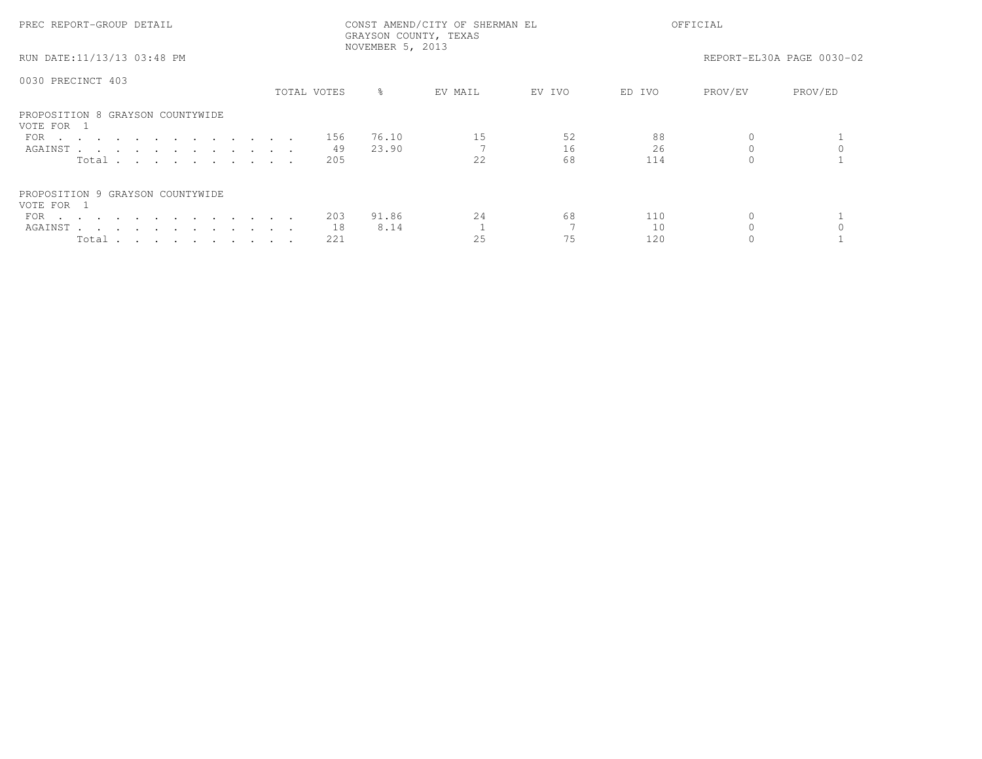| PREC REPORT-GROUP DETAIL                       | CONST AMEND/CITY OF SHERMAN EL<br>GRAYSON COUNTY, TEXAS<br>NOVEMBER 5, 2013 |             |           |         |        | OFFICIAL |         |                           |  |
|------------------------------------------------|-----------------------------------------------------------------------------|-------------|-----------|---------|--------|----------|---------|---------------------------|--|
| RUN DATE:11/13/13 03:48 PM                     |                                                                             |             |           |         |        |          |         | REPORT-EL30A PAGE 0030-02 |  |
| 0030 PRECINCT 403                              |                                                                             | TOTAL VOTES | $\approx$ | EV MAIL | EV IVO | ED IVO   | PROV/EV | PROV/ED                   |  |
|                                                |                                                                             |             |           |         |        |          |         |                           |  |
| PROPOSITION 8 GRAYSON COUNTYWIDE<br>VOTE FOR 1 |                                                                             |             |           |         |        |          |         |                           |  |
| FOR                                            |                                                                             | 156         | 76.10     | 15      | 52     | 88       |         |                           |  |
| AGAINST                                        |                                                                             | 49          | 23.90     |         | 16     | 26       |         |                           |  |
| Total $\cdots$                                 |                                                                             | 205         |           | 2.2.    | 68     | 114      |         |                           |  |
| PROPOSITION 9 GRAYSON COUNTYWIDE<br>VOTE FOR 1 |                                                                             |             |           |         |        |          |         |                           |  |
| FOR $\cdots$                                   |                                                                             | 203         | 91.86     | 24      | 68     | 110      |         |                           |  |
| AGAINST                                        |                                                                             | 18          | 8.14      |         |        | 10       |         |                           |  |
| Total                                          |                                                                             | 221         |           | 25      | 75     | 120      |         |                           |  |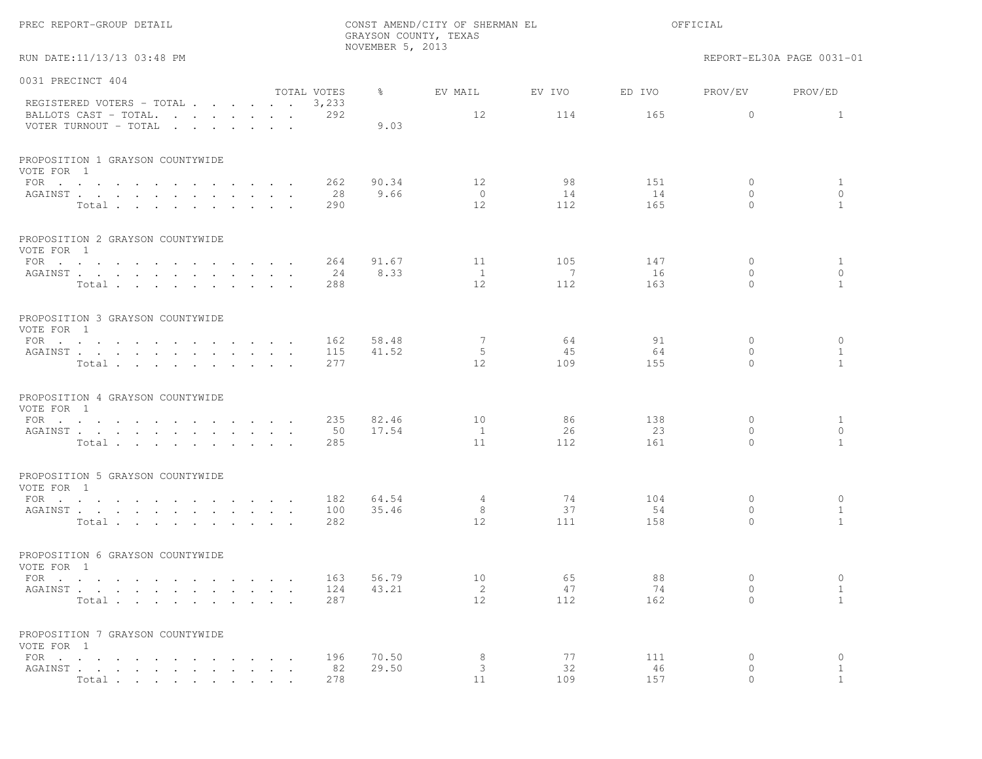|                                                                                                             |                             |                      | NOVEMBER 5, 2013 | GRAYSON COUNTY, TEXAS  |           |           |                          |                              |
|-------------------------------------------------------------------------------------------------------------|-----------------------------|----------------------|------------------|------------------------|-----------|-----------|--------------------------|------------------------------|
| RUN DATE:11/13/13 03:48 PM                                                                                  |                             |                      |                  |                        |           |           |                          | REPORT-EL30A PAGE 0031-01    |
| 0031 PRECINCT 404                                                                                           |                             |                      |                  |                        |           |           |                          |                              |
| REGISTERED VOTERS - TOTAL                                                                                   |                             | TOTAL VOTES<br>3,233 | ွေ               | EV MAIL                | EV IVO    | ED IVO    | PROV/EV                  | PROV/ED                      |
| BALLOTS CAST - TOTAL.<br>VOTER TURNOUT - TOTAL<br>$\mathbf{r}$ , $\mathbf{r}$ , $\mathbf{r}$ , $\mathbf{r}$ |                             | 292                  | 9.03             | 12                     | 114       | 165       | $\circ$                  | <sup>1</sup>                 |
| PROPOSITION 1 GRAYSON COUNTYWIDE<br>VOTE FOR 1                                                              |                             |                      |                  |                        |           |           |                          |                              |
| FOR                                                                                                         |                             | 262                  | 90.34            | 12                     | 98        | 151       | $\circ$                  | 1                            |
| AGAINST                                                                                                     |                             | 28<br>290            | 9.66             | $\circ$<br>12          | 14<br>112 | 14<br>165 | $\mathbf{0}$<br>$\Omega$ | $\circ$<br>$\mathbf{1}$      |
| Total                                                                                                       |                             |                      |                  |                        |           |           |                          |                              |
| PROPOSITION 2 GRAYSON COUNTYWIDE                                                                            |                             |                      |                  |                        |           |           |                          |                              |
| VOTE FOR 1<br>FOR $\cdots$                                                                                  |                             | 264                  | 91.67            | 11                     | 105       | 147       | 0                        | $\mathbf{1}$                 |
| AGAINST                                                                                                     | $\cdot$ $\cdot$             | 24                   | 8.33             | 1                      | 7         | 16        | $\mathbf{0}$             | $\circ$                      |
| Total                                                                                                       |                             | 288                  |                  | $12 \overline{ }$      | 112       | 163       | $\Omega$                 | $\mathbf{1}$                 |
| PROPOSITION 3 GRAYSON COUNTYWIDE<br>VOTE FOR 1                                                              |                             |                      |                  |                        |           |           |                          |                              |
| FOR $\cdots$                                                                                                |                             | 162                  | 58.48            | 7                      | 64        | 91        | $\circ$                  | $\circ$                      |
| AGAINST<br>Total.                                                                                           |                             | 115<br>277           | 41.52            | 5<br>$12 \overline{ }$ | 45<br>109 | 64<br>155 | $\circ$<br>$\Omega$      | $\mathbf{1}$<br>$\mathbf{1}$ |
|                                                                                                             |                             |                      |                  |                        |           |           |                          |                              |
| PROPOSITION 4 GRAYSON COUNTYWIDE<br>VOTE FOR 1                                                              |                             |                      |                  |                        |           |           |                          |                              |
| FOR $\cdots$                                                                                                |                             | 235                  | 82.46            | 10                     | 86        | 138       | $\circ$                  | $\mathbf{1}$                 |
| AGAINST                                                                                                     | $\sim$ $\sim$               | 50                   | 17.54            | <sup>1</sup>           | 26        | 23        | $\mathbf{0}$             | $\circ$                      |
| Total                                                                                                       |                             | 285                  |                  | 11                     | 112       | 161       | $\Omega$                 | $\mathbf{1}$                 |
| PROPOSITION 5 GRAYSON COUNTYWIDE<br>VOTE FOR 1                                                              |                             |                      |                  |                        |           |           |                          |                              |
| FOR $\cdots$ $\cdots$ $\cdots$ $\cdots$                                                                     | $\sim$ $\sim$ $\sim$ $\sim$ | 182                  | 64.54            | $\overline{4}$         | 74        | 104       | 0                        | $\circ$                      |
| AGAINST<br>Total $\cdots$ $\cdots$ $\cdots$                                                                 | $\cdot$ $\cdot$             | 100<br>282           | 35.46            | 8<br>12                | 37<br>111 | 54<br>158 | $\mathbf{0}$<br>$\Omega$ | $\mathbf{1}$<br>$\mathbf{1}$ |
|                                                                                                             |                             |                      |                  |                        |           |           |                          |                              |
| PROPOSITION 6 GRAYSON COUNTYWIDE<br>VOTE FOR 1                                                              |                             |                      |                  |                        |           |           |                          |                              |
| FOR $\cdots$                                                                                                |                             | 163                  | 56.79            | 10                     | 65        | 88        | $\circ$                  | $\circ$                      |
| AGAINST<br>Total                                                                                            |                             | 124<br>287           | 43.21            | 2<br>12                | 47<br>112 | 74<br>162 | $\circ$<br>$\circ$       | $\mathbf{1}$<br>$\mathbf{1}$ |
| PROPOSITION 7 GRAYSON COUNTYWIDE                                                                            |                             |                      |                  |                        |           |           |                          |                              |
| VOTE FOR 1                                                                                                  |                             |                      |                  |                        |           |           |                          |                              |
| FOR $\cdots$ $\cdots$ $\cdots$ $\cdots$<br>AGAINST                                                          | $\cdots$ $\cdots$           | 196<br>82            | 70.50<br>29.50   | 8<br>3                 | 77<br>32  | 111<br>46 | 0<br>0                   | $\circ$<br>$\mathbf{1}$      |
| Total                                                                                                       |                             | 278                  |                  | 11                     | 109       | 157       | $\circ$                  | $\mathbf{1}$                 |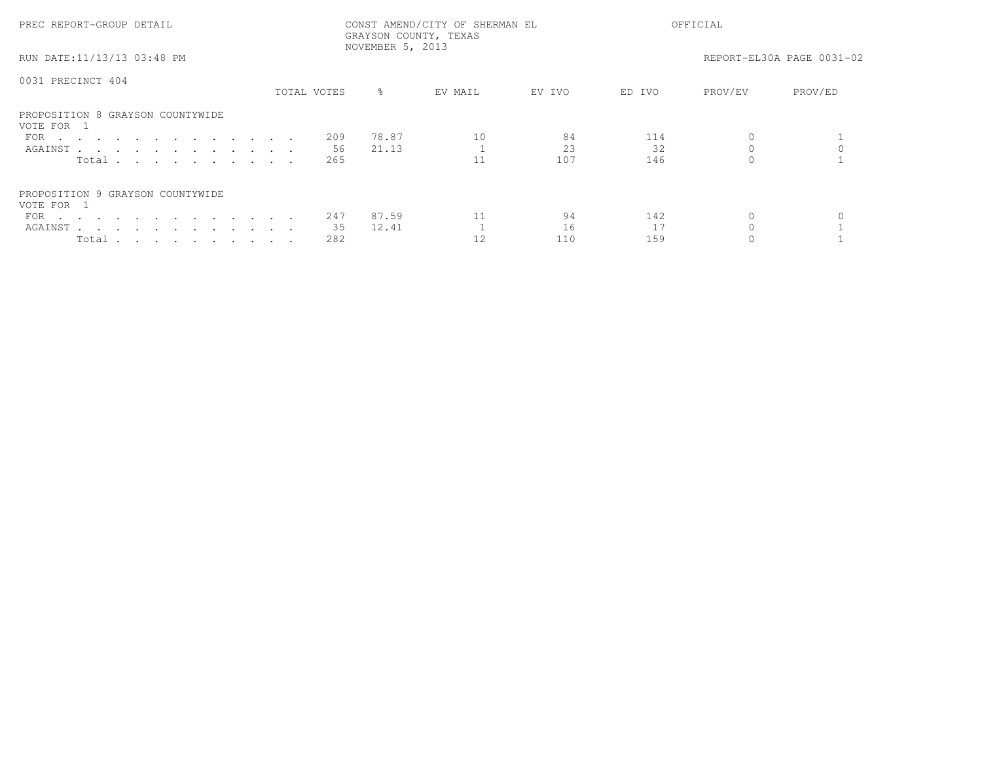| PREC REPORT-GROUP DETAIL                                                  | CONST AMEND/CITY OF SHERMAN EL<br>GRAYSON COUNTY, TEXAS<br>NOVEMBER 5, 2013 |           |                                      | OFFICIAL                  |
|---------------------------------------------------------------------------|-----------------------------------------------------------------------------|-----------|--------------------------------------|---------------------------|
| RUN DATE:11/13/13 03:48 PM                                                |                                                                             |           |                                      | REPORT-EL30A PAGE 0031-02 |
| 0031 PRECINCT 404                                                         | TOTAL VOTES<br>$\approx$                                                    | EV MAIL   | EV IVO<br>ED IVO                     | PROV/EV<br>PROV/ED        |
| PROPOSITION 8 GRAYSON COUNTYWIDE<br>VOTE FOR 1<br>FOR<br>AGAINST<br>Total | 78.87<br>209<br>21.13<br>56<br>265                                          | 10<br>11  | 84<br>114<br>2.3<br>32<br>107<br>146 |                           |
| PROPOSITION 9 GRAYSON COUNTYWIDE<br>VOTE FOR 1<br>FOR<br>AGAINST<br>Total | 87.59<br>247<br>35<br>12.41<br>282                                          | 11<br>12. | 142<br>94<br>16<br>17<br>159<br>110  |                           |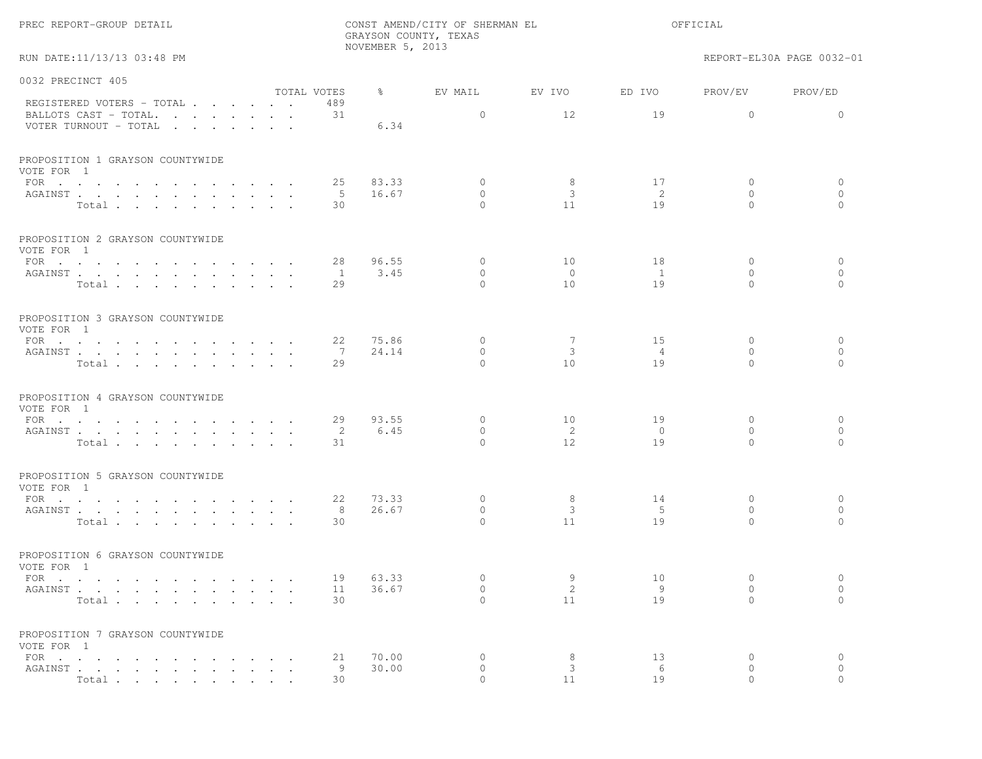|  |  | PREC REPORT-GROUP DETAIL |  |  |
|--|--|--------------------------|--|--|
|--|--|--------------------------|--|--|

RUN DATE:11/13/13 03:48 PM REPORT-EL30A PAGE 0032-01

| 0032 PRECINCT 405                                                           |              |           |           |                |                |              |              |
|-----------------------------------------------------------------------------|--------------|-----------|-----------|----------------|----------------|--------------|--------------|
|                                                                             | TOTAL VOTES  | $\approx$ | EV MAIL   | EV IVO         | ED IVO         | PROV/EV      | PROV/ED      |
| REGISTERED VOTERS - TOTAL<br>BALLOTS CAST - TOTAL.<br>VOTER TURNOUT - TOTAL | 489<br>31    | 6.34      | $\circ$   | 12             | 19             | $\Omega$     | $\Omega$     |
|                                                                             |              |           |           |                |                |              |              |
| PROPOSITION 1 GRAYSON COUNTYWIDE<br>VOTE FOR 1                              |              |           |           |                |                |              |              |
| FOR $\cdots$                                                                | 25           | 83.33     | $\circ$   | 8              | 17             | $\circ$      | 0            |
| AGAINST                                                                     | - 5          | 16.67     | $\Omega$  | 3              | -2             | $\Omega$     | $\circ$      |
| Total                                                                       | 30           |           | $\Omega$  | 11             | 19             | $\Omega$     | $\Omega$     |
| PROPOSITION 2 GRAYSON COUNTYWIDE<br>VOTE FOR 1                              |              |           |           |                |                |              |              |
| FOR                                                                         | 28           | 96.55     | $\circ$   | 10             | 18             | $\mathbf{0}$ | $\circ$      |
| AGAINST                                                                     | $\mathbf{1}$ | 3.45      | $\circ$   | $\circ$        | $\mathbf{1}$   | $\mathbf{0}$ | $\circ$      |
| Total                                                                       | 29           |           | $\Omega$  | 10             | 19             | $\Omega$     | $\circ$      |
| PROPOSITION 3 GRAYSON COUNTYWIDE<br>VOTE FOR 1                              |              |           |           |                |                |              |              |
|                                                                             | 22           | 75.86     | $\circ$   | 7              | 15             | $\mathbf{0}$ | 0            |
| AGAINST                                                                     | 7            | 24.14     | $\circ$   | 3              | 4              | $\circ$      | $\circ$      |
| Total                                                                       | 29           |           | $\Omega$  | 10             | 19             | $\Omega$     | $\Omega$     |
| PROPOSITION 4 GRAYSON COUNTYWIDE<br>VOTE FOR 1                              |              |           |           |                |                |              |              |
| FOR $\cdots$                                                                | 29           | 93.55     | $\circ$   | 10             | 19             | $\mathbf{0}$ | $\mathbf{0}$ |
| AGAINST                                                                     | 2            | 6.45      | $\Omega$  | $\overline{2}$ | $\overline{0}$ | $\Omega$     | $\circ$      |
| Total                                                                       | 31           |           | $\Omega$  | 12             | 19             | $\Omega$     | $\Omega$     |
| PROPOSITION 5 GRAYSON COUNTYWIDE<br>VOTE FOR 1                              |              |           |           |                |                |              |              |
| FOR $\cdots$                                                                | 22           | 73.33     | $\circ$   | 8              | 14             | $\mathbf{0}$ | $\circ$      |
| AGAINST                                                                     | $^{\circ}$ 8 | 26.67     | $\circ$   | $\mathbf{3}$   | 5              | $\Omega$     | $\circ$      |
| Total                                                                       | 30           |           | $\Omega$  | 11             | 19             | $\Omega$     | $\Omega$     |
| PROPOSITION 6 GRAYSON COUNTYWIDE<br>VOTE FOR 1                              |              |           |           |                |                |              |              |
| FOR $\cdots$                                                                | 19           | 63.33     | $\circ$   | 9              | 10             | $\mathbf{0}$ | $\circ$      |
| AGAINST                                                                     | 11           | 36.67     | $\circ$   | $\overline{2}$ | -9             | $\mathbf{0}$ | $\circ$      |
| Total                                                                       | 30           |           | $\Omega$  | 11             | 19             | $\Omega$     | $\Omega$     |
| PROPOSITION 7 GRAYSON COUNTYWIDE                                            |              |           |           |                |                |              |              |
| VOTE FOR 1                                                                  | 21           | 70.00     | $\circ$   | 8              | 13             | $\mathbf{0}$ | 0            |
| FOR<br>AGAINST                                                              | 9            | 30.00     | $\circ$   | 3              | 6              | $\mathbf{0}$ | $\circ$      |
| Total                                                                       | 30           |           | $\bigcap$ | 11             | 19             | $\Omega$     | $\bigcap$    |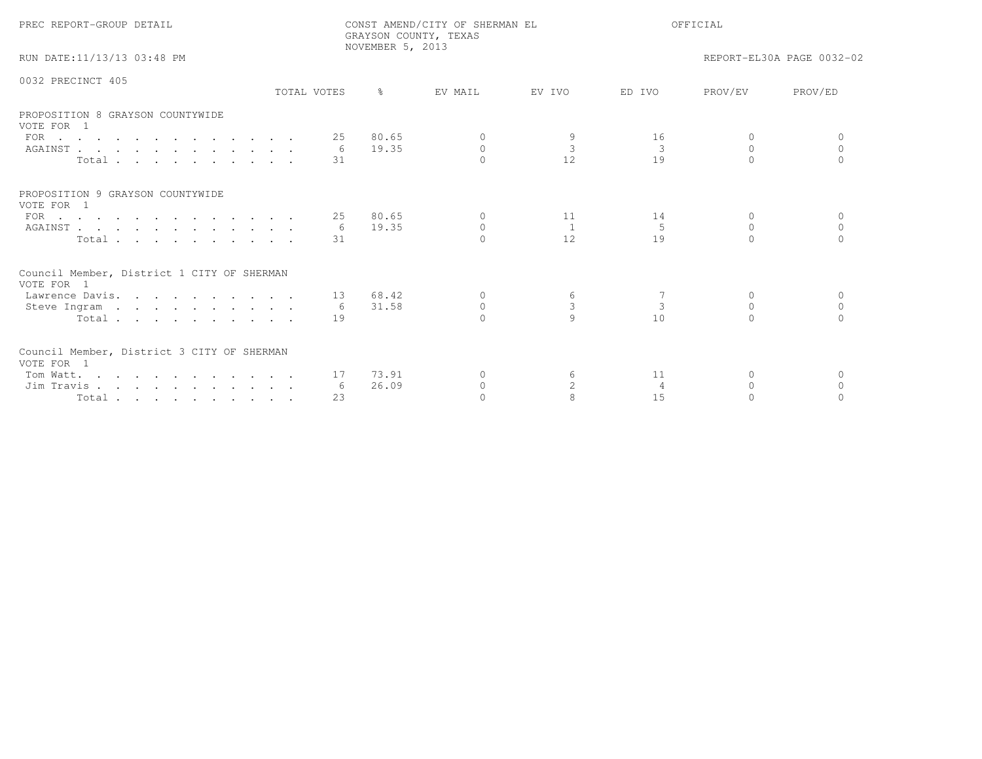| PREC REPORT-GROUP DETAIL                                                                                                                             |                 | NOVEMBER 5, 2013  | CONST AMEND/CITY OF SHERMAN EL<br>GRAYSON COUNTY, TEXAS | OFFICIAL                  |                                     |                                    |                           |
|------------------------------------------------------------------------------------------------------------------------------------------------------|-----------------|-------------------|---------------------------------------------------------|---------------------------|-------------------------------------|------------------------------------|---------------------------|
| RUN DATE:11/13/13 03:48 PM                                                                                                                           |                 |                   |                                                         |                           |                                     |                                    | REPORT-EL30A PAGE 0032-02 |
| 0032 PRECINCT 405                                                                                                                                    | TOTAL VOTES     | $\approx$         | EV MAIL                                                 | EV IVO                    | ED IVO                              | PROV/EV                            | PROV/ED                   |
| PROPOSITION 8 GRAYSON COUNTYWIDE<br>VOTE FOR 1<br>FOR $\cdots$<br>AGAINST<br>Total                                                                   | 25<br>6<br>31   | 80.65<br>19.35    | $\circ$<br>$\Omega$                                     | $\overline{3}$<br>12.     | 16<br>$\overline{\mathbf{3}}$<br>19 | $\Omega$<br>$\Omega$<br>$\bigcap$  | $\Omega$<br>$\cap$        |
| PROPOSITION 9 GRAYSON COUNTYWIDE<br>VOTE FOR 1<br>FOR $\cdots$<br>AGAINST<br>Total                                                                   | 6<br>31         | 25 80.65<br>19.35 | $\circ$<br>$\Omega$<br>$\cap$                           | 11<br>$\mathbf{1}$<br>12. | 14<br>5<br>19                       | $\circ$<br>$\Omega$<br>$\cap$      | $\Omega$<br>$\Omega$      |
| Council Member, District 1 CITY OF SHERMAN<br>VOTE FOR 1<br>Lawrence Davis.<br>Steve Ingram<br>Total                                                 | 6<br>19         | 13 68.42<br>31.58 | $\Omega$<br>$\Omega$<br>$\cap$                          | 6<br>$\mathbf{3}$         | $\overline{3}$<br>10                | $\Omega$<br>$\Omega$<br>$\bigcap$  | $\Omega$<br>$\bigcap$     |
| Council Member, District 3 CITY OF SHERMAN<br>VOTE FOR 1<br>Tom Watt.<br>Jim Travis<br>$Total \cdot \cdot \cdot \cdot \cdot \cdot \cdot \cdot \cdot$ | 17<br>-6<br>2.3 | 73.91<br>26.09    | $\Omega$<br>$\circ$<br>$\cap$                           | 6<br>$\overline{2}$       | 11<br>$\overline{4}$<br>1.5         | $\mathbf{0}$<br>$\Omega$<br>$\cap$ | $\Omega$<br>$\Omega$      |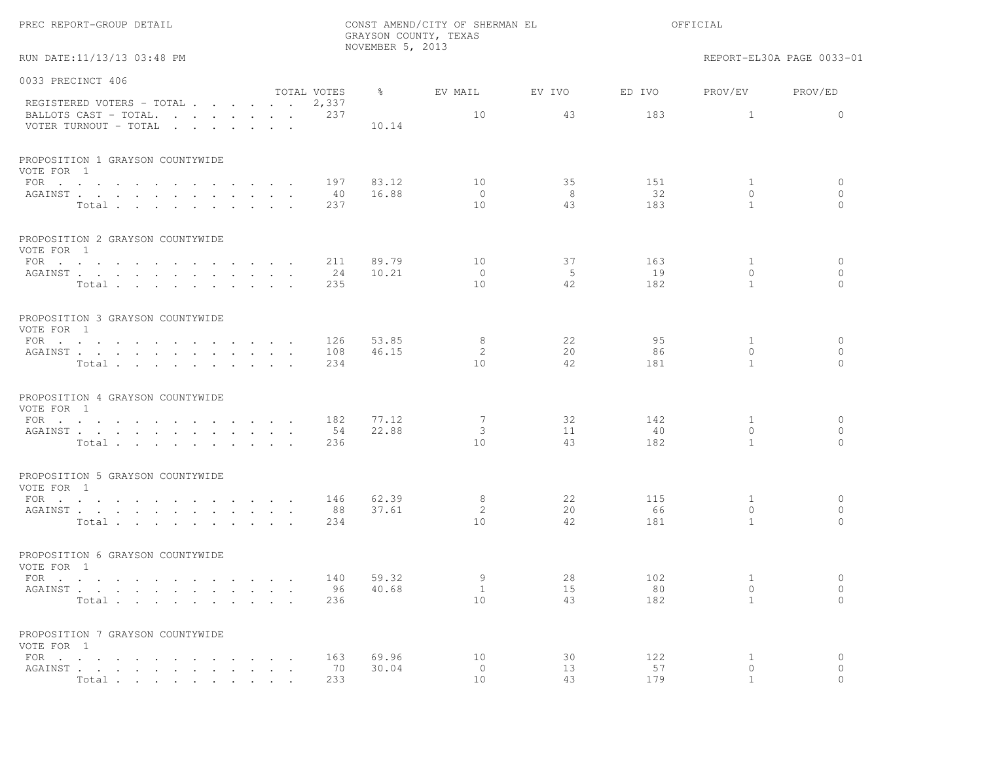|                                                                                                                                                                          |                                   |                      | NOVEMBER 5, 2013 | GRAYSON COUNTY, TEXAS |           |           |                                |                           |
|--------------------------------------------------------------------------------------------------------------------------------------------------------------------------|-----------------------------------|----------------------|------------------|-----------------------|-----------|-----------|--------------------------------|---------------------------|
| RUN DATE:11/13/13 03:48 PM                                                                                                                                               |                                   |                      |                  |                       |           |           |                                | REPORT-EL30A PAGE 0033-01 |
| 0033 PRECINCT 406                                                                                                                                                        |                                   |                      | $\frac{6}{6}$    |                       |           |           |                                |                           |
| REGISTERED VOTERS - TOTAL                                                                                                                                                |                                   | TOTAL VOTES<br>2,337 |                  | EV MAIL               | EV IVO    | ED IVO    | PROV/EV                        | PROV/ED                   |
| BALLOTS CAST - TOTAL.<br>VOTER TURNOUT - TOTAL                                                                                                                           |                                   | 237                  | 10.14            | 10                    | 43        | 183       | $\mathbf{1}$                   | $\circ$                   |
| PROPOSITION 1 GRAYSON COUNTYWIDE<br>VOTE FOR 1                                                                                                                           |                                   |                      |                  |                       |           |           |                                |                           |
| FOR $\cdots$                                                                                                                                                             |                                   | 197                  | 83.12            | 10                    | 35        | 151       | $\mathbf{1}$                   | $\circ$                   |
| AGAINST<br>Total                                                                                                                                                         |                                   | 40<br>237            | 16.88            | $\circ$<br>10         | - 8<br>43 | 32<br>183 | $\circ$<br>$\overline{1}$      | $\circ$<br>$\Omega$       |
| PROPOSITION 2 GRAYSON COUNTYWIDE<br>VOTE FOR 1                                                                                                                           |                                   |                      |                  |                       |           |           |                                |                           |
| FOR                                                                                                                                                                      |                                   | 211                  | 89.79            | 10                    | 37        | 163       | $\mathbf{1}$                   | $\circ$                   |
| AGAINST<br>Total                                                                                                                                                         | $\cdot$ $\cdot$                   | 24<br>235            | 10.21            | $\circ$<br>10         | - 5<br>42 | 19<br>182 | $\overline{0}$<br>$\mathbf{1}$ | $\circ$<br>$\circ$        |
| PROPOSITION 3 GRAYSON COUNTYWIDE<br>VOTE FOR 1                                                                                                                           |                                   |                      |                  |                       |           |           |                                |                           |
| FOR                                                                                                                                                                      |                                   | 126                  | 53.85            | 8                     | 22        | 95        | $\mathbf{1}$                   | $\circ$                   |
| AGAINST<br>Total                                                                                                                                                         |                                   | 108<br>234           | 46.15            | 2<br>10               | 20<br>42  | 86<br>181 | $\mathbf{0}$<br>$\mathbf{1}$   | $\circ$<br>$\Omega$       |
| PROPOSITION 4 GRAYSON COUNTYWIDE<br>VOTE FOR 1                                                                                                                           |                                   |                      |                  |                       |           |           |                                |                           |
| FOR                                                                                                                                                                      |                                   | 182                  | 77.12            | 7                     | 32        | 142       | 1                              | $\circ$                   |
| AGAINST<br>Total                                                                                                                                                         |                                   | 54<br>236            | 22.88            | 3<br>10               | 11<br>43  | 40<br>182 | $\circ$<br>$\mathbf{1}$        | $\circ$<br>$\Omega$       |
| PROPOSITION 5 GRAYSON COUNTYWIDE<br>VOTE FOR 1                                                                                                                           |                                   |                      |                  |                       |           |           |                                |                           |
| FOR                                                                                                                                                                      |                                   | 146                  | 62.39            | 8                     | 22        | 115       | $\mathbf{1}$                   | $\circ$                   |
| AGAINST<br>Total                                                                                                                                                         |                                   | 88<br>234            | 37.61            | 2<br>10               | 20<br>42  | 66<br>181 | $\mathbf{0}$<br>$\mathbf{1}$   | $\circ$<br>$\Omega$       |
| PROPOSITION 6 GRAYSON COUNTYWIDE<br>VOTE FOR 1                                                                                                                           |                                   |                      |                  |                       |           |           |                                |                           |
| FOR $\cdots$                                                                                                                                                             |                                   | 140                  | 59.32            | 9                     | 28        | 102       | $\mathbf{1}$                   | $\circ$                   |
| AGAINST<br>Total                                                                                                                                                         |                                   | 236                  | 96 40.68         | 1<br>10               | 15<br>43  | 80<br>182 | $\overline{0}$<br>$\mathbf{1}$ | $\circ$<br>$\Omega$       |
| PROPOSITION 7 GRAYSON COUNTYWIDE<br>VOTE FOR 1                                                                                                                           |                                   |                      |                  |                       |           |           |                                |                           |
| FOR $\cdot$ $\cdot$ $\cdot$ $\cdot$ $\cdot$ $\cdot$ $\cdot$<br>$\sim$                                                                                                    | <b>Contract Contract Contract</b> | 163                  | 69.96            | 10                    | 30        | 122       | $\mathbf{1}$                   | $\circ$                   |
| ${\tt AGAINST} \hspace{0.1in} . \hspace{0.1in} . \hspace{0.1in} . \hspace{0.1in} . \hspace{0.1in} . \hspace{0.1in} . \hspace{0.1in} . \hspace{0.1in} . \hspace{0.1in} .$ |                                   | 70                   | 30.04            | $\circ$               | 13        | 57        | $\circ$                        | $\circ$                   |
| Total                                                                                                                                                                    |                                   | 233                  |                  | 10                    | 43        | 179       | $\overline{1}$                 | $\Omega$                  |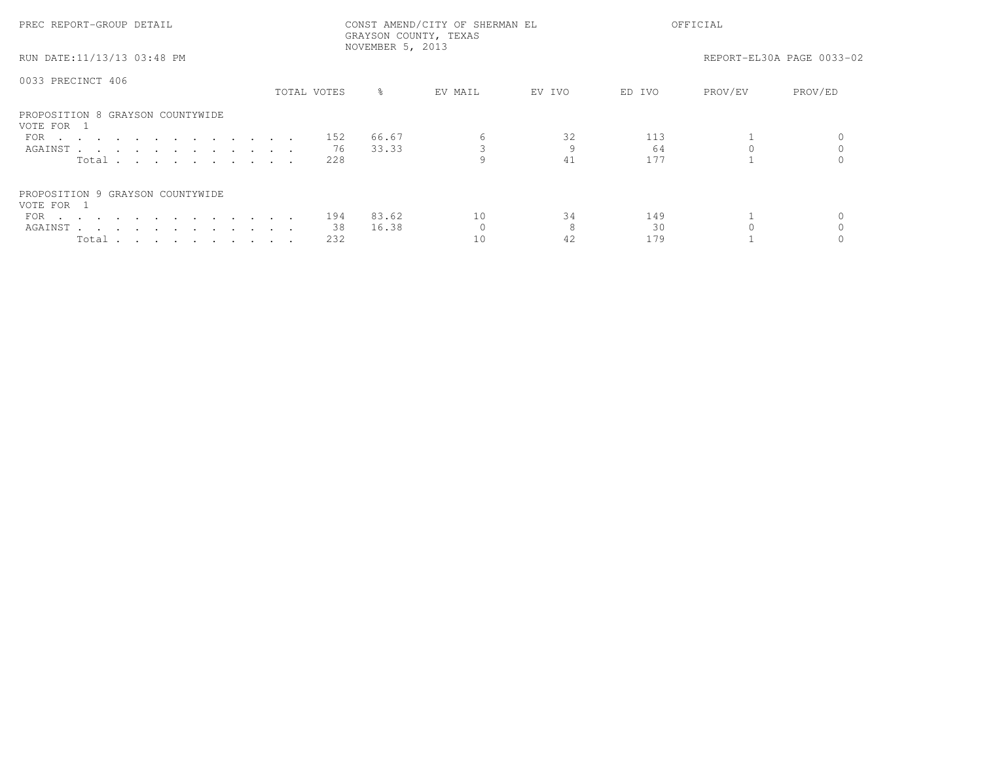| PREC REPORT-GROUP DETAIL                       | CONST AMEND/CITY OF SHERMAN EL<br>GRAYSON COUNTY, TEXAS<br>NOVEMBER 5, 2013 |             |           |         | OFFICIAL |        |         |                           |
|------------------------------------------------|-----------------------------------------------------------------------------|-------------|-----------|---------|----------|--------|---------|---------------------------|
| RUN DATE:11/13/13 03:48 PM                     |                                                                             |             |           |         |          |        |         | REPORT-EL30A PAGE 0033-02 |
| 0033 PRECINCT 406                              |                                                                             | TOTAL VOTES | $\approx$ | EV MAIL | EV IVO   | ED IVO | PROV/EV | PROV/ED                   |
|                                                |                                                                             |             |           |         |          |        |         |                           |
| PROPOSITION 8 GRAYSON COUNTYWIDE<br>VOTE FOR 1 |                                                                             |             |           |         |          |        |         |                           |
| FOR                                            |                                                                             | 152         | 66.67     | 6       | 32       | 113    |         |                           |
| AGAINST                                        |                                                                             | 76          | 33.33     |         |          | 64     |         |                           |
| Total $\cdots$                                 |                                                                             | 228         |           |         | 41       | 177    |         |                           |
| PROPOSITION 9 GRAYSON COUNTYWIDE<br>VOTE FOR 1 |                                                                             |             |           |         |          |        |         |                           |
| FOR $\cdots$                                   |                                                                             | 194         | 83.62     | 10      | 34       | 149    |         |                           |
| AGAINST                                        |                                                                             | 38          | 16.38     |         |          | 30     |         |                           |
| Total                                          |                                                                             | 232         |           | 10      | 42       | 179    |         |                           |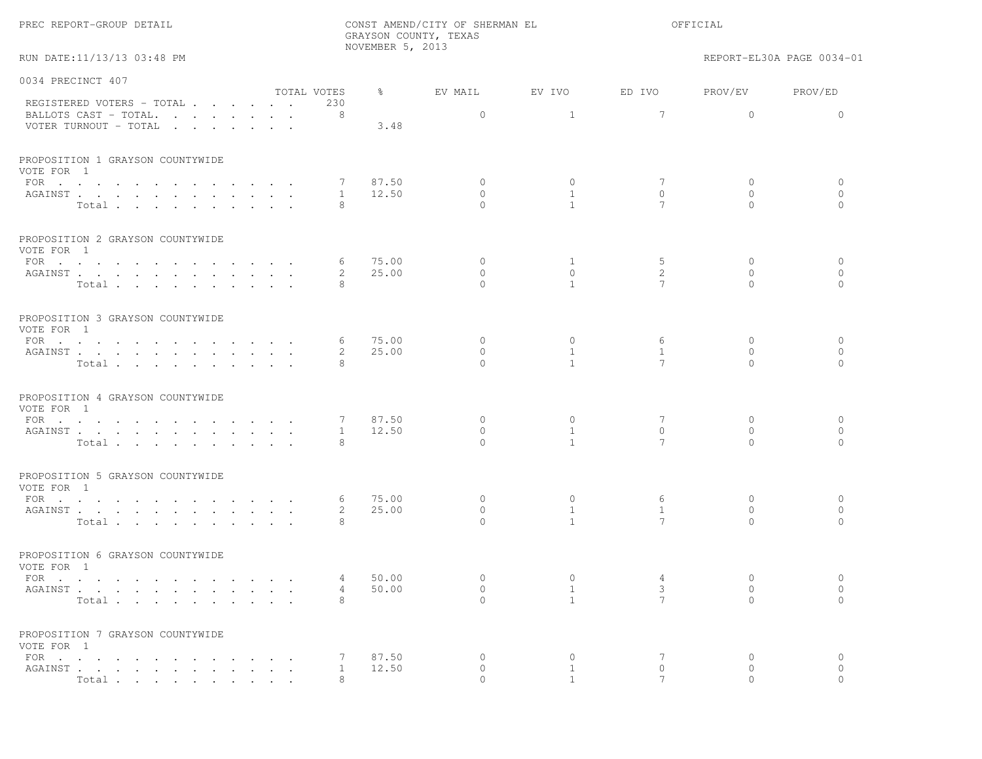|  |  | PREC REPORT-GROUP DETAIL |  |  |
|--|--|--------------------------|--|--|
|--|--|--------------------------|--|--|

RUN DATE:11/13/13 03:48 PM REPORT-EL30A PAGE 0034-01

| 0034 PRECINCT 407                                                                                              |                      |                            |           |                      |                                |                            |                              |                          |
|----------------------------------------------------------------------------------------------------------------|----------------------|----------------------------|-----------|----------------------|--------------------------------|----------------------------|------------------------------|--------------------------|
|                                                                                                                | TOTAL VOTES          |                            | $\approx$ | EV MAIL              | EV IVO                         | ED IVO                     | PROV/EV                      | PROV/ED                  |
| REGISTERED VOTERS - TOTAL                                                                                      |                      | 230                        |           |                      |                                |                            |                              |                          |
| BALLOTS CAST - TOTAL.                                                                                          |                      | 8                          |           | $\circ$              | $\overline{1}$                 | $\overline{7}$             | $\Omega$                     | $\Omega$                 |
| VOTER TURNOUT - TOTAL                                                                                          |                      |                            | 3.48      |                      |                                |                            |                              |                          |
| PROPOSITION 1 GRAYSON COUNTYWIDE                                                                               |                      |                            |           |                      |                                |                            |                              |                          |
| VOTE FOR 1                                                                                                     |                      |                            |           |                      |                                |                            |                              |                          |
| FOR $\cdots$                                                                                                   |                      | 7                          | 87.50     | $\circ$              | $\circ$                        | 7                          | $\circ$                      | 0                        |
| AGAINST                                                                                                        |                      | 1                          | 12.50     | $\Omega$<br>$\Omega$ | $\overline{1}$<br>$\mathbf{1}$ | $\Omega$<br>$\overline{7}$ | $\Omega$<br>$\Omega$         | $\mathbf{0}$<br>$\Omega$ |
| Total                                                                                                          |                      | 8                          |           |                      |                                |                            |                              |                          |
| PROPOSITION 2 GRAYSON COUNTYWIDE<br>VOTE FOR 1                                                                 |                      |                            |           |                      |                                |                            |                              |                          |
| FOR $\cdots$                                                                                                   |                      | 6                          | 75.00     | $\circ$              | $\mathbf{1}$                   | 5                          | $\mathbf{0}$                 | $\mathbf{0}$             |
| AGAINST                                                                                                        |                      | 2                          | 25.00     | $\circ$              | $\circ$                        | 2                          | $\circ$                      | $\circ$                  |
| Total                                                                                                          |                      | 8                          |           | $\Omega$             | $\mathbf{1}$                   | 7                          | $\Omega$                     | $\Omega$                 |
|                                                                                                                |                      |                            |           |                      |                                |                            |                              |                          |
| PROPOSITION 3 GRAYSON COUNTYWIDE                                                                               |                      |                            |           |                      |                                |                            |                              |                          |
| VOTE FOR 1                                                                                                     |                      |                            |           |                      |                                |                            |                              |                          |
|                                                                                                                |                      | 6                          | 75.00     | $\circ$<br>$\circ$   | $\circ$<br>$\mathbf{1}$        | 6<br>$\mathbf{1}$          | $\mathbf{0}$<br>$\mathbf{0}$ | $\circ$<br>$\circ$       |
| AGAINST                                                                                                        |                      | $\mathbf{2}^{\prime}$<br>8 | 25.00     | $\Omega$             | $\mathbf{1}$                   | $\overline{7}$             | $\Omega$                     | $\Omega$                 |
| Total                                                                                                          |                      |                            |           |                      |                                |                            |                              |                          |
| PROPOSITION 4 GRAYSON COUNTYWIDE                                                                               |                      |                            |           |                      |                                |                            |                              |                          |
| VOTE FOR 1                                                                                                     |                      |                            |           |                      |                                |                            |                              |                          |
| FOR $\cdots$                                                                                                   |                      | 7                          | 87.50     | $\circ$              | $\circ$                        | 7                          | $\mathbf{0}$                 | $\circ$                  |
| AGAINST                                                                                                        |                      | $\mathbf{1}$               | 12.50     | $\circ$              | $\mathbf{1}$                   | $\mathbf{0}$               | $\mathbf{0}$                 | $\circ$                  |
| Total                                                                                                          |                      | 8                          |           | $\Omega$             | $\mathbf{1}$                   | $7\phantom{.0}$            | $\Omega$                     | $\Omega$                 |
| PROPOSITION 5 GRAYSON COUNTYWIDE                                                                               |                      |                            |           |                      |                                |                            |                              |                          |
| VOTE FOR 1                                                                                                     |                      |                            |           |                      |                                |                            |                              |                          |
| FOR                                                                                                            |                      | 6                          | 75.00     | $\circ$              | $\circ$                        | 6                          | $\mathbf{0}$                 | 0                        |
| AGAINST                                                                                                        |                      | $\mathbf{2}^{\prime}$      | 25.00     | $\circ$              | <sup>1</sup>                   | $\mathbf{1}$               | $\Omega$                     | $\circ$                  |
| Total                                                                                                          |                      | 8                          |           | $\Omega$             | $\mathbf{1}$                   | 7                          | $\Omega$                     | $\Omega$                 |
| PROPOSITION 6 GRAYSON COUNTYWIDE                                                                               |                      |                            |           |                      |                                |                            |                              |                          |
| VOTE FOR 1                                                                                                     |                      |                            |           |                      |                                |                            |                              |                          |
| FOR $\cdot$ , , , , , , , , , , , ,                                                                            | $\sim$ $\sim$ $\sim$ | 4                          | 50.00     | $\circ$              | $\circ$                        | 4                          | $\mathbf{0}$                 | $\circ$                  |
| AGAINST                                                                                                        |                      | $\overline{4}$             | 50.00     | $\circ$              | $\mathbf{1}$                   | 3                          | $\circ$                      | $\circ$                  |
| Total                                                                                                          |                      | 8                          |           | $\cap$               | $\mathbf{1}$                   | $\overline{7}$             | $\cap$                       | $\Omega$                 |
| PROPOSITION 7 GRAYSON COUNTYWIDE                                                                               |                      |                            |           |                      |                                |                            |                              |                          |
| VOTE FOR 1                                                                                                     |                      |                            |           |                      |                                |                            |                              |                          |
| FOR $\cdots$                                                                                                   | $\cdots$             | $7\phantom{.0}$            | 87.50     | 0                    | $\circ$                        | 7                          | $\circ$                      | $\circ$                  |
| AGAINST                                                                                                        |                      | $\mathbf{1}$               | 12.50     | $\Omega$             | $\mathbf{1}$                   | $\circ$                    | $\circ$                      | $\circ$                  |
| Total contracts and contracts and contracts and contracts are all the state of the state of the state of the s |                      | 8                          |           | $\bigcap$            | $\sim$ 1                       | 7                          | $\Omega$                     | $\Omega$                 |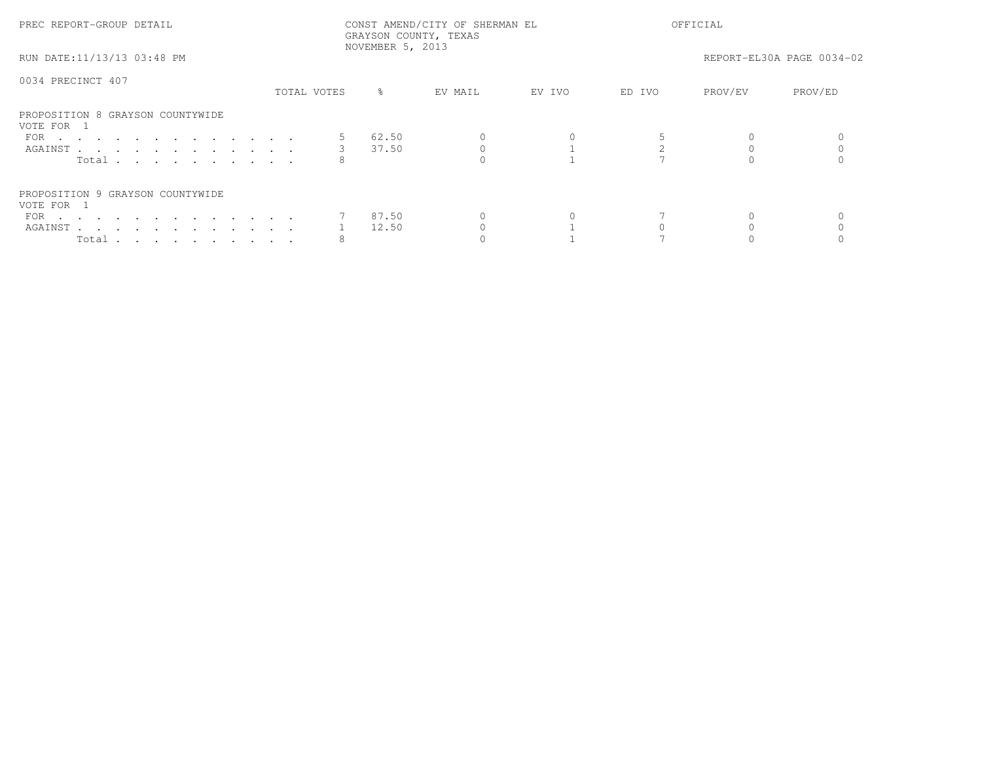| PREC REPORT-GROUP DETAIL                       |             | GRAYSON COUNTY, TEXAS<br>NOVEMBER 5, 2013 | CONST AMEND/CITY OF SHERMAN EL |        |        | OFFICIAL |                           |  |
|------------------------------------------------|-------------|-------------------------------------------|--------------------------------|--------|--------|----------|---------------------------|--|
| RUN DATE:11/13/13 03:48 PM                     |             |                                           |                                |        |        |          | REPORT-EL30A PAGE 0034-02 |  |
| 0034 PRECINCT 407                              | TOTAL VOTES | ႜၟ                                        | EV MAIL                        | EV IVO | ED IVO | PROV/EV  | PROV/ED                   |  |
|                                                |             |                                           |                                |        |        |          |                           |  |
| PROPOSITION 8 GRAYSON COUNTYWIDE<br>VOTE FOR 1 |             |                                           |                                |        |        |          |                           |  |
| FOR                                            | 5           | 62.50                                     |                                |        |        |          |                           |  |
| AGAINST                                        | $3^{\circ}$ | 37.50                                     |                                |        |        |          |                           |  |
| Total                                          |             |                                           |                                |        |        |          |                           |  |
| PROPOSITION 9 GRAYSON COUNTYWIDE               |             |                                           |                                |        |        |          |                           |  |
| VOTE FOR 1                                     |             |                                           |                                |        |        |          |                           |  |
| FOR $\cdots$                                   |             | 87.50                                     |                                |        |        |          |                           |  |
| AGAINST                                        |             | 12.50                                     |                                |        |        |          |                           |  |
| Total $\cdots$                                 |             |                                           |                                |        |        |          |                           |  |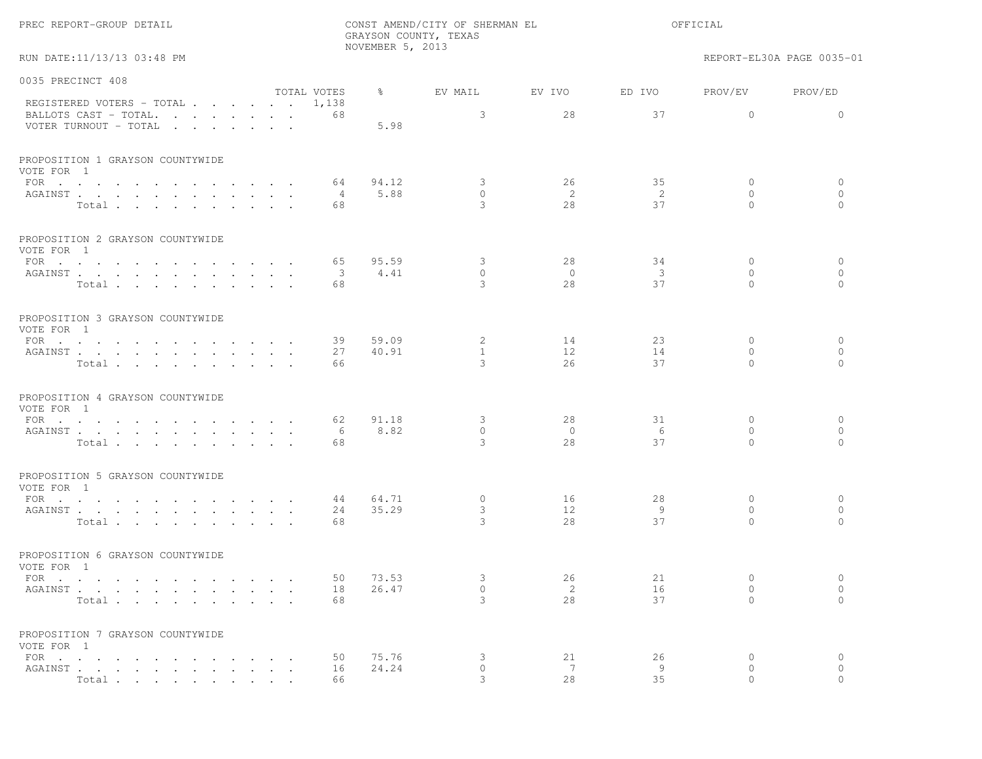|                                                |                      |             | NOVEMBER 5, 2013 | GRAYSON COUNTY, TEXAS |         |                         |                          |                           |
|------------------------------------------------|----------------------|-------------|------------------|-----------------------|---------|-------------------------|--------------------------|---------------------------|
| RUN DATE:11/13/13 03:48 PM                     |                      |             |                  |                       |         |                         |                          | REPORT-EL30A PAGE 0035-01 |
| 0035 PRECINCT 408                              |                      |             |                  |                       |         |                         |                          |                           |
| REGISTERED VOTERS - TOTAL 1,138                |                      | TOTAL VOTES | $\frac{8}{6}$    | EV MAIL               | EV IVO  | ED IVO                  | PROV/EV                  | PROV/ED                   |
| BALLOTS CAST - TOTAL.<br>VOTER TURNOUT - TOTAL |                      | 68          | 5.98             | 3                     | 28      | 37                      | $\circ$                  | $\mathbf{0}$              |
| PROPOSITION 1 GRAYSON COUNTYWIDE<br>VOTE FOR 1 |                      |             |                  |                       |         |                         |                          |                           |
| FOR $\cdots$                                   |                      | 64          | 94.12            | 3                     | 26      | 35                      | $\circ$                  | $\circ$                   |
| AGAINST<br>Total                               |                      | $-4$<br>68  | 5.88             | $\circ$<br>3          | 2<br>28 | -2<br>37                | $\mathbf{0}$<br>$\Omega$ | $\mathbf{0}$<br>$\Omega$  |
|                                                |                      |             |                  |                       |         |                         |                          |                           |
| PROPOSITION 2 GRAYSON COUNTYWIDE<br>VOTE FOR 1 |                      |             |                  |                       |         |                         |                          |                           |
| FOR                                            |                      | 65          | 95.59            | 3                     | 28      | 34                      | $\mathbf{0}$             | $\circ$                   |
| AGAINST                                        |                      | 3           | 4.41             | $\circ$               | $\circ$ | $\overline{\mathbf{3}}$ | $\mathbf{0}$             | $\mathbf{0}$              |
| Total                                          |                      | 68          |                  | 3                     | 28      | 37                      | $\Omega$                 | $\bigcap$                 |
| PROPOSITION 3 GRAYSON COUNTYWIDE<br>VOTE FOR 1 |                      |             |                  |                       |         |                         |                          |                           |
| FOR                                            |                      | 39          | 59.09            | $\mathbf{2}$          | 14      | 23                      | $\mathbf{0}$             | $\circ$                   |
| AGAINST                                        |                      | 27          | 40.91            | $\mathbf{1}$          | $12 \,$ | 14                      | $\mathbf{0}$             | $\mathbf{0}$              |
| Total                                          |                      | 66          |                  | 3                     | 26      | 37                      | $\Omega$                 | $\Omega$                  |
| PROPOSITION 4 GRAYSON COUNTYWIDE<br>VOTE FOR 1 |                      |             |                  |                       |         |                         |                          |                           |
| FOR $\cdots$                                   |                      | 62          | 91.18            | 3                     | 28      | 31                      | $\mathbf{0}$             | $\circ$                   |
| AGAINST                                        |                      | 6           | 8.82             | $\circ$               | $\circ$ | 6                       | $\mathbf{0}$             | $\circ$                   |
| Total                                          |                      | 68          |                  | 3                     | 28      | 37                      | $\Omega$                 | $\Omega$                  |
| PROPOSITION 5 GRAYSON COUNTYWIDE<br>VOTE FOR 1 |                      |             |                  |                       |         |                         |                          |                           |
| FOR                                            |                      | 44          | 64.71            | $\circ$               | 16      | 28                      | $\circ$                  | $\circ$                   |
| AGAINST                                        |                      | 24          | 35.29            | 3                     | 12      | 9                       | $\mathbf{0}$             | $\circ$                   |
| Total                                          |                      | 68          |                  | 3                     | 28      | 37                      | $\Omega$                 | $\bigcap$                 |
| PROPOSITION 6 GRAYSON COUNTYWIDE<br>VOTE FOR 1 |                      |             |                  |                       |         |                         |                          |                           |
| FOR                                            |                      | 50          | 73.53            | 3                     | 26      | 21                      | $\mathbf{0}$             | $\circ$                   |
| AGAINST                                        |                      | 18          | 26.47            | $\circ$               | 2       | 16                      | 0                        | $\circ$                   |
| Total                                          | $\sim$ $\sim$ $\sim$ | 68          |                  | 3                     | 28      | 37                      | $\Omega$                 | $\circ$                   |
| PROPOSITION 7 GRAYSON COUNTYWIDE<br>VOTE FOR 1 |                      |             |                  |                       |         |                         |                          |                           |
| FOR $\cdots$ $\cdots$ $\cdots$                 |                      | 50          | 75.76            | 3                     | 21      | 26                      | 0                        | $\circ$                   |
| AGAINST                                        |                      | 16          | 24.24            | $\circ$               | 7       | 9                       | $\circ$                  | $\circ$                   |
| Total                                          |                      | 66          |                  |                       | 2.8     | 35                      |                          |                           |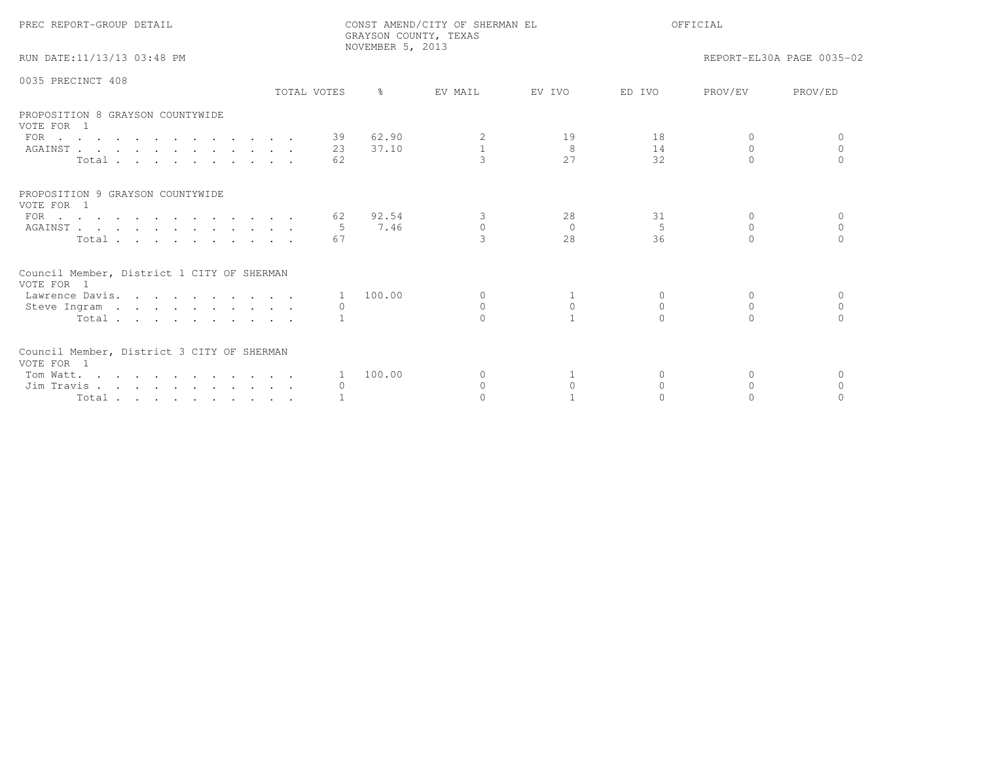| PREC REPORT-GROUP DETAIL                                            |                  | GRAYSON COUNTY, TEXAS<br>NOVEMBER 5, 2013 | CONST AMEND/CITY OF SHERMAN EL |           | OFFICIAL       |           |                           |
|---------------------------------------------------------------------|------------------|-------------------------------------------|--------------------------------|-----------|----------------|-----------|---------------------------|
| RUN DATE:11/13/13 03:48 PM                                          |                  |                                           |                                |           |                |           | REPORT-EL30A PAGE 0035-02 |
| 0035 PRECINCT 408                                                   | TOTAL VOTES      | $\approx$                                 | EV MATI.                       | F.V TVO   | ED TVO         | PROV/EV   | PROV/ED                   |
| PROPOSITION 8 GRAYSON COUNTYWIDE<br>VOTE FOR 1                      |                  |                                           |                                |           |                |           |                           |
| FOR $\cdots$                                                        |                  | 39 62.90                                  | 2                              | 19        | 18             | $\Omega$  |                           |
| AGAINST                                                             | 23               | 37.10                                     | $\mathbf{1}$                   | 8         | 14             | 0         | $\circ$                   |
| Total                                                               | 62               |                                           | $\mathcal{L}$                  | 27        | 32             | $\cap$    | $\cap$                    |
| PROPOSITION 9 GRAYSON COUNTYWIDE<br>VOTE FOR 1                      |                  |                                           |                                |           |                |           |                           |
| FOR $\cdots$                                                        | 62               | 92.54                                     | 3                              | 28        | 31             | $\Omega$  | $\Omega$                  |
| AGAINST                                                             |                  | 7.46                                      | $\Omega$                       | $\bigcap$ | $\overline{5}$ | $\Omega$  | $\Omega$                  |
| Total                                                               | 67               |                                           | $\mathcal{R}$                  | 2.8       | 36             |           |                           |
| Council Member, District 1 CITY OF SHERMAN<br>VOTE FOR 1            |                  |                                           |                                |           |                |           |                           |
| Lawrence Davis.                                                     |                  | 1 100.00                                  | $\circ$                        | 1         | $\Omega$       | 0         | $\Omega$                  |
| Steve Ingram                                                        | $\left( \right)$ |                                           | $\Omega$                       | $\Omega$  | $\Omega$       | $\Omega$  | $\bigcap$                 |
| Total                                                               |                  |                                           |                                |           | $\cap$         | $\bigcap$ |                           |
| Council Member, District 3 CITY OF SHERMAN<br>VOTE FOR 1            |                  |                                           |                                |           |                |           |                           |
| Tom Watt.                                                           | 1                | 100.00                                    | $\Omega$                       |           | $\Omega$       | $\Omega$  | $\Omega$                  |
| Jim Travis                                                          |                  |                                           | $\circ$                        | $\circ$   | $\Omega$       | $\Omega$  | $\Omega$                  |
| $Total \cdot \cdot \cdot \cdot \cdot \cdot \cdot \cdot \cdot \cdot$ |                  |                                           |                                |           |                |           |                           |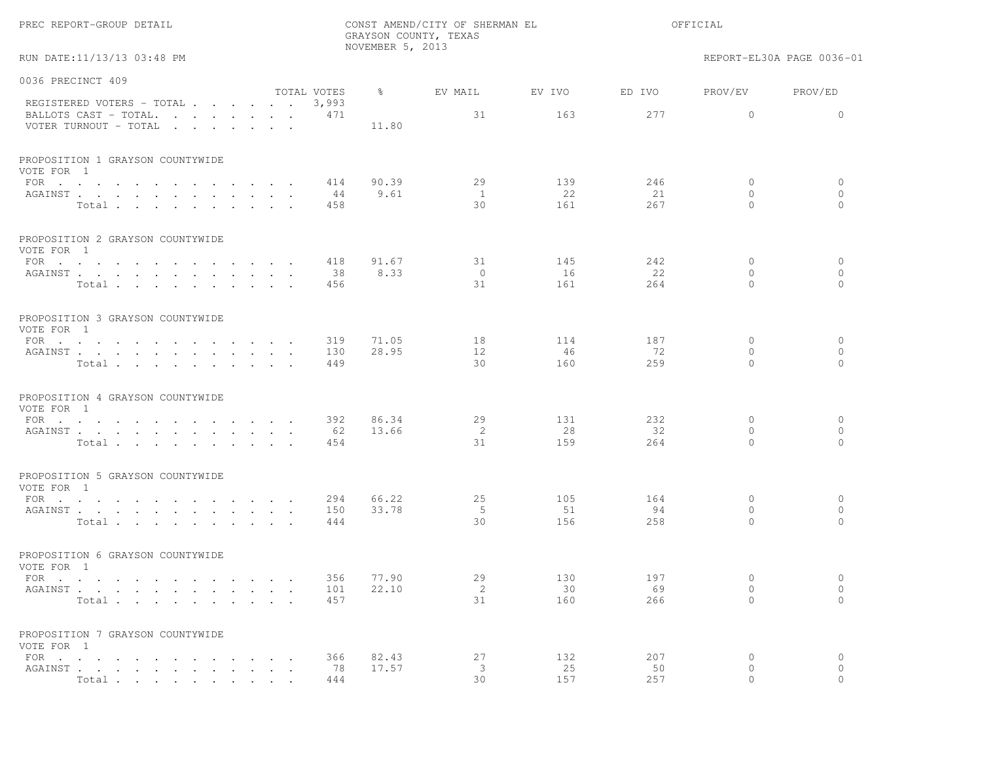| PREC REPORT-GROUP DETAIL                                                                                                                                                                                                                              | CONST AMEND/CITY OF SHERMAN EL<br>GRAYSON COUNTY, TEXAS<br>NOVEMBER 5, 2013 |       |                       |           |           | OFFICIAL            |                           |  |
|-------------------------------------------------------------------------------------------------------------------------------------------------------------------------------------------------------------------------------------------------------|-----------------------------------------------------------------------------|-------|-----------------------|-----------|-----------|---------------------|---------------------------|--|
| RUN DATE:11/13/13 03:48 PM                                                                                                                                                                                                                            |                                                                             |       |                       |           |           |                     | REPORT-EL30A PAGE 0036-01 |  |
| 0036 PRECINCT 409                                                                                                                                                                                                                                     |                                                                             |       |                       |           |           |                     |                           |  |
| REGISTERED VOTERS - TOTAL                                                                                                                                                                                                                             | TOTAL VOTES<br>3,993                                                        | ွေ    | EV MAIL               | EV IVO    | ED IVO    | PROV/EV             | PROV/ED                   |  |
| BALLOTS CAST - TOTAL.<br>VOTER TURNOUT - TOTAL                                                                                                                                                                                                        | 471                                                                         | 11.80 | 31                    | 163       | 277       | $\circ$             | $\circ$                   |  |
| PROPOSITION 1 GRAYSON COUNTYWIDE<br>VOTE FOR 1                                                                                                                                                                                                        |                                                                             |       |                       |           |           |                     |                           |  |
| FOR $\cdots$                                                                                                                                                                                                                                          | 414                                                                         | 90.39 | 29                    | 139       | 246       | $\circ$             | 0                         |  |
| AGAINST                                                                                                                                                                                                                                               | 44                                                                          | 9.61  | $\mathbf{1}$          | 22        | 21        | $\mathbf{0}$        | $\circ$                   |  |
| Total                                                                                                                                                                                                                                                 | 458                                                                         |       | 30                    | 161       | 267       | $\Omega$            | $\Omega$                  |  |
| PROPOSITION 2 GRAYSON COUNTYWIDE<br>VOTE FOR 1                                                                                                                                                                                                        |                                                                             |       |                       |           |           |                     |                           |  |
| FOR $\cdots$ $\cdots$ $\cdots$<br>$\mathbf{r}$ , and $\mathbf{r}$ , and $\mathbf{r}$                                                                                                                                                                  | 418                                                                         | 91.67 | 31                    | 145       | 242       | $\mathbf 0$         | $\circ$                   |  |
| AGAINST                                                                                                                                                                                                                                               | 38                                                                          | 8.33  | $\overline{0}$<br>31  | 16<br>161 | 22        | $\circ$<br>$\Omega$ | $\circ$<br>$\Omega$       |  |
| Total                                                                                                                                                                                                                                                 | 456                                                                         |       |                       |           | 264       |                     |                           |  |
| PROPOSITION 3 GRAYSON COUNTYWIDE<br>VOTE FOR 1                                                                                                                                                                                                        |                                                                             |       |                       |           |           |                     |                           |  |
| FOR                                                                                                                                                                                                                                                   | 319                                                                         | 71.05 | 18                    | 114       | 187       | $\mathbf{0}$        | $\circ$                   |  |
| ${\tt AGAINST} \hspace{0.1in} . \hspace{0.1in} . \hspace{0.1in} . \hspace{0.1in} . \hspace{0.1in} . \hspace{0.1in} . \hspace{0.1in} . \hspace{0.1in} . \hspace{0.1in} . \hspace{0.1in} . \hspace{0.1in} . \hspace{0.1in} . \hspace{0.1in} .$<br>Total | 130<br>449                                                                  | 28.95 | 12 <sup>°</sup><br>30 | 46<br>160 | 72<br>259 | $\circ$<br>$\Omega$ | $\circ$<br>$\bigcap$      |  |
|                                                                                                                                                                                                                                                       |                                                                             |       |                       |           |           |                     |                           |  |
| PROPOSITION 4 GRAYSON COUNTYWIDE<br>VOTE FOR 1                                                                                                                                                                                                        |                                                                             |       |                       |           |           |                     |                           |  |
| FOR $\cdots$                                                                                                                                                                                                                                          | 392                                                                         | 86.34 | 29                    | 131       | 232       | 0                   | $\circ$                   |  |
| AGAINST<br>Total                                                                                                                                                                                                                                      | 62<br>454                                                                   | 13.66 | 2<br>31               | 28<br>159 | 32<br>264 | $\circ$<br>$\Omega$ | $\circ$<br>$\Omega$       |  |
|                                                                                                                                                                                                                                                       |                                                                             |       |                       |           |           |                     |                           |  |
| PROPOSITION 5 GRAYSON COUNTYWIDE<br>VOTE FOR 1                                                                                                                                                                                                        |                                                                             |       |                       |           |           |                     |                           |  |
| FOR                                                                                                                                                                                                                                                   | 294                                                                         | 66.22 | 25                    | 105       | 164       | 0                   | 0                         |  |
| AGAINST<br>Total                                                                                                                                                                                                                                      | 150<br>444                                                                  | 33.78 | 5<br>30               | 51<br>156 | 94<br>258 | $\circ$<br>$\Omega$ | $\circ$<br>$\Omega$       |  |
|                                                                                                                                                                                                                                                       |                                                                             |       |                       |           |           |                     |                           |  |
| PROPOSITION 6 GRAYSON COUNTYWIDE<br>VOTE FOR 1                                                                                                                                                                                                        |                                                                             |       |                       |           |           |                     |                           |  |
| FOR $\cdots$ $\cdots$ $\cdots$<br>$\sim$                                                                                                                                                                                                              | 356                                                                         | 77.90 | 29                    | 130       | 197       | 0                   | $\circ$                   |  |
| AGAINST.                                                                                                                                                                                                                                              | 101                                                                         | 22.10 | 2<br>31               | 30<br>160 | 69        | $\circ$<br>$\Omega$ | $\circ$<br>$\Omega$       |  |
| Total                                                                                                                                                                                                                                                 | 457                                                                         |       |                       |           | 266       |                     |                           |  |
| PROPOSITION 7 GRAYSON COUNTYWIDE<br>VOTE FOR 1                                                                                                                                                                                                        |                                                                             |       |                       |           |           |                     |                           |  |
| FOR<br>$\sim$ $\sim$                                                                                                                                                                                                                                  | 366                                                                         | 82.43 | 27                    | 132       | 207       | $\circ$             | $\circ$                   |  |
| AGAINST.<br>Total                                                                                                                                                                                                                                     | 78<br>444                                                                   | 17.57 | 3<br>30               | 25<br>157 | 50<br>257 | $\Omega$<br>$\cap$  | $\Omega$                  |  |
|                                                                                                                                                                                                                                                       |                                                                             |       |                       |           |           |                     |                           |  |